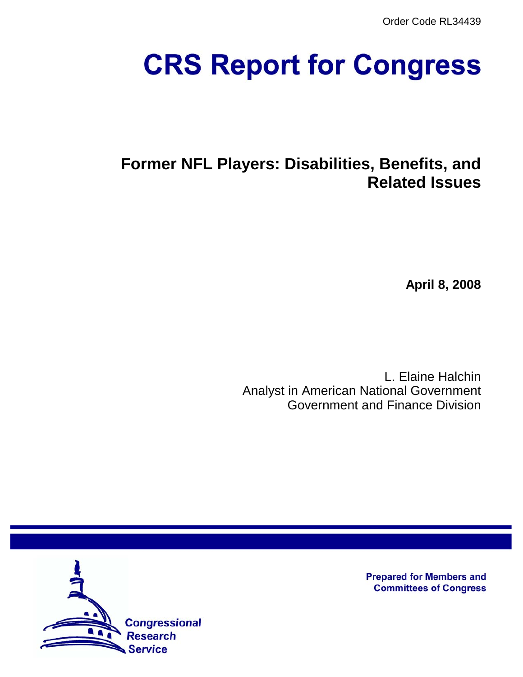Order Code RL34439

# **CRS Report for Congress**

# **Former NFL Players: Disabilities, Benefits, and Related Issues**

**April 8, 2008**

L. Elaine Halchin Analyst in American National Government Government and Finance Division



**Prepared for Members and Committees of Congress**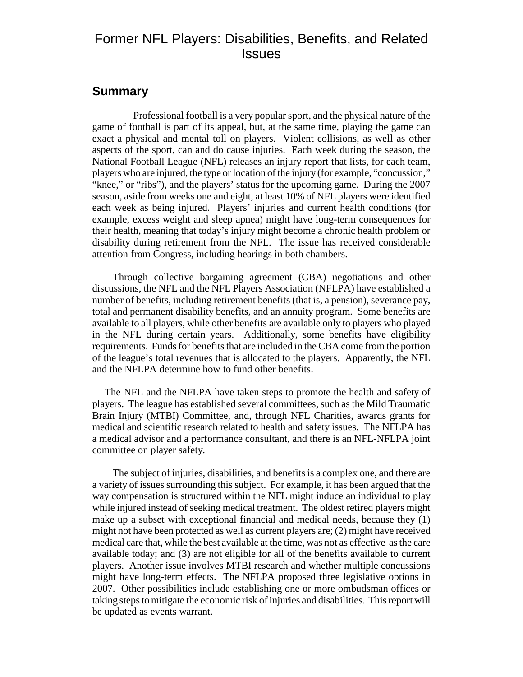# Former NFL Players: Disabilities, Benefits, and Related **Issues**

### **Summary**

Professional football is a very popular sport, and the physical nature of the game of football is part of its appeal, but, at the same time, playing the game can exact a physical and mental toll on players. Violent collisions, as well as other aspects of the sport, can and do cause injuries. Each week during the season, the National Football League (NFL) releases an injury report that lists, for each team, players who are injured, the type or location of the injury (for example, "concussion," "knee," or "ribs"), and the players' status for the upcoming game. During the 2007 season, aside from weeks one and eight, at least 10% of NFL players were identified each week as being injured. Players' injuries and current health conditions (for example, excess weight and sleep apnea) might have long-term consequences for their health, meaning that today's injury might become a chronic health problem or disability during retirement from the NFL. The issue has received considerable attention from Congress, including hearings in both chambers.

Through collective bargaining agreement (CBA) negotiations and other discussions, the NFL and the NFL Players Association (NFLPA) have established a number of benefits, including retirement benefits (that is, a pension), severance pay, total and permanent disability benefits, and an annuity program. Some benefits are available to all players, while other benefits are available only to players who played in the NFL during certain years. Additionally, some benefits have eligibility requirements. Funds for benefits that are included in the CBA come from the portion of the league's total revenues that is allocated to the players. Apparently, the NFL and the NFLPA determine how to fund other benefits.

 The NFL and the NFLPA have taken steps to promote the health and safety of players. The league has established several committees, such as the Mild Traumatic Brain Injury (MTBI) Committee, and, through NFL Charities, awards grants for medical and scientific research related to health and safety issues. The NFLPA has a medical advisor and a performance consultant, and there is an NFL-NFLPA joint committee on player safety.

The subject of injuries, disabilities, and benefits is a complex one, and there are a variety of issues surrounding this subject. For example, it has been argued that the way compensation is structured within the NFL might induce an individual to play while injured instead of seeking medical treatment. The oldest retired players might make up a subset with exceptional financial and medical needs, because they (1) might not have been protected as well as current players are; (2) might have received medical care that, while the best available at the time, was not as effective as the care available today; and (3) are not eligible for all of the benefits available to current players. Another issue involves MTBI research and whether multiple concussions might have long-term effects. The NFLPA proposed three legislative options in 2007. Other possibilities include establishing one or more ombudsman offices or taking steps to mitigate the economic risk of injuries and disabilities. This report will be updated as events warrant.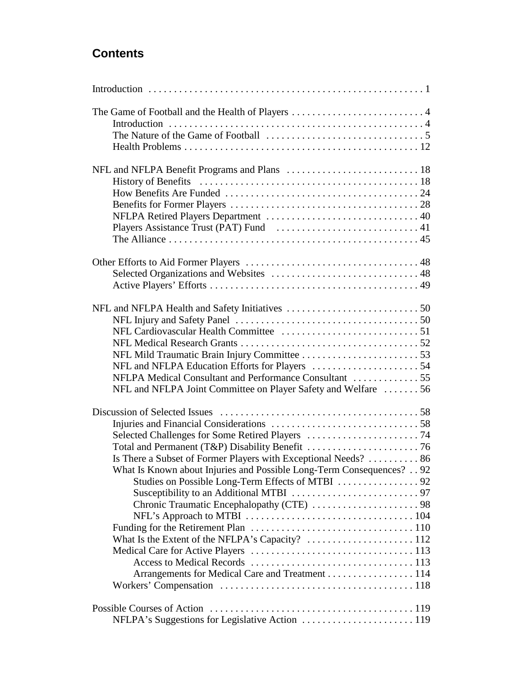# **Contents**

| NFLPA Medical Consultant and Performance Consultant 55               |  |
|----------------------------------------------------------------------|--|
| NFL and NFLPA Joint Committee on Player Safety and Welfare 56        |  |
|                                                                      |  |
|                                                                      |  |
|                                                                      |  |
|                                                                      |  |
| Is There a Subset of Former Players with Exceptional Needs?  86      |  |
| What Is Known about Injuries and Possible Long-Term Consequences? 92 |  |
|                                                                      |  |
|                                                                      |  |
|                                                                      |  |
|                                                                      |  |
|                                                                      |  |
|                                                                      |  |
|                                                                      |  |
|                                                                      |  |
| Arrangements for Medical Care and Treatment 114                      |  |
|                                                                      |  |
|                                                                      |  |
|                                                                      |  |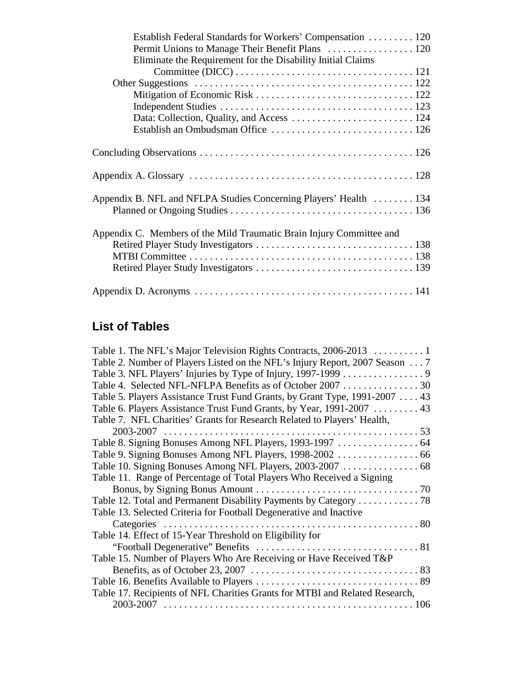| Establish Federal Standards for Workers' Compensation  120           |
|----------------------------------------------------------------------|
| Permit Unions to Manage Their Benefit Plans  120                     |
| Eliminate the Requirement for the Disability Initial Claims          |
|                                                                      |
|                                                                      |
|                                                                      |
|                                                                      |
|                                                                      |
|                                                                      |
|                                                                      |
|                                                                      |
| Appendix B. NFL and NFLPA Studies Concerning Players' Health  134    |
|                                                                      |
|                                                                      |
| Appendix C. Members of the Mild Traumatic Brain Injury Committee and |
|                                                                      |
|                                                                      |
|                                                                      |
|                                                                      |
|                                                                      |
|                                                                      |

# **List of Tables**

| Table 1. The NFL's Major Television Rights Contracts, 2006-2013             |
|-----------------------------------------------------------------------------|
| Table 2. Number of Players Listed on the NFL's Injury Report, 2007 Season 7 |
| Table 3. NFL Players' Injuries by Type of Injury, 1997-1999 9               |
| Table 4. Selected NFL-NFLPA Benefits as of October 2007 30                  |
| Table 5. Players Assistance Trust Fund Grants, by Grant Type, 1991-2007  43 |
| Table 6. Players Assistance Trust Fund Grants, by Year, 1991-2007  43       |
| Table 7. NFL Charities' Grants for Research Related to Players' Health,     |
|                                                                             |
|                                                                             |
|                                                                             |
|                                                                             |
| Table 11. Range of Percentage of Total Players Who Received a Signing       |
|                                                                             |
| Table 12. Total and Permanent Disability Payments by Category 78            |
| Table 13. Selected Criteria for Football Degenerative and Inactive          |
|                                                                             |
| Table 14. Effect of 15-Year Threshold on Eligibility for                    |
|                                                                             |
| Table 15. Number of Players Who Are Receiving or Have Received T&P          |
|                                                                             |
|                                                                             |
| Table 17. Recipients of NFL Charities Grants for MTBI and Related Research, |
|                                                                             |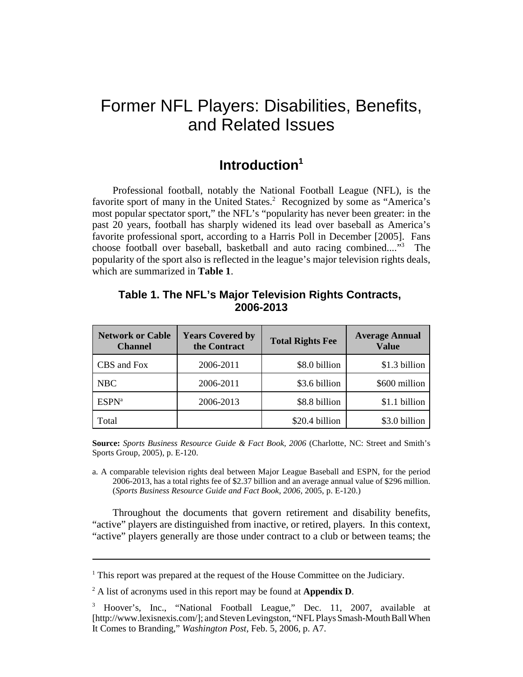# Former NFL Players: Disabilities, Benefits, and Related Issues

## **Introduction1**

Professional football, notably the National Football League (NFL), is the favorite sport of many in the United States.<sup>2</sup> Recognized by some as "America's most popular spectator sport," the NFL's "popularity has never been greater: in the past 20 years, football has sharply widened its lead over baseball as America's favorite professional sport, according to a Harris Poll in December [2005]. Fans choose football over baseball, basketball and auto racing combined...."3 The popularity of the sport also is reflected in the league's major television rights deals, which are summarized in **Table 1**.

| <b>Network or Cable</b><br><b>Channel</b> | <b>Years Covered by</b><br>the Contract | <b>Total Rights Fee</b> | <b>Average Annual</b><br><b>Value</b> |
|-------------------------------------------|-----------------------------------------|-------------------------|---------------------------------------|
| CBS and Fox                               | 2006-2011                               | \$8.0 billion           | \$1.3 billion                         |
| <b>NBC</b>                                | 2006-2011                               | \$3.6 billion           | \$600 million                         |
| ESPN <sup>a</sup>                         | 2006-2013                               | \$8.8 billion           | \$1.1 billion                         |
| Total                                     |                                         | \$20.4 billion          | \$3.0 billion                         |

#### **Table 1. The NFL's Major Television Rights Contracts, 2006-2013**

**Source:** *Sports Business Resource Guide & Fact Book, 2006* (Charlotte, NC: Street and Smith's Sports Group, 2005), p. E-120.

a. A comparable television rights deal between Major League Baseball and ESPN, for the period 2006-2013, has a total rights fee of \$2.37 billion and an average annual value of \$296 million. (*Sports Business Resource Guide and Fact Book, 2006*, 2005, p. E-120.)

Throughout the documents that govern retirement and disability benefits, "active" players are distinguished from inactive, or retired, players. In this context, "active" players generally are those under contract to a club or between teams; the

<sup>&</sup>lt;sup>1</sup> This report was prepared at the request of the House Committee on the Judiciary.

<sup>2</sup> A list of acronyms used in this report may be found at **Appendix D**.

<sup>&</sup>lt;sup>3</sup> Hoover's, Inc., "National Football League," Dec. 11, 2007, available at [http://www.lexisnexis.com/]; and Steven Levingston, "NFL Plays Smash-Mouth Ball When It Comes to Branding," *Washington Post*, Feb. 5, 2006, p. A7.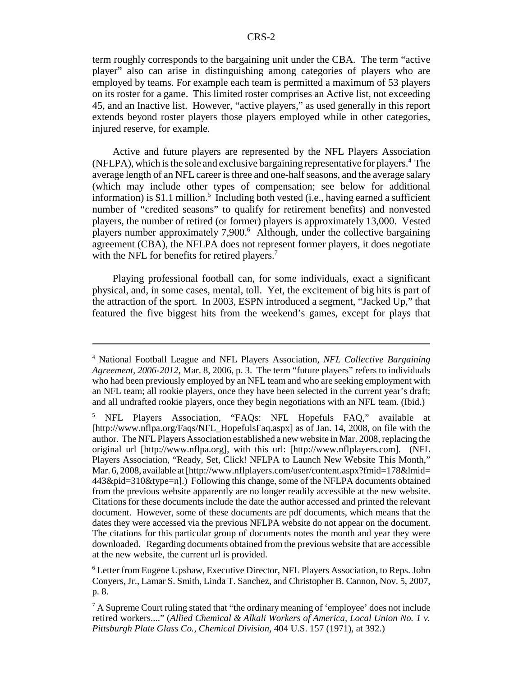term roughly corresponds to the bargaining unit under the CBA. The term "active player" also can arise in distinguishing among categories of players who are employed by teams. For example each team is permitted a maximum of 53 players on its roster for a game. This limited roster comprises an Active list, not exceeding 45, and an Inactive list. However, "active players," as used generally in this report extends beyond roster players those players employed while in other categories, injured reserve, for example.

Active and future players are represented by the NFL Players Association (NFLPA), which is the sole and exclusive bargaining representative for players.<sup>4</sup> The average length of an NFL career is three and one-half seasons, and the average salary (which may include other types of compensation; see below for additional information) is \$1.1 million.<sup>5</sup> Including both vested (i.e., having earned a sufficient number of "credited seasons" to qualify for retirement benefits) and nonvested players, the number of retired (or former) players is approximately 13,000. Vested players number approximately 7,900.<sup>6</sup> Although, under the collective bargaining agreement (CBA), the NFLPA does not represent former players, it does negotiate with the NFL for benefits for retired players.<sup>7</sup>

Playing professional football can, for some individuals, exact a significant physical, and, in some cases, mental, toll. Yet, the excitement of big hits is part of the attraction of the sport. In 2003, ESPN introduced a segment, "Jacked Up," that featured the five biggest hits from the weekend's games, except for plays that

<sup>4</sup> National Football League and NFL Players Association, *NFL Collective Bargaining Agreement, 2006-2012*, Mar. 8, 2006, p. 3. The term "future players" refers to individuals who had been previously employed by an NFL team and who are seeking employment with an NFL team; all rookie players, once they have been selected in the current year's draft; and all undrafted rookie players, once they begin negotiations with an NFL team. (Ibid.)

<sup>5</sup> NFL Players Association, "FAQs: NFL Hopefuls FAQ," available at [http://www.nflpa.org/Faqs/NFL\_HopefulsFaq.aspx] as of Jan. 14, 2008, on file with the author. The NFL Players Association established a new website in Mar. 2008, replacing the original url [http://www.nflpa.org], with this url: [http://www.nflplayers.com]. (NFL Players Association, "Ready, Set, Click! NFLPA to Launch New Website This Month," Mar. 6, 2008, available at [http://www.nflplayers.com/user/content.aspx?fmid=178&lmid= 443&pid=310&type=n].) Following this change, some of the NFLPA documents obtained from the previous website apparently are no longer readily accessible at the new website. Citations for these documents include the date the author accessed and printed the relevant document. However, some of these documents are pdf documents, which means that the dates they were accessed via the previous NFLPA website do not appear on the document. The citations for this particular group of documents notes the month and year they were downloaded. Regarding documents obtained from the previous website that are accessible at the new website, the current url is provided.

<sup>&</sup>lt;sup>6</sup> Letter from Eugene Upshaw, Executive Director, NFL Players Association, to Reps. John Conyers, Jr., Lamar S. Smith, Linda T. Sanchez, and Christopher B. Cannon, Nov. 5, 2007, p. 8.

<sup>&</sup>lt;sup>7</sup> A Supreme Court ruling stated that "the ordinary meaning of 'employee' does not include retired workers...." (*Allied Chemical & Alkali Workers of America, Local Union No. 1 v. Pittsburgh Plate Glass Co., Chemical Division*, 404 U.S. 157 (1971), at 392.)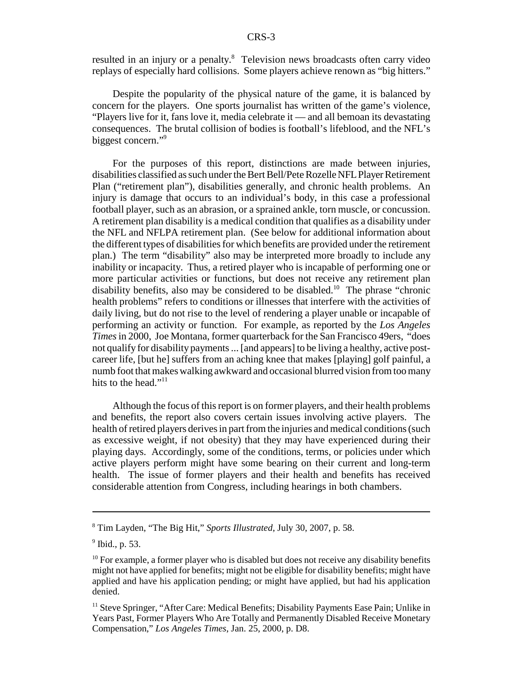resulted in an injury or a penalty.<sup>8</sup> Television news broadcasts often carry video replays of especially hard collisions. Some players achieve renown as "big hitters."

Despite the popularity of the physical nature of the game, it is balanced by concern for the players. One sports journalist has written of the game's violence, "Players live for it, fans love it, media celebrate it — and all bemoan its devastating consequences. The brutal collision of bodies is football's lifeblood, and the NFL's biggest concern."9

For the purposes of this report, distinctions are made between injuries, disabilities classified as such under the Bert Bell/Pete Rozelle NFL Player Retirement Plan ("retirement plan"), disabilities generally, and chronic health problems. An injury is damage that occurs to an individual's body, in this case a professional football player, such as an abrasion, or a sprained ankle, torn muscle, or concussion. A retirement plan disability is a medical condition that qualifies as a disability under the NFL and NFLPA retirement plan. (See below for additional information about the different types of disabilities for which benefits are provided under the retirement plan.) The term "disability" also may be interpreted more broadly to include any inability or incapacity. Thus, a retired player who is incapable of performing one or more particular activities or functions, but does not receive any retirement plan disability benefits, also may be considered to be disabled.<sup>10</sup> The phrase "chronic health problems" refers to conditions or illnesses that interfere with the activities of daily living, but do not rise to the level of rendering a player unable or incapable of performing an activity or function. For example, as reported by the *Los Angeles Times* in 2000, Joe Montana, former quarterback for the San Francisco 49ers, "does not qualify for disability payments ... [and appears] to be living a healthy, active postcareer life, [but he] suffers from an aching knee that makes [playing] golf painful, a numb foot that makes walking awkward and occasional blurred vision from too many hits to the head."<sup>11</sup>

Although the focus of this report is on former players, and their health problems and benefits, the report also covers certain issues involving active players. The health of retired players derives in part from the injuries and medical conditions (such as excessive weight, if not obesity) that they may have experienced during their playing days. Accordingly, some of the conditions, terms, or policies under which active players perform might have some bearing on their current and long-term health. The issue of former players and their health and benefits has received considerable attention from Congress, including hearings in both chambers.

<sup>8</sup> Tim Layden, "The Big Hit," *Sports Illustrated*, July 30, 2007, p. 58.

<sup>9</sup> Ibid., p. 53.

 $10$  For example, a former player who is disabled but does not receive any disability benefits might not have applied for benefits; might not be eligible for disability benefits; might have applied and have his application pending; or might have applied, but had his application denied.

<sup>&</sup>lt;sup>11</sup> Steve Springer, "After Care: Medical Benefits; Disability Payments Ease Pain; Unlike in Years Past, Former Players Who Are Totally and Permanently Disabled Receive Monetary Compensation," *Los Angeles Times*, Jan. 25, 2000, p. D8.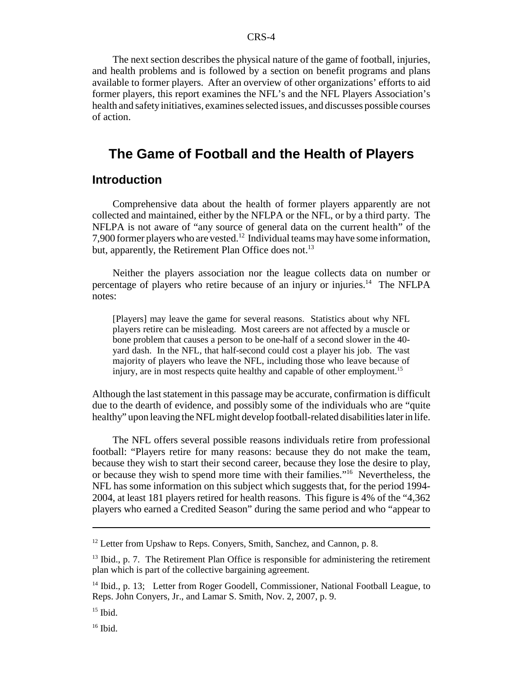The next section describes the physical nature of the game of football, injuries, and health problems and is followed by a section on benefit programs and plans available to former players. After an overview of other organizations' efforts to aid former players, this report examines the NFL's and the NFL Players Association's health and safety initiatives, examines selected issues, and discusses possible courses of action.

### **The Game of Football and the Health of Players**

#### **Introduction**

Comprehensive data about the health of former players apparently are not collected and maintained, either by the NFLPA or the NFL, or by a third party. The NFLPA is not aware of "any source of general data on the current health" of the 7,900 former players who are vested.<sup>12</sup> Individual teams may have some information, but, apparently, the Retirement Plan Office does not.<sup>13</sup>

Neither the players association nor the league collects data on number or percentage of players who retire because of an injury or injuries.14 The NFLPA notes:

[Players] may leave the game for several reasons. Statistics about why NFL players retire can be misleading. Most careers are not affected by a muscle or bone problem that causes a person to be one-half of a second slower in the 40 yard dash. In the NFL, that half-second could cost a player his job. The vast majority of players who leave the NFL, including those who leave because of injury, are in most respects quite healthy and capable of other employment.<sup>15</sup>

Although the last statement in this passage may be accurate, confirmation is difficult due to the dearth of evidence, and possibly some of the individuals who are "quite healthy" upon leaving the NFL might develop football-related disabilities later in life.

The NFL offers several possible reasons individuals retire from professional football: "Players retire for many reasons: because they do not make the team, because they wish to start their second career, because they lose the desire to play, or because they wish to spend more time with their families."16 Nevertheless, the NFL has some information on this subject which suggests that, for the period 1994- 2004, at least 181 players retired for health reasons. This figure is 4% of the "4,362 players who earned a Credited Season" during the same period and who "appear to

<sup>&</sup>lt;sup>12</sup> Letter from Upshaw to Reps. Conyers, Smith, Sanchez, and Cannon, p. 8.

<sup>&</sup>lt;sup>13</sup> Ibid., p. 7. The Retirement Plan Office is responsible for administering the retirement plan which is part of the collective bargaining agreement.

<sup>&</sup>lt;sup>14</sup> Ibid., p. 13; Letter from Roger Goodell, Commissioner, National Football League, to Reps. John Conyers, Jr., and Lamar S. Smith, Nov. 2, 2007, p. 9.

 $15$  Ibid.

 $16$  Ibid.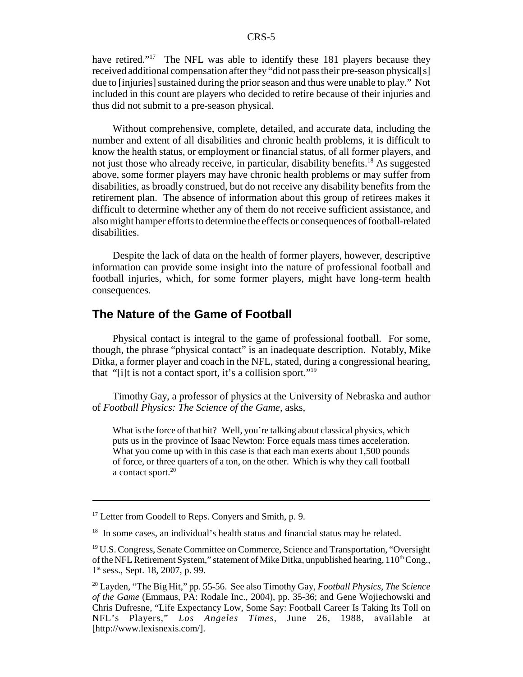have retired."<sup>17</sup> The NFL was able to identify these 181 players because they received additional compensation after they "did not pass their pre-season physical[s] due to [injuries] sustained during the prior season and thus were unable to play." Not included in this count are players who decided to retire because of their injuries and thus did not submit to a pre-season physical.

Without comprehensive, complete, detailed, and accurate data, including the number and extent of all disabilities and chronic health problems, it is difficult to know the health status, or employment or financial status, of all former players, and not just those who already receive, in particular, disability benefits.<sup>18</sup> As suggested above, some former players may have chronic health problems or may suffer from disabilities, as broadly construed, but do not receive any disability benefits from the retirement plan. The absence of information about this group of retirees makes it difficult to determine whether any of them do not receive sufficient assistance, and also might hamper efforts to determine the effects or consequences of football-related disabilities.

 Despite the lack of data on the health of former players, however, descriptive information can provide some insight into the nature of professional football and football injuries, which, for some former players, might have long-term health consequences.

#### **The Nature of the Game of Football**

Physical contact is integral to the game of professional football. For some, though, the phrase "physical contact" is an inadequate description. Notably, Mike Ditka, a former player and coach in the NFL, stated, during a congressional hearing, that "[i]t is not a contact sport, it's a collision sport."19

Timothy Gay, a professor of physics at the University of Nebraska and author of *Football Physics: The Science of the Game*, asks,

What is the force of that hit? Well, you're talking about classical physics, which puts us in the province of Isaac Newton: Force equals mass times acceleration. What you come up with in this case is that each man exerts about 1,500 pounds of force, or three quarters of a ton, on the other. Which is why they call football a contact sport. $20$ 

<sup>&</sup>lt;sup>17</sup> Letter from Goodell to Reps. Convers and Smith, p. 9.

<sup>&</sup>lt;sup>18</sup> In some cases, an individual's health status and financial status may be related.

<sup>&</sup>lt;sup>19</sup> U.S. Congress, Senate Committee on Commerce, Science and Transportation, "Oversight" of the NFL Retirement System," statement of Mike Ditka, unpublished hearing,  $110<sup>th</sup> Cong.$ 1<sup>st</sup> sess., Sept. 18, 2007, p. 99.

<sup>20</sup> Layden, "The Big Hit," pp. 55-56. See also Timothy Gay, *Football Physics, The Science of the Game* (Emmaus, PA: Rodale Inc., 2004), pp. 35-36; and Gene Wojiechowski and Chris Dufresne, "Life Expectancy Low, Some Say: Football Career Is Taking Its Toll on NFL's Players," *Los Angeles Times*, June 26, 1988, available at [http://www.lexisnexis.com/].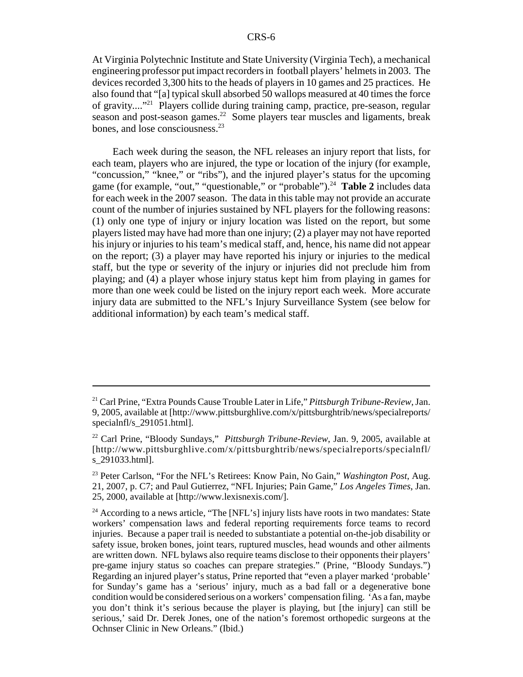At Virginia Polytechnic Institute and State University (Virginia Tech), a mechanical engineering professor put impact recorders in football players' helmets in 2003. The devices recorded 3,300 hits to the heads of players in 10 games and 25 practices. He also found that "[a] typical skull absorbed 50 wallops measured at 40 times the force of gravity...."21 Players collide during training camp, practice, pre-season, regular season and post-season games.<sup>22</sup> Some players tear muscles and ligaments, break bones, and lose consciousness.<sup>23</sup>

Each week during the season, the NFL releases an injury report that lists, for each team, players who are injured, the type or location of the injury (for example, "concussion," "knee," or "ribs"), and the injured player's status for the upcoming game (for example, "out," "questionable," or "probable").24 **Table 2** includes data for each week in the 2007 season. The data in this table may not provide an accurate count of the number of injuries sustained by NFL players for the following reasons: (1) only one type of injury or injury location was listed on the report, but some players listed may have had more than one injury; (2) a player may not have reported his injury or injuries to his team's medical staff, and, hence, his name did not appear on the report; (3) a player may have reported his injury or injuries to the medical staff, but the type or severity of the injury or injuries did not preclude him from playing; and (4) a player whose injury status kept him from playing in games for more than one week could be listed on the injury report each week. More accurate injury data are submitted to the NFL's Injury Surveillance System (see below for additional information) by each team's medical staff.

<sup>21</sup> Carl Prine, "Extra Pounds Cause Trouble Later in Life," *Pittsburgh Tribune-Review*, Jan. 9, 2005, available at [http://www.pittsburghlive.com/x/pittsburghtrib/news/specialreports/ specialnfl/s\_291051.html].

<sup>22</sup> Carl Prine, "Bloody Sundays," *Pittsburgh Tribune-Review*, Jan. 9, 2005, available at [http://www.pittsburghlive.com/x/pittsburghtrib/news/specialreports/specialnfl/ s\_291033.html].

<sup>23</sup> Peter Carlson, "For the NFL's Retirees: Know Pain, No Gain," *Washington Post*, Aug. 21, 2007, p. C7; and Paul Gutierrez, "NFL Injuries; Pain Game," *Los Angeles Times*, Jan. 25, 2000, available at [http://www.lexisnexis.com/].

 $24$  According to a news article, "The [NFL's] injury lists have roots in two mandates: State workers' compensation laws and federal reporting requirements force teams to record injuries. Because a paper trail is needed to substantiate a potential on-the-job disability or safety issue, broken bones, joint tears, ruptured muscles, head wounds and other ailments are written down. NFL bylaws also require teams disclose to their opponents their players' pre-game injury status so coaches can prepare strategies." (Prine, "Bloody Sundays.") Regarding an injured player's status, Prine reported that "even a player marked 'probable' for Sunday's game has a 'serious' injury, much as a bad fall or a degenerative bone condition would be considered serious on a workers' compensation filing. 'As a fan, maybe you don't think it's serious because the player is playing, but [the injury] can still be serious,' said Dr. Derek Jones, one of the nation's foremost orthopedic surgeons at the Ochnser Clinic in New Orleans." (Ibid.)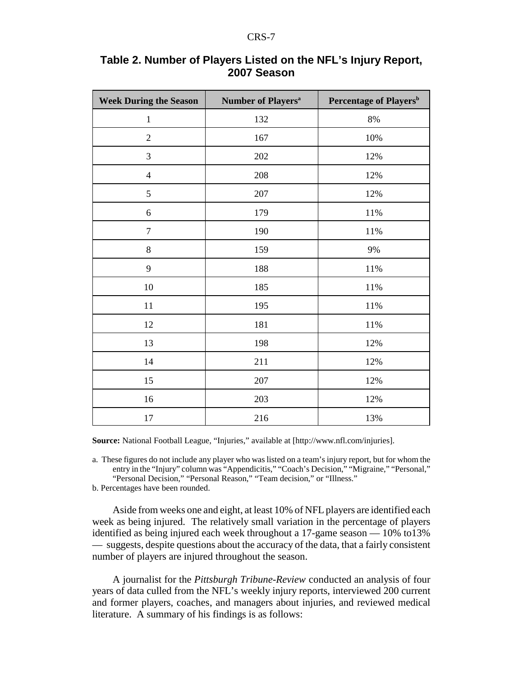| <b>Week During the Season</b> | <b>Number of Players<sup>a</sup></b> | Percentage of Players <sup>b</sup> |
|-------------------------------|--------------------------------------|------------------------------------|
| $\mathbf{1}$                  | 132                                  | $8\%$                              |
| $\sqrt{2}$                    | 167                                  | 10%                                |
| 3                             | 202                                  | 12%                                |
| $\overline{4}$                | 208                                  | 12%                                |
| 5                             | 207                                  | 12%                                |
| 6                             | 179                                  | 11%                                |
| $\overline{7}$                | 190                                  | 11%                                |
| 8                             | 159                                  | 9%                                 |
| 9                             | 188                                  | $11\%$                             |
| $10\,$                        | 185                                  | $11\%$                             |
| $11\,$                        | 195                                  | $11\%$                             |
| 12                            | 181                                  | 11%                                |
| 13                            | 198                                  | 12%                                |
| 14                            | 211                                  | 12%                                |
| 15                            | 207                                  | 12%                                |
| 16                            | 203                                  | 12%                                |
| 17                            | 216                                  | 13%                                |

#### **Table 2. Number of Players Listed on the NFL's Injury Report, 2007 Season**

**Source:** National Football League, "Injuries," available at [http://www.nfl.com/injuries].

a. These figures do not include any player who was listed on a team's injury report, but for whom the entry in the "Injury" column was "Appendicitis," "Coach's Decision," "Migraine," "Personal," "Personal Decision," "Personal Reason," "Team decision," or "Illness."

b. Percentages have been rounded.

Aside from weeks one and eight, at least 10% of NFL players are identified each week as being injured. The relatively small variation in the percentage of players identified as being injured each week throughout a 17-game season — 10% to13% — suggests, despite questions about the accuracy of the data, that a fairly consistent number of players are injured throughout the season.

A journalist for the *Pittsburgh Tribune-Review* conducted an analysis of four years of data culled from the NFL's weekly injury reports, interviewed 200 current and former players, coaches, and managers about injuries, and reviewed medical literature. A summary of his findings is as follows: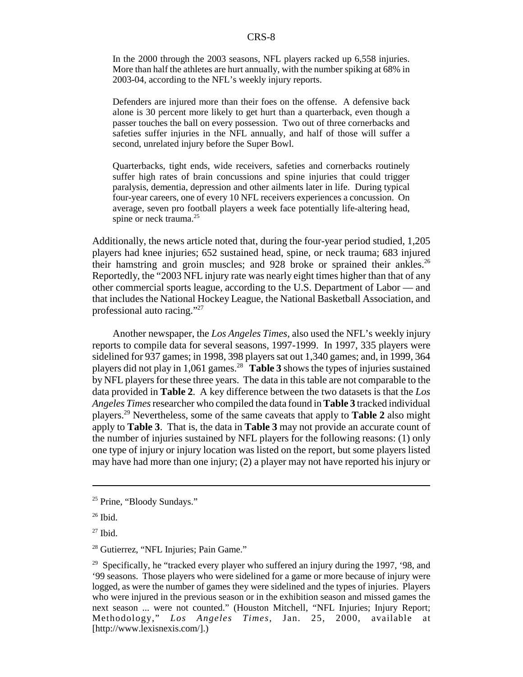In the 2000 through the 2003 seasons, NFL players racked up 6,558 injuries. More than half the athletes are hurt annually, with the number spiking at 68% in 2003-04, according to the NFL's weekly injury reports.

Defenders are injured more than their foes on the offense. A defensive back alone is 30 percent more likely to get hurt than a quarterback, even though a passer touches the ball on every possession. Two out of three cornerbacks and safeties suffer injuries in the NFL annually, and half of those will suffer a second, unrelated injury before the Super Bowl.

Quarterbacks, tight ends, wide receivers, safeties and cornerbacks routinely suffer high rates of brain concussions and spine injuries that could trigger paralysis, dementia, depression and other ailments later in life. During typical four-year careers, one of every 10 NFL receivers experiences a concussion. On average, seven pro football players a week face potentially life-altering head, spine or neck trauma. $25$ 

Additionally, the news article noted that, during the four-year period studied, 1,205 players had knee injuries; 652 sustained head, spine, or neck trauma; 683 injured their hamstring and groin muscles; and 928 broke or sprained their ankles.<sup>26</sup> Reportedly, the "2003 NFL injury rate was nearly eight times higher than that of any other commercial sports league, according to the U.S. Department of Labor — and that includes the National Hockey League, the National Basketball Association, and professional auto racing."27

Another newspaper, the *Los Angeles Times*, also used the NFL's weekly injury reports to compile data for several seasons, 1997-1999. In 1997, 335 players were sidelined for 937 games; in 1998, 398 players sat out 1,340 games; and, in 1999, 364 players did not play in 1,061 games.28 **Table 3** shows the types of injuries sustained by NFL players for these three years. The data in this table are not comparable to the data provided in **Table 2**. A key difference between the two datasets is that the *Los Angeles Times* researcher who compiled the data found in **Table 3** tracked individual players.29 Nevertheless, some of the same caveats that apply to **Table 2** also might apply to **Table 3**. That is, the data in **Table 3** may not provide an accurate count of the number of injuries sustained by NFL players for the following reasons: (1) only one type of injury or injury location was listed on the report, but some players listed may have had more than one injury; (2) a player may not have reported his injury or

<sup>25</sup> Prine, "Bloody Sundays."

 $26$  Ibid.

 $27$  Ibid.

<sup>&</sup>lt;sup>28</sup> Gutierrez, "NFL Injuries; Pain Game."

<sup>&</sup>lt;sup>29</sup> Specifically, he "tracked every player who suffered an injury during the 1997, '98, and '99 seasons. Those players who were sidelined for a game or more because of injury were logged, as were the number of games they were sidelined and the types of injuries. Players who were injured in the previous season or in the exhibition season and missed games the next season ... were not counted." (Houston Mitchell, "NFL Injuries; Injury Report; Methodology," *Los Angeles Times*, Jan. 25, 2000, available at [http://www.lexisnexis.com/].)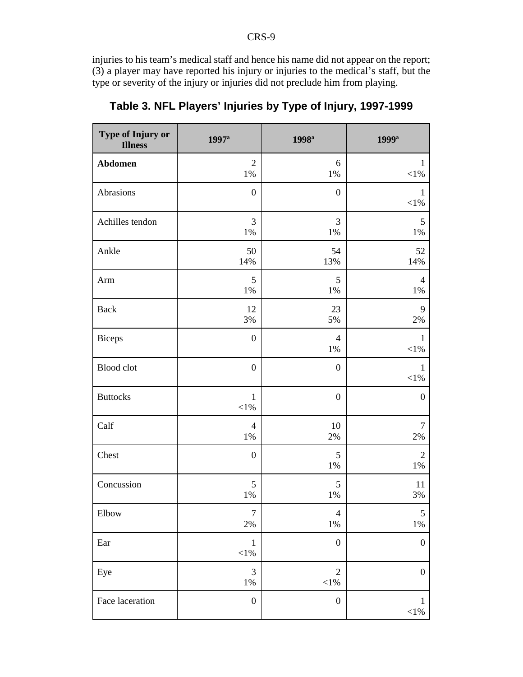injuries to his team's medical staff and hence his name did not appear on the report; (3) a player may have reported his injury or injuries to the medical's staff, but the type or severity of the injury or injuries did not preclude him from playing.

| Type of Injury or<br><b>Illness</b> | $1997^{\rm a}$            | 1998 <sup>a</sup>       | 1999 <sup>a</sup>          |
|-------------------------------------|---------------------------|-------------------------|----------------------------|
| Abdomen                             | $\overline{2}$<br>1%      | 6<br>$1\%$              | 1<br>$<\!\!1\%$            |
| Abrasions                           | $\boldsymbol{0}$          | $\boldsymbol{0}$        | $\mathbf{1}$<br>$<\!\!1\%$ |
| Achilles tendon                     | 3<br>1%                   | 3<br>$1\%$              | $\mathfrak s$<br>$1\%$     |
| Ankle                               | 50<br>14%                 | 54<br>13%               | 52<br>14%                  |
| Arm                                 | 5<br>1%                   | 5<br>$1\%$              | $\overline{4}$<br>$1\%$    |
| Back                                | 12<br>3%                  | 23<br>5%                | 9<br>$2\%$                 |
| <b>Biceps</b>                       | $\boldsymbol{0}$          | $\overline{4}$<br>$1\%$ | $\mathbf{1}$<br>$<\!\!1\%$ |
| Blood clot                          | $\boldsymbol{0}$          | $\boldsymbol{0}$        | $\mathbf{1}$<br>$<\!\!1\%$ |
| <b>Buttocks</b>                     | $\mathbf{1}$<br>${<}1\%$  | $\boldsymbol{0}$        | $\boldsymbol{0}$           |
| Calf                                | $\overline{4}$<br>$1\%$   | 10<br>2%                | $\tau$<br>$2\%$            |
| Chest                               | $\boldsymbol{0}$          | 5<br>$1\%$              | $\overline{2}$<br>$1\%$    |
| Concussion                          | 5<br>1%                   | 5<br>$1\%$              | 11<br>3%                   |
| Elbow                               | $\boldsymbol{7}$<br>$2\%$ | $\overline{4}$<br>$1\%$ | $\mathfrak{S}$<br>$1\%$    |
| Ear                                 | $\mathbf{1}$<br>${<}1\%$  | $\boldsymbol{0}$        | $\boldsymbol{0}$           |
| Eye                                 | 3<br>$1\%$                | $\sqrt{2}$<br>${<}1\%$  | $\boldsymbol{0}$           |
| Face laceration                     | $\boldsymbol{0}$          | $\boldsymbol{0}$        | $\mathbf{1}$<br>${<}1\%$   |

**Table 3. NFL Players' Injuries by Type of Injury, 1997-1999**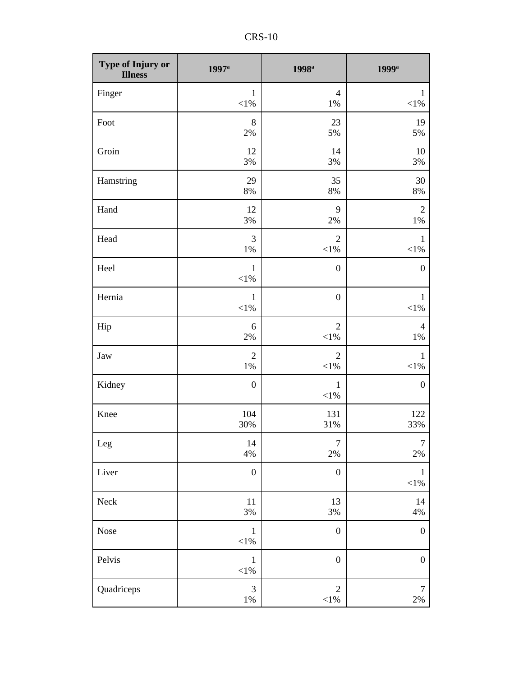| n.<br>ч.<br>י<br>. |
|--------------------|
|--------------------|

| Type of Injury or<br><b>Illness</b> | 1997 <sup>a</sup>          | 1998 <sup>a</sup>          | 1999 <sup>a</sup>          |
|-------------------------------------|----------------------------|----------------------------|----------------------------|
| Finger                              | $\mathbf{1}$               | $\overline{4}$             | 1                          |
|                                     | ${<}1\%$                   | 1%                         | $<\!\!1\%$                 |
| Foot                                | $8\,$                      | 23                         | 19                         |
|                                     | 2%                         | 5%                         | 5%                         |
| Groin                               | 12                         | 14                         | 10                         |
|                                     | 3%                         | 3%                         | 3%                         |
| Hamstring                           | 29                         | 35                         | 30                         |
|                                     | $8\%$                      | $8\%$                      | $8\%$                      |
| Hand                                | 12                         | 9                          | $\overline{2}$             |
|                                     | 3%                         | $2\%$                      | $1\%$                      |
| Head                                | 3                          | $\overline{2}$             | $\mathbf{1}$               |
|                                     | $1\%$                      | $<\!\!1\%$                 | ${<}1\%$                   |
| Heel                                | $\mathbf{1}$<br>${<}1\%$   | $\boldsymbol{0}$           | $\boldsymbol{0}$           |
| Hernia                              | $\mathbf{1}$<br>$<\!\!1\%$ | $\boldsymbol{0}$           | $\mathbf{1}$<br>${<}1\%$   |
| Hip                                 | 6                          | $\overline{2}$             | $\overline{4}$             |
|                                     | $2\%$                      | ${<}1\%$                   | 1%                         |
| Jaw                                 | $\overline{2}$             | $\overline{2}$             | $\mathbf{1}$               |
|                                     | $1\%$                      | $<\!\!1\%$                 | $<\!\!1\%$                 |
| Kidney                              | $\boldsymbol{0}$           | $\mathbf{1}$<br>$<\!\!1\%$ | $\boldsymbol{0}$           |
| Knee                                | 104                        | 131                        | 122                        |
|                                     | 30%                        | 31%                        | 33%                        |
| Leg                                 | 14                         | $\boldsymbol{7}$           | $\overline{7}$             |
|                                     | $4\%$                      | $2\%$                      | $2\%$                      |
| Liver                               | $\boldsymbol{0}$           | $\boldsymbol{0}$           | $\mathbf{1}$<br>$<\!\!1\%$ |
| Neck                                | 11                         | 13                         | 14                         |
|                                     | 3%                         | $3\%$                      | $4\%$                      |
| Nose                                | $\mathbf{1}$<br>${<}1\%$   | $\boldsymbol{0}$           | $\boldsymbol{0}$           |
| Pelvis                              | $\mathbf{1}$<br>${<}1\%$   | $\boldsymbol{0}$           | $\boldsymbol{0}$           |
| Quadriceps                          | $\mathfrak{Z}$             | $\overline{2}$             | $\tau$                     |
|                                     | $1\%$                      | ${<}1\%$                   | $2\%$                      |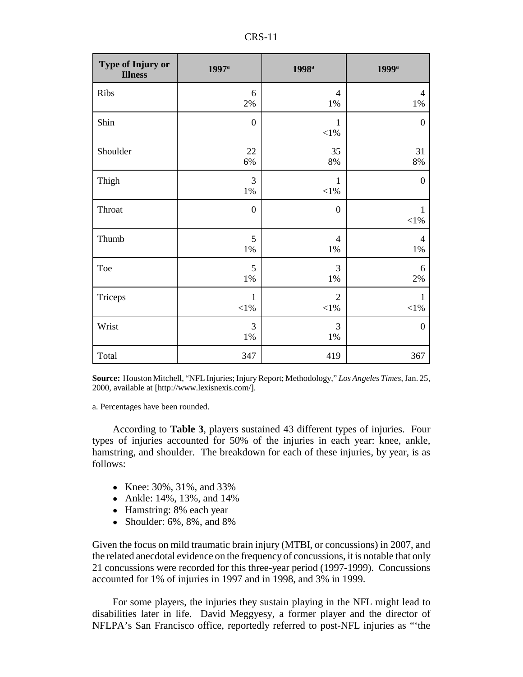| <b>Type of Injury or</b><br><b>Illness</b> | $1997^{\rm a}$  | 1998 <sup>a</sup>            | 1999 <sup>a</sup>          |
|--------------------------------------------|-----------------|------------------------------|----------------------------|
| Ribs                                       | 6<br>$2\%$      | $\overline{4}$<br>$1\%$      | $\overline{4}$<br>$1\%$    |
| Shin                                       | $\mathbf{0}$    | $\mathbf{1}$<br>$<\!\!1\%$   | $\boldsymbol{0}$           |
| Shoulder                                   | 22<br>6%        | 35<br>$8\%$                  | 31<br>$8\%$                |
| Thigh                                      | 3<br>$1\%$      | $\mathbf{1}$<br>$<\!\!1\%$   | $\boldsymbol{0}$           |
| Throat                                     | $\mathbf{0}$    | $\boldsymbol{0}$             | $\mathbf{1}$<br>$<\!\!1\%$ |
| Thumb                                      | 5<br>$1\%$      | $\overline{4}$<br>$1\%$      | $\overline{4}$<br>$1\%$    |
| Toe                                        | 5<br>$1\%$      | 3<br>$1\%$                   | 6<br>$2\%$                 |
| Triceps                                    | 1<br>$<\!\!1\%$ | $\overline{2}$<br>$<\!\!1\%$ | 1<br>${<}1\%$              |
| Wrist                                      | 3<br>$1\%$      | 3<br>$1\%$                   | $\boldsymbol{0}$           |
| Total                                      | 347             | 419                          | 367                        |

**Source:** Houston Mitchell, "NFL Injuries; Injury Report; Methodology," *Los Angeles Times*, Jan. 25, 2000, available at [http://www.lexisnexis.com/].

a. Percentages have been rounded.

According to **Table 3**, players sustained 43 different types of injuries. Four types of injuries accounted for 50% of the injuries in each year: knee, ankle, hamstring, and shoulder. The breakdown for each of these injuries, by year, is as follows:

- Knee: 30%, 31%, and 33%
- Ankle: 14%, 13%, and 14%
- Hamstring: 8% each year
- Shoulder:  $6\%, 8\%,$  and  $8\%$

Given the focus on mild traumatic brain injury (MTBI, or concussions) in 2007, and the related anecdotal evidence on the frequency of concussions, it is notable that only 21 concussions were recorded for this three-year period (1997-1999). Concussions accounted for 1% of injuries in 1997 and in 1998, and 3% in 1999.

For some players, the injuries they sustain playing in the NFL might lead to disabilities later in life. David Meggyesy, a former player and the director of NFLPA's San Francisco office, reportedly referred to post-NFL injuries as "'the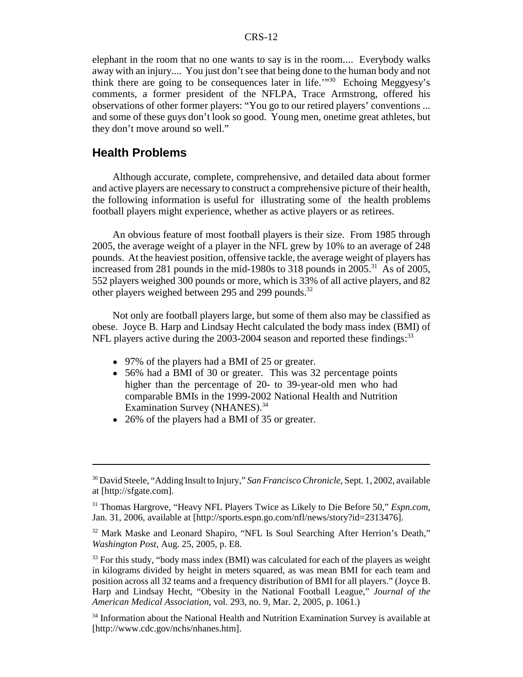elephant in the room that no one wants to say is in the room.... Everybody walks away with an injury.... You just don't see that being done to the human body and not think there are going to be consequences later in life.'"30 Echoing Meggyesy's comments, a former president of the NFLPA, Trace Armstrong, offered his observations of other former players: "You go to our retired players' conventions ... and some of these guys don't look so good. Young men, onetime great athletes, but they don't move around so well."

#### **Health Problems**

Although accurate, complete, comprehensive, and detailed data about former and active players are necessary to construct a comprehensive picture of their health, the following information is useful for illustrating some of the health problems football players might experience, whether as active players or as retirees.

An obvious feature of most football players is their size. From 1985 through 2005, the average weight of a player in the NFL grew by 10% to an average of 248 pounds. At the heaviest position, offensive tackle, the average weight of players has increased from 281 pounds in the mid-1980s to 318 pounds in  $2005$ <sup>31</sup> As of 2005, 552 players weighed 300 pounds or more, which is 33% of all active players, and 82 other players weighed between 295 and 299 pounds.<sup>32</sup>

Not only are football players large, but some of them also may be classified as obese. Joyce B. Harp and Lindsay Hecht calculated the body mass index (BMI) of NFL players active during the 2003-2004 season and reported these findings:<sup>33</sup>

- 97% of the players had a BMI of 25 or greater.
- 56% had a BMI of 30 or greater. This was 32 percentage points higher than the percentage of 20- to 39-year-old men who had comparable BMIs in the 1999-2002 National Health and Nutrition Examination Survey (NHANES).<sup>34</sup>
- 26% of the players had a BMI of 35 or greater.

<sup>30</sup> David Steele, "Adding Insult to Injury," *San Francisco Chronicle*, Sept. 1, 2002, available at [http://sfgate.com].

<sup>31</sup> Thomas Hargrove, "Heavy NFL Players Twice as Likely to Die Before 50," *Espn.com*, Jan. 31, 2006, available at [http://sports.espn.go.com/nfl/news/story?id=2313476].

<sup>&</sup>lt;sup>32</sup> Mark Maske and Leonard Shapiro, "NFL Is Soul Searching After Herrion's Death," *Washington Post*, Aug. 25, 2005, p. E8.

 $33$  For this study, "body mass index (BMI) was calculated for each of the players as weight in kilograms divided by height in meters squared, as was mean BMI for each team and position across all 32 teams and a frequency distribution of BMI for all players." (Joyce B. Harp and Lindsay Hecht, "Obesity in the National Football League," *Journal of the American Medical Association*, vol. 293, no. 9, Mar. 2, 2005, p. 1061.)

<sup>&</sup>lt;sup>34</sup> Information about the National Health and Nutrition Examination Survey is available at [http://www.cdc.gov/nchs/nhanes.htm].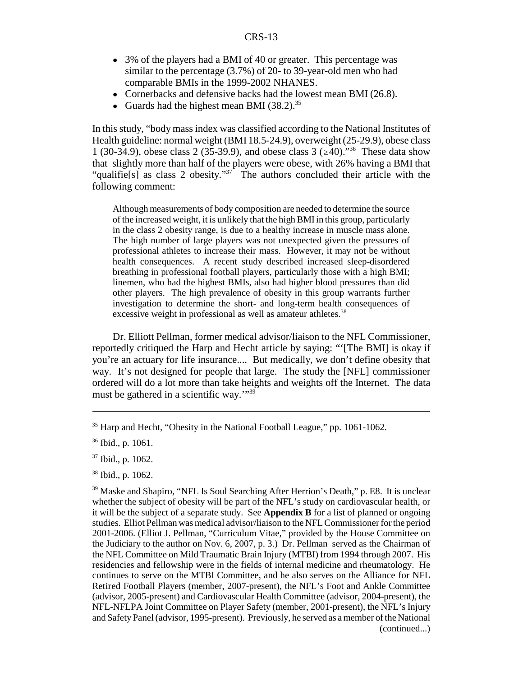- 3% of the players had a BMI of 40 or greater. This percentage was similar to the percentage (3.7%) of 20- to 39-year-old men who had comparable BMIs in the 1999-2002 NHANES.
- Cornerbacks and defensive backs had the lowest mean BMI (26.8).
- Guards had the highest mean BMI  $(38.2)^{35}$

In this study, "body mass index was classified according to the National Institutes of Health guideline: normal weight (BMI 18.5-24.9), overweight (25-29.9), obese class 1 (30-34.9), obese class 2 (35-39.9), and obese class 3 ( $\geq 40$ )."<sup>36</sup> These data show that slightly more than half of the players were obese, with 26% having a BMI that "qualifie<sup>[s]</sup> as class 2 obesity."<sup>37</sup> The authors concluded their article with the following comment:

Although measurements of body composition are needed to determine the source of the increased weight, it is unlikely that the high BMI in this group, particularly in the class 2 obesity range, is due to a healthy increase in muscle mass alone. The high number of large players was not unexpected given the pressures of professional athletes to increase their mass. However, it may not be without health consequences. A recent study described increased sleep-disordered breathing in professional football players, particularly those with a high BMI; linemen, who had the highest BMIs, also had higher blood pressures than did other players. The high prevalence of obesity in this group warrants further investigation to determine the short- and long-term health consequences of excessive weight in professional as well as amateur athletes.<sup>38</sup>

Dr. Elliott Pellman, former medical advisor/liaison to the NFL Commissioner, reportedly critiqued the Harp and Hecht article by saying: "'[The BMI] is okay if you're an actuary for life insurance.... But medically, we don't define obesity that way. It's not designed for people that large. The study the [NFL] commissioner ordered will do a lot more than take heights and weights off the Internet. The data must be gathered in a scientific way."<sup>39</sup>

<sup>&</sup>lt;sup>35</sup> Harp and Hecht, "Obesity in the National Football League," pp. 1061-1062.

<sup>36</sup> Ibid., p. 1061.

<sup>37</sup> Ibid., p. 1062.

<sup>38</sup> Ibid., p. 1062.

<sup>&</sup>lt;sup>39</sup> Maske and Shapiro, "NFL Is Soul Searching After Herrion's Death," p. E8. It is unclear whether the subject of obesity will be part of the NFL's study on cardiovascular health, or it will be the subject of a separate study. See **Appendix B** for a list of planned or ongoing studies. Elliot Pellman was medical advisor/liaison to the NFL Commissioner for the period 2001-2006. (Elliot J. Pellman, "Curriculum Vitae," provided by the House Committee on the Judiciary to the author on Nov. 6, 2007, p. 3.) Dr. Pellman served as the Chairman of the NFL Committee on Mild Traumatic Brain Injury (MTBI) from 1994 through 2007. His residencies and fellowship were in the fields of internal medicine and rheumatology. He continues to serve on the MTBI Committee, and he also serves on the Alliance for NFL Retired Football Players (member, 2007-present), the NFL's Foot and Ankle Committee (advisor, 2005-present) and Cardiovascular Health Committee (advisor, 2004-present), the NFL-NFLPA Joint Committee on Player Safety (member, 2001-present), the NFL's Injury and Safety Panel (advisor, 1995-present). Previously, he served as a member of the National (continued...)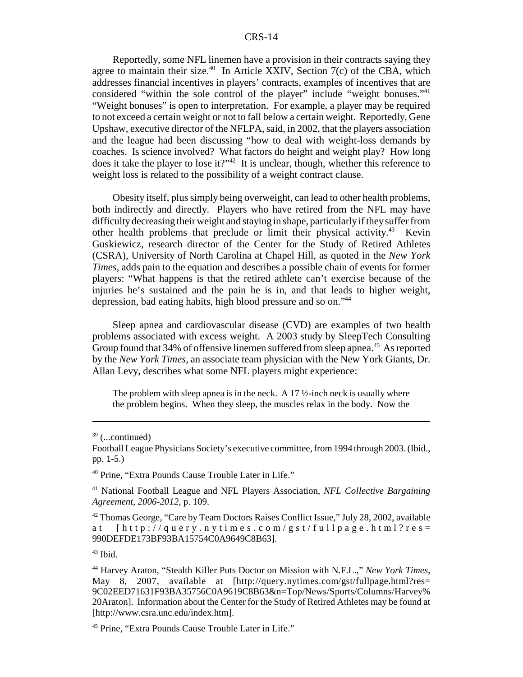Reportedly, some NFL linemen have a provision in their contracts saying they agree to maintain their size.<sup>40</sup> In Article XXIV, Section 7(c) of the CBA, which addresses financial incentives in players' contracts, examples of incentives that are considered "within the sole control of the player" include "weight bonuses."<sup>41</sup> "Weight bonuses" is open to interpretation. For example, a player may be required to not exceed a certain weight or not to fall below a certain weight. Reportedly, Gene Upshaw, executive director of the NFLPA, said, in 2002, that the players association and the league had been discussing "how to deal with weight-loss demands by coaches. Is science involved? What factors do height and weight play? How long does it take the player to lose it?"<sup>42</sup> It is unclear, though, whether this reference to weight loss is related to the possibility of a weight contract clause.

Obesity itself, plus simply being overweight, can lead to other health problems, both indirectly and directly. Players who have retired from the NFL may have difficulty decreasing their weight and staying in shape, particularly if they suffer from other health problems that preclude or limit their physical activity.<sup>43</sup> Kevin Guskiewicz, research director of the Center for the Study of Retired Athletes (CSRA), University of North Carolina at Chapel Hill, as quoted in the *New York Times*, adds pain to the equation and describes a possible chain of events for former players: "What happens is that the retired athlete can't exercise because of the injuries he's sustained and the pain he is in, and that leads to higher weight, depression, bad eating habits, high blood pressure and so on."44

Sleep apnea and cardiovascular disease (CVD) are examples of two health problems associated with excess weight. A 2003 study by SleepTech Consulting Group found that 34% of offensive linemen suffered from sleep apnea.<sup>45</sup> As reported by the *New York Times*, an associate team physician with the New York Giants, Dr. Allan Levy, describes what some NFL players might experience:

The problem with sleep apnea is in the neck. A  $17\frac{1}{2}$ -inch neck is usually where the problem begins. When they sleep, the muscles relax in the body. Now the

40 Prine, "Extra Pounds Cause Trouble Later in Life."

42 Thomas George, "Care by Team Doctors Raises Conflict Issue," July 28, 2002, available at [http://query.nytimes.com/gst/fullpage.html?res= 990DEFDE173BF93BA15754C0A9649C8B63].

 $43$  Ibid.

 $39$  (...continued)

Football League Physicians Society's executive committee, from 1994 through 2003. (Ibid., pp. 1-5.)

<sup>41</sup> National Football League and NFL Players Association, *NFL Collective Bargaining Agreement, 2006-2012*, p. 109.

<sup>44</sup> Harvey Araton, "Stealth Killer Puts Doctor on Mission with N.F.L.," *New York Times*, May 8, 2007, available at [http://query.nytimes.com/gst/fullpage.html?res= 9C02EED71631F93BA35756C0A9619C8B63&n=Top/News/Sports/Columns/Harvey% 20Araton]. Information about the Center for the Study of Retired Athletes may be found at [http://www.csra.unc.edu/index.htm].

<sup>45</sup> Prine, "Extra Pounds Cause Trouble Later in Life."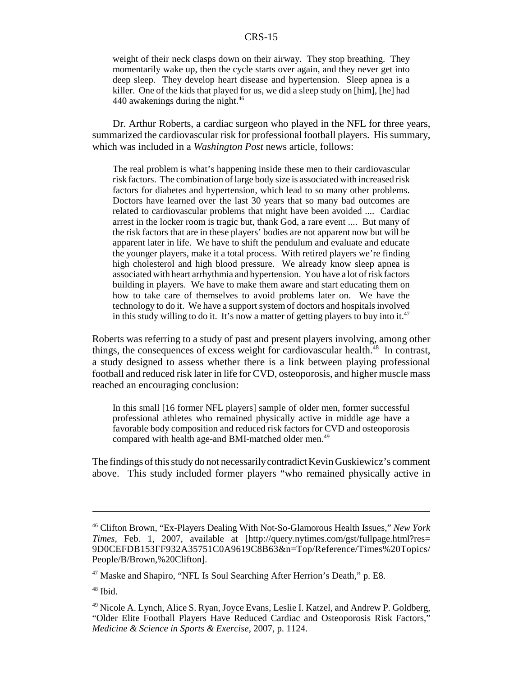weight of their neck clasps down on their airway. They stop breathing. They momentarily wake up, then the cycle starts over again, and they never get into deep sleep. They develop heart disease and hypertension. Sleep apnea is a killer. One of the kids that played for us, we did a sleep study on [him], [he] had 440 awakenings during the night.<sup>46</sup>

Dr. Arthur Roberts, a cardiac surgeon who played in the NFL for three years, summarized the cardiovascular risk for professional football players. His summary, which was included in a *Washington Post* news article, follows:

The real problem is what's happening inside these men to their cardiovascular risk factors. The combination of large body size is associated with increased risk factors for diabetes and hypertension, which lead to so many other problems. Doctors have learned over the last 30 years that so many bad outcomes are related to cardiovascular problems that might have been avoided .... Cardiac arrest in the locker room is tragic but, thank God, a rare event .... But many of the risk factors that are in these players' bodies are not apparent now but will be apparent later in life. We have to shift the pendulum and evaluate and educate the younger players, make it a total process. With retired players we're finding high cholesterol and high blood pressure. We already know sleep apnea is associated with heart arrhythmia and hypertension. You have a lot of risk factors building in players. We have to make them aware and start educating them on how to take care of themselves to avoid problems later on. We have the technology to do it. We have a support system of doctors and hospitals involved in this study willing to do it. It's now a matter of getting players to buy into it.<sup>47</sup>

Roberts was referring to a study of past and present players involving, among other things, the consequences of excess weight for cardiovascular health.<sup>48</sup> In contrast, a study designed to assess whether there is a link between playing professional football and reduced risk later in life for CVD, osteoporosis, and higher muscle mass reached an encouraging conclusion:

In this small [16 former NFL players] sample of older men, former successful professional athletes who remained physically active in middle age have a favorable body composition and reduced risk factors for CVD and osteoporosis compared with health age-and BMI-matched older men.<sup>49</sup>

The findings of this study do not necessarily contradict Kevin Guskiewicz's comment above. This study included former players "who remained physically active in

<sup>46</sup> Clifton Brown, "Ex-Players Dealing With Not-So-Glamorous Health Issues," *New York Times*, Feb. 1, 2007, available at [http://query.nytimes.com/gst/fullpage.html?res= 9D0CEFDB153FF932A35751C0A9619C8B63&n=Top/Reference/Times%20Topics/ People/B/Brown,%20Clifton].

<sup>&</sup>lt;sup>47</sup> Maske and Shapiro, "NFL Is Soul Searching After Herrion's Death," p. E8.

<sup>48</sup> Ibid.

<sup>&</sup>lt;sup>49</sup> Nicole A. Lynch, Alice S. Ryan, Joyce Evans, Leslie I. Katzel, and Andrew P. Goldberg, "Older Elite Football Players Have Reduced Cardiac and Osteoporosis Risk Factors," *Medicine & Science in Sports & Exercise*, 2007, p. 1124.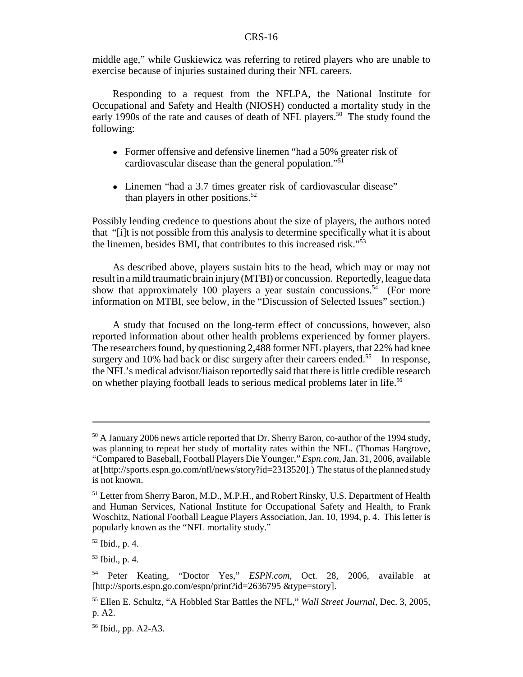middle age," while Guskiewicz was referring to retired players who are unable to exercise because of injuries sustained during their NFL careers.

Responding to a request from the NFLPA, the National Institute for Occupational and Safety and Health (NIOSH) conducted a mortality study in the early 1990s of the rate and causes of death of NFL players.<sup>50</sup> The study found the following:

- Former offensive and defensive linemen "had a 50% greater risk of cardiovascular disease than the general population."51
- Linemen "had a 3.7 times greater risk of cardiovascular disease" than players in other positions. $52$

Possibly lending credence to questions about the size of players, the authors noted that "[i]t is not possible from this analysis to determine specifically what it is about the linemen, besides BMI, that contributes to this increased risk."53

As described above, players sustain hits to the head, which may or may not result in a mild traumatic brain injury (MTBI) or concussion. Reportedly, league data show that approximately 100 players a year sustain concussions.<sup>54</sup> (For more information on MTBI, see below, in the "Discussion of Selected Issues" section.)

A study that focused on the long-term effect of concussions, however, also reported information about other health problems experienced by former players. The researchers found, by questioning 2,488 former NFL players, that 22% had knee surgery and 10% had back or disc surgery after their careers ended.<sup>55</sup> In response, the NFL's medical advisor/liaison reportedly said that there is little credible research on whether playing football leads to serious medical problems later in life.<sup>56</sup>

<sup>&</sup>lt;sup>50</sup> A January 2006 news article reported that Dr. Sherry Baron, co-author of the 1994 study, was planning to repeat her study of mortality rates within the NFL. (Thomas Hargrove, "Compared to Baseball, Football Players Die Younger," *Espn.com*, Jan. 31, 2006, available at [http://sports.espn.go.com/nfl/news/story?id=2313520].) The status of the planned study is not known.

<sup>&</sup>lt;sup>51</sup> Letter from Sherry Baron, M.D., M.P.H., and Robert Rinsky, U.S. Department of Health and Human Services, National Institute for Occupational Safety and Health, to Frank Woschitz, National Football League Players Association, Jan. 10, 1994, p. 4. This letter is popularly known as the "NFL mortality study."

<sup>52</sup> Ibid., p. 4.

<sup>53</sup> Ibid., p. 4.

<sup>54</sup> Peter Keating, "Doctor Yes," *ESPN.com*, Oct. 28, 2006, available at [http://sports.espn.go.com/espn/print?id=2636795 &type=story].

<sup>55</sup> Ellen E. Schultz, "A Hobbled Star Battles the NFL," *Wall Street Journal*, Dec. 3, 2005, p. A2.

<sup>56</sup> Ibid., pp. A2-A3.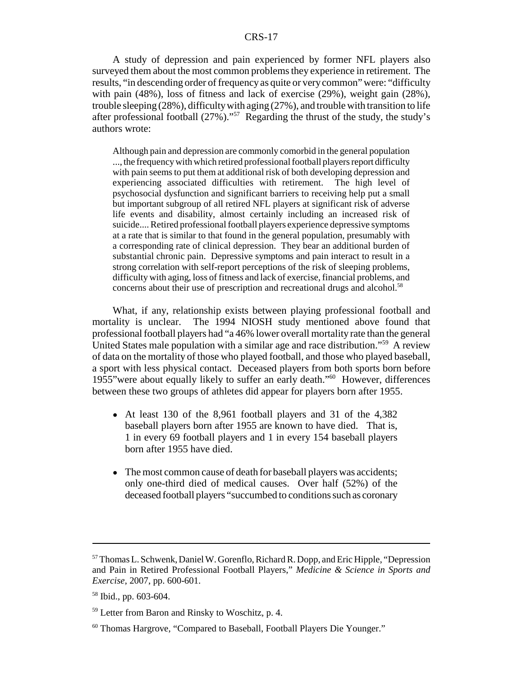A study of depression and pain experienced by former NFL players also surveyed them about the most common problems they experience in retirement. The results, "in descending order of frequency as quite or very common" were: "difficulty with pain (48%), loss of fitness and lack of exercise (29%), weight gain (28%), trouble sleeping (28%), difficulty with aging (27%), and trouble with transition to life after professional football  $(27\%)$ ."<sup>57</sup> Regarding the thrust of the study, the study's authors wrote:

Although pain and depression are commonly comorbid in the general population ..., the frequency with which retired professional football players report difficulty with pain seems to put them at additional risk of both developing depression and experiencing associated difficulties with retirement. The high level of psychosocial dysfunction and significant barriers to receiving help put a small but important subgroup of all retired NFL players at significant risk of adverse life events and disability, almost certainly including an increased risk of suicide.... Retired professional football players experience depressive symptoms at a rate that is similar to that found in the general population, presumably with a corresponding rate of clinical depression. They bear an additional burden of substantial chronic pain. Depressive symptoms and pain interact to result in a strong correlation with self-report perceptions of the risk of sleeping problems, difficulty with aging, loss of fitness and lack of exercise, financial problems, and concerns about their use of prescription and recreational drugs and alcohol.<sup>58</sup>

What, if any, relationship exists between playing professional football and mortality is unclear. The 1994 NIOSH study mentioned above found that professional football players had "a 46% lower overall mortality rate than the general United States male population with a similar age and race distribution."59 A review of data on the mortality of those who played football, and those who played baseball, a sport with less physical contact. Deceased players from both sports born before 1955"were about equally likely to suffer an early death."60 However, differences between these two groups of athletes did appear for players born after 1955.

- ! At least 130 of the 8,961 football players and 31 of the 4,382 baseball players born after 1955 are known to have died. That is, 1 in every 69 football players and 1 in every 154 baseball players born after 1955 have died.
- The most common cause of death for baseball players was accidents; only one-third died of medical causes. Over half (52%) of the deceased football players "succumbed to conditions such as coronary

<sup>&</sup>lt;sup>57</sup> Thomas L. Schwenk, Daniel W. Gorenflo, Richard R. Dopp, and Eric Hipple, "Depression and Pain in Retired Professional Football Players," *Medicine & Science in Sports and Exercise*, 2007, pp. 600-601.

<sup>58</sup> Ibid., pp. 603-604.

<sup>59</sup> Letter from Baron and Rinsky to Woschitz, p. 4.

<sup>60</sup> Thomas Hargrove, "Compared to Baseball, Football Players Die Younger."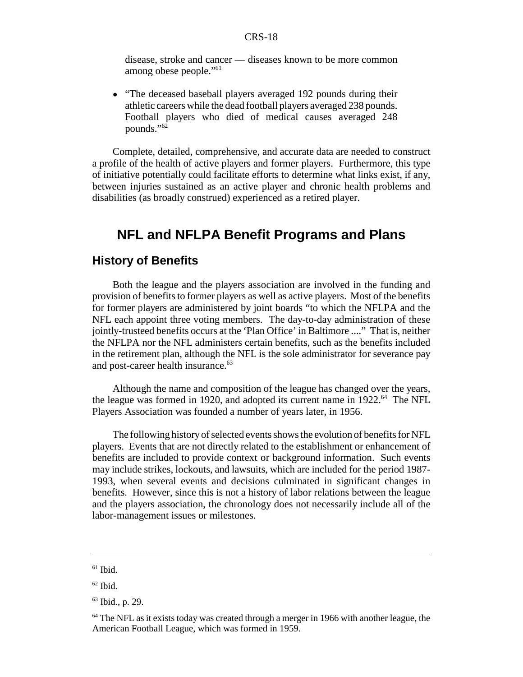disease, stroke and cancer — diseases known to be more common among obese people."61

• "The deceased baseball players averaged 192 pounds during their athletic careers while the dead football players averaged 238 pounds. Football players who died of medical causes averaged 248 pounds."62

Complete, detailed, comprehensive, and accurate data are needed to construct a profile of the health of active players and former players. Furthermore, this type of initiative potentially could facilitate efforts to determine what links exist, if any, between injuries sustained as an active player and chronic health problems and disabilities (as broadly construed) experienced as a retired player.

# **NFL and NFLPA Benefit Programs and Plans**

#### **History of Benefits**

Both the league and the players association are involved in the funding and provision of benefits to former players as well as active players. Most of the benefits for former players are administered by joint boards "to which the NFLPA and the NFL each appoint three voting members. The day-to-day administration of these jointly-trusteed benefits occurs at the 'Plan Office' in Baltimore ...." That is, neither the NFLPA nor the NFL administers certain benefits, such as the benefits included in the retirement plan, although the NFL is the sole administrator for severance pay and post-career health insurance.<sup>63</sup>

Although the name and composition of the league has changed over the years, the league was formed in 1920, and adopted its current name in  $1922.^{64}$  The NFL Players Association was founded a number of years later, in 1956.

The following history of selected events shows the evolution of benefits for NFL players. Events that are not directly related to the establishment or enhancement of benefits are included to provide context or background information. Such events may include strikes, lockouts, and lawsuits, which are included for the period 1987- 1993, when several events and decisions culminated in significant changes in benefits. However, since this is not a history of labor relations between the league and the players association, the chronology does not necessarily include all of the labor-management issues or milestones.

 $61$  Ibid.

 $62$  Ibid.

<sup>63</sup> Ibid., p. 29.

 $64$  The NFL as it exists today was created through a merger in 1966 with another league, the American Football League, which was formed in 1959.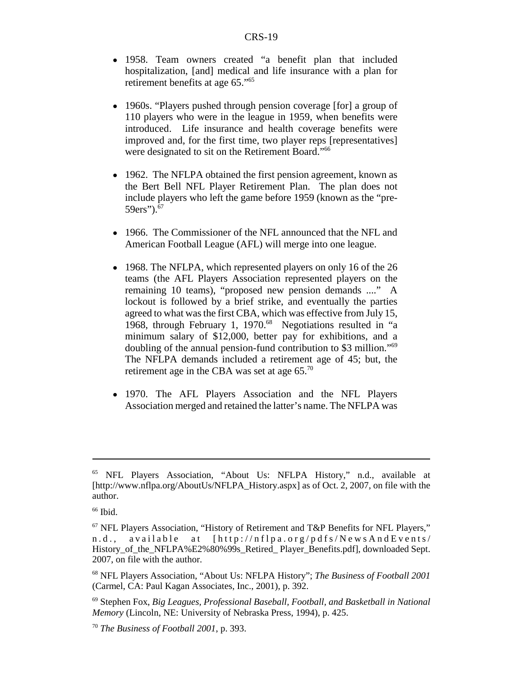- ! 1958. Team owners created "a benefit plan that included hospitalization, [and] medical and life insurance with a plan for retirement benefits at age 65."65
- 1960s. "Players pushed through pension coverage [for] a group of 110 players who were in the league in 1959, when benefits were introduced. Life insurance and health coverage benefits were improved and, for the first time, two player reps [representatives] were designated to sit on the Retirement Board."<sup>66</sup>
- 1962. The NFLPA obtained the first pension agreement, known as the Bert Bell NFL Player Retirement Plan. The plan does not include players who left the game before 1959 (known as the "pre-59ers"). $67$
- 1966. The Commissioner of the NFL announced that the NFL and American Football League (AFL) will merge into one league.
- 1968. The NFLPA, which represented players on only 16 of the 26 teams (the AFL Players Association represented players on the remaining 10 teams), "proposed new pension demands ...." A lockout is followed by a brief strike, and eventually the parties agreed to what was the first CBA, which was effective from July 15, 1968, through February 1, 1970.<sup>68</sup> Negotiations resulted in "a minimum salary of \$12,000, better pay for exhibitions, and a doubling of the annual pension-fund contribution to \$3 million."<sup>69</sup> The NFLPA demands included a retirement age of 45; but, the retirement age in the CBA was set at age  $65.^{70}$
- 1970. The AFL Players Association and the NFL Players Association merged and retained the latter's name. The NFLPA was

<sup>65</sup> NFL Players Association, "About Us: NFLPA History," n.d., available at [http://www.nflpa.org/AboutUs/NFLPA\_History.aspx] as of Oct. 2, 2007, on file with the author.

 $66$  Ibid.

 $67$  NFL Players Association, "History of Retirement and T&P Benefits for NFL Players," n.d., available at [http ://nflpa.org/pdfs/NewsAndEvents/ History\_of\_the\_NFLPA%E2%80%99s\_Retired\_ Player\_Benefits.pdf], downloaded Sept. 2007, on file with the author.

<sup>68</sup> NFL Players Association, "About Us: NFLPA History"; *The Business of Football 2001* (Carmel, CA: Paul Kagan Associates, Inc., 2001), p. 392.

<sup>69</sup> Stephen Fox, *Big Leagues, Professional Baseball, Football, and Basketball in National Memory* (Lincoln, NE: University of Nebraska Press, 1994), p. 425.

<sup>70</sup> *The Business of Football 2001*, p. 393.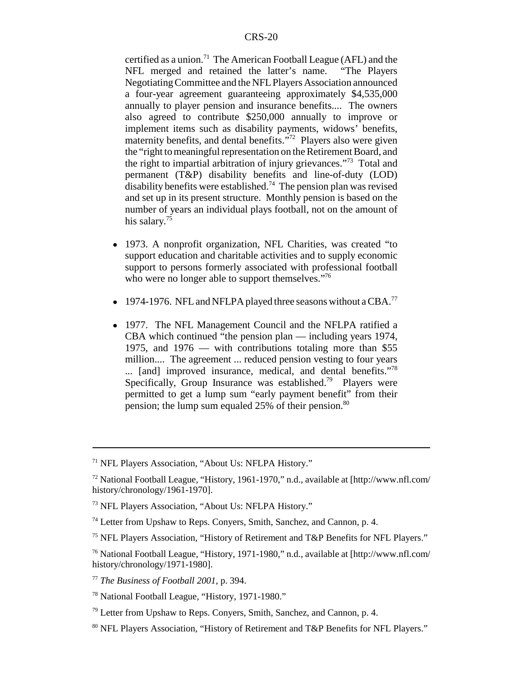certified as a union.<sup>71</sup> The American Football League (AFL) and the NFL merged and retained the latter's name. "The Players Negotiating Committee and the NFL Players Association announced a four-year agreement guaranteeing approximately \$4,535,000 annually to player pension and insurance benefits.... The owners also agreed to contribute \$250,000 annually to improve or implement items such as disability payments, widows' benefits, maternity benefits, and dental benefits."<sup>72</sup> Players also were given the "right to meaningful representation on the Retirement Board, and the right to impartial arbitration of injury grievances."<sup>73</sup> Total and permanent (T&P) disability benefits and line-of-duty (LOD) disability benefits were established.<sup>74</sup> The pension plan was revised and set up in its present structure. Monthly pension is based on the number of years an individual plays football, not on the amount of his salary.<sup>75</sup>

- ! 1973. A nonprofit organization, NFL Charities, was created "to support education and charitable activities and to supply economic support to persons formerly associated with professional football who were no longer able to support themselves."<sup>76</sup>
- $\bullet$  1974-1976. NFL and NFLPA played three seasons without a CBA.<sup>77</sup>
- 1977. The NFL Management Council and the NFLPA ratified a CBA which continued "the pension plan — including years 1974, 1975, and 1976 — with contributions totaling more than \$55 million.... The agreement ... reduced pension vesting to four years ... [and] improved insurance, medical, and dental benefits."<sup>78</sup> Specifically, Group Insurance was established.<sup>79</sup> Players were permitted to get a lump sum "early payment benefit" from their pension; the lump sum equaled  $25\%$  of their pension.<sup>80</sup>

<sup>71</sup> NFL Players Association, "About Us: NFLPA History."

<sup>72</sup> National Football League, "History, 1961-1970," n.d., available at [http://www.nfl.com/ history/chronology/1961-1970].

<sup>73</sup> NFL Players Association, "About Us: NFLPA History."

<sup>&</sup>lt;sup>74</sup> Letter from Upshaw to Reps. Conyers, Smith, Sanchez, and Cannon, p. 4.

<sup>75</sup> NFL Players Association, "History of Retirement and T&P Benefits for NFL Players."

<sup>76</sup> National Football League, "History, 1971-1980," n.d., available at [http://www.nfl.com/ history/chronology/1971-1980].

<sup>77</sup> *The Business of Football 2001*, p. 394.

<sup>78</sup> National Football League, "History, 1971-1980."

 $79$  Letter from Upshaw to Reps. Convers, Smith, Sanchez, and Cannon, p. 4.

<sup>80</sup> NFL Players Association, "History of Retirement and T&P Benefits for NFL Players."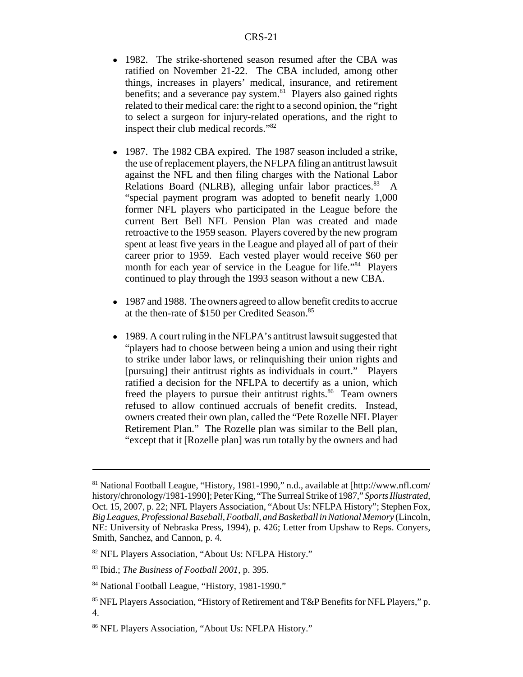- 1982. The strike-shortened season resumed after the CBA was ratified on November 21-22. The CBA included, among other things, increases in players' medical, insurance, and retirement benefits; and a severance pay system.<sup>81</sup> Players also gained rights related to their medical care: the right to a second opinion, the "right to select a surgeon for injury-related operations, and the right to inspect their club medical records."82
- 1987. The 1982 CBA expired. The 1987 season included a strike, the use of replacement players, the NFLPA filing an antitrust lawsuit against the NFL and then filing charges with the National Labor Relations Board (NLRB), alleging unfair labor practices.<sup>83</sup> A "special payment program was adopted to benefit nearly 1,000 former NFL players who participated in the League before the current Bert Bell NFL Pension Plan was created and made retroactive to the 1959 season. Players covered by the new program spent at least five years in the League and played all of part of their career prior to 1959. Each vested player would receive \$60 per month for each year of service in the League for life."<sup>84</sup> Players continued to play through the 1993 season without a new CBA.
- ! 1987 and 1988. The owners agreed to allow benefit credits to accrue at the then-rate of \$150 per Credited Season.<sup>85</sup>
- 1989. A court ruling in the NFLPA's antitrust lawsuit suggested that "players had to choose between being a union and using their right to strike under labor laws, or relinquishing their union rights and [pursuing] their antitrust rights as individuals in court." Players ratified a decision for the NFLPA to decertify as a union, which freed the players to pursue their antitrust rights.<sup>86</sup> Team owners refused to allow continued accruals of benefit credits. Instead, owners created their own plan, called the "Pete Rozelle NFL Player Retirement Plan." The Rozelle plan was similar to the Bell plan, "except that it [Rozelle plan] was run totally by the owners and had

<sup>81</sup> National Football League, "History, 1981-1990," n.d., available at [http://www.nfl.com/ history/chronology/1981-1990]; Peter King, "The Surreal Strike of 1987," *Sports Illustrated*, Oct. 15, 2007, p. 22; NFL Players Association, "About Us: NFLPA History"; Stephen Fox, *Big Leagues, Professional Baseball, Football, and Basketball in National Memory* (Lincoln, NE: University of Nebraska Press, 1994), p. 426; Letter from Upshaw to Reps. Conyers, Smith, Sanchez, and Cannon, p. 4.

<sup>82</sup> NFL Players Association, "About Us: NFLPA History."

<sup>83</sup> Ibid.; *The Business of Football 2001*, p. 395.

<sup>84</sup> National Football League, "History, 1981-1990."

<sup>&</sup>lt;sup>85</sup> NFL Players Association, "History of Retirement and T&P Benefits for NFL Players," p. 4.

<sup>86</sup> NFL Players Association, "About Us: NFLPA History."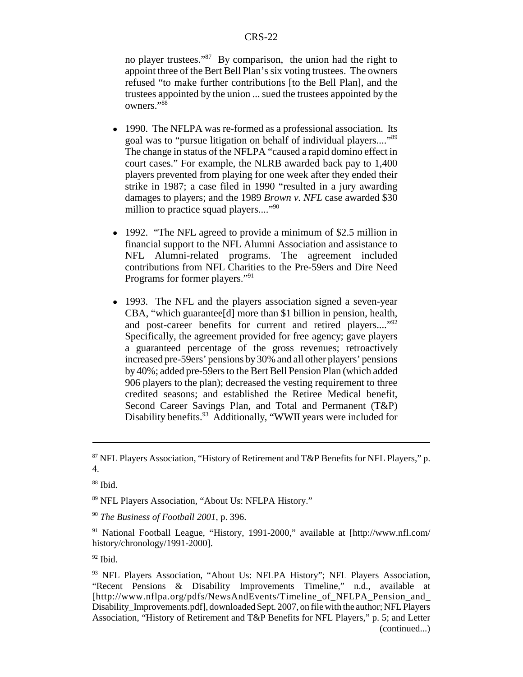no player trustees."<sup>87</sup> By comparison, the union had the right to appoint three of the Bert Bell Plan's six voting trustees. The owners refused "to make further contributions [to the Bell Plan], and the trustees appointed by the union ... sued the trustees appointed by the owners."<sup>88</sup>

- 1990. The NFLPA was re-formed as a professional association. Its goal was to "pursue litigation on behalf of individual players...."89 The change in status of the NFLPA "caused a rapid domino effect in court cases." For example, the NLRB awarded back pay to 1,400 players prevented from playing for one week after they ended their strike in 1987; a case filed in 1990 "resulted in a jury awarding damages to players; and the 1989 *Brown v. NFL* case awarded \$30 million to practice squad players...."<sup>90</sup>
- ! 1992. "The NFL agreed to provide a minimum of \$2.5 million in financial support to the NFL Alumni Association and assistance to NFL Alumni-related programs. The agreement included contributions from NFL Charities to the Pre-59ers and Dire Need Programs for former players."<sup>91</sup>
- 1993. The NFL and the players association signed a seven-year CBA, "which guarantee[d] more than \$1 billion in pension, health, and post-career benefits for current and retired players...."<sup>92</sup> Specifically, the agreement provided for free agency; gave players a guaranteed percentage of the gross revenues; retroactively increased pre-59ers' pensions by 30% and all other players' pensions by 40%; added pre-59ers to the Bert Bell Pension Plan (which added 906 players to the plan); decreased the vesting requirement to three credited seasons; and established the Retiree Medical benefit, Second Career Savings Plan, and Total and Permanent (T&P) Disability benefits.<sup>93</sup> Additionally, "WWII years were included for

<sup>&</sup>lt;sup>87</sup> NFL Players Association, "History of Retirement and T&P Benefits for NFL Players," p. 4.

<sup>88</sup> Ibid.

<sup>89</sup> NFL Players Association, "About Us: NFLPA History."

<sup>90</sup> *The Business of Football 2001*, p. 396.

<sup>91</sup> National Football League, "History, 1991-2000," available at [http://www.nfl.com/ history/chronology/1991-2000].

 $92$  Ibid.

<sup>93</sup> NFL Players Association, "About Us: NFLPA History"; NFL Players Association, "Recent Pensions & Disability Improvements Timeline," n.d., available at [http://www.nflpa.org/pdfs/NewsAndEvents/Timeline\_of\_NFLPA\_Pension\_and\_ Disability\_Improvements.pdf], downloaded Sept. 2007, on file with the author; NFL Players Association, "History of Retirement and T&P Benefits for NFL Players," p. 5; and Letter (continued...)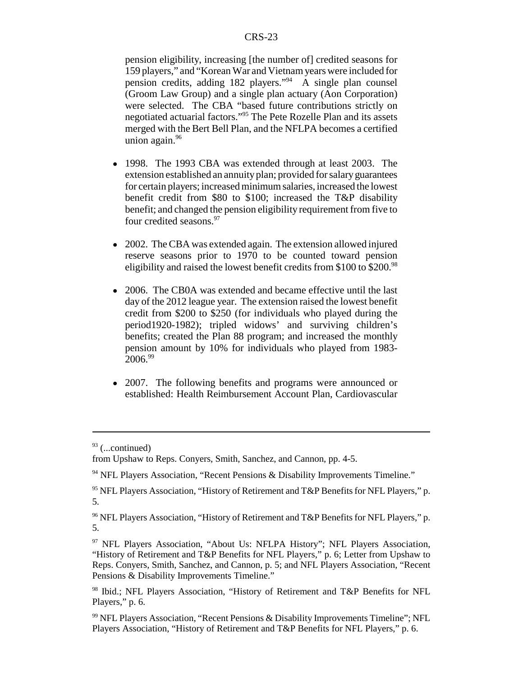pension eligibility, increasing [the number of] credited seasons for 159 players," and "Korean War and Vietnam years were included for pension credits, adding 182 players."94 A single plan counsel (Groom Law Group) and a single plan actuary (Aon Corporation) were selected. The CBA "based future contributions strictly on negotiated actuarial factors."95 The Pete Rozelle Plan and its assets merged with the Bert Bell Plan, and the NFLPA becomes a certified union again. $96$ 

- 1998. The 1993 CBA was extended through at least 2003. The extension established an annuity plan; provided for salary guarantees for certain players; increased minimum salaries, increased the lowest benefit credit from \$80 to \$100; increased the T&P disability benefit; and changed the pension eligibility requirement from five to four credited seasons.<sup>97</sup>
- 2002. The CBA was extended again. The extension allowed injured reserve seasons prior to 1970 to be counted toward pension eligibility and raised the lowest benefit credits from \$100 to \$200.<sup>98</sup>
- 2006. The CB0A was extended and became effective until the last day of the 2012 league year. The extension raised the lowest benefit credit from \$200 to \$250 (for individuals who played during the period1920-1982); tripled widows' and surviving children's benefits; created the Plan 88 program; and increased the monthly pension amount by 10% for individuals who played from 1983- 2006.99
- 2007. The following benefits and programs were announced or established: Health Reimbursement Account Plan, Cardiovascular

 $93$  (...continued)

from Upshaw to Reps. Conyers, Smith, Sanchez, and Cannon, pp. 4-5.

<sup>&</sup>lt;sup>94</sup> NFL Players Association, "Recent Pensions & Disability Improvements Timeline."

<sup>&</sup>lt;sup>95</sup> NFL Players Association, "History of Retirement and T&P Benefits for NFL Players," p. 5.

<sup>&</sup>lt;sup>96</sup> NFL Players Association, "History of Retirement and T&P Benefits for NFL Players," p. 5.

<sup>97</sup> NFL Players Association, "About Us: NFLPA History"; NFL Players Association, "History of Retirement and T&P Benefits for NFL Players," p. 6; Letter from Upshaw to Reps. Conyers, Smith, Sanchez, and Cannon, p. 5; and NFL Players Association, "Recent Pensions & Disability Improvements Timeline."

<sup>98</sup> Ibid.; NFL Players Association, "History of Retirement and T&P Benefits for NFL Players," p. 6.

<sup>99</sup> NFL Players Association, "Recent Pensions & Disability Improvements Timeline"; NFL Players Association, "History of Retirement and T&P Benefits for NFL Players," p. 6.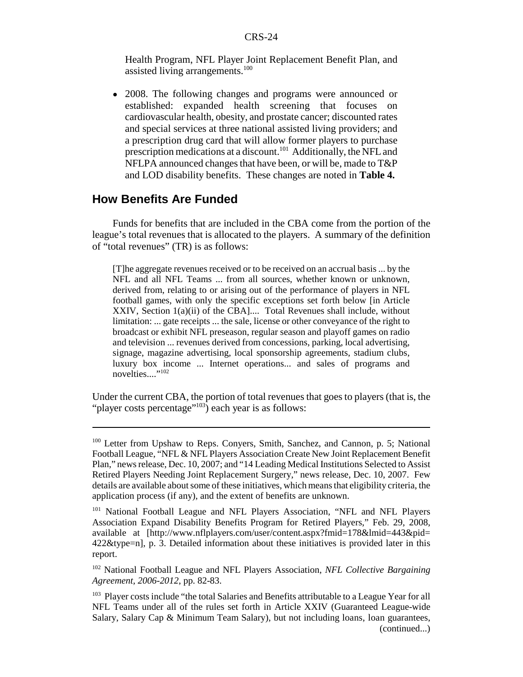Health Program, NFL Player Joint Replacement Benefit Plan, and assisted living arrangements.100

• 2008. The following changes and programs were announced or established: expanded health screening that focuses on cardiovascular health, obesity, and prostate cancer; discounted rates and special services at three national assisted living providers; and a prescription drug card that will allow former players to purchase prescription medications at a discount.101 Additionally, the NFL and NFLPA announced changes that have been, or will be, made to T&P and LOD disability benefits. These changes are noted in **Table 4.**

#### **How Benefits Are Funded**

Funds for benefits that are included in the CBA come from the portion of the league's total revenues that is allocated to the players. A summary of the definition of "total revenues" (TR) is as follows:

[T]he aggregate revenues received or to be received on an accrual basis ... by the NFL and all NFL Teams ... from all sources, whether known or unknown, derived from, relating to or arising out of the performance of players in NFL football games, with only the specific exceptions set forth below [in Article XXIV, Section 1(a)(ii) of the CBA].... Total Revenues shall include, without limitation: ... gate receipts ... the sale, license or other conveyance of the right to broadcast or exhibit NFL preseason, regular season and playoff games on radio and television ... revenues derived from concessions, parking, local advertising, signage, magazine advertising, local sponsorship agreements, stadium clubs, luxury box income ... Internet operations... and sales of programs and novelties...."<sup>102</sup>

Under the current CBA, the portion of total revenues that goes to players (that is, the "player costs percentage"<sup>103</sup>) each year is as follows:

<sup>100</sup> Letter from Upshaw to Reps. Conyers, Smith, Sanchez, and Cannon, p. 5; National Football League, "NFL & NFL Players Association Create New Joint Replacement Benefit Plan," news release, Dec. 10, 2007; and "14 Leading Medical Institutions Selected to Assist Retired Players Needing Joint Replacement Surgery," news release, Dec. 10, 2007. Few details are available about some of these initiatives, which means that eligibility criteria, the application process (if any), and the extent of benefits are unknown.

<sup>&</sup>lt;sup>101</sup> National Football League and NFL Players Association, "NFL and NFL Players Association Expand Disability Benefits Program for Retired Players," Feb. 29, 2008, available at [http://www.nflplayers.com/user/content.aspx?fmid=178&lmid=443&pid= 422&type=n], p. 3. Detailed information about these initiatives is provided later in this report.

<sup>102</sup> National Football League and NFL Players Association, *NFL Collective Bargaining Agreement, 2006-2012*, pp. 82-83.

<sup>&</sup>lt;sup>103</sup> Player costs include "the total Salaries and Benefits attributable to a League Year for all NFL Teams under all of the rules set forth in Article XXIV (Guaranteed League-wide Salary, Salary Cap & Minimum Team Salary), but not including loans, loan guarantees, (continued...)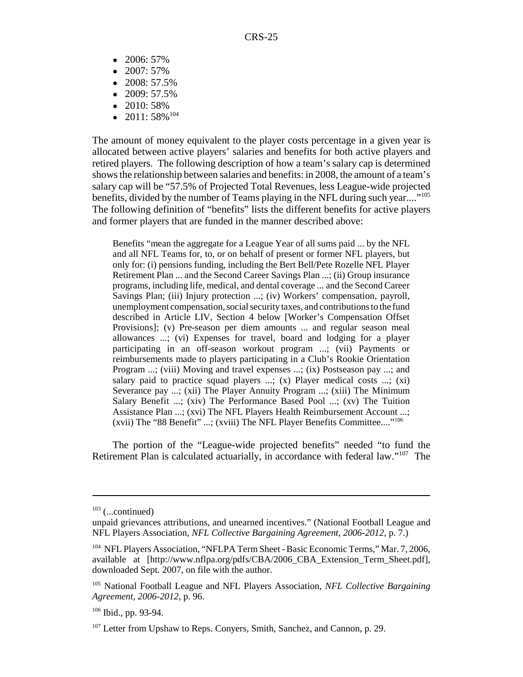- $\bullet$  2006: 57%
- $\bullet$  2007: 57%
- $\bullet$  2008: 57.5%
- $\bullet$  2009: 57.5%
- $\bullet$  2010: 58%
- $\bullet$  2011: 58%<sup>104</sup>

The amount of money equivalent to the player costs percentage in a given year is allocated between active players' salaries and benefits for both active players and retired players. The following description of how a team's salary cap is determined shows the relationship between salaries and benefits: in 2008, the amount of a team's salary cap will be "57.5% of Projected Total Revenues, less League-wide projected benefits, divided by the number of Teams playing in the NFL during such year...."105 The following definition of "benefits" lists the different benefits for active players and former players that are funded in the manner described above:

Benefits "mean the aggregate for a League Year of all sums paid ... by the NFL and all NFL Teams for, to, or on behalf of present or former NFL players, but only for: (i) pensions funding, including the Bert Bell/Pete Rozelle NFL Player Retirement Plan ... and the Second Career Savings Plan ...; (ii) Group insurance programs, including life, medical, and dental coverage ... and the Second Career Savings Plan; (iii) Injury protection ...; (iv) Workers' compensation, payroll, unemployment compensation, social security taxes, and contributions to the fund described in Article LIV, Section 4 below [Worker's Compensation Offset Provisions]; (v) Pre-season per diem amounts ... and regular season meal allowances ...; (vi) Expenses for travel, board and lodging for a player participating in an off-season workout program ...; (vii) Payments or reimbursements made to players participating in a Club's Rookie Orientation Program ...; (viii) Moving and travel expenses ...; (ix) Postseason pay ...; and salary paid to practice squad players ...; (x) Player medical costs ...; (xi) Severance pay ...; (xii) The Player Annuity Program ...; (xiii) The Minimum Salary Benefit ...; (xiv) The Performance Based Pool ...; (xv) The Tuition Assistance Plan ...; (xvi) The NFL Players Health Reimbursement Account ...; (xvii) The "88 Benefit" ...; (xviii) The NFL Player Benefits Committee...."106

The portion of the "League-wide projected benefits" needed "to fund the Retirement Plan is calculated actuarially, in accordance with federal law."<sup>107</sup> The

 $103$  (...continued)

unpaid grievances attributions, and unearned incentives." (National Football League and NFL Players Association, *NFL Collective Bargaining Agreement, 2006-2012*, p. 7.)

<sup>104</sup> NFL Players Association, "NFLPA Term Sheet - Basic Economic Terms," Mar. 7, 2006, available at [http://www.nflpa.org/pdfs/CBA/2006\_CBA\_Extension\_Term\_Sheet.pdf], downloaded Sept. 2007, on file with the author.

<sup>105</sup> National Football League and NFL Players Association, *NFL Collective Bargaining Agreement, 2006-2012*, p. 96.

<sup>106</sup> Ibid., pp. 93-94.

<sup>&</sup>lt;sup>107</sup> Letter from Upshaw to Reps. Conyers, Smith, Sanchez, and Cannon, p. 29.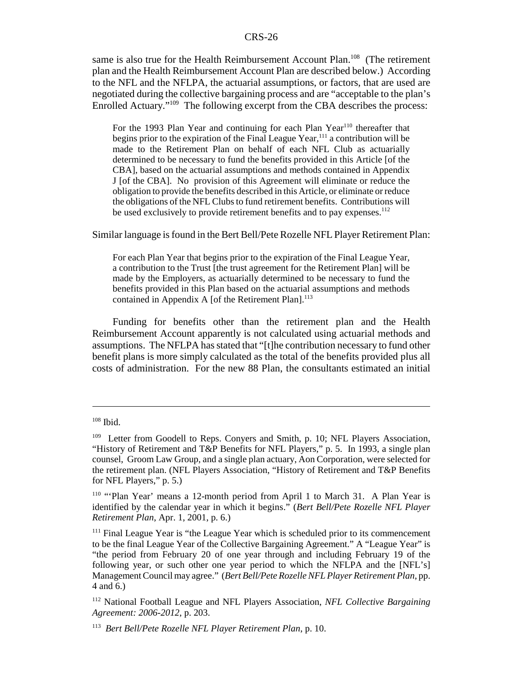same is also true for the Health Reimbursement Account Plan.<sup>108</sup> (The retirement plan and the Health Reimbursement Account Plan are described below.) According to the NFL and the NFLPA, the actuarial assumptions, or factors, that are used are negotiated during the collective bargaining process and are "acceptable to the plan's Enrolled Actuary."<sup>109</sup> The following excerpt from the CBA describes the process:

For the 1993 Plan Year and continuing for each Plan Year<sup>110</sup> thereafter that begins prior to the expiration of the Final League Year,  $111$  a contribution will be made to the Retirement Plan on behalf of each NFL Club as actuarially determined to be necessary to fund the benefits provided in this Article [of the CBA], based on the actuarial assumptions and methods contained in Appendix J [of the CBA]. No provision of this Agreement will eliminate or reduce the obligation to provide the benefits described in this Article, or eliminate or reduce the obligations of the NFL Clubs to fund retirement benefits. Contributions will be used exclusively to provide retirement benefits and to pay expenses.<sup>112</sup>

Similar language is found in the Bert Bell/Pete Rozelle NFL Player Retirement Plan:

For each Plan Year that begins prior to the expiration of the Final League Year, a contribution to the Trust [the trust agreement for the Retirement Plan] will be made by the Employers, as actuarially determined to be necessary to fund the benefits provided in this Plan based on the actuarial assumptions and methods contained in Appendix A [of the Retirement Plan]. $^{113}$ 

Funding for benefits other than the retirement plan and the Health Reimbursement Account apparently is not calculated using actuarial methods and assumptions. The NFLPA has stated that "[t]he contribution necessary to fund other benefit plans is more simply calculated as the total of the benefits provided plus all costs of administration. For the new 88 Plan, the consultants estimated an initial

<sup>108</sup> Ibid.

<sup>&</sup>lt;sup>109</sup> Letter from Goodell to Reps. Conyers and Smith, p. 10; NFL Players Association, "History of Retirement and T&P Benefits for NFL Players," p. 5. In 1993, a single plan counsel, Groom Law Group, and a single plan actuary, Aon Corporation, were selected for the retirement plan. (NFL Players Association, "History of Retirement and T&P Benefits for NFL Players," p. 5.)

<sup>&</sup>lt;sup>110</sup> "Plan Year' means a 12-month period from April 1 to March 31. A Plan Year is identified by the calendar year in which it begins." (*Bert Bell/Pete Rozelle NFL Player Retirement Plan*, Apr. 1, 2001, p. 6.)

<sup>&</sup>lt;sup>111</sup> Final League Year is "the League Year which is scheduled prior to its commencement to be the final League Year of the Collective Bargaining Agreement." A "League Year" is "the period from February 20 of one year through and including February 19 of the following year, or such other one year period to which the NFLPA and the [NFL's] Management Council may agree." (*Bert Bell/Pete Rozelle NFL Player Retirement Plan*, pp. 4 and 6.)

<sup>112</sup> National Football League and NFL Players Association, *NFL Collective Bargaining Agreement: 2006-2012*, p. 203.

<sup>113</sup> *Bert Bell/Pete Rozelle NFL Player Retirement Plan*, p. 10.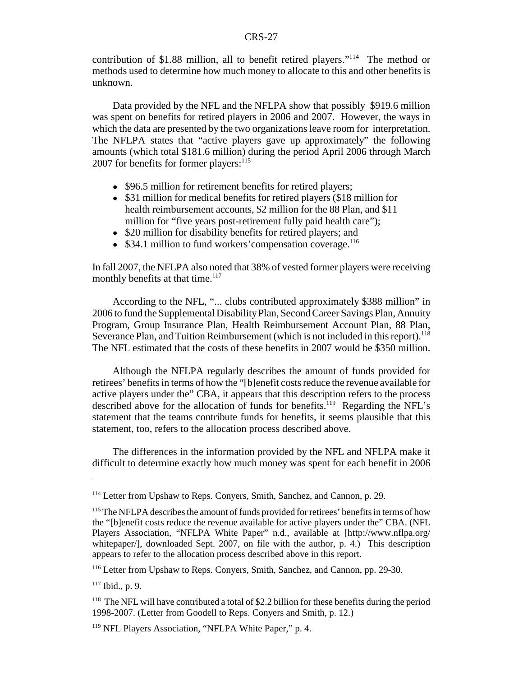contribution of \$1.88 million, all to benefit retired players."114 The method or methods used to determine how much money to allocate to this and other benefits is unknown.

Data provided by the NFL and the NFLPA show that possibly \$919.6 million was spent on benefits for retired players in 2006 and 2007. However, the ways in which the data are presented by the two organizations leave room for interpretation. The NFLPA states that "active players gave up approximately" the following amounts (which total \$181.6 million) during the period April 2006 through March 2007 for benefits for former players: $115$ 

- \$96.5 million for retirement benefits for retired players;
- \$31 million for medical benefits for retired players (\$18 million for health reimbursement accounts, \$2 million for the 88 Plan, and \$11 million for "five years post-retirement fully paid health care");
- \$20 million for disability benefits for retired players; and
- $\bullet$  \$34.1 million to fund workers' compensation coverage.<sup>116</sup>

In fall 2007, the NFLPA also noted that 38% of vested former players were receiving monthly benefits at that time.<sup>117</sup>

According to the NFL, "... clubs contributed approximately \$388 million" in 2006 to fund the Supplemental Disability Plan, Second Career Savings Plan, Annuity Program, Group Insurance Plan, Health Reimbursement Account Plan, 88 Plan, Severance Plan, and Tuition Reimbursement (which is not included in this report).<sup>118</sup> The NFL estimated that the costs of these benefits in 2007 would be \$350 million.

Although the NFLPA regularly describes the amount of funds provided for retirees' benefits in terms of how the "[b]enefit costs reduce the revenue available for active players under the" CBA, it appears that this description refers to the process described above for the allocation of funds for benefits.<sup>119</sup> Regarding the NFL's statement that the teams contribute funds for benefits, it seems plausible that this statement, too, refers to the allocation process described above.

The differences in the information provided by the NFL and NFLPA make it difficult to determine exactly how much money was spent for each benefit in 2006

116 Letter from Upshaw to Reps. Conyers, Smith, Sanchez, and Cannon, pp. 29-30.

<sup>&</sup>lt;sup>114</sup> Letter from Upshaw to Reps. Convers, Smith, Sanchez, and Cannon, p. 29.

<sup>&</sup>lt;sup>115</sup> The NFLPA describes the amount of funds provided for retirees' benefits in terms of how the "[b]enefit costs reduce the revenue available for active players under the" CBA. (NFL Players Association, "NFLPA White Paper" n.d., available at [http://www.nflpa.org/ whitepaper/], downloaded Sept. 2007, on file with the author, p. 4.) This description appears to refer to the allocation process described above in this report.

 $117$  Ibid., p. 9.

<sup>&</sup>lt;sup>118</sup> The NFL will have contributed a total of \$2.2 billion for these benefits during the period 1998-2007. (Letter from Goodell to Reps. Conyers and Smith, p. 12.)

<sup>&</sup>lt;sup>119</sup> NFL Players Association, "NFLPA White Paper," p. 4.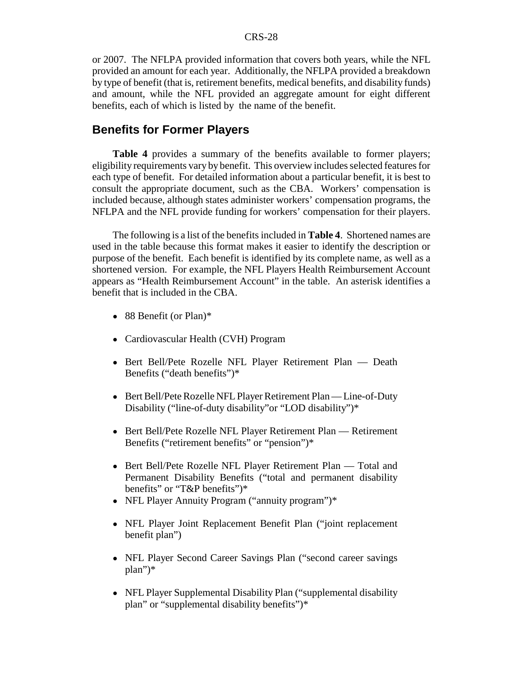or 2007. The NFLPA provided information that covers both years, while the NFL provided an amount for each year. Additionally, the NFLPA provided a breakdown by type of benefit (that is, retirement benefits, medical benefits, and disability funds) and amount, while the NFL provided an aggregate amount for eight different benefits, each of which is listed by the name of the benefit.

#### **Benefits for Former Players**

**Table 4** provides a summary of the benefits available to former players; eligibility requirements vary by benefit. This overview includes selected features for each type of benefit. For detailed information about a particular benefit, it is best to consult the appropriate document, such as the CBA. Workers' compensation is included because, although states administer workers' compensation programs, the NFLPA and the NFL provide funding for workers' compensation for their players.

The following is a list of the benefits included in **Table 4**. Shortened names are used in the table because this format makes it easier to identify the description or purpose of the benefit. Each benefit is identified by its complete name, as well as a shortened version. For example, the NFL Players Health Reimbursement Account appears as "Health Reimbursement Account" in the table. An asterisk identifies a benefit that is included in the CBA.

- 88 Benefit (or Plan)\*
- Cardiovascular Health (CVH) Program
- ! Bert Bell/Pete Rozelle NFL Player Retirement Plan Death Benefits ("death benefits")\*
- Bert Bell/Pete Rozelle NFL Player Retirement Plan Line-of-Duty Disability ("line-of-duty disability"or "LOD disability")\*
- Bert Bell/Pete Rozelle NFL Player Retirement Plan Retirement Benefits ("retirement benefits" or "pension")\*
- Bert Bell/Pete Rozelle NFL Player Retirement Plan Total and Permanent Disability Benefits ("total and permanent disability benefits" or "T&P benefits")\*
- ! NFL Player Annuity Program ("annuity program")\*
- ! NFL Player Joint Replacement Benefit Plan ("joint replacement benefit plan")
- ! NFL Player Second Career Savings Plan ("second career savings plan")\*
- NFL Player Supplemental Disability Plan ("supplemental disability" plan" or "supplemental disability benefits")\*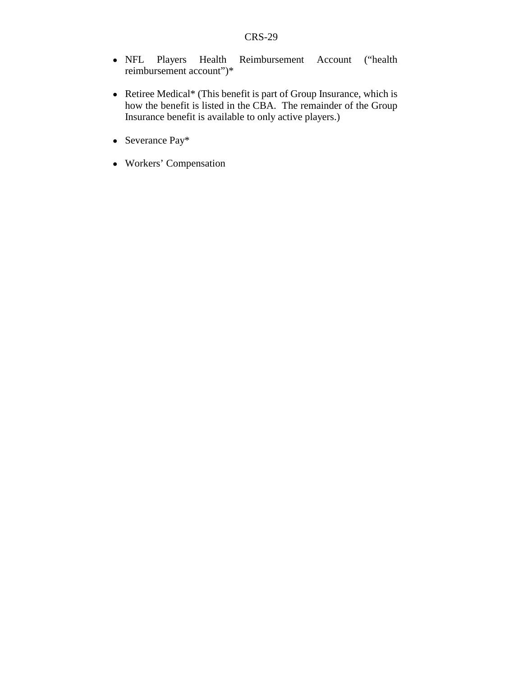- ! NFL Players Health Reimbursement Account ("health reimbursement account")\*
- ! Retiree Medical\* (This benefit is part of Group Insurance, which is how the benefit is listed in the CBA. The remainder of the Group Insurance benefit is available to only active players.)
- Severance Pay\*
- Workers' Compensation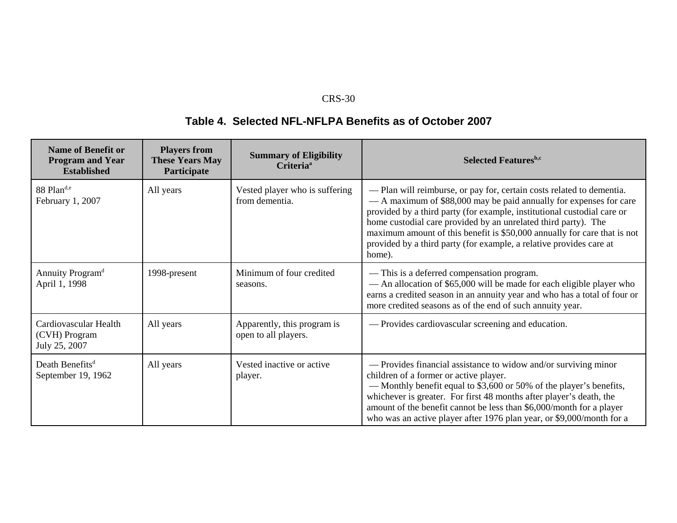#### **Table 4. Selected NFL-NFLPA Benefits as of October 2007**

| <b>Name of Benefit or</b><br><b>Program and Year</b><br><b>Established</b> | <b>Players from</b><br><b>These Years May</b><br>Participate | <b>Summary of Eligibility</b><br>Criteria <sup>a</sup> | <b>Selected Features</b> <sup>b,c</sup>                                                                                                                                                                                                                                                                                                                                                                                                               |
|----------------------------------------------------------------------------|--------------------------------------------------------------|--------------------------------------------------------|-------------------------------------------------------------------------------------------------------------------------------------------------------------------------------------------------------------------------------------------------------------------------------------------------------------------------------------------------------------------------------------------------------------------------------------------------------|
| 88 Pland,e<br>February 1, 2007                                             | All years                                                    | Vested player who is suffering<br>from dementia.       | - Plan will reimburse, or pay for, certain costs related to dementia.<br>— A maximum of \$88,000 may be paid annually for expenses for care<br>provided by a third party (for example, institutional custodial care or<br>home custodial care provided by an unrelated third party). The<br>maximum amount of this benefit is \$50,000 annually for care that is not<br>provided by a third party (for example, a relative provides care at<br>home). |
| Annuity Program <sup>d</sup><br>April 1, 1998                              | 1998-present                                                 | Minimum of four credited<br>seasons.                   | - This is a deferred compensation program.<br>— An allocation of \$65,000 will be made for each eligible player who<br>earns a credited season in an annuity year and who has a total of four or<br>more credited seasons as of the end of such annuity year.                                                                                                                                                                                         |
| Cardiovascular Health<br>(CVH) Program<br>July 25, 2007                    | All years                                                    | Apparently, this program is<br>open to all players.    | - Provides cardiovascular screening and education.                                                                                                                                                                                                                                                                                                                                                                                                    |
| Death Benefits <sup>d</sup><br>September 19, 1962                          | All years                                                    | Vested inactive or active<br>player.                   | — Provides financial assistance to widow and/or surviving minor<br>children of a former or active player.<br>— Monthly benefit equal to \$3,600 or 50% of the player's benefits,<br>whichever is greater. For first 48 months after player's death, the<br>amount of the benefit cannot be less than \$6,000/month for a player<br>who was an active player after 1976 plan year, or \$9,000/month for a                                              |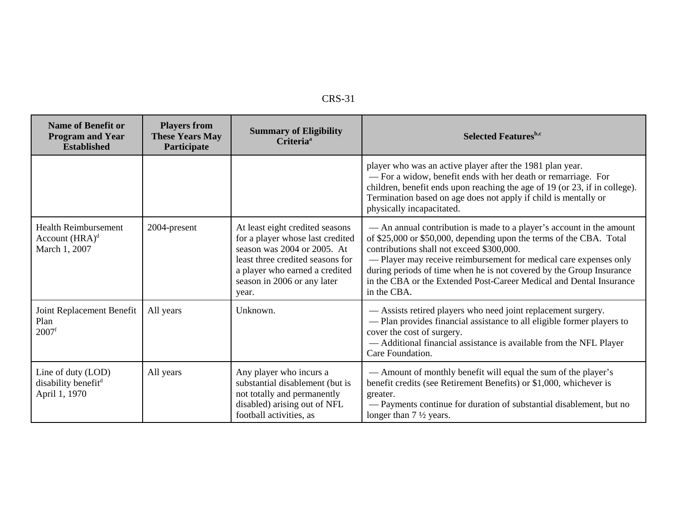| n |  |
|---|--|
|---|--|

| <b>Name of Benefit or</b><br><b>Program and Year</b><br><b>Established</b> | <b>Players from</b><br><b>These Years May</b><br>Participate | <b>Summary of Eligibility</b><br>Criteria <sup>a</sup>                                                                                                                                                           | <b>Selected Features</b> <sup>b,c</sup>                                                                                                                                                                                                                                                                                                                                                                                     |
|----------------------------------------------------------------------------|--------------------------------------------------------------|------------------------------------------------------------------------------------------------------------------------------------------------------------------------------------------------------------------|-----------------------------------------------------------------------------------------------------------------------------------------------------------------------------------------------------------------------------------------------------------------------------------------------------------------------------------------------------------------------------------------------------------------------------|
|                                                                            |                                                              |                                                                                                                                                                                                                  | player who was an active player after the 1981 plan year.<br>- For a widow, benefit ends with her death or remarriage. For<br>children, benefit ends upon reaching the age of 19 (or 23, if in college).<br>Termination based on age does not apply if child is mentally or<br>physically incapacitated.                                                                                                                    |
| <b>Health Reimbursement</b><br>Account $(HRA)^d$<br>March 1, 2007          | 2004-present                                                 | At least eight credited seasons<br>for a player whose last credited<br>season was 2004 or 2005. At<br>least three credited seasons for<br>a player who earned a credited<br>season in 2006 or any later<br>year. | — An annual contribution is made to a player's account in the amount<br>of \$25,000 or \$50,000, depending upon the terms of the CBA. Total<br>contributions shall not exceed \$300,000.<br>- Player may receive reimbursement for medical care expenses only<br>during periods of time when he is not covered by the Group Insurance<br>in the CBA or the Extended Post-Career Medical and Dental Insurance<br>in the CBA. |
| Joint Replacement Benefit<br>Plan<br>$2007^{\rm f}$                        | All years                                                    | Unknown.                                                                                                                                                                                                         | — Assists retired players who need joint replacement surgery.<br>- Plan provides financial assistance to all eligible former players to<br>cover the cost of surgery.<br>— Additional financial assistance is available from the NFL Player<br>Care Foundation.                                                                                                                                                             |
| Line of duty (LOD)<br>disability benefit <sup>d</sup><br>April 1, 1970     | All years                                                    | Any player who incurs a<br>substantial disablement (but is<br>not totally and permanently<br>disabled) arising out of NFL<br>football activities, as                                                             | — Amount of monthly benefit will equal the sum of the player's<br>benefit credits (see Retirement Benefits) or \$1,000, whichever is<br>greater.<br>- Payments continue for duration of substantial disablement, but no<br>longer than $7\frac{1}{2}$ years.                                                                                                                                                                |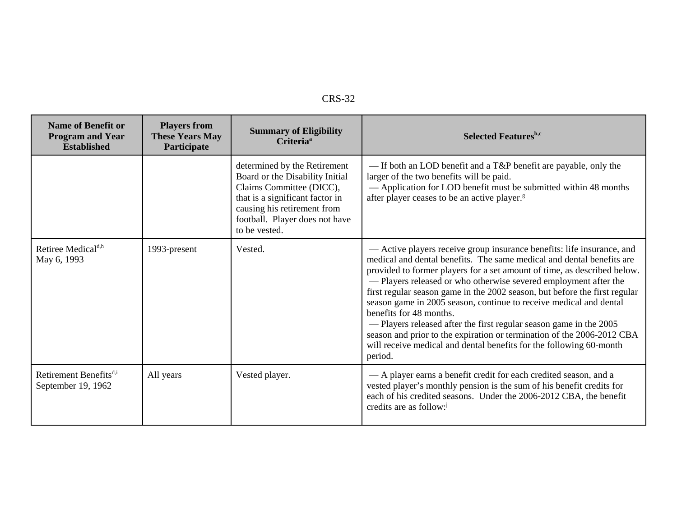| г<br>u. |
|---------|
|---------|

| <b>Name of Benefit or</b><br><b>Program and Year</b><br><b>Established</b> | <b>Players from</b><br><b>These Years May</b><br>Participate | <b>Summary of Eligibility</b><br>Criteria <sup>a</sup>                                                                                                                                                           | <b>Selected Features</b> <sup>b,c</sup>                                                                                                                                                                                                                                                                                                                                                                                                                                                                                                                                                                                                                                                                          |
|----------------------------------------------------------------------------|--------------------------------------------------------------|------------------------------------------------------------------------------------------------------------------------------------------------------------------------------------------------------------------|------------------------------------------------------------------------------------------------------------------------------------------------------------------------------------------------------------------------------------------------------------------------------------------------------------------------------------------------------------------------------------------------------------------------------------------------------------------------------------------------------------------------------------------------------------------------------------------------------------------------------------------------------------------------------------------------------------------|
|                                                                            |                                                              | determined by the Retirement<br>Board or the Disability Initial<br>Claims Committee (DICC),<br>that is a significant factor in<br>causing his retirement from<br>football. Player does not have<br>to be vested. | - If both an LOD benefit and a T&P benefit are payable, only the<br>larger of the two benefits will be paid.<br>- Application for LOD benefit must be submitted within 48 months<br>after player ceases to be an active player. <sup>8</sup>                                                                                                                                                                                                                                                                                                                                                                                                                                                                     |
| Retiree Medical <sup>d,h</sup><br>May 6, 1993                              | 1993-present                                                 | Vested.                                                                                                                                                                                                          | — Active players receive group insurance benefits: life insurance, and<br>medical and dental benefits. The same medical and dental benefits are<br>provided to former players for a set amount of time, as described below.<br>- Players released or who otherwise severed employment after the<br>first regular season game in the 2002 season, but before the first regular<br>season game in 2005 season, continue to receive medical and dental<br>benefits for 48 months.<br>- Players released after the first regular season game in the 2005<br>season and prior to the expiration or termination of the 2006-2012 CBA<br>will receive medical and dental benefits for the following 60-month<br>period. |
| Retirement Benefits <sup>d,i</sup><br>September 19, 1962                   | All years                                                    | Vested player.                                                                                                                                                                                                   | - A player earns a benefit credit for each credited season, and a<br>vested player's monthly pension is the sum of his benefit credits for<br>each of his credited seasons. Under the 2006-2012 CBA, the benefit<br>credits are as follow:                                                                                                                                                                                                                                                                                                                                                                                                                                                                       |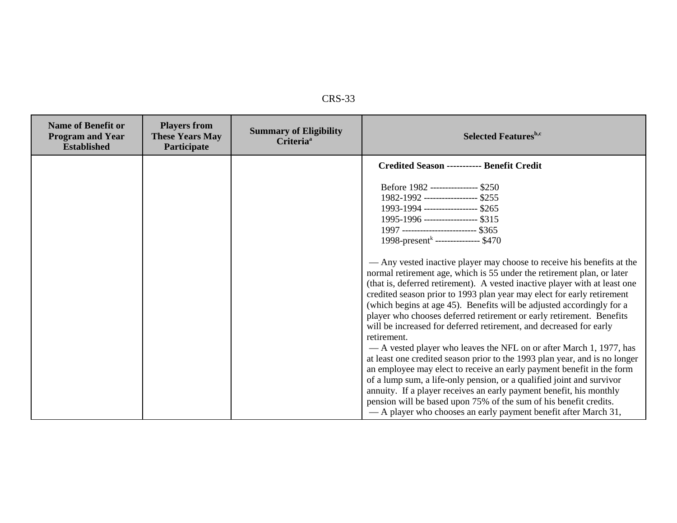| n.<br>ч.<br>N<br>$\mathbf{A}$ |
|-------------------------------|
|-------------------------------|

| <b>Name of Benefit or</b><br><b>Program and Year</b><br><b>Established</b> | <b>Players from</b><br><b>These Years May</b><br>Participate | <b>Summary of Eligibility</b><br>Criteria <sup>a</sup> | <b>Selected Features</b> b,c                                                                                                                                                                                                                                                                                                                                                                                                                                                                                                                                                                                                                                                                                                                                                                                                                                                                                                                                                                                                                                                                                                                                                                                                                                                                                                |  |
|----------------------------------------------------------------------------|--------------------------------------------------------------|--------------------------------------------------------|-----------------------------------------------------------------------------------------------------------------------------------------------------------------------------------------------------------------------------------------------------------------------------------------------------------------------------------------------------------------------------------------------------------------------------------------------------------------------------------------------------------------------------------------------------------------------------------------------------------------------------------------------------------------------------------------------------------------------------------------------------------------------------------------------------------------------------------------------------------------------------------------------------------------------------------------------------------------------------------------------------------------------------------------------------------------------------------------------------------------------------------------------------------------------------------------------------------------------------------------------------------------------------------------------------------------------------|--|
|                                                                            |                                                              |                                                        | <b>Credited Season ----------- Benefit Credit</b>                                                                                                                                                                                                                                                                                                                                                                                                                                                                                                                                                                                                                                                                                                                                                                                                                                                                                                                                                                                                                                                                                                                                                                                                                                                                           |  |
|                                                                            |                                                              |                                                        | Before 1982 ----------------- \$250<br>1982-1992 ------------------- \$255<br>1993-1994 ------------------- \$265<br>1995-1996 ------------------ \$315<br>1997 -------------------------- \$365<br>1998-present <sup>k</sup> --------------- \$470<br>— Any vested inactive player may choose to receive his benefits at the<br>normal retirement age, which is 55 under the retirement plan, or later<br>(that is, deferred retirement). A vested inactive player with at least one<br>credited season prior to 1993 plan year may elect for early retirement<br>(which begins at age 45). Benefits will be adjusted accordingly for a<br>player who chooses deferred retirement or early retirement. Benefits<br>will be increased for deferred retirement, and decreased for early<br>retirement.<br>- A vested player who leaves the NFL on or after March 1, 1977, has<br>at least one credited season prior to the 1993 plan year, and is no longer<br>an employee may elect to receive an early payment benefit in the form<br>of a lump sum, a life-only pension, or a qualified joint and survivor<br>annuity. If a player receives an early payment benefit, his monthly<br>pension will be based upon 75% of the sum of his benefit credits.<br>- A player who chooses an early payment benefit after March 31, |  |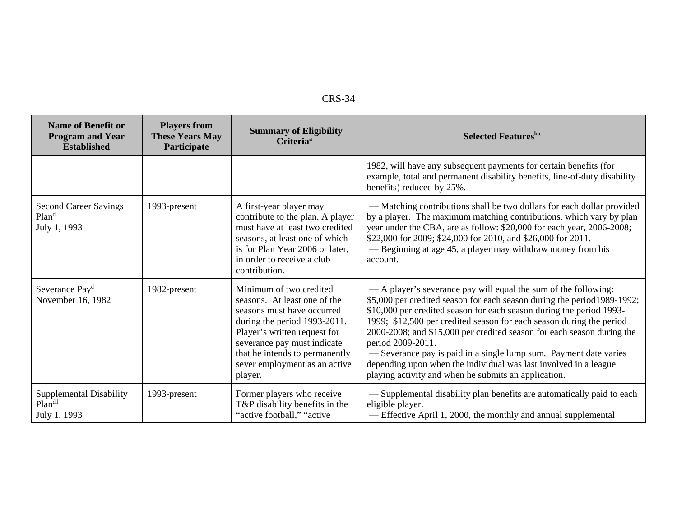| יכו<br>х.<br>Λv |
|-----------------|
|-----------------|

| <b>Name of Benefit or</b><br><b>Program and Year</b><br><b>Established</b> | <b>Players from</b><br><b>These Years May</b><br>Participate | <b>Summary of Eligibility</b><br>Criteria <sup>a</sup>                                                                                                                                                                                                             | <b>Selected Features</b> <sup>b,c</sup>                                                                                                                                                                                                                                                                                                                                                                                                                                                                                                                                                    |  |
|----------------------------------------------------------------------------|--------------------------------------------------------------|--------------------------------------------------------------------------------------------------------------------------------------------------------------------------------------------------------------------------------------------------------------------|--------------------------------------------------------------------------------------------------------------------------------------------------------------------------------------------------------------------------------------------------------------------------------------------------------------------------------------------------------------------------------------------------------------------------------------------------------------------------------------------------------------------------------------------------------------------------------------------|--|
|                                                                            |                                                              |                                                                                                                                                                                                                                                                    | 1982, will have any subsequent payments for certain benefits (for<br>example, total and permanent disability benefits, line-of-duty disability<br>benefits) reduced by 25%.                                                                                                                                                                                                                                                                                                                                                                                                                |  |
| <b>Second Career Savings</b><br>Plan <sup>d</sup><br>July 1, 1993          | 1993-present                                                 | A first-year player may<br>contribute to the plan. A player<br>must have at least two credited<br>seasons, at least one of which<br>is for Plan Year 2006 or later,<br>in order to receive a club<br>contribution.                                                 | - Matching contributions shall be two dollars for each dollar provided<br>by a player. The maximum matching contributions, which vary by plan<br>year under the CBA, are as follow: \$20,000 for each year, 2006-2008;<br>\$22,000 for 2009; \$24,000 for 2010, and \$26,000 for 2011.<br>— Beginning at age 45, a player may withdraw money from his<br>account.                                                                                                                                                                                                                          |  |
| Severance Pay <sup>d</sup><br>November 16, 1982                            | 1982-present                                                 | Minimum of two credited<br>seasons. At least one of the<br>seasons must have occurred<br>during the period 1993-2011.<br>Player's written request for<br>severance pay must indicate<br>that he intends to permanently<br>sever employment as an active<br>player. | - A player's severance pay will equal the sum of the following:<br>\$5,000 per credited season for each season during the period1989-1992;<br>\$10,000 per credited season for each season during the period 1993-<br>1999; \$12,500 per credited season for each season during the period<br>2000-2008; and \$15,000 per credited season for each season during the<br>period 2009-2011.<br>- Severance pay is paid in a single lump sum. Payment date varies<br>depending upon when the individual was last involved in a league<br>playing activity and when he submits an application. |  |
| Supplemental Disability<br>Plan <sup>d,l</sup><br>July 1, 1993             | 1993-present                                                 | Former players who receive<br>T&P disability benefits in the<br>"active football," "active"                                                                                                                                                                        | — Supplemental disability plan benefits are automatically paid to each<br>eligible player.<br>- Effective April 1, 2000, the monthly and annual supplemental                                                                                                                                                                                                                                                                                                                                                                                                                               |  |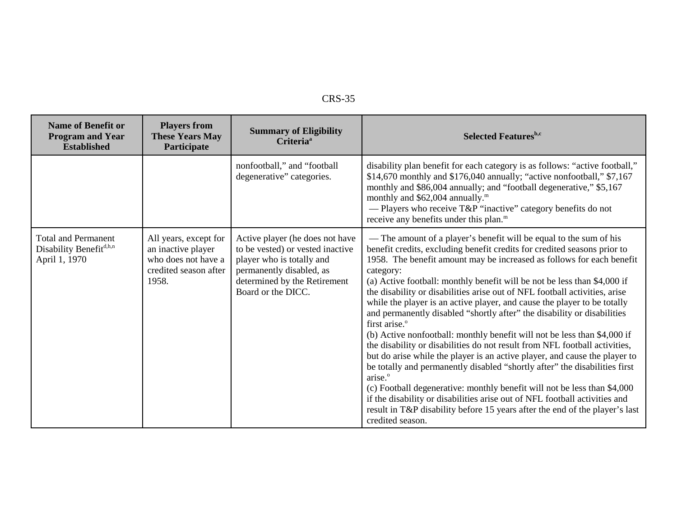| n<br>v<br>v. |
|--------------|
|--------------|

| <b>Name of Benefit or</b><br><b>Program and Year</b><br><b>Established</b> | <b>Players from</b><br><b>These Years May</b><br>Participate                                         | <b>Summary of Eligibility</b><br>Criteria <sup>a</sup>                                                                                                                             | <b>Selected Features</b> <sup>b,c</sup>                                                                                                                                                                                                                                                                                                                                                                                                                                                                                                                                                                                                                                                                                                                                                                                                                                                                                                                                                                                                                                                                                                                                                      |
|----------------------------------------------------------------------------|------------------------------------------------------------------------------------------------------|------------------------------------------------------------------------------------------------------------------------------------------------------------------------------------|----------------------------------------------------------------------------------------------------------------------------------------------------------------------------------------------------------------------------------------------------------------------------------------------------------------------------------------------------------------------------------------------------------------------------------------------------------------------------------------------------------------------------------------------------------------------------------------------------------------------------------------------------------------------------------------------------------------------------------------------------------------------------------------------------------------------------------------------------------------------------------------------------------------------------------------------------------------------------------------------------------------------------------------------------------------------------------------------------------------------------------------------------------------------------------------------|
|                                                                            |                                                                                                      | nonfootball," and "football<br>degenerative" categories.                                                                                                                           | disability plan benefit for each category is as follows: "active football,"<br>\$14,670 monthly and \$176,040 annually; "active nonfootball," \$7,167<br>monthly and \$86,004 annually; and "football degenerative," \$5,167<br>monthly and \$62,004 annually. <sup>m</sup><br>- Players who receive T&P "inactive" category benefits do not<br>receive any benefits under this plan. <sup>m</sup>                                                                                                                                                                                                                                                                                                                                                                                                                                                                                                                                                                                                                                                                                                                                                                                           |
| <b>Total and Permanent</b><br>Disability Benefitd,h,n<br>April 1, 1970     | All years, except for<br>an inactive player<br>who does not have a<br>credited season after<br>1958. | Active player (he does not have<br>to be vested) or vested inactive<br>player who is totally and<br>permanently disabled, as<br>determined by the Retirement<br>Board or the DICC. | — The amount of a player's benefit will be equal to the sum of his<br>benefit credits, excluding benefit credits for credited seasons prior to<br>1958. The benefit amount may be increased as follows for each benefit<br>category:<br>(a) Active football: monthly benefit will be not be less than \$4,000 if<br>the disability or disabilities arise out of NFL football activities, arise<br>while the player is an active player, and cause the player to be totally<br>and permanently disabled "shortly after" the disability or disabilities<br>first arise. <sup>o</sup><br>(b) Active nonfootball: monthly benefit will not be less than \$4,000 if<br>the disability or disabilities do not result from NFL football activities,<br>but do arise while the player is an active player, and cause the player to<br>be totally and permanently disabled "shortly after" the disabilities first<br>arise. <sup>o</sup><br>(c) Football degenerative: monthly benefit will not be less than \$4,000<br>if the disability or disabilities arise out of NFL football activities and<br>result in T&P disability before 15 years after the end of the player's last<br>credited season. |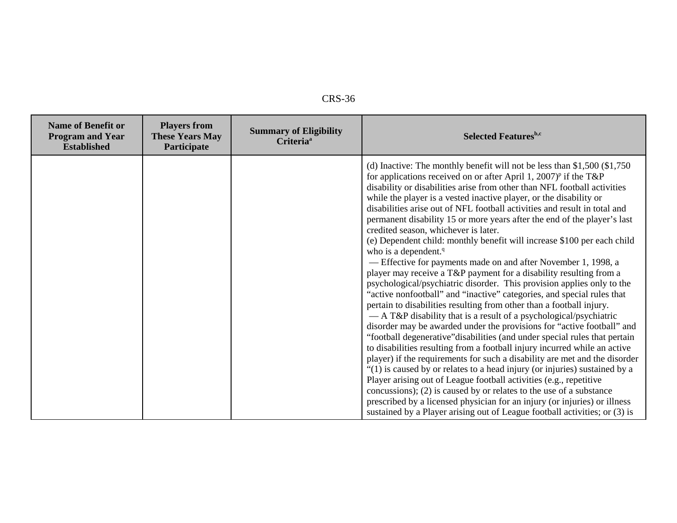| <b>Name of Benefit or</b><br><b>Program and Year</b><br><b>Established</b> | <b>Players from</b><br><b>These Years May</b><br>Participate | <b>Summary of Eligibility</b><br>Criteria <sup>a</sup> | <b>Selected Features</b> <sup>b,c</sup>                                                                                                                                                                                                                                                                                                                                                                                                                                                                                                                                                                                                                                                                                                                                                                                                                                                                                                                                                                                                                                                                                                                                                                                                                                                                                                                                                                                                                                                                                                                                                                                                                                                                                                                                            |
|----------------------------------------------------------------------------|--------------------------------------------------------------|--------------------------------------------------------|------------------------------------------------------------------------------------------------------------------------------------------------------------------------------------------------------------------------------------------------------------------------------------------------------------------------------------------------------------------------------------------------------------------------------------------------------------------------------------------------------------------------------------------------------------------------------------------------------------------------------------------------------------------------------------------------------------------------------------------------------------------------------------------------------------------------------------------------------------------------------------------------------------------------------------------------------------------------------------------------------------------------------------------------------------------------------------------------------------------------------------------------------------------------------------------------------------------------------------------------------------------------------------------------------------------------------------------------------------------------------------------------------------------------------------------------------------------------------------------------------------------------------------------------------------------------------------------------------------------------------------------------------------------------------------------------------------------------------------------------------------------------------------|
|                                                                            |                                                              |                                                        | (d) Inactive: The monthly benefit will not be less than $$1,500$ ( $$1,750$<br>for applications received on or after April 1, 2007) <sup>p</sup> if the T&P<br>disability or disabilities arise from other than NFL football activities<br>while the player is a vested inactive player, or the disability or<br>disabilities arise out of NFL football activities and result in total and<br>permanent disability 15 or more years after the end of the player's last<br>credited season, whichever is later.<br>(e) Dependent child: monthly benefit will increase \$100 per each child<br>who is a dependent. <sup>q</sup><br>- Effective for payments made on and after November 1, 1998, a<br>player may receive a T&P payment for a disability resulting from a<br>psychological/psychiatric disorder. This provision applies only to the<br>"active nonfootball" and "inactive" categories, and special rules that<br>pertain to disabilities resulting from other than a football injury.<br>— A T&P disability that is a result of a psychological/psychiatric<br>disorder may be awarded under the provisions for "active football" and<br>"football degenerative" disabilities (and under special rules that pertain<br>to disabilities resulting from a football injury incurred while an active<br>player) if the requirements for such a disability are met and the disorder<br>"(1) is caused by or relates to a head injury (or injuries) sustained by a<br>Player arising out of League football activities (e.g., repetitive<br>concussions); $(2)$ is caused by or relates to the use of a substance<br>prescribed by a licensed physician for an injury (or injuries) or illness<br>sustained by a Player arising out of League football activities; or (3) is |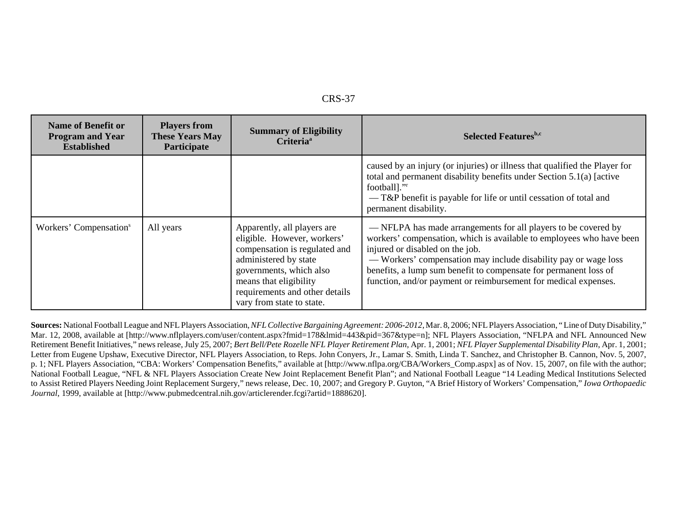| Ξ<br>r. |
|---------|
|---------|

| <b>Name of Benefit or</b><br><b>Program and Year</b><br><b>Established</b> | <b>Players from</b><br><b>These Years May</b><br>Participate | <b>Summary of Eligibility</b><br>Criteria <sup>a</sup>                                                                                                                                                                                   | <b>Selected Features</b> <sup>b,c</sup>                                                                                                                                                                                                                                                                                                                                             |
|----------------------------------------------------------------------------|--------------------------------------------------------------|------------------------------------------------------------------------------------------------------------------------------------------------------------------------------------------------------------------------------------------|-------------------------------------------------------------------------------------------------------------------------------------------------------------------------------------------------------------------------------------------------------------------------------------------------------------------------------------------------------------------------------------|
|                                                                            |                                                              |                                                                                                                                                                                                                                          | caused by an injury (or injuries) or illness that qualified the Player for<br>total and permanent disability benefits under Section $5.1(a)$ [active<br>football]."<br>— T&P benefit is payable for life or until cessation of total and<br>permanent disability.                                                                                                                   |
| Workers' Compensation <sup>s</sup>                                         | All years                                                    | Apparently, all players are<br>eligible. However, workers'<br>compensation is regulated and<br>administered by state<br>governments, which also<br>means that eligibility<br>requirements and other details<br>vary from state to state. | — NFLPA has made arrangements for all players to be covered by<br>workers' compensation, which is available to employees who have been<br>injured or disabled on the job.<br>- Workers' compensation may include disability pay or wage loss<br>benefits, a lump sum benefit to compensate for permanent loss of<br>function, and/or payment or reimbursement for medical expenses. |

**Sources:** National Football League and NFL Players Association, *NFL Collective Bargaining Agreement: 2006-2012*, Mar. 8, 2006; NFL Players Association, " Line of Duty Disability," Mar. 12, 2008, available at [http://www.nflplayers.com/user/content.aspx?fmid=178&lmid=443&pid=367&type=n]; NFL Players Association, "NFLPA and NFL Announced New Retirement Benefit Initiatives," news release, July 25, 2007; *Bert Bell/Pete Rozelle NFL Player Retirement Plan*, Apr. 1, 2001; *NFL Player Supplemental Disability Plan*, Apr. 1, 2001; Letter from Eugene Upshaw, Executive Director, NFL Players Association, to Reps. John Conyers, Jr., Lamar S. Smith, Linda T. Sanchez, and Christopher B. Cannon, Nov. 5, 2007, p. 1; NFL Players Association, "CBA: Workers' Compensation Benefits," available at [http://www.nflpa.org/CBA/Workers\_Comp.aspx] as of Nov. 15, 2007, on file with the author; National Football League, "NFL & NFL Players Association Create New Joint Replacement Benefit Plan"; and National Football League "14 Leading Medical Institutions Selected to Assist Retired Players Needing Joint Replacement Surgery," news release, Dec. 10, 2007; and Gregory P. Guyton, "A Brief History of Workers' Compensation," *Iowa Orthopaedic Journal*, 1999, available at [http://www.pubmedcentral.nih.gov/articlerender.fcgi?artid=1888620].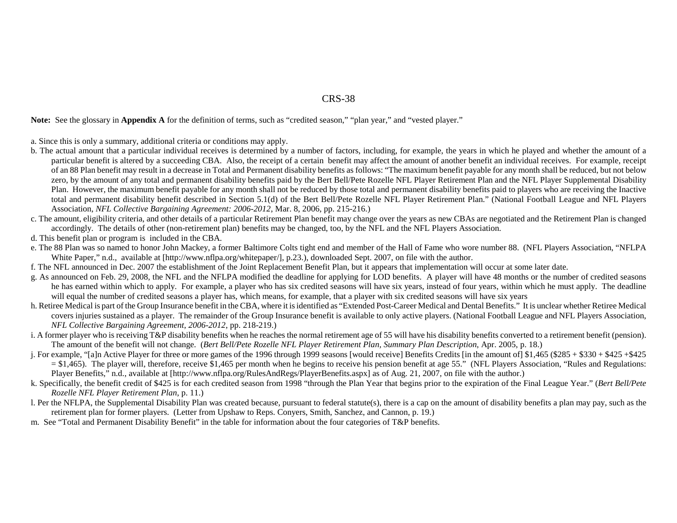**Note:** See the glossary in **Appendix A** for the definition of terms, such as "credited season," "plan year," and "vested player."

a. Since this is only a summary, additional criteria or conditions may apply.

- b. The actual amount that a particular individual receives is determined by a number of factors, including, for example, the years in which he played and whether the amount of a particular benefit is altered by a succeeding CBA. Also, the receipt of a certain benefit may affect the amount of another benefit an individual receives. For example, receipt of an 88 Plan benefit may result in a decrease in Total and Permanent disability benefits as follows: "The maximum benefit payable for any month shall be reduced, but not below zero, by the amount of any total and permanent disability benefits paid by the Bert Bell/Pete Rozelle NFL Player Retirement Plan and the NFL Player Supplemental Disability Plan. However, the maximum benefit payable for any month shall not be reduced by those total and permanent disability benefits paid to players who are receiving the Inactive total and permanent disability benefit described in Section 5.1(d) of the Bert Bell/Pete Rozelle NFL Player Retirement Plan." (National Football League and NFL Players Association, *NFL Collective Bargaining Agreement: 2006-2012*, Mar. 8, 2006, pp. 215-216.)
- c. The amount, eligibility criteria, and other details of a particular Retirement Plan benefit may change over the years as new CBAs are negotiated and the Retirement Plan is changed accordingly. The details of other (non-retirement plan) benefits may be changed, too, by the NFL and the NFL Players Association.
- d. This benefit plan or program is included in the CBA.
- e. The 88 Plan was so named to honor John Mackey, a former Baltimore Colts tight end and member of the Hall of Fame who wore number 88. (NFL Players Association, "NFLPA White Paper," n.d., available at [http://www.nflpa.org/whitepaper/], p.23.), downloaded Sept. 2007, on file with the author.
- f. The NFL announced in Dec. 2007 the establishment of the Joint Replacement Benefit Plan, but it appears that implementation will occur at some later date.
- g. As announced on Feb. 29, 2008, the NFL and the NFLPA modified the deadline for applying for LOD benefits. A player will have 48 months or the number of credited seasons he has earned within which to apply. For example, a player who has six credited seasons will have six years, instead of four years, within which he must apply. The deadline will equal the number of credited seasons a player has, which means, for example, that a player with six credited seasons will have six years
- h. Retiree Medical is part of the Group Insurance benefit in the CBA, where it is identified as "Extended Post-Career Medical and Dental Benefits." It is unclear whether Retiree Medical covers injuries sustained as a player. The remainder of the Group Insurance benefit is available to only active players. (National Football League and NFL Players Association, *NFL Collective Bargaining Agreement, 2006-2012*, pp. 218-219.)
- i. A former player who is receiving T&P disability benefits when he reaches the normal retirement age of 55 will have his disability benefits converted to a retirement benefit (pension). The amount of the benefit will not change. (*Bert Bell/Pete Rozelle NFL Player Retirement Plan, Summary Plan Description*, Apr. 2005, p. 18.)
- j. For example, "[a]n Active Player for three or more games of the 1996 through 1999 seasons [would receive] Benefits Credits [in the amount of] \$1,465 (\$285 + \$330 + \$425 +\$425  $=$  \$1,465). The player will, therefore, receive \$1,465 per month when he begins to receive his pension benefit at age 55." (NFL Players Association, "Rules and Regulations: Player Benefits," n.d., available at [http://www.nflpa.org/RulesAndRegs/PlayerBenefits.aspx] as of Aug. 21, 2007, on file with the author.)
- k. Specifically, the benefit credit of \$425 is for each credited season from 1998 "through the Plan Year that begins prior to the expiration of the Final League Year." (*Bert Bell/Pete Rozelle NFL Player Retirement Plan*, p. 11.)
- l. Per the NFLPA, the Supplemental Disability Plan was created because, pursuant to federal statute(s), there is a cap on the amount of disability benefits a plan may pay, such as the retirement plan for former players. (Letter from Upshaw to Reps. Conyers, Smith, Sanchez, and Cannon, p. 19.)
- m. See "Total and Permanent Disability Benefit" in the table for information about the four categories of T&P benefits.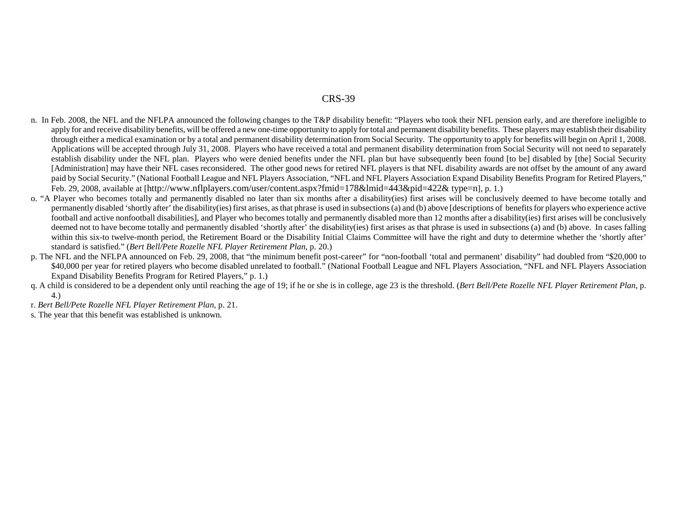- n. In Feb. 2008, the NFL and the NFLPA announced the following changes to the T&P disability benefit: "Players who took their NFL pension early, and are therefore ineligible to apply for and receive disability benefits, will be offered a new one-time opportunity to apply for total and permanent disability benefits. These players may establish their disability through either a medical examination or by a total and permanent disability determination from Social Security. The opportunity to apply for benefits will begin on April 1, 2008. Applications will be accepted through July 31, 2008. Players who have received a total and permanent disability determination from Social Security will not need to separately establish disability under the NFL plan. Players who were denied benefits under the NFL plan but have subsequently been found [to be] disabled by [the] Social Security [Administration] may have their NFL cases reconsidered. The other good news for retired NFL players is that NFL disability awards are not offset by the amount of any award paid by Social Security." (National Football League and NFL Players Association, "NFL and NFL Players Association Expand Disability Benefits Program for Retired Players," Feb. 29, 2008, available at [http://www.nflplayers.com/user/content.aspx?fmid=178&lmid=443&pid=422& type=n], p. 1.)
- o. "A Player who becomes totally and permanently disabled no later than six months after a disability(ies) first arises will be conclusively deemed to have become totally and permanently disabled 'shortly after' the disability(ies) first arises, as that phrase is used in subsections (a) and (b) above [descriptions of benefits for players who experience active football and active nonfootball disabilities], and Player who becomes totally and permanently disabled more than 12 months after a disability(ies) first arises will be conclusively deemed not to have become totally and permanently disabled 'shortly after' the disability(ies) first arises as that phrase is used in subsections (a) and (b) above. In cases falling within this six-to twelve-month period, the Retirement Board or the Disability Initial Claims Committee will have the right and duty to determine whether the 'shortly after' standard is satisfied." (*Bert Bell/Pete Rozelle NFL Player Retirement Plan*, p. 20.)
- p. The NFL and the NFLPA announced on Feb. 29, 2008, that "the minimum benefit post-career" for "non-football 'total and permanent' disability" had doubled from "\$20,000 to \$40,000 per year for retired players who become disabled unrelated to football." (National Football League and NFL Players Association, "NFL and NFL Players Association Expand Disability Benefits Program for Retired Players," p. 1.)
- q. A child is considered to be a dependent only until reaching the age of 19; if he or she is in college, age 23 is the threshold. (*Bert Bell/Pete Rozelle NFL Player Retirement Plan*, p. 4.)
- r. *Bert Bell/Pete Rozelle NFL Player Retirement Plan*, p. 21.
- s. The year that this benefit was established is unknown.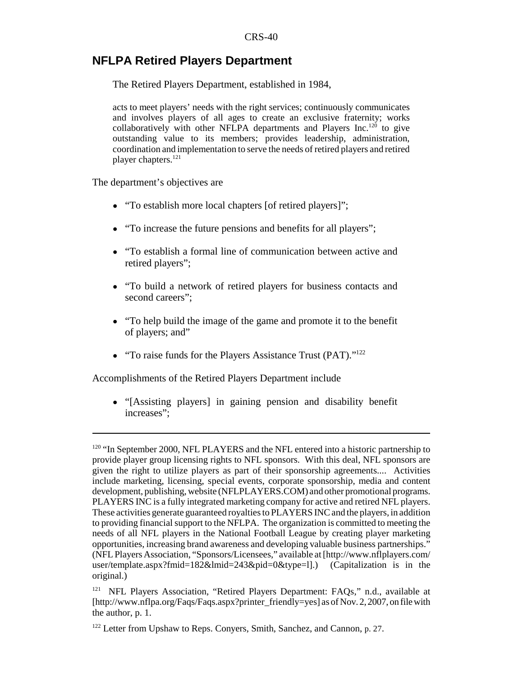## **NFLPA Retired Players Department**

The Retired Players Department, established in 1984,

acts to meet players' needs with the right services; continuously communicates and involves players of all ages to create an exclusive fraternity; works collaboratively with other NFLPA departments and Players Inc.120 to give outstanding value to its members; provides leadership, administration, coordination and implementation to serve the needs of retired players and retired player chapters.121

The department's objectives are

- "To establish more local chapters [of retired players]";
- "To increase the future pensions and benefits for all players";
- "To establish a formal line of communication between active and retired players";
- "To build a network of retired players for business contacts and second careers":
- "To help build the image of the game and promote it to the benefit of players; and"
- "To raise funds for the Players Assistance Trust (PAT)."<sup>122</sup>

Accomplishments of the Retired Players Department include

• "[Assisting players] in gaining pension and disability benefit increases";

<sup>&</sup>lt;sup>120</sup> "In September 2000, NFL PLAYERS and the NFL entered into a historic partnership to provide player group licensing rights to NFL sponsors. With this deal, NFL sponsors are given the right to utilize players as part of their sponsorship agreements.... Activities include marketing, licensing, special events, corporate sponsorship, media and content development, publishing, website (NFLPLAYERS.COM) and other promotional programs. PLAYERS INC is a fully integrated marketing company for active and retired NFL players. These activities generate guaranteed royalties to PLAYERS INC and the players, in addition to providing financial support to the NFLPA. The organization is committed to meeting the needs of all NFL players in the National Football League by creating player marketing opportunities, increasing brand awareness and developing valuable business partnerships." (NFL Players Association, "Sponsors/Licensees," available at [http://www.nflplayers.com/ user/template.aspx?fmid=182&lmid=243&pid=0&type=l].) (Capitalization is in the original.)

<sup>&</sup>lt;sup>121</sup> NFL Players Association, "Retired Players Department: FAQs," n.d., available at [http://www.nflpa.org/Faqs/Faqs.aspx?printer\_friendly=yes] as of Nov. 2, 2007, on file with the author, p. 1.

<sup>&</sup>lt;sup>122</sup> Letter from Upshaw to Reps. Conyers, Smith, Sanchez, and Cannon, p. 27.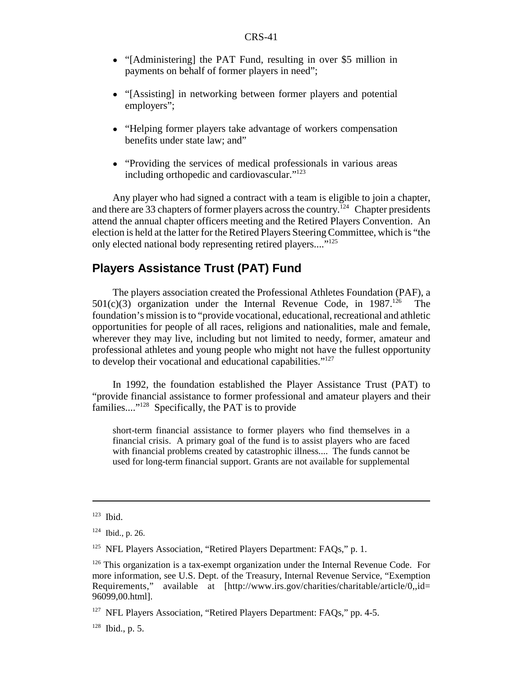- "[Administering] the PAT Fund, resulting in over \$5 million in payments on behalf of former players in need";
- "[Assisting] in networking between former players and potential employers";
- "Helping former players take advantage of workers compensation benefits under state law; and"
- "Providing the services of medical professionals in various areas including orthopedic and cardiovascular."123

Any player who had signed a contract with a team is eligible to join a chapter, and there are 33 chapters of former players across the country.<sup>124</sup> Chapter presidents attend the annual chapter officers meeting and the Retired Players Convention. An election is held at the latter for the Retired Players Steering Committee, which is "the only elected national body representing retired players...."<sup>125</sup>

## **Players Assistance Trust (PAT) Fund**

The players association created the Professional Athletes Foundation (PAF), a  $501(c)(3)$  organization under the Internal Revenue Code, in 1987.<sup>126</sup> The foundation's mission is to "provide vocational, educational, recreational and athletic opportunities for people of all races, religions and nationalities, male and female, wherever they may live, including but not limited to needy, former, amateur and professional athletes and young people who might not have the fullest opportunity to develop their vocational and educational capabilities."127

In 1992, the foundation established the Player Assistance Trust (PAT) to "provide financial assistance to former professional and amateur players and their families...."128 Specifically, the PAT is to provide

short-term financial assistance to former players who find themselves in a financial crisis. A primary goal of the fund is to assist players who are faced with financial problems created by catastrophic illness.... The funds cannot be used for long-term financial support. Grants are not available for supplemental

<sup>123</sup> Ibid.

<sup>124</sup> Ibid., p. 26.

<sup>&</sup>lt;sup>125</sup> NFL Players Association, "Retired Players Department: FAQs," p. 1.

<sup>&</sup>lt;sup>126</sup> This organization is a tax-exempt organization under the Internal Revenue Code. For more information, see U.S. Dept. of the Treasury, Internal Revenue Service, "Exemption Requirements," available at [http://www.irs.gov/charities/charitable/article/0,,id= 96099,00.html].

<sup>&</sup>lt;sup>127</sup> NFL Players Association, "Retired Players Department: FAQs," pp. 4-5.

 $128$  Ibid., p. 5.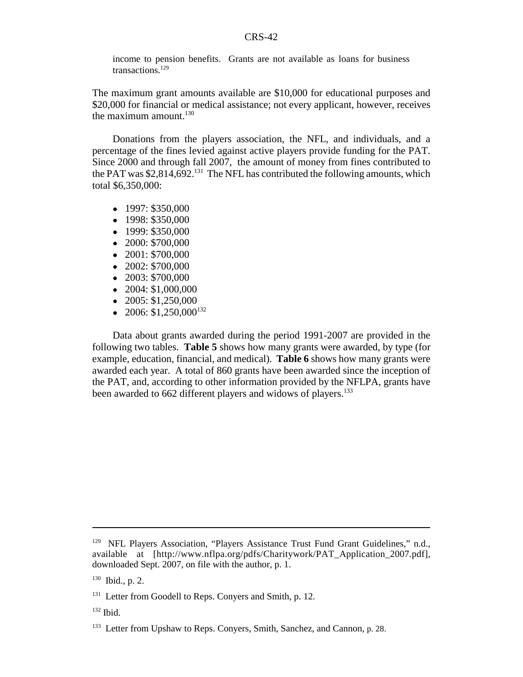income to pension benefits. Grants are not available as loans for business transactions.<sup>129</sup>

The maximum grant amounts available are \$10,000 for educational purposes and \$20,000 for financial or medical assistance; not every applicant, however, receives the maximum amount. $130$ 

Donations from the players association, the NFL, and individuals, and a percentage of the fines levied against active players provide funding for the PAT. Since 2000 and through fall 2007, the amount of money from fines contributed to the PAT was  $$2,814,692$ <sup>131</sup> The NFL has contributed the following amounts, which total \$6,350,000:

- 1997: \$350,000
- $\bullet$  1998: \$350,000
- $\bullet$  1999: \$350,000
- $\bullet$  2000: \$700,000
- $\bullet$  2001: \$700,000
- $\bullet$  2002: \$700,000
- $\bullet$  2003: \$700,000
- $\bullet$  2004: \$1,000,000
- $\bullet$  2005: \$1,250,000
- $\bullet$  2006: \$1,250,000<sup>132</sup>

Data about grants awarded during the period 1991-2007 are provided in the following two tables. **Table 5** shows how many grants were awarded, by type (for example, education, financial, and medical). **Table 6** shows how many grants were awarded each year. A total of 860 grants have been awarded since the inception of the PAT, and, according to other information provided by the NFLPA, grants have been awarded to 662 different players and widows of players.<sup>133</sup>

 $132$  Ibid.

<sup>&</sup>lt;sup>129</sup> NFL Players Association, "Players Assistance Trust Fund Grant Guidelines," n.d., available at [http://www.nflpa.org/pdfs/Charitywork/PAT\_Application\_2007.pdf], downloaded Sept. 2007, on file with the author, p. 1.

<sup>130</sup> Ibid., p. 2.

<sup>&</sup>lt;sup>131</sup> Letter from Goodell to Reps. Conyers and Smith, p. 12.

<sup>&</sup>lt;sup>133</sup> Letter from Upshaw to Reps. Conyers, Smith, Sanchez, and Cannon, p. 28.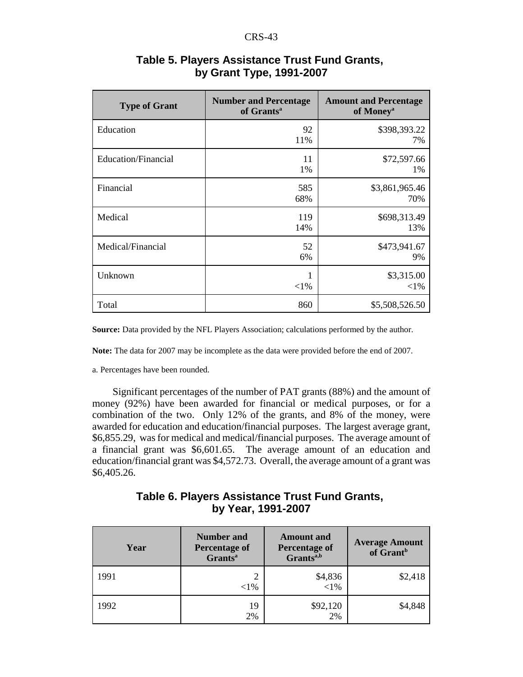| <b>Type of Grant</b>       | <b>Number and Percentage</b><br>of Grants <sup>a</sup> | <b>Amount and Percentage</b><br>of Money <sup>a</sup> |  |
|----------------------------|--------------------------------------------------------|-------------------------------------------------------|--|
| Education                  | 92<br>11%                                              | \$398,393.22<br>7%                                    |  |
| <b>Education/Financial</b> | 11<br>1%                                               | \$72,597.66<br>1%                                     |  |
| Financial                  | 585<br>68%                                             | \$3,861,965.46<br>70%                                 |  |
| Medical                    | 119<br>14%                                             | \$698,313.49<br>13%                                   |  |
| Medical/Financial          | 52<br>6%                                               | \$473,941.67<br>9%                                    |  |
| Unknown                    | 1<br>$<$ 1%                                            | \$3,315.00<br>$<$ 1%                                  |  |
| Total                      | 860                                                    | \$5,508,526.50                                        |  |

#### **Table 5. Players Assistance Trust Fund Grants, by Grant Type, 1991-2007**

**Source:** Data provided by the NFL Players Association; calculations performed by the author.

**Note:** The data for 2007 may be incomplete as the data were provided before the end of 2007.

a. Percentages have been rounded.

Significant percentages of the number of PAT grants (88%) and the amount of money (92%) have been awarded for financial or medical purposes, or for a combination of the two. Only 12% of the grants, and 8% of the money, were awarded for education and education/financial purposes. The largest average grant, \$6,855.29, was for medical and medical/financial purposes. The average amount of a financial grant was \$6,601.65. The average amount of an education and education/financial grant was \$4,572.73. Overall, the average amount of a grant was \$6,405.26.

## **Table 6. Players Assistance Trust Fund Grants, by Year, 1991-2007**

| Year | <b>Number and</b><br><b>Percentage of</b><br><b>Grants</b> <sup>a</sup> | <b>Amount</b> and<br><b>Percentage of</b><br>Grants <sup>a,b</sup> | <b>Average Amount</b><br>of Grant <sup>b</sup> |
|------|-------------------------------------------------------------------------|--------------------------------------------------------------------|------------------------------------------------|
| 1991 | $\overline{2}$<br>$<$ l%                                                | $$4,836$<br><1%                                                    | \$2,418                                        |
| 1992 | 19<br>2%                                                                | \$92,120<br>2%                                                     | \$4,848                                        |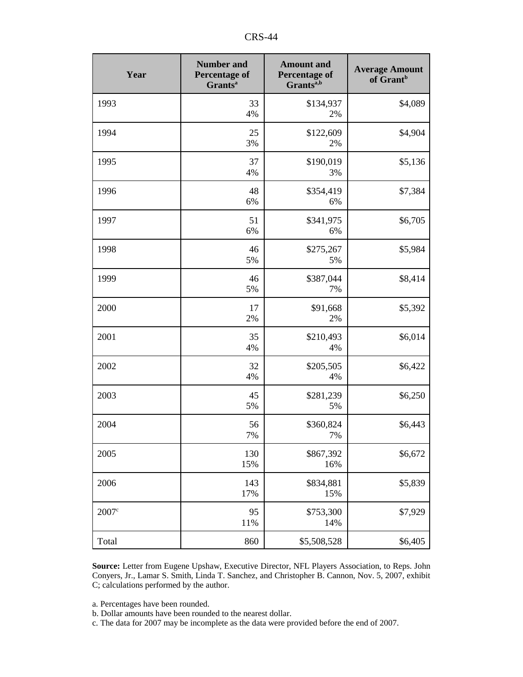| $CRS-44$ |
|----------|
|----------|

| Year           | <b>Number and</b><br><b>Percentage of</b><br>Grants <sup>a</sup> | <b>Amount</b> and<br><b>Percentage of</b><br>Grants <sup>a,b</sup> | <b>Average Amount</b><br>of Grant <sup>b</sup> |
|----------------|------------------------------------------------------------------|--------------------------------------------------------------------|------------------------------------------------|
| 1993           | 33<br>4%                                                         | \$134,937<br>2%                                                    | \$4,089                                        |
| 1994           | 25<br>3%                                                         | \$122,609<br>2%                                                    | \$4,904                                        |
| 1995           | 37<br>4%                                                         | \$190,019<br>3%                                                    | \$5,136                                        |
| 1996           | 48<br>6%                                                         | \$354,419<br>6%                                                    | \$7,384                                        |
| 1997           | 51<br>6%                                                         | \$341,975<br>6%                                                    | \$6,705                                        |
| 1998           | 46<br>5%                                                         | \$275,267<br>5%                                                    | \$5,984                                        |
| 1999           | 46<br>5%                                                         | \$387,044<br>7%                                                    | \$8,414                                        |
| 2000           | 17<br>2%                                                         | \$91,668<br>2%                                                     | \$5,392                                        |
| 2001           | 35<br>4%                                                         | \$210,493<br>4%                                                    | \$6,014                                        |
| 2002           | 32<br>4%                                                         | \$205,505<br>4%                                                    | \$6,422                                        |
| 2003           | 45<br>5%                                                         | \$281,239<br>5%                                                    | \$6,250                                        |
| 2004           | 56<br>7%                                                         | \$360,824<br>7%                                                    | \$6,443                                        |
| 2005           | 130<br>15%                                                       | \$867,392<br>16%                                                   | \$6,672                                        |
| 2006           | 143<br>17%                                                       | \$834,881<br>15%                                                   | \$5,839                                        |
| $2007^{\circ}$ | 95<br>11%                                                        | \$753,300<br>14%                                                   | \$7,929                                        |
| Total          | 860                                                              | \$5,508,528                                                        | \$6,405                                        |

**Source:** Letter from Eugene Upshaw, Executive Director, NFL Players Association, to Reps. John Conyers, Jr., Lamar S. Smith, Linda T. Sanchez, and Christopher B. Cannon, Nov. 5, 2007, exhibit C; calculations performed by the author.

a. Percentages have been rounded.

b. Dollar amounts have been rounded to the nearest dollar.

c. The data for 2007 may be incomplete as the data were provided before the end of 2007.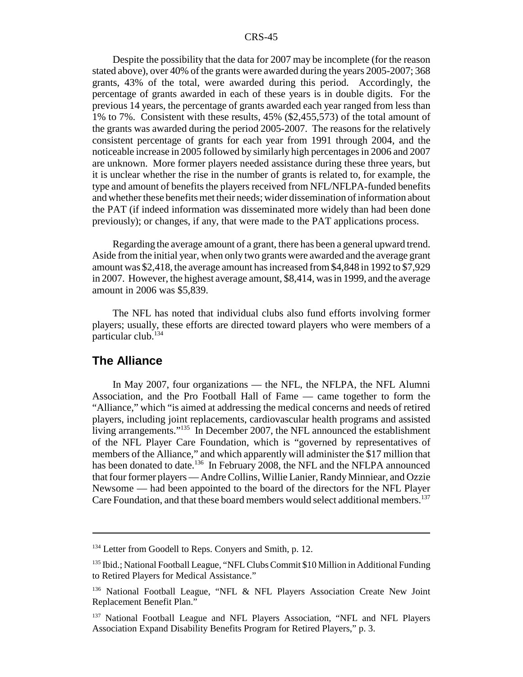Despite the possibility that the data for 2007 may be incomplete (for the reason stated above), over 40% of the grants were awarded during the years 2005-2007; 368 grants, 43% of the total, were awarded during this period. Accordingly, the percentage of grants awarded in each of these years is in double digits. For the previous 14 years, the percentage of grants awarded each year ranged from less than 1% to 7%. Consistent with these results, 45% (\$2,455,573) of the total amount of the grants was awarded during the period 2005-2007. The reasons for the relatively consistent percentage of grants for each year from 1991 through 2004, and the noticeable increase in 2005 followed by similarly high percentages in 2006 and 2007 are unknown. More former players needed assistance during these three years, but it is unclear whether the rise in the number of grants is related to, for example, the type and amount of benefits the players received from NFL/NFLPA-funded benefits and whether these benefits met their needs; wider dissemination of information about the PAT (if indeed information was disseminated more widely than had been done previously); or changes, if any, that were made to the PAT applications process.

Regarding the average amount of a grant, there has been a general upward trend. Aside from the initial year, when only two grants were awarded and the average grant amount was \$2,418, the average amount has increased from \$4,848 in 1992 to \$7,929 in 2007. However, the highest average amount, \$8,414, was in 1999, and the average amount in 2006 was \$5,839.

The NFL has noted that individual clubs also fund efforts involving former players; usually, these efforts are directed toward players who were members of a particular club.<sup>134</sup>

#### **The Alliance**

In May 2007, four organizations — the NFL, the NFLPA, the NFL Alumni Association, and the Pro Football Hall of Fame — came together to form the "Alliance," which "is aimed at addressing the medical concerns and needs of retired players, including joint replacements, cardiovascular health programs and assisted living arrangements."135 In December 2007, the NFL announced the establishment of the NFL Player Care Foundation, which is "governed by representatives of members of the Alliance," and which apparently will administer the \$17 million that has been donated to date.<sup>136</sup> In February 2008, the NFL and the NFLPA announced that four former players — Andre Collins, Willie Lanier, Randy Minniear, and Ozzie Newsome — had been appointed to the board of the directors for the NFL Player Care Foundation, and that these board members would select additional members.<sup>137</sup>

<sup>&</sup>lt;sup>134</sup> Letter from Goodell to Reps. Conyers and Smith, p. 12.

<sup>&</sup>lt;sup>135</sup> Ibid.; National Football League, "NFL Clubs Commit \$10 Million in Additional Funding to Retired Players for Medical Assistance."

<sup>136</sup> National Football League, "NFL & NFL Players Association Create New Joint Replacement Benefit Plan."

<sup>&</sup>lt;sup>137</sup> National Football League and NFL Players Association, "NFL and NFL Players Association Expand Disability Benefits Program for Retired Players," p. 3.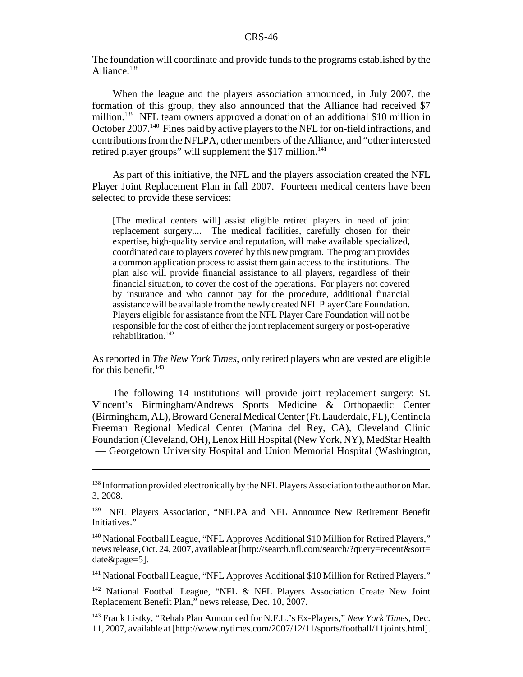The foundation will coordinate and provide funds to the programs established by the Alliance.<sup>138</sup>

When the league and the players association announced, in July 2007, the formation of this group, they also announced that the Alliance had received \$7 million.<sup>139</sup> NFL team owners approved a donation of an additional \$10 million in October 2007.<sup>140</sup> Fines paid by active players to the NFL for on-field infractions, and contributions from the NFLPA, other members of the Alliance, and "other interested retired player groups" will supplement the  $$17$  million.<sup>141</sup>

As part of this initiative, the NFL and the players association created the NFL Player Joint Replacement Plan in fall 2007. Fourteen medical centers have been selected to provide these services:

[The medical centers will] assist eligible retired players in need of joint replacement surgery.... The medical facilities, carefully chosen for their expertise, high-quality service and reputation, will make available specialized, coordinated care to players covered by this new program. The program provides a common application process to assist them gain access to the institutions. The plan also will provide financial assistance to all players, regardless of their financial situation, to cover the cost of the operations. For players not covered by insurance and who cannot pay for the procedure, additional financial assistance will be available from the newly created NFL Player Care Foundation. Players eligible for assistance from the NFL Player Care Foundation will not be responsible for the cost of either the joint replacement surgery or post-operative rehabilitation.142

As reported in *The New York Times*, only retired players who are vested are eligible for this benefit. $143$ 

The following 14 institutions will provide joint replacement surgery: St. Vincent's Birmingham/Andrews Sports Medicine & Orthopaedic Center (Birmingham, AL), Broward General Medical Center (Ft. Lauderdale, FL), Centinela Freeman Regional Medical Center (Marina del Rey, CA), Cleveland Clinic Foundation (Cleveland, OH), Lenox Hill Hospital (New York, NY), MedStar Health — Georgetown University Hospital and Union Memorial Hospital (Washington,

<sup>&</sup>lt;sup>138</sup> Information provided electronically by the NFL Players Association to the author on Mar. 3, 2008.

<sup>&</sup>lt;sup>139</sup> NFL Players Association, "NFLPA and NFL Announce New Retirement Benefit Initiatives."

<sup>&</sup>lt;sup>140</sup> National Football League, "NFL Approves Additional \$10 Million for Retired Players," news release, Oct. 24, 2007, available at [http://search.nfl.com/search/?query=recent&sort= date&page=5].

<sup>&</sup>lt;sup>141</sup> National Football League, "NFL Approves Additional \$10 Million for Retired Players."

<sup>&</sup>lt;sup>142</sup> National Football League, "NFL & NFL Players Association Create New Joint Replacement Benefit Plan," news release, Dec. 10, 2007.

<sup>143</sup> Frank Listky, "Rehab Plan Announced for N.F.L.'s Ex-Players," *New York Times*, Dec. 11, 2007, available at [http://www.nytimes.com/2007/12/11/sports/football/11joints.html].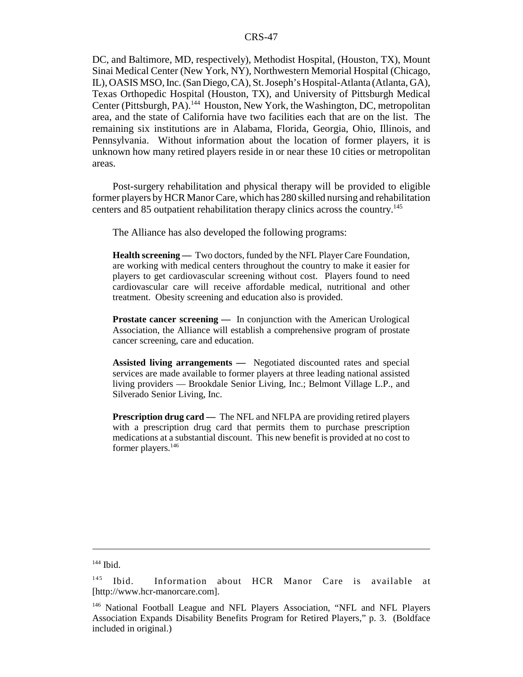DC, and Baltimore, MD, respectively), Methodist Hospital, (Houston, TX), Mount Sinai Medical Center (New York, NY), Northwestern Memorial Hospital (Chicago, IL), OASIS MSO, Inc. (San Diego, CA), St. Joseph's Hospital-Atlanta (Atlanta, GA), Texas Orthopedic Hospital (Houston, TX), and University of Pittsburgh Medical Center (Pittsburgh, PA).<sup>144</sup> Houston, New York, the Washington, DC, metropolitan area, and the state of California have two facilities each that are on the list. The remaining six institutions are in Alabama, Florida, Georgia, Ohio, Illinois, and Pennsylvania. Without information about the location of former players, it is unknown how many retired players reside in or near these 10 cities or metropolitan areas.

Post-surgery rehabilitation and physical therapy will be provided to eligible former players by HCR Manor Care, which has 280 skilled nursing and rehabilitation centers and 85 outpatient rehabilitation therapy clinics across the country.145

The Alliance has also developed the following programs:

**Health screening —** Two doctors, funded by the NFL Player Care Foundation, are working with medical centers throughout the country to make it easier for players to get cardiovascular screening without cost. Players found to need cardiovascular care will receive affordable medical, nutritional and other treatment. Obesity screening and education also is provided.

**Prostate cancer screening —**  In conjunction with the American Urological Association, the Alliance will establish a comprehensive program of prostate cancer screening, care and education.

**Assisted living arrangements —** Negotiated discounted rates and special services are made available to former players at three leading national assisted living providers — Brookdale Senior Living, Inc.; Belmont Village L.P., and Silverado Senior Living, Inc.

**Prescription drug card —** The NFL and NFLPA are providing retired players with a prescription drug card that permits them to purchase prescription medications at a substantial discount. This new benefit is provided at no cost to former players.<sup>146</sup>

<sup>&</sup>lt;sup>144</sup> Ibid.

<sup>145</sup> Ibid. Information about HCR Manor Care is available at [http://www.hcr-manorcare.com].

<sup>&</sup>lt;sup>146</sup> National Football League and NFL Players Association, "NFL and NFL Players Association Expands Disability Benefits Program for Retired Players," p. 3. (Boldface included in original.)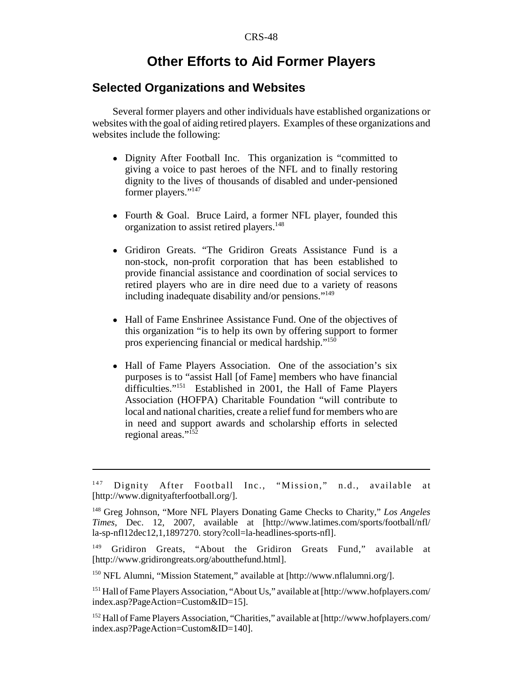## **Other Efforts to Aid Former Players**

#### **Selected Organizations and Websites**

Several former players and other individuals have established organizations or websites with the goal of aiding retired players. Examples of these organizations and websites include the following:

- ! Dignity After Football Inc. This organization is "committed to giving a voice to past heroes of the NFL and to finally restoring dignity to the lives of thousands of disabled and under-pensioned former players."<sup>147</sup>
- Fourth & Goal. Bruce Laird, a former NFL player, founded this organization to assist retired players.<sup>148</sup>
- ! Gridiron Greats. "The Gridiron Greats Assistance Fund is a non-stock, non-profit corporation that has been established to provide financial assistance and coordination of social services to retired players who are in dire need due to a variety of reasons including inadequate disability and/or pensions."149
- Hall of Fame Enshrinee Assistance Fund. One of the objectives of this organization "is to help its own by offering support to former pros experiencing financial or medical hardship."150
- Hall of Fame Players Association. One of the association's six purposes is to "assist Hall [of Fame] members who have financial difficulties."<sup>151</sup> Established in 2001, the Hall of Fame Players Association (HOFPA) Charitable Foundation "will contribute to local and national charities, create a relief fund for members who are in need and support awards and scholarship efforts in selected regional areas."<sup>152</sup>

<sup>&</sup>lt;sup>147</sup> Dignity After Football Inc., "Mission," n.d., available at [http://www.dignityafterfootball.org/].

<sup>148</sup> Greg Johnson, "More NFL Players Donating Game Checks to Charity," *Los Angeles Times*, Dec. 12, 2007, available at [http://www.latimes.com/sports/football/nfl/ la-sp-nfl12dec12,1,1897270. story?coll=la-headlines-sports-nfl].

<sup>&</sup>lt;sup>149</sup> Gridiron Greats, "About the Gridiron Greats Fund," available at [http://www.gridirongreats.org/aboutthefund.html].

<sup>150</sup> NFL Alumni, "Mission Statement," available at [http://www.nflalumni.org/].

<sup>151</sup> Hall of Fame Players Association, "About Us," available at [http://www.hofplayers.com/ index.asp?PageAction=Custom&ID=15].

<sup>152</sup> Hall of Fame Players Association, "Charities," available at [http://www.hofplayers.com/ index.asp?PageAction=Custom&ID=140].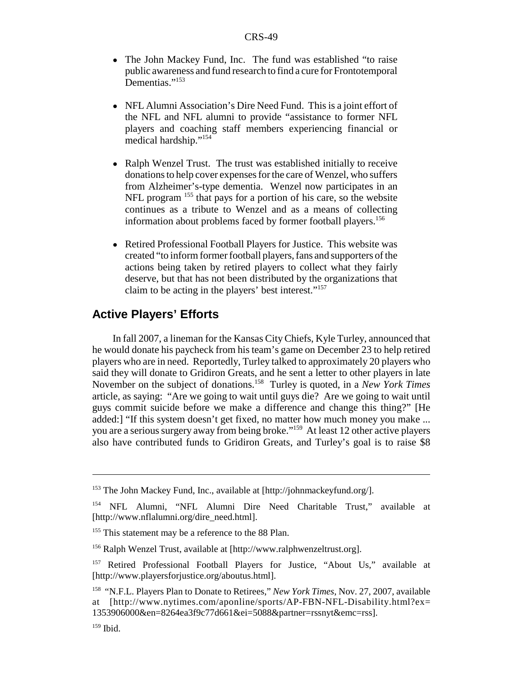- The John Mackey Fund, Inc. The fund was established "to raise" public awareness and fund research to find a cure for Frontotemporal Dementias."<sup>153</sup>
- NFL Alumni Association's Dire Need Fund. This is a joint effort of the NFL and NFL alumni to provide "assistance to former NFL players and coaching staff members experiencing financial or medical hardship."154
- Ralph Wenzel Trust. The trust was established initially to receive donations to help cover expenses for the care of Wenzel, who suffers from Alzheimer's-type dementia. Wenzel now participates in an NFL program <sup>155</sup> that pays for a portion of his care, so the website continues as a tribute to Wenzel and as a means of collecting information about problems faced by former football players.<sup>156</sup>
- ! Retired Professional Football Players for Justice. This website was created "to inform former football players, fans and supporters of the actions being taken by retired players to collect what they fairly deserve, but that has not been distributed by the organizations that claim to be acting in the players' best interest."157

### **Active Players' Efforts**

In fall 2007, a lineman for the Kansas City Chiefs, Kyle Turley, announced that he would donate his paycheck from his team's game on December 23 to help retired players who are in need. Reportedly, Turley talked to approximately 20 players who said they will donate to Gridiron Greats, and he sent a letter to other players in late November on the subject of donations.158 Turley is quoted, in a *New York Times* article, as saying: "Are we going to wait until guys die? Are we going to wait until guys commit suicide before we make a difference and change this thing?" [He added:] "If this system doesn't get fixed, no matter how much money you make ... you are a serious surgery away from being broke."159 At least 12 other active players also have contributed funds to Gridiron Greats, and Turley's goal is to raise \$8

<sup>153</sup> The John Mackey Fund, Inc., available at [http://johnmackeyfund.org/].

<sup>154</sup> NFL Alumni, "NFL Alumni Dire Need Charitable Trust," available at [http://www.nflalumni.org/dire\_need.html].

<sup>&</sup>lt;sup>155</sup> This statement may be a reference to the 88 Plan.

<sup>156</sup> Ralph Wenzel Trust, available at [http://www.ralphwenzeltrust.org].

<sup>&</sup>lt;sup>157</sup> Retired Professional Football Players for Justice, "About Us," available at [http://www.playersforjustice.org/aboutus.html].

<sup>158 &</sup>quot;N.F.L. Players Plan to Donate to Retirees," *New York Times*, Nov. 27, 2007, available at [http://www.nytimes.com/aponline/sports/AP-FBN-NFL-Disability.html?ex= 1353906000&en=8264ea3f9c77d661&ei=5088&partner=rssnyt&emc=rss].

 $159$  Ibid.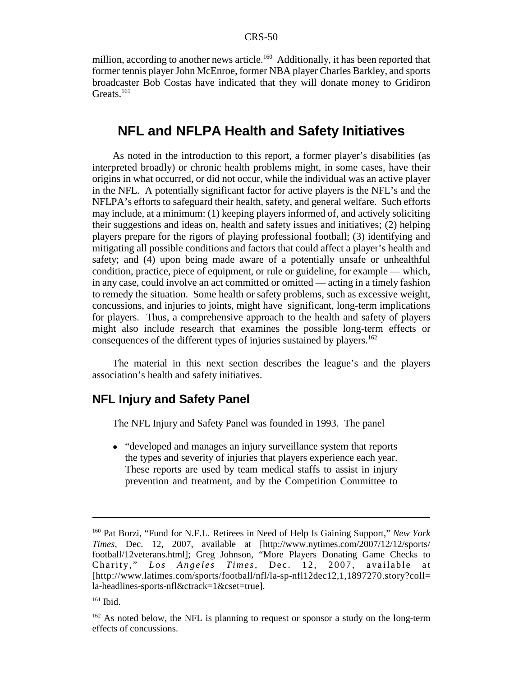million, according to another news article.<sup>160</sup> Additionally, it has been reported that former tennis player John McEnroe, former NBA player Charles Barkley, and sports broadcaster Bob Costas have indicated that they will donate money to Gridiron Greats.<sup>161</sup>

## **NFL and NFLPA Health and Safety Initiatives**

As noted in the introduction to this report, a former player's disabilities (as interpreted broadly) or chronic health problems might, in some cases, have their origins in what occurred, or did not occur, while the individual was an active player in the NFL. A potentially significant factor for active players is the NFL's and the NFLPA's efforts to safeguard their health, safety, and general welfare. Such efforts may include, at a minimum: (1) keeping players informed of, and actively soliciting their suggestions and ideas on, health and safety issues and initiatives; (2) helping players prepare for the rigors of playing professional football; (3) identifying and mitigating all possible conditions and factors that could affect a player's health and safety; and (4) upon being made aware of a potentially unsafe or unhealthful condition, practice, piece of equipment, or rule or guideline, for example — which, in any case, could involve an act committed or omitted — acting in a timely fashion to remedy the situation. Some health or safety problems, such as excessive weight, concussions, and injuries to joints, might have significant, long-term implications for players. Thus, a comprehensive approach to the health and safety of players might also include research that examines the possible long-term effects or consequences of the different types of injuries sustained by players.<sup>162</sup>

The material in this next section describes the league's and the players association's health and safety initiatives.

## **NFL Injury and Safety Panel**

The NFL Injury and Safety Panel was founded in 1993. The panel

• "developed and manages an injury surveillance system that reports the types and severity of injuries that players experience each year. These reports are used by team medical staffs to assist in injury prevention and treatment, and by the Competition Committee to

<sup>160</sup> Pat Borzi, "Fund for N.F.L. Retirees in Need of Help Is Gaining Support," *New York Times*, Dec. 12, 2007, available at [http://www.nytimes.com/2007/12/12/sports/ football/12veterans.html]; Greg Johnson, "More Players Donating Game Checks to Charity," *Los Angeles Times*, Dec. 12, 2007, available at [http://www.latimes.com/sports/football/nfl/la-sp-nfl12dec12,1,1897270.story?coll= la-headlines-sports-nfl&ctrack=1&cset=true].

 $161$  Ibid.

 $162$  As noted below, the NFL is planning to request or sponsor a study on the long-term effects of concussions.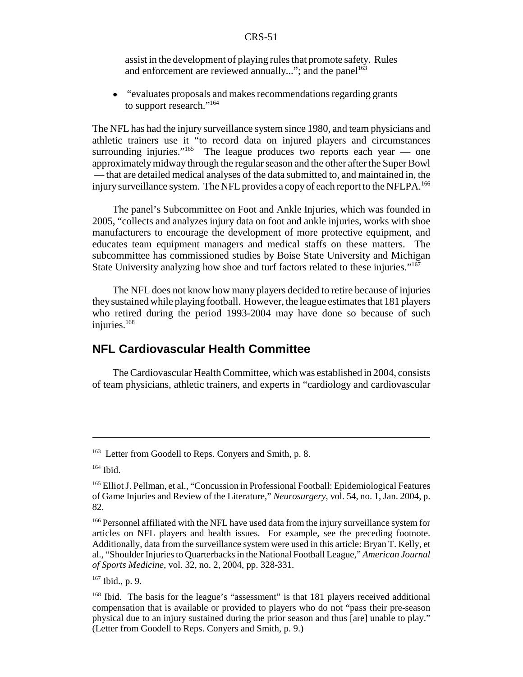assist in the development of playing rules that promote safety. Rules and enforcement are reviewed annually..."; and the panel<sup>163</sup>

! "evaluates proposals and makes recommendations regarding grants to support research."<sup>164</sup>

The NFL has had the injury surveillance system since 1980, and team physicians and athletic trainers use it "to record data on injured players and circumstances surrounding injuries."<sup>165</sup> The league produces two reports each year — one approximately midway through the regular season and the other after the Super Bowl — that are detailed medical analyses of the data submitted to, and maintained in, the injury surveillance system. The NFL provides a copy of each report to the NFLPA.<sup>166</sup>

The panel's Subcommittee on Foot and Ankle Injuries, which was founded in 2005, "collects and analyzes injury data on foot and ankle injuries, works with shoe manufacturers to encourage the development of more protective equipment, and educates team equipment managers and medical staffs on these matters. The subcommittee has commissioned studies by Boise State University and Michigan State University analyzing how shoe and turf factors related to these injuries."167

The NFL does not know how many players decided to retire because of injuries they sustained while playing football. However, the league estimates that 181 players who retired during the period 1993-2004 may have done so because of such injuries.<sup>168</sup>

## **NFL Cardiovascular Health Committee**

The Cardiovascular Health Committee, which was established in 2004, consists of team physicians, athletic trainers, and experts in "cardiology and cardiovascular

<sup>&</sup>lt;sup>163</sup> Letter from Goodell to Reps. Conyers and Smith, p. 8.

 $164$  Ibid.

<sup>&</sup>lt;sup>165</sup> Elliot J. Pellman, et al., "Concussion in Professional Football: Epidemiological Features of Game Injuries and Review of the Literature," *Neurosurgery*, vol. 54, no. 1, Jan. 2004, p. 82.

<sup>&</sup>lt;sup>166</sup> Personnel affiliated with the NFL have used data from the injury surveillance system for articles on NFL players and health issues. For example, see the preceding footnote. Additionally, data from the surveillance system were used in this article: Bryan T. Kelly, et al., "Shoulder Injuries to Quarterbacks in the National Football League," *American Journal of Sports Medicine*, vol. 32, no. 2, 2004, pp. 328-331.

<sup>167</sup> Ibid., p. 9.

<sup>&</sup>lt;sup>168</sup> Ibid. The basis for the league's "assessment" is that 181 players received additional compensation that is available or provided to players who do not "pass their pre-season physical due to an injury sustained during the prior season and thus [are] unable to play." (Letter from Goodell to Reps. Conyers and Smith, p. 9.)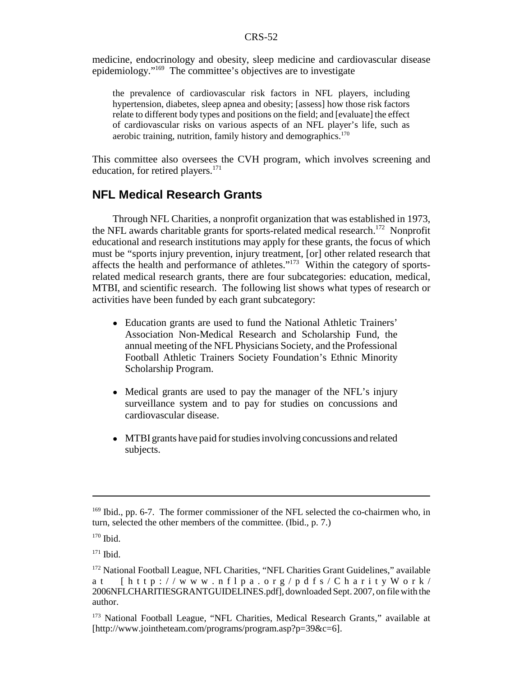medicine, endocrinology and obesity, sleep medicine and cardiovascular disease epidemiology."169 The committee's objectives are to investigate

the prevalence of cardiovascular risk factors in NFL players, including hypertension, diabetes, sleep apnea and obesity; [assess] how those risk factors relate to different body types and positions on the field; and [evaluate] the effect of cardiovascular risks on various aspects of an NFL player's life, such as aerobic training, nutrition, family history and demographics.<sup>170</sup>

This committee also oversees the CVH program, which involves screening and education, for retired players. $171$ 

### **NFL Medical Research Grants**

Through NFL Charities, a nonprofit organization that was established in 1973, the NFL awards charitable grants for sports-related medical research.172 Nonprofit educational and research institutions may apply for these grants, the focus of which must be "sports injury prevention, injury treatment, [or] other related research that affects the health and performance of athletes."173 Within the category of sportsrelated medical research grants, there are four subcategories: education, medical, MTBI, and scientific research. The following list shows what types of research or activities have been funded by each grant subcategory:

- Education grants are used to fund the National Athletic Trainers' Association Non-Medical Research and Scholarship Fund, the annual meeting of the NFL Physicians Society, and the Professional Football Athletic Trainers Society Foundation's Ethnic Minority Scholarship Program.
- Medical grants are used to pay the manager of the NFL's injury surveillance system and to pay for studies on concussions and cardiovascular disease.
- ! MTBI grants have paid for studies involving concussions and related subjects.

<sup>&</sup>lt;sup>169</sup> Ibid., pp. 6-7. The former commissioner of the NFL selected the co-chairmen who, in turn, selected the other members of the committee. (Ibid., p. 7.)

 $170$  Ibid.

 $171$  Ibid.

<sup>172</sup> National Football League, NFL Charities, "NFL Charities Grant Guidelines," available at [http://www.nflpa.org/pdfs/CharityWork/ 2006NFLCHARITIESGRANTGUIDELINES.pdf], downloaded Sept. 2007, on file with the author.

<sup>&</sup>lt;sup>173</sup> National Football League, "NFL Charities, Medical Research Grants," available at [http://www.jointheteam.com/programs/program.asp?p=39&c=6].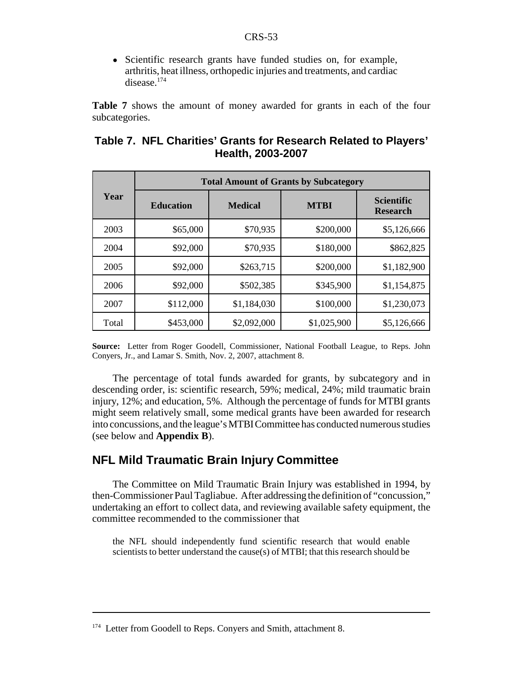! Scientific research grants have funded studies on, for example, arthritis, heat illness, orthopedic injuries and treatments, and cardiac disease.174

**Table 7** shows the amount of money awarded for grants in each of the four subcategories.

|       | <b>Total Amount of Grants by Subcategory</b> |                |             |                                      |  |  |  |  |  |  |  |
|-------|----------------------------------------------|----------------|-------------|--------------------------------------|--|--|--|--|--|--|--|
| Year  | <b>Education</b>                             | <b>Medical</b> | <b>MTBI</b> | <b>Scientific</b><br><b>Research</b> |  |  |  |  |  |  |  |
| 2003  | \$65,000                                     | \$70,935       | \$200,000   | \$5,126,666                          |  |  |  |  |  |  |  |
| 2004  | \$92,000                                     | \$70,935       | \$180,000   | \$862,825                            |  |  |  |  |  |  |  |
| 2005  | \$92,000                                     | \$263,715      | \$200,000   | \$1,182,900                          |  |  |  |  |  |  |  |
| 2006  | \$92,000                                     | \$502,385      | \$345,900   | \$1,154,875                          |  |  |  |  |  |  |  |
| 2007  | \$112,000                                    | \$1,184,030    | \$100,000   | \$1,230,073                          |  |  |  |  |  |  |  |
| Total | \$453,000                                    | \$2,092,000    | \$1,025,900 | \$5,126,666                          |  |  |  |  |  |  |  |

#### **Table 7. NFL Charities' Grants for Research Related to Players' Health, 2003-2007**

**Source:** Letter from Roger Goodell, Commissioner, National Football League, to Reps. John Conyers, Jr., and Lamar S. Smith, Nov. 2, 2007, attachment 8.

The percentage of total funds awarded for grants, by subcategory and in descending order, is: scientific research, 59%; medical, 24%; mild traumatic brain injury, 12%; and education, 5%. Although the percentage of funds for MTBI grants might seem relatively small, some medical grants have been awarded for research into concussions, and the league's MTBI Committee has conducted numerous studies (see below and **Appendix B**).

## **NFL Mild Traumatic Brain Injury Committee**

The Committee on Mild Traumatic Brain Injury was established in 1994, by then-Commissioner Paul Tagliabue. After addressing the definition of "concussion," undertaking an effort to collect data, and reviewing available safety equipment, the committee recommended to the commissioner that

the NFL should independently fund scientific research that would enable scientists to better understand the cause(s) of MTBI; that this research should be

<sup>&</sup>lt;sup>174</sup> Letter from Goodell to Reps. Conyers and Smith, attachment 8.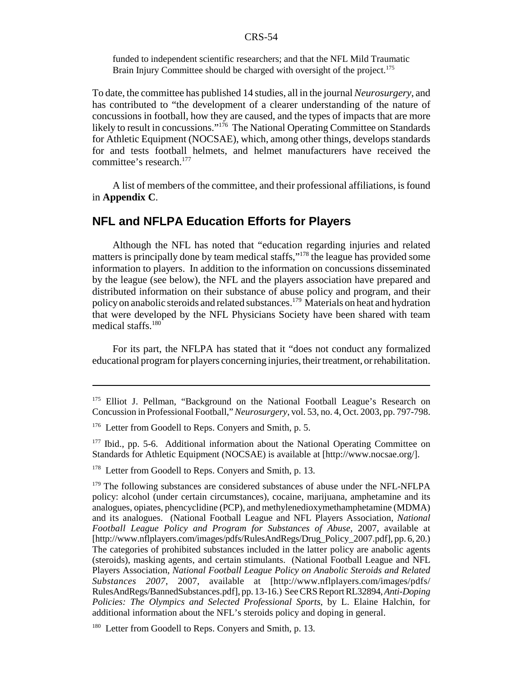funded to independent scientific researchers; and that the NFL Mild Traumatic Brain Injury Committee should be charged with oversight of the project.<sup>175</sup>

To date, the committee has published 14 studies, all in the journal *Neurosurgery*, and has contributed to "the development of a clearer understanding of the nature of concussions in football, how they are caused, and the types of impacts that are more likely to result in concussions."<sup>176</sup> The National Operating Committee on Standards for Athletic Equipment (NOCSAE), which, among other things, develops standards for and tests football helmets, and helmet manufacturers have received the committee's research.177

A list of members of the committee, and their professional affiliations, is found in **Appendix C**.

### **NFL and NFLPA Education Efforts for Players**

Although the NFL has noted that "education regarding injuries and related matters is principally done by team medical staffs,"178 the league has provided some information to players. In addition to the information on concussions disseminated by the league (see below), the NFL and the players association have prepared and distributed information on their substance of abuse policy and program, and their policy on anabolic steroids and related substances.179 Materials on heat and hydration that were developed by the NFL Physicians Society have been shared with team medical staffs.<sup>180</sup>

For its part, the NFLPA has stated that it "does not conduct any formalized educational program for players concerning injuries, their treatment, or rehabilitation.

<sup>&</sup>lt;sup>175</sup> Elliot J. Pellman, "Background on the National Football League's Research on Concussion in Professional Football," *Neurosurgery*, vol. 53, no. 4, Oct. 2003, pp. 797-798.

<sup>&</sup>lt;sup>176</sup> Letter from Goodell to Reps. Conyers and Smith, p. 5.

<sup>&</sup>lt;sup>177</sup> Ibid., pp. 5-6. Additional information about the National Operating Committee on Standards for Athletic Equipment (NOCSAE) is available at [http://www.nocsae.org/].

<sup>&</sup>lt;sup>178</sup> Letter from Goodell to Reps. Conyers and Smith, p. 13.

<sup>&</sup>lt;sup>179</sup> The following substances are considered substances of abuse under the NFL-NFLPA policy: alcohol (under certain circumstances), cocaine, marijuana, amphetamine and its analogues, opiates, phencyclidine (PCP), and methylenedioxymethamphetamine (MDMA) and its analogues. (National Football League and NFL Players Association, *National Football League Policy and Program for Substances of Abuse*, 2007, available at [http://www.nflplayers.com/images/pdfs/RulesAndRegs/Drug\_Policy\_2007.pdf], pp. 6, 20.) The categories of prohibited substances included in the latter policy are anabolic agents (steroids), masking agents, and certain stimulants. (National Football League and NFL Players Association, *National Football League Policy on Anabolic Steroids and Related Substances 2007*, 2007, available at [http://www.nflplayers.com/images/pdfs/ RulesAndRegs/BannedSubstances.pdf], pp. 13-16.) See CRS Report RL32894, *Anti-Doping Policies: The Olympics and Selected Professional Sports*, by L. Elaine Halchin, for additional information about the NFL's steroids policy and doping in general.

<sup>&</sup>lt;sup>180</sup> Letter from Goodell to Reps. Convers and Smith, p. 13.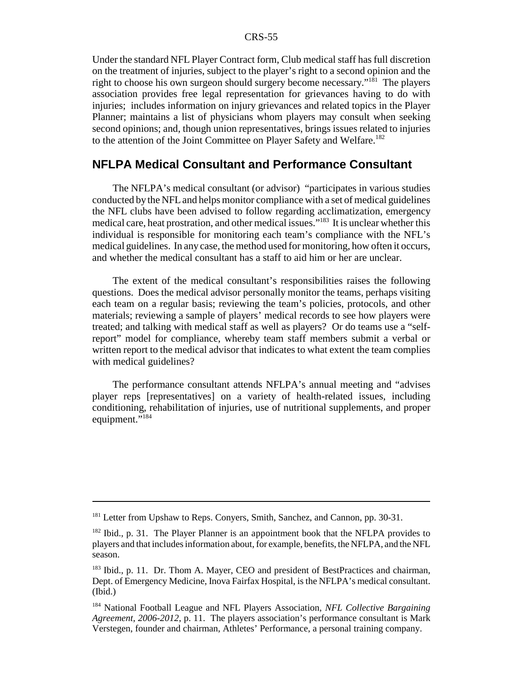Under the standard NFL Player Contract form, Club medical staff has full discretion on the treatment of injuries, subject to the player's right to a second opinion and the right to choose his own surgeon should surgery become necessary."181 The players association provides free legal representation for grievances having to do with injuries; includes information on injury grievances and related topics in the Player Planner; maintains a list of physicians whom players may consult when seeking second opinions; and, though union representatives, brings issues related to injuries to the attention of the Joint Committee on Player Safety and Welfare.<sup>182</sup>

#### **NFLPA Medical Consultant and Performance Consultant**

The NFLPA's medical consultant (or advisor) "participates in various studies conducted by the NFL and helps monitor compliance with a set of medical guidelines the NFL clubs have been advised to follow regarding acclimatization, emergency medical care, heat prostration, and other medical issues."183 It is unclear whether this individual is responsible for monitoring each team's compliance with the NFL's medical guidelines. In any case, the method used for monitoring, how often it occurs, and whether the medical consultant has a staff to aid him or her are unclear.

The extent of the medical consultant's responsibilities raises the following questions. Does the medical advisor personally monitor the teams, perhaps visiting each team on a regular basis; reviewing the team's policies, protocols, and other materials; reviewing a sample of players' medical records to see how players were treated; and talking with medical staff as well as players? Or do teams use a "selfreport" model for compliance, whereby team staff members submit a verbal or written report to the medical advisor that indicates to what extent the team complies with medical guidelines?

The performance consultant attends NFLPA's annual meeting and "advises player reps [representatives] on a variety of health-related issues, including conditioning, rehabilitation of injuries, use of nutritional supplements, and proper equipment."<sup>184</sup>

<sup>&</sup>lt;sup>181</sup> Letter from Upshaw to Reps. Convers, Smith, Sanchez, and Cannon, pp. 30-31.

<sup>&</sup>lt;sup>182</sup> Ibid., p. 31. The Player Planner is an appointment book that the NFLPA provides to players and that includes information about, for example, benefits, the NFLPA, and the NFL season.

<sup>&</sup>lt;sup>183</sup> Ibid., p. 11. Dr. Thom A. Mayer, CEO and president of BestPractices and chairman, Dept. of Emergency Medicine, Inova Fairfax Hospital, is the NFLPA's medical consultant. (Ibid.)

<sup>184</sup> National Football League and NFL Players Association, *NFL Collective Bargaining Agreement, 2006-2012*, p. 11. The players association's performance consultant is Mark Verstegen, founder and chairman, Athletes' Performance, a personal training company.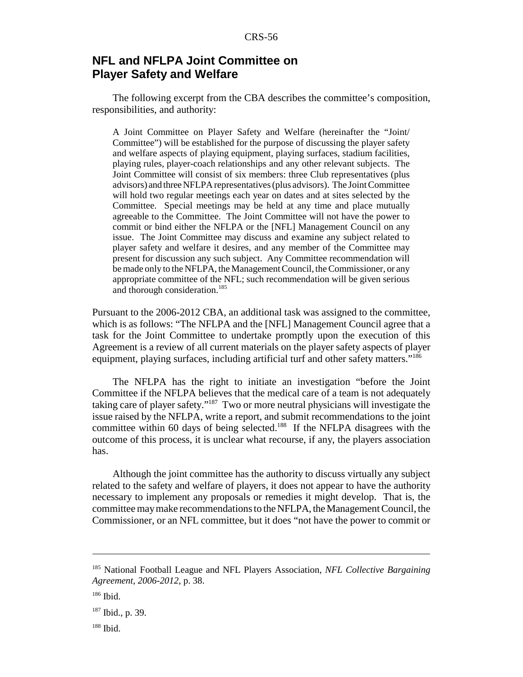### **NFL and NFLPA Joint Committee on Player Safety and Welfare**

The following excerpt from the CBA describes the committee's composition, responsibilities, and authority:

A Joint Committee on Player Safety and Welfare (hereinafter the "Joint/ Committee") will be established for the purpose of discussing the player safety and welfare aspects of playing equipment, playing surfaces, stadium facilities, playing rules, player-coach relationships and any other relevant subjects. The Joint Committee will consist of six members: three Club representatives (plus advisors) and three NFLPA representatives (plus advisors). The Joint Committee will hold two regular meetings each year on dates and at sites selected by the Committee. Special meetings may be held at any time and place mutually agreeable to the Committee. The Joint Committee will not have the power to commit or bind either the NFLPA or the [NFL] Management Council on any issue. The Joint Committee may discuss and examine any subject related to player safety and welfare it desires, and any member of the Committee may present for discussion any such subject. Any Committee recommendation will be made only to the NFLPA, the Management Council, the Commissioner, or any appropriate committee of the NFL; such recommendation will be given serious and thorough consideration.<sup>185</sup>

Pursuant to the 2006-2012 CBA, an additional task was assigned to the committee, which is as follows: "The NFLPA and the [NFL] Management Council agree that a task for the Joint Committee to undertake promptly upon the execution of this Agreement is a review of all current materials on the player safety aspects of player equipment, playing surfaces, including artificial turf and other safety matters."<sup>186</sup>

The NFLPA has the right to initiate an investigation "before the Joint Committee if the NFLPA believes that the medical care of a team is not adequately taking care of player safety."187 Two or more neutral physicians will investigate the issue raised by the NFLPA, write a report, and submit recommendations to the joint committee within 60 days of being selected.<sup>188</sup> If the NFLPA disagrees with the outcome of this process, it is unclear what recourse, if any, the players association has.

Although the joint committee has the authority to discuss virtually any subject related to the safety and welfare of players, it does not appear to have the authority necessary to implement any proposals or remedies it might develop. That is, the committee may make recommendations to the NFLPA, the Management Council, the Commissioner, or an NFL committee, but it does "not have the power to commit or

<sup>185</sup> National Football League and NFL Players Association, *NFL Collective Bargaining Agreement, 2006-2012*, p. 38.

 $186$  Ibid.

 $187$  Ibid., p. 39.

 $188$  Ibid.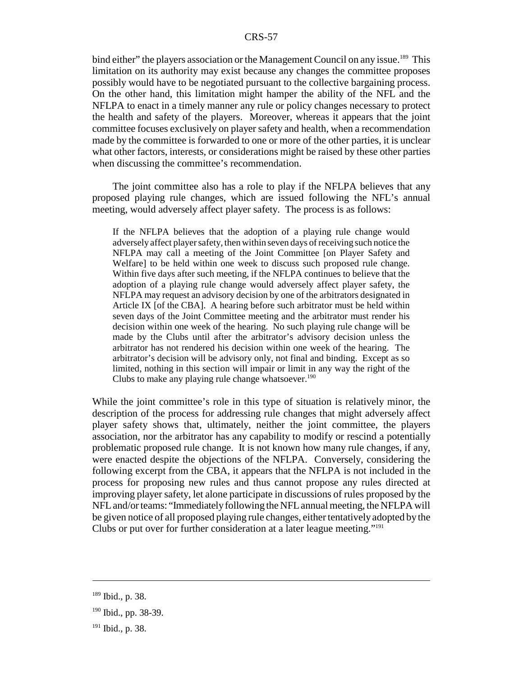bind either" the players association or the Management Council on any issue.<sup>189</sup> This limitation on its authority may exist because any changes the committee proposes possibly would have to be negotiated pursuant to the collective bargaining process. On the other hand, this limitation might hamper the ability of the NFL and the NFLPA to enact in a timely manner any rule or policy changes necessary to protect the health and safety of the players. Moreover, whereas it appears that the joint committee focuses exclusively on player safety and health, when a recommendation made by the committee is forwarded to one or more of the other parties, it is unclear what other factors, interests, or considerations might be raised by these other parties when discussing the committee's recommendation.

The joint committee also has a role to play if the NFLPA believes that any proposed playing rule changes, which are issued following the NFL's annual meeting, would adversely affect player safety. The process is as follows:

If the NFLPA believes that the adoption of a playing rule change would adversely affect player safety, then within seven days of receiving such notice the NFLPA may call a meeting of the Joint Committee [on Player Safety and Welfare] to be held within one week to discuss such proposed rule change. Within five days after such meeting, if the NFLPA continues to believe that the adoption of a playing rule change would adversely affect player safety, the NFLPA may request an advisory decision by one of the arbitrators designated in Article IX [of the CBA]. A hearing before such arbitrator must be held within seven days of the Joint Committee meeting and the arbitrator must render his decision within one week of the hearing. No such playing rule change will be made by the Clubs until after the arbitrator's advisory decision unless the arbitrator has not rendered his decision within one week of the hearing. The arbitrator's decision will be advisory only, not final and binding. Except as so limited, nothing in this section will impair or limit in any way the right of the Clubs to make any playing rule change whatsoever.<sup>190</sup>

While the joint committee's role in this type of situation is relatively minor, the description of the process for addressing rule changes that might adversely affect player safety shows that, ultimately, neither the joint committee, the players association, nor the arbitrator has any capability to modify or rescind a potentially problematic proposed rule change. It is not known how many rule changes, if any, were enacted despite the objections of the NFLPA. Conversely, considering the following excerpt from the CBA, it appears that the NFLPA is not included in the process for proposing new rules and thus cannot propose any rules directed at improving player safety, let alone participate in discussions of rules proposed by the NFL and/or teams: "Immediately following the NFL annual meeting, the NFLPA will be given notice of all proposed playing rule changes, either tentatively adopted by the Clubs or put over for further consideration at a later league meeting."191

<sup>189</sup> Ibid., p. 38.

<sup>190</sup> Ibid., pp. 38-39.

<sup>&</sup>lt;sup>191</sup> Ibid., p. 38.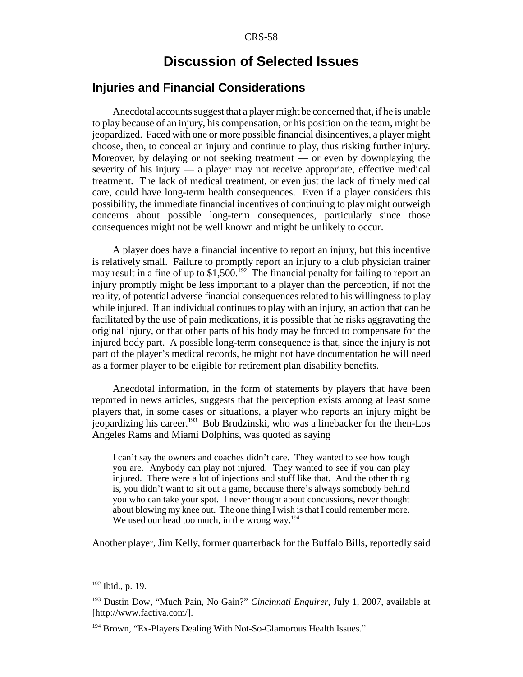## **Discussion of Selected Issues**

#### **Injuries and Financial Considerations**

Anecdotal accounts suggest that a player might be concerned that, if he is unable to play because of an injury, his compensation, or his position on the team, might be jeopardized. Faced with one or more possible financial disincentives, a player might choose, then, to conceal an injury and continue to play, thus risking further injury. Moreover, by delaying or not seeking treatment — or even by downplaying the severity of his injury — a player may not receive appropriate, effective medical treatment. The lack of medical treatment, or even just the lack of timely medical care, could have long-term health consequences. Even if a player considers this possibility, the immediate financial incentives of continuing to play might outweigh concerns about possible long-term consequences, particularly since those consequences might not be well known and might be unlikely to occur.

A player does have a financial incentive to report an injury, but this incentive is relatively small. Failure to promptly report an injury to a club physician trainer may result in a fine of up to  $$1,500$ <sup>192</sup>. The financial penalty for failing to report an injury promptly might be less important to a player than the perception, if not the reality, of potential adverse financial consequences related to his willingness to play while injured. If an individual continues to play with an injury, an action that can be facilitated by the use of pain medications, it is possible that he risks aggravating the original injury, or that other parts of his body may be forced to compensate for the injured body part. A possible long-term consequence is that, since the injury is not part of the player's medical records, he might not have documentation he will need as a former player to be eligible for retirement plan disability benefits.

Anecdotal information, in the form of statements by players that have been reported in news articles, suggests that the perception exists among at least some players that, in some cases or situations, a player who reports an injury might be ieopardizing his career.<sup>193</sup> Bob Brudzinski, who was a linebacker for the then-Los Angeles Rams and Miami Dolphins, was quoted as saying

I can't say the owners and coaches didn't care. They wanted to see how tough you are. Anybody can play not injured. They wanted to see if you can play injured. There were a lot of injections and stuff like that. And the other thing is, you didn't want to sit out a game, because there's always somebody behind you who can take your spot. I never thought about concussions, never thought about blowing my knee out. The one thing I wish is that I could remember more. We used our head too much, in the wrong way.<sup>194</sup>

Another player, Jim Kelly, former quarterback for the Buffalo Bills, reportedly said

<sup>192</sup> Ibid., p. 19.

<sup>193</sup> Dustin Dow, "Much Pain, No Gain?" *Cincinnati Enquirer*, July 1, 2007, available at [http://www.factiva.com/].

<sup>&</sup>lt;sup>194</sup> Brown, "Ex-Players Dealing With Not-So-Glamorous Health Issues."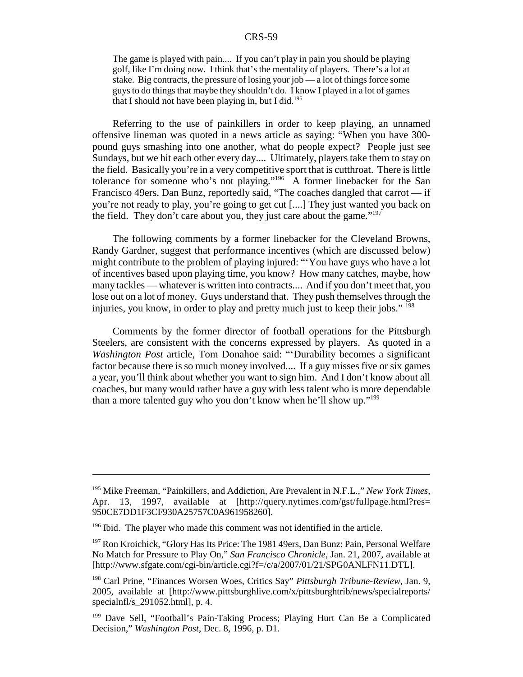The game is played with pain.... If you can't play in pain you should be playing golf, like I'm doing now. I think that's the mentality of players. There's a lot at stake. Big contracts, the pressure of losing your job — a lot of things force some guys to do things that maybe they shouldn't do. I know I played in a lot of games that I should not have been playing in, but I did.<sup>195</sup>

Referring to the use of painkillers in order to keep playing, an unnamed offensive lineman was quoted in a news article as saying: "When you have 300 pound guys smashing into one another, what do people expect? People just see Sundays, but we hit each other every day.... Ultimately, players take them to stay on the field. Basically you're in a very competitive sport that is cutthroat. There is little tolerance for someone who's not playing."<sup>196</sup> A former linebacker for the San Francisco 49ers, Dan Bunz, reportedly said, "The coaches dangled that carrot — if you're not ready to play, you're going to get cut [....] They just wanted you back on the field. They don't care about you, they just care about the game."<sup>197</sup>

The following comments by a former linebacker for the Cleveland Browns, Randy Gardner, suggest that performance incentives (which are discussed below) might contribute to the problem of playing injured: "'You have guys who have a lot of incentives based upon playing time, you know? How many catches, maybe, how many tackles — whatever is written into contracts.... And if you don't meet that, you lose out on a lot of money. Guys understand that. They push themselves through the injuries, you know, in order to play and pretty much just to keep their jobs." 198

Comments by the former director of football operations for the Pittsburgh Steelers, are consistent with the concerns expressed by players. As quoted in a *Washington Post* article, Tom Donahoe said: "'Durability becomes a significant factor because there is so much money involved.... If a guy misses five or six games a year, you'll think about whether you want to sign him. And I don't know about all coaches, but many would rather have a guy with less talent who is more dependable than a more talented guy who you don't know when he'll show up."<sup>199</sup>

<sup>195</sup> Mike Freeman, "Painkillers, and Addiction, Are Prevalent in N.F.L.," *New York Times,* Apr. 13, 1997, available at [http://query.nytimes.com/gst/fullpage.html?res= 950CE7DD1F3CF930A25757C0A961958260].

 $196$  Ibid. The player who made this comment was not identified in the article.

<sup>197</sup> Ron Kroichick, "Glory Has Its Price: The 1981 49ers, Dan Bunz: Pain, Personal Welfare No Match for Pressure to Play On," *San Francisco Chronicle*, Jan. 21, 2007, available at [http://www.sfgate.com/cgi-bin/article.cgi?f=/c/a/2007/01/21/SPG0ANLFN11.DTL].

<sup>198</sup> Carl Prine, "Finances Worsen Woes, Critics Say" *Pittsburgh Tribune-Review*, Jan. 9, 2005, available at [http://www.pittsburghlive.com/x/pittsburghtrib/news/specialreports/ specialnfl/s\_291052.html], p. 4.

<sup>&</sup>lt;sup>199</sup> Dave Sell, "Football's Pain-Taking Process; Playing Hurt Can Be a Complicated Decision," *Washington Post*, Dec. 8, 1996, p. D1.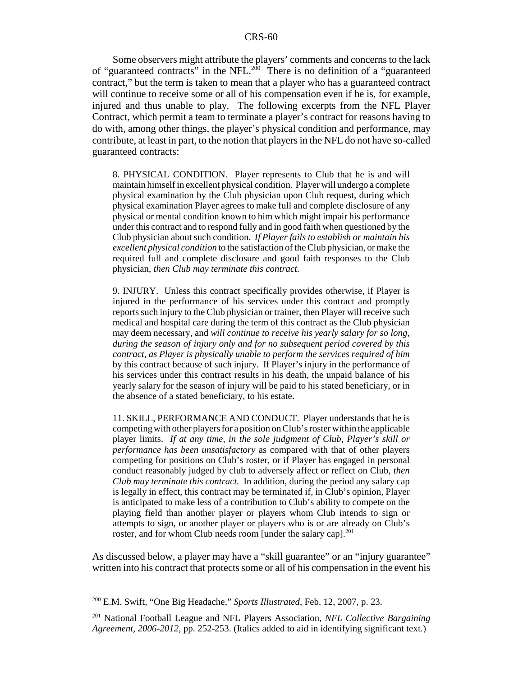Some observers might attribute the players' comments and concerns to the lack of "guaranteed contracts" in the NFL.<sup>200</sup> There is no definition of a "guaranteed" contract," but the term is taken to mean that a player who has a guaranteed contract will continue to receive some or all of his compensation even if he is, for example, injured and thus unable to play. The following excerpts from the NFL Player Contract, which permit a team to terminate a player's contract for reasons having to do with, among other things, the player's physical condition and performance, may contribute, at least in part, to the notion that players in the NFL do not have so-called guaranteed contracts:

8. PHYSICAL CONDITION. Player represents to Club that he is and will maintain himself in excellent physical condition. Player will undergo a complete physical examination by the Club physician upon Club request, during which physical examination Player agrees to make full and complete disclosure of any physical or mental condition known to him which might impair his performance under this contract and to respond fully and in good faith when questioned by the Club physician about such condition. *If Player fails to establish or maintain his excellent physical condition* to the satisfaction of the Club physician, or make the required full and complete disclosure and good faith responses to the Club physician, *then Club may terminate this contract.*

9. INJURY. Unless this contract specifically provides otherwise, if Player is injured in the performance of his services under this contract and promptly reports such injury to the Club physician or trainer, then Player will receive such medical and hospital care during the term of this contract as the Club physician may deem necessary, and *will continue to receive his yearly salary for so long, during the season of injury only and for no subsequent period covered by this contract, as Player is physically unable to perform the services required of him* by this contract because of such injury. If Player's injury in the performance of his services under this contract results in his death, the unpaid balance of his yearly salary for the season of injury will be paid to his stated beneficiary, or in the absence of a stated beneficiary, to his estate.

11. SKILL, PERFORMANCE AND CONDUCT. Player understands that he is competing with other players for a position on Club's roster within the applicable player limits. *If at any time, in the sole judgment of Club, Player's skill or performance has been unsatisfactory* as compared with that of other players competing for positions on Club's roster, or if Player has engaged in personal conduct reasonably judged by club to adversely affect or reflect on Club, *then Club may terminate this contract.* In addition, during the period any salary cap is legally in effect, this contract may be terminated if, in Club's opinion, Player is anticipated to make less of a contribution to Club's ability to compete on the playing field than another player or players whom Club intends to sign or attempts to sign, or another player or players who is or are already on Club's roster, and for whom Club needs room [under the salary cap].<sup>201</sup>

As discussed below, a player may have a "skill guarantee" or an "injury guarantee" written into his contract that protects some or all of his compensation in the event his

<sup>200</sup> E.M. Swift, "One Big Headache," *Sports Illustrated*, Feb. 12, 2007, p. 23.

<sup>201</sup> National Football League and NFL Players Association, *NFL Collective Bargaining Agreement, 2006-2012*, pp. 252-253. (Italics added to aid in identifying significant text.)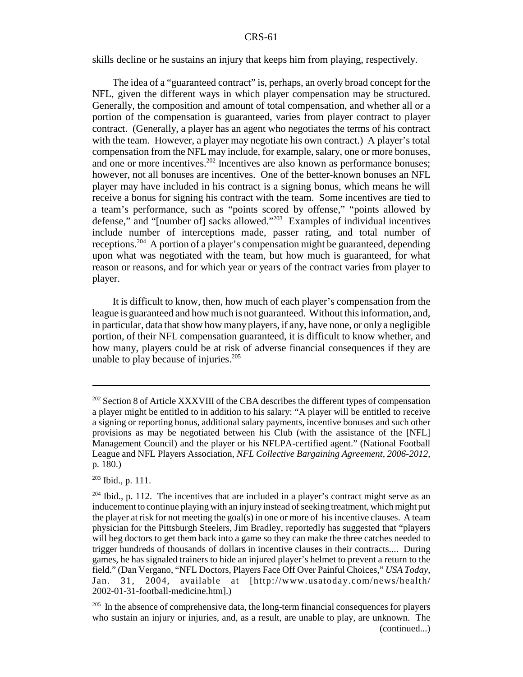skills decline or he sustains an injury that keeps him from playing, respectively.

The idea of a "guaranteed contract" is, perhaps, an overly broad concept for the NFL, given the different ways in which player compensation may be structured. Generally, the composition and amount of total compensation, and whether all or a portion of the compensation is guaranteed, varies from player contract to player contract. (Generally, a player has an agent who negotiates the terms of his contract with the team. However, a player may negotiate his own contract.) A player's total compensation from the NFL may include, for example, salary, one or more bonuses, and one or more incentives.<sup>202</sup> Incentives are also known as performance bonuses; however, not all bonuses are incentives. One of the better-known bonuses an NFL player may have included in his contract is a signing bonus, which means he will receive a bonus for signing his contract with the team. Some incentives are tied to a team's performance, such as "points scored by offense," "points allowed by defense," and "[number of] sacks allowed."203 Examples of individual incentives include number of interceptions made, passer rating, and total number of receptions.204 A portion of a player's compensation might be guaranteed, depending upon what was negotiated with the team, but how much is guaranteed, for what reason or reasons, and for which year or years of the contract varies from player to player.

It is difficult to know, then, how much of each player's compensation from the league is guaranteed and how much is not guaranteed. Without this information, and, in particular, data that show how many players, if any, have none, or only a negligible portion, of their NFL compensation guaranteed, it is difficult to know whether, and how many, players could be at risk of adverse financial consequences if they are unable to play because of injuries. $205$ 

 $^{202}$  Section 8 of Article XXXVIII of the CBA describes the different types of compensation a player might be entitled to in addition to his salary: "A player will be entitled to receive a signing or reporting bonus, additional salary payments, incentive bonuses and such other provisions as may be negotiated between his Club (with the assistance of the [NFL] Management Council) and the player or his NFLPA-certified agent." (National Football League and NFL Players Association, *NFL Collective Bargaining Agreement, 2006-2012*, p. 180.)

 $203$  Ibid., p. 111.

 $204$  Ibid., p. 112. The incentives that are included in a player's contract might serve as an inducement to continue playing with an injury instead of seeking treatment, which might put the player at risk for not meeting the goal(s) in one or more of his incentive clauses. A team physician for the Pittsburgh Steelers, Jim Bradley, reportedly has suggested that "players will beg doctors to get them back into a game so they can make the three catches needed to trigger hundreds of thousands of dollars in incentive clauses in their contracts.... During games, he has signaled trainers to hide an injured player's helmet to prevent a return to the field." (Dan Vergano, "NFL Doctors, Players Face Off Over Painful Choices," *USA Today*, Jan. 31, 2004, available at [http://www.usatoday.com/news/health/ 2002-01-31-football-medicine.htm].)

 $205$  In the absence of comprehensive data, the long-term financial consequences for players who sustain an injury or injuries, and, as a result, are unable to play, are unknown. The (continued...)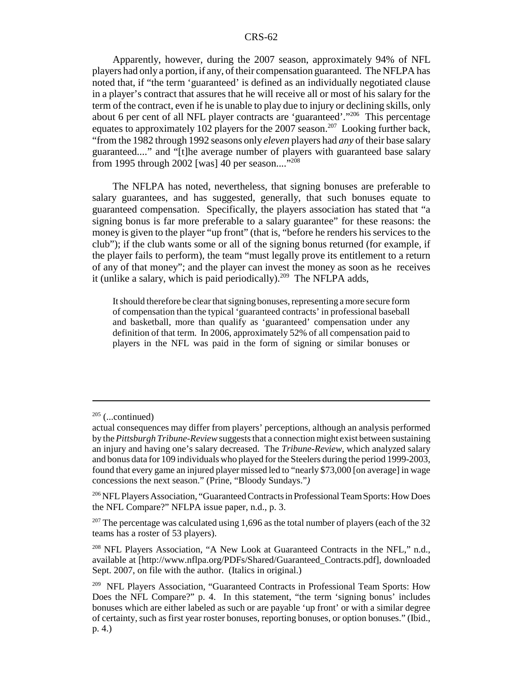Apparently, however, during the 2007 season, approximately 94% of NFL players had only a portion, if any, of their compensation guaranteed. The NFLPA has noted that, if "the term 'guaranteed' is defined as an individually negotiated clause in a player's contract that assures that he will receive all or most of his salary for the term of the contract, even if he is unable to play due to injury or declining skills, only about 6 per cent of all NFL player contracts are 'guaranteed'."206 This percentage equates to approximately 102 players for the 2007 season.<sup>207</sup> Looking further back, "from the 1982 through 1992 seasons only *eleven* players had *any* of their base salary guaranteed...." and "[t]he average number of players with guaranteed base salary from 1995 through 2002 [was]  $40$  per season....<sup>"208</sup>

The NFLPA has noted, nevertheless, that signing bonuses are preferable to salary guarantees, and has suggested, generally, that such bonuses equate to guaranteed compensation. Specifically, the players association has stated that "a signing bonus is far more preferable to a salary guarantee" for these reasons: the money is given to the player "up front" (that is, "before he renders his services to the club"); if the club wants some or all of the signing bonus returned (for example, if the player fails to perform), the team "must legally prove its entitlement to a return of any of that money"; and the player can invest the money as soon as he receives it (unlike a salary, which is paid periodically).<sup>209</sup> The NFLPA adds,

It should therefore be clear that signing bonuses, representing a more secure form of compensation than the typical 'guaranteed contracts' in professional baseball and basketball, more than qualify as 'guaranteed' compensation under any definition of that term. In 2006, approximately 52% of all compensation paid to players in the NFL was paid in the form of signing or similar bonuses or

 $205$  (...continued)

actual consequences may differ from players' perceptions, although an analysis performed by the *Pittsburgh Tribune-Review* suggests that a connection might exist between sustaining an injury and having one's salary decreased. The *Tribune-Review*, which analyzed salary and bonus data for 109 individuals who played for the Steelers during the period 1999-2003, found that every game an injured player missed led to "nearly \$73,000 [on average] in wage concessions the next season." (Prine, "Bloody Sundays."*)*

<sup>&</sup>lt;sup>206</sup> NFL Players Association, "Guaranteed Contracts in Professional Team Sports: How Does the NFL Compare?" NFLPA issue paper, n.d., p. 3.

<sup>&</sup>lt;sup>207</sup> The percentage was calculated using 1,696 as the total number of players (each of the 32 teams has a roster of 53 players).

<sup>208</sup> NFL Players Association, "A New Look at Guaranteed Contracts in the NFL," n.d., available at [http://www.nflpa.org/PDFs/Shared/Guaranteed\_Contracts.pdf], downloaded Sept. 2007, on file with the author. (Italics in original.)

<sup>&</sup>lt;sup>209</sup> NFL Players Association, "Guaranteed Contracts in Professional Team Sports: How Does the NFL Compare?" p. 4. In this statement, "the term 'signing bonus' includes bonuses which are either labeled as such or are payable 'up front' or with a similar degree of certainty, such as first year roster bonuses, reporting bonuses, or option bonuses." (Ibid., p. 4.)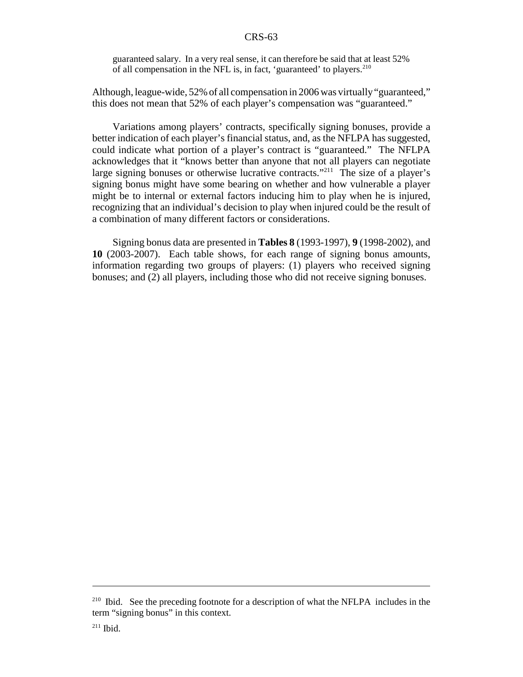guaranteed salary. In a very real sense, it can therefore be said that at least 52% of all compensation in the NFL is, in fact, 'guaranteed' to players.<sup>210</sup>

Although, league-wide, 52% of all compensation in 2006 was virtually "guaranteed," this does not mean that 52% of each player's compensation was "guaranteed."

Variations among players' contracts, specifically signing bonuses, provide a better indication of each player's financial status, and, as the NFLPA has suggested, could indicate what portion of a player's contract is "guaranteed." The NFLPA acknowledges that it "knows better than anyone that not all players can negotiate large signing bonuses or otherwise lucrative contracts."<sup>211</sup> The size of a player's signing bonus might have some bearing on whether and how vulnerable a player might be to internal or external factors inducing him to play when he is injured, recognizing that an individual's decision to play when injured could be the result of a combination of many different factors or considerations.

Signing bonus data are presented in **Tables 8** (1993-1997), **9** (1998-2002), and **10** (2003-2007). Each table shows, for each range of signing bonus amounts, information regarding two groups of players: (1) players who received signing bonuses; and (2) all players, including those who did not receive signing bonuses.

<sup>&</sup>lt;sup>210</sup> Ibid. See the preceding footnote for a description of what the NFLPA includes in the term "signing bonus" in this context.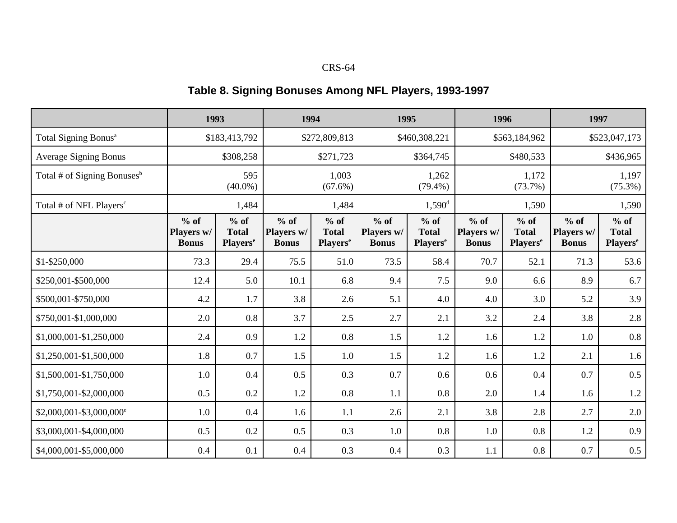## **Table 8. Signing Bonuses Among NFL Players, 1993-1997**

|                                         | 1993                                 |                                                       |                                      | 1994                                                  | 1995                                 |                                                       | 1996                                 |                                                       | 1997                                 |                                                       |  |
|-----------------------------------------|--------------------------------------|-------------------------------------------------------|--------------------------------------|-------------------------------------------------------|--------------------------------------|-------------------------------------------------------|--------------------------------------|-------------------------------------------------------|--------------------------------------|-------------------------------------------------------|--|
| Total Signing Bonus <sup>a</sup>        |                                      | \$183,413,792                                         |                                      | \$272,809,813                                         |                                      | \$460,308,221                                         |                                      | \$563,184,962                                         |                                      | \$523,047,173                                         |  |
| <b>Average Signing Bonus</b>            |                                      | \$308,258                                             |                                      | \$271,723                                             |                                      | \$364,745                                             |                                      | \$480,533                                             |                                      | \$436,965                                             |  |
| Total # of Signing Bonuses <sup>b</sup> |                                      | 595<br>$(40.0\%)$                                     |                                      | 1,003<br>$(67.6\%)$                                   |                                      | 1,262<br>$(79.4\%)$                                   |                                      | 1,172<br>$(73.7\%)$                                   |                                      | 1,197<br>$(75.3\%)$                                   |  |
| Total # of NFL Players <sup>c</sup>     |                                      | 1,484                                                 |                                      | 1,484                                                 |                                      | $1,590^{\rm d}$                                       |                                      | 1,590                                                 |                                      | 1,590                                                 |  |
|                                         | $%$ of<br>Players w/<br><b>Bonus</b> | $%$ of<br><b>Total</b><br><b>Players</b> <sup>e</sup> | $%$ of<br>Players w/<br><b>Bonus</b> | $%$ of<br><b>Total</b><br><b>Players</b> <sup>e</sup> | $%$ of<br>Players w/<br><b>Bonus</b> | $%$ of<br><b>Total</b><br><b>Players</b> <sup>e</sup> | $%$ of<br>Players w/<br><b>Bonus</b> | $%$ of<br><b>Total</b><br><b>Players</b> <sup>e</sup> | $%$ of<br>Players w/<br><b>Bonus</b> | $%$ of<br><b>Total</b><br><b>Players</b> <sup>e</sup> |  |
| \$1-\$250,000                           | 73.3                                 | 29.4                                                  | 75.5                                 | 51.0                                                  | 73.5                                 | 58.4                                                  | 70.7                                 | 52.1                                                  | 71.3                                 | 53.6                                                  |  |
| \$250,001-\$500,000                     | 12.4                                 | 5.0                                                   | 10.1                                 | 6.8                                                   | 9.4                                  | 7.5                                                   | 9.0                                  | 6.6                                                   | 8.9                                  | 6.7                                                   |  |
| \$500,001-\$750,000                     | 4.2                                  | 1.7                                                   | 3.8                                  | 2.6                                                   | 5.1                                  | 4.0                                                   | 4.0                                  | 3.0                                                   | 5.2                                  | 3.9                                                   |  |
| \$750,001-\$1,000,000                   | 2.0                                  | 0.8                                                   | 3.7                                  | 2.5                                                   | 2.7                                  | 2.1                                                   | 3.2                                  | 2.4                                                   | 3.8                                  | 2.8                                                   |  |
| \$1,000,001-\$1,250,000                 | 2.4                                  | 0.9                                                   | 1.2                                  | 0.8                                                   | 1.5                                  | 1.2                                                   | 1.6                                  | 1.2                                                   | 1.0                                  | $0.8\,$                                               |  |
| \$1,250,001-\$1,500,000                 | 1.8                                  | 0.7                                                   | 1.5                                  | 1.0                                                   | 1.5                                  | 1.2                                                   | 1.6                                  | 1.2                                                   | 2.1                                  | 1.6                                                   |  |
| \$1,500,001-\$1,750,000                 | 1.0                                  | 0.4                                                   | 0.5                                  | 0.3                                                   | 0.7                                  | 0.6                                                   | 0.6                                  | 0.4                                                   | 0.7                                  | 0.5                                                   |  |
| \$1,750,001-\$2,000,000                 | 0.5                                  | 0.2                                                   | 1.2                                  | 0.8                                                   | 1.1                                  | 0.8                                                   | 2.0                                  | 1.4                                                   | 1.6                                  | 1.2                                                   |  |
| \$2,000,001-\$3,000,000 <sup>e</sup>    | 1.0                                  | 0.4                                                   | 1.6                                  | 1.1                                                   | 2.6                                  | 2.1                                                   | 3.8                                  | 2.8                                                   | 2.7                                  | 2.0                                                   |  |
| \$3,000,001-\$4,000,000                 | 0.5                                  | 0.2                                                   | 0.5                                  | 0.3                                                   | 1.0                                  | 0.8                                                   | 1.0                                  | 0.8                                                   | 1.2                                  | 0.9                                                   |  |
| \$4,000,001-\$5,000,000                 | 0.4                                  | 0.1                                                   | 0.4                                  | 0.3                                                   | 0.4                                  | 0.3                                                   | 1.1                                  | 0.8                                                   | 0.7                                  | 0.5                                                   |  |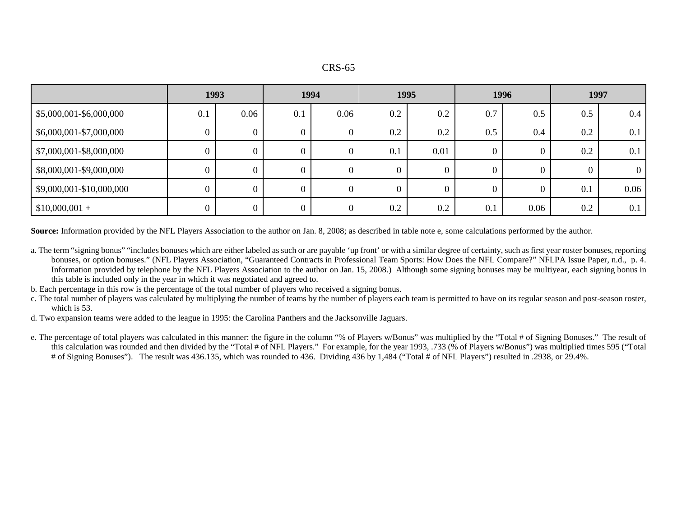| ۱<br>ימ<br>ı<br>n<br>AD. |  |
|--------------------------|--|
|--------------------------|--|

|                          | 1993 |                  |     | 1994 |          | 1995     |     | 1996             | 1997 |                |
|--------------------------|------|------------------|-----|------|----------|----------|-----|------------------|------|----------------|
| \$5,000,001-\$6,000,000  | 0.1  | 0.06             | 0.1 | 0.06 | 0.2      | 0.2      | 0.7 | 0.5              | 0.5  | 0.4            |
| \$6,000,001-\$7,000,000  |      | v                |     |      | 0.2      | 0.2      | 0.5 | 0.4              | 0.2  | 0.1            |
| \$7,000,001-\$8,000,000  |      | v                |     |      | 0.1      | 0.01     |     | $\boldsymbol{0}$ | 0.2  | 0.1            |
| \$8,000,001-\$9,000,000  |      |                  |     |      |          | $\theta$ |     | $\Omega$         | 0    | $\overline{0}$ |
| \$9,000,001-\$10,000,000 |      |                  |     |      | $\theta$ |          |     | $\Omega$         | 0.1  | 0.06           |
| $$10,000,001+$           |      | $\boldsymbol{0}$ |     |      | 0.2      | 0.2      | 0.1 | 0.06             | 0.2  | 0.1            |

**Source:** Information provided by the NFL Players Association to the author on Jan. 8, 2008; as described in table note e, some calculations performed by the author.

- a. The term "signing bonus" "includes bonuses which are either labeled as such or are payable 'up front' or with a similar degree of certainty, such as first year roster bonuses, reporting bonuses, or option bonuses." (NFL Players Association, "Guaranteed Contracts in Professional Team Sports: How Does the NFL Compare?" NFLPA Issue Paper, n.d., p. 4. Information provided by telephone by the NFL Players Association to the author on Jan. 15, 2008.) Although some signing bonuses may be multiyear, each signing bonus in this table is included only in the year in which it was negotiated and agreed to.
- b. Each percentage in this row is the percentage of the total number of players who received a signing bonus.
- c. The total number of players was calculated by multiplying the number of teams by the number of players each team is permitted to have on its regular season and post-season roster, which is 53.
- d. Two expansion teams were added to the league in 1995: the Carolina Panthers and the Jacksonville Jaguars.
- e. The percentage of total players was calculated in this manner: the figure in the column "% of Players w/Bonus" was multiplied by the "Total # of Signing Bonuses." The result of this calculation was rounded and then divided by the "Total # of NFL Players." For example, for the year 1993, .733 (% of Players w/Bonus") was multiplied times 595 ("Total # of Signing Bonuses"). The result was 436.135, which was rounded to 436. Dividing 436 by 1,484 ("Total # of NFL Players") resulted in .2938, or 29.4%.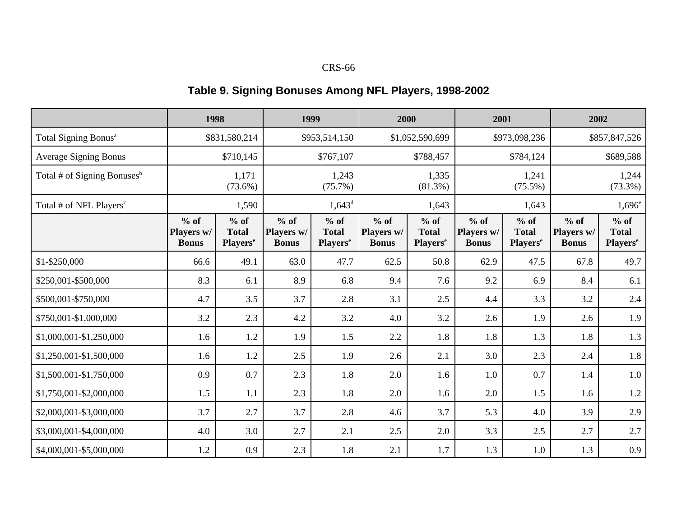## **Table 9. Signing Bonuses Among NFL Players, 1998-2002**

|                                         | 1998                                 |                                                       | 1999                                 |                                                       | 2000                                 |                                                       | 2001                                 |                                                       | 2002                                 |                                                       |  |
|-----------------------------------------|--------------------------------------|-------------------------------------------------------|--------------------------------------|-------------------------------------------------------|--------------------------------------|-------------------------------------------------------|--------------------------------------|-------------------------------------------------------|--------------------------------------|-------------------------------------------------------|--|
| Total Signing Bonus <sup>a</sup>        |                                      | \$831,580,214                                         |                                      | \$953,514,150                                         |                                      | \$1,052,590,699                                       |                                      | \$973,098,236                                         |                                      | \$857,847,526                                         |  |
| <b>Average Signing Bonus</b>            |                                      | \$710,145                                             |                                      | \$767,107                                             |                                      | \$788,457                                             |                                      | \$784,124                                             |                                      | \$689,588                                             |  |
| Total # of Signing Bonuses <sup>b</sup> |                                      | 1,171<br>$(73.6\%)$                                   |                                      | 1,243<br>$(75.7\%)$                                   |                                      | 1,335<br>$(81.3\%)$                                   |                                      | 1,241<br>$(75.5\%)$                                   |                                      | 1,244<br>$(73.3\%)$                                   |  |
| Total # of NFL Players <sup>c</sup>     |                                      | 1,590                                                 |                                      | $1,643^d$                                             |                                      | 1,643                                                 |                                      | 1,643                                                 |                                      | $1,696^{\circ}$                                       |  |
|                                         | $%$ of<br>Players w/<br><b>Bonus</b> | $%$ of<br><b>Total</b><br><b>Players</b> <sup>e</sup> | $%$ of<br>Players w/<br><b>Bonus</b> | $%$ of<br><b>Total</b><br><b>Players</b> <sup>e</sup> | $%$ of<br>Players w/<br><b>Bonus</b> | $%$ of<br><b>Total</b><br><b>Players</b> <sup>e</sup> | $%$ of<br>Players w/<br><b>Bonus</b> | $%$ of<br><b>Total</b><br><b>Players</b> <sup>e</sup> | $%$ of<br>Players w/<br><b>Bonus</b> | $%$ of<br><b>Total</b><br><b>Players</b> <sup>e</sup> |  |
| \$1-\$250,000                           | 66.6                                 | 49.1                                                  | 63.0                                 | 47.7                                                  | 62.5                                 | 50.8                                                  | 62.9                                 | 47.5                                                  | 67.8                                 | 49.7                                                  |  |
| \$250,001-\$500,000                     | 8.3                                  | 6.1                                                   | 8.9                                  | 6.8                                                   | 9.4                                  | 7.6                                                   | 9.2                                  | 6.9                                                   | 8.4                                  | 6.1                                                   |  |
| \$500,001-\$750,000                     | 4.7                                  | 3.5                                                   | 3.7                                  | 2.8                                                   | 3.1                                  | 2.5                                                   | 4.4                                  | 3.3                                                   | 3.2                                  | 2.4                                                   |  |
| \$750,001-\$1,000,000                   | 3.2                                  | 2.3                                                   | 4.2                                  | 3.2                                                   | 4.0                                  | 3.2                                                   | 2.6                                  | 1.9                                                   | 2.6                                  | 1.9                                                   |  |
| \$1,000,001-\$1,250,000                 | 1.6                                  | 1.2                                                   | 1.9                                  | 1.5                                                   | 2.2                                  | 1.8                                                   | 1.8                                  | 1.3                                                   | 1.8                                  | 1.3                                                   |  |
| \$1,250,001-\$1,500,000                 | 1.6                                  | 1.2                                                   | 2.5                                  | 1.9                                                   | 2.6                                  | 2.1                                                   | 3.0                                  | 2.3                                                   | 2.4                                  | 1.8                                                   |  |
| \$1,500,001-\$1,750,000                 | 0.9                                  | 0.7                                                   | 2.3                                  | 1.8                                                   | 2.0                                  | 1.6                                                   | 1.0                                  | 0.7                                                   | 1.4                                  | 1.0                                                   |  |
| \$1,750,001-\$2,000,000                 | 1.5                                  | 1.1                                                   | 2.3                                  | 1.8                                                   | 2.0                                  | 1.6                                                   | 2.0                                  | 1.5                                                   | 1.6                                  | 1.2                                                   |  |
| \$2,000,001-\$3,000,000                 | 3.7                                  | 2.7                                                   | 3.7                                  | 2.8                                                   | 4.6                                  | 3.7                                                   | 5.3                                  | 4.0                                                   | 3.9                                  | 2.9                                                   |  |
| \$3,000,001-\$4,000,000                 | 4.0                                  | 3.0                                                   | 2.7                                  | 2.1                                                   | 2.5                                  | 2.0                                                   | 3.3                                  | 2.5                                                   | 2.7                                  | 2.7                                                   |  |
| \$4,000,001-\$5,000,000                 | 1.2                                  | 0.9                                                   | 2.3                                  | 1.8                                                   | 2.1                                  | 1.7                                                   | 1.3                                  | 1.0                                                   | 1.3                                  | 0.9                                                   |  |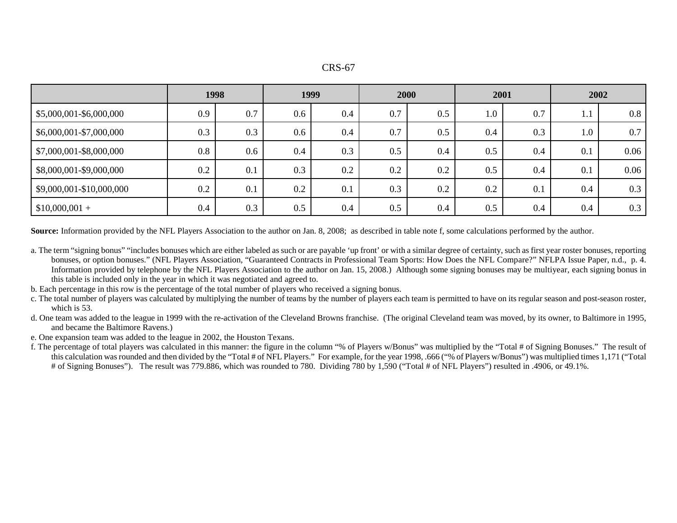| 'D C<br>7<br>K.)<br>n |  |
|-----------------------|--|
|-----------------------|--|

|                          | 1998 |     |     | 1999 |     | 2000 | 2001 |     |     | 2002 |
|--------------------------|------|-----|-----|------|-----|------|------|-----|-----|------|
| \$5,000,001-\$6,000,000  | 0.9  | 0.7 | 0.6 | 0.4  | 0.7 | 0.5  | 1.0  | 0.7 | 1.1 | 0.8  |
| \$6,000,001-\$7,000,000  | 0.3  | 0.3 | 0.6 | 0.4  | 0.7 | 0.5  | 0.4  | 0.3 | 1.0 | 0.7  |
| \$7,000,001-\$8,000,000  | 0.8  | 0.6 | 0.4 | 0.3  | 0.5 | 0.4  | 0.5  | 0.4 | 0.1 | 0.06 |
| \$8,000,001-\$9,000,000  | 0.2  | 0.1 | 0.3 | 0.2  | 0.2 | 0.2  | 0.5  | 0.4 | 0.1 | 0.06 |
| \$9,000,001-\$10,000,000 | 0.2  | 0.1 | 0.2 | 0.1  | 0.3 | 0.2  | 0.2  | 0.1 | 0.4 | 0.3  |
| $$10,000,001+$           | 0.4  | 0.3 | 0.5 | 0.4  | 0.5 | 0.4  | 0.5  | 0.4 | 0.4 | 0.3  |

**Source:** Information provided by the NFL Players Association to the author on Jan. 8, 2008; as described in table note f, some calculations performed by the author.

- a. The term "signing bonus" "includes bonuses which are either labeled as such or are payable 'up front' or with a similar degree of certainty, such as first year roster bonuses, reporting bonuses, or option bonuses." (NFL Players Association, "Guaranteed Contracts in Professional Team Sports: How Does the NFL Compare?" NFLPA Issue Paper, n.d., p. 4. Information provided by telephone by the NFL Players Association to the author on Jan. 15, 2008.) Although some signing bonuses may be multiyear, each signing bonus in this table is included only in the year in which it was negotiated and agreed to.
- b. Each percentage in this row is the percentage of the total number of players who received a signing bonus.
- c. The total number of players was calculated by multiplying the number of teams by the number of players each team is permitted to have on its regular season and post-season roster, which is 53.
- d. One team was added to the league in 1999 with the re-activation of the Cleveland Browns franchise. (The original Cleveland team was moved, by its owner, to Baltimore in 1995, and became the Baltimore Ravens.)
- e. One expansion team was added to the league in 2002, the Houston Texans.
- f. The percentage of total players was calculated in this manner: the figure in the column "% of Players w/Bonus" was multiplied by the "Total # of Signing Bonuses." The result of this calculation was rounded and then divided by the "Total # of NFL Players." For example, for the year 1998, .666 ("% of Players w/Bonus") was multiplied times 1,171 ("Total # of Signing Bonuses"). The result was 779.886, which was rounded to 780. Dividing 780 by 1,590 ("Total # of NFL Players") resulted in .4906, or 49.1%.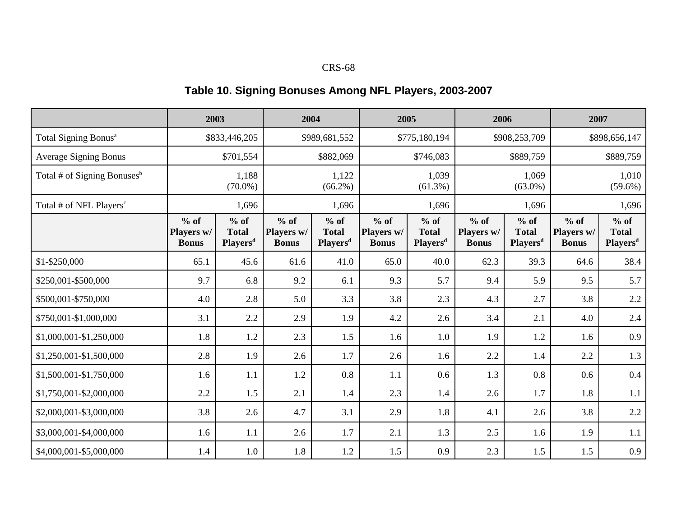# **Table 10. Signing Bonuses Among NFL Players, 2003-2007**

|                                     | 2003                                 |                                                       | 2004                                 |                                                       |                                      | 2005                                                  |                                      | 2006                                                  |                                      | 2007                                                  |  |
|-------------------------------------|--------------------------------------|-------------------------------------------------------|--------------------------------------|-------------------------------------------------------|--------------------------------------|-------------------------------------------------------|--------------------------------------|-------------------------------------------------------|--------------------------------------|-------------------------------------------------------|--|
| Total Signing Bonus <sup>a</sup>    |                                      | \$833,446,205                                         |                                      | \$989,681,552                                         |                                      | \$775,180,194                                         |                                      | \$908,253,709                                         |                                      | \$898,656,147                                         |  |
| <b>Average Signing Bonus</b>        |                                      | \$701,554                                             |                                      | \$882,069                                             |                                      | \$746,083                                             |                                      | \$889,759                                             |                                      | \$889,759                                             |  |
| Total # of Signing Bonuses $b$      | 1,188<br>$(70.0\%)$                  |                                                       |                                      | 1,122<br>$(66.2\%)$                                   |                                      | 1,039<br>$(61.3\%)$                                   |                                      | 1,069<br>$(63.0\%)$                                   | 1,010<br>$(59.6\%)$                  |                                                       |  |
| Total # of NFL Players <sup>c</sup> |                                      | 1,696                                                 |                                      | 1,696                                                 |                                      | 1,696                                                 |                                      | 1,696                                                 |                                      | 1,696                                                 |  |
|                                     | $%$ of<br>Players w/<br><b>Bonus</b> | $%$ of<br><b>Total</b><br><b>Players</b> <sup>d</sup> | $%$ of<br>Players w/<br><b>Bonus</b> | $%$ of<br><b>Total</b><br><b>Players</b> <sup>d</sup> | $%$ of<br>Players w/<br><b>Bonus</b> | $%$ of<br><b>Total</b><br><b>Players</b> <sup>d</sup> | $%$ of<br>Players w/<br><b>Bonus</b> | $%$ of<br><b>Total</b><br><b>Players</b> <sup>d</sup> | $%$ of<br>Players w/<br><b>Bonus</b> | $%$ of<br><b>Total</b><br><b>Players</b> <sup>d</sup> |  |
| \$1-\$250,000                       | 65.1                                 | 45.6                                                  | 61.6                                 | 41.0                                                  | 65.0                                 | 40.0                                                  | 62.3                                 | 39.3                                                  | 64.6                                 | 38.4                                                  |  |
| \$250,001-\$500,000                 | 9.7                                  | 6.8                                                   | 9.2                                  | 6.1                                                   | 9.3                                  | 5.7                                                   | 9.4                                  | 5.9                                                   | 9.5                                  | 5.7                                                   |  |
| \$500,001-\$750,000                 | 4.0                                  | 2.8                                                   | 5.0                                  | 3.3                                                   | 3.8                                  | 2.3                                                   | 4.3                                  | 2.7                                                   | 3.8                                  | 2.2                                                   |  |
| \$750,001-\$1,000,000               | 3.1                                  | 2.2                                                   | 2.9                                  | 1.9                                                   | 4.2                                  | 2.6                                                   | 3.4                                  | 2.1                                                   | 4.0                                  | 2.4                                                   |  |
| \$1,000,001-\$1,250,000             | 1.8                                  | 1.2                                                   | 2.3                                  | 1.5                                                   | 1.6                                  | 1.0                                                   | 1.9                                  | 1.2                                                   | 1.6                                  | 0.9                                                   |  |
| \$1,250,001-\$1,500,000             | 2.8                                  | 1.9                                                   | 2.6                                  | 1.7                                                   | 2.6                                  | 1.6                                                   | 2.2                                  | 1.4                                                   | 2.2                                  | 1.3                                                   |  |
| \$1,500,001-\$1,750,000             | 1.6                                  | 1.1                                                   | 1.2                                  | 0.8                                                   | 1.1                                  | 0.6                                                   | 1.3                                  | 0.8                                                   | 0.6                                  | 0.4                                                   |  |
| \$1,750,001-\$2,000,000             | 2.2                                  | 1.5                                                   | 2.1                                  | 1.4                                                   | 2.3                                  | 1.4                                                   | 2.6                                  | 1.7                                                   | 1.8                                  | 1.1                                                   |  |
| \$2,000,001-\$3,000,000             | 3.8                                  | 2.6                                                   | 4.7                                  | 3.1                                                   | 2.9                                  | 1.8                                                   | 4.1                                  | 2.6                                                   | 3.8                                  | 2.2                                                   |  |
| \$3,000,001-\$4,000,000             | 1.6                                  | 1.1                                                   | 2.6                                  | 1.7                                                   | 2.1                                  | 1.3                                                   | 2.5                                  | 1.6                                                   | 1.9                                  | 1.1                                                   |  |
| \$4,000,001-\$5,000,000             | 1.4                                  | 1.0                                                   | 1.8                                  | 1.2                                                   | 1.5                                  | 0.9                                                   | 2.3                                  | 1.5                                                   | 1.5                                  | 0.9                                                   |  |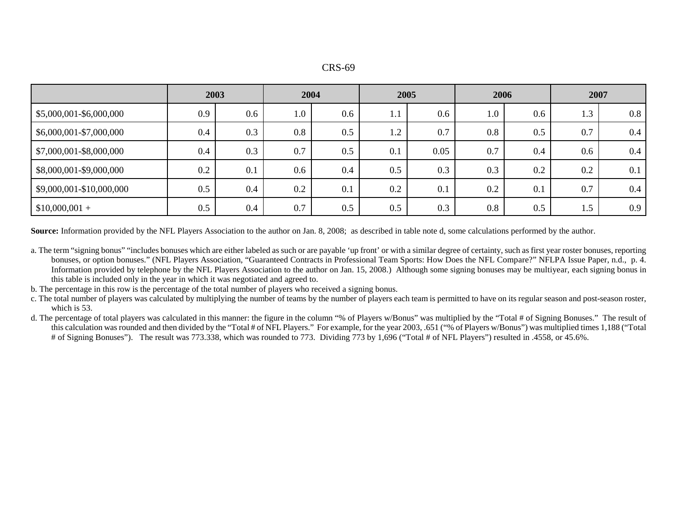| CRS- | -69 |
|------|-----|
|------|-----|

|                          | 2003 |     |     | 2004 |     | 2005 | 2006    |     | 2007 |                  |
|--------------------------|------|-----|-----|------|-----|------|---------|-----|------|------------------|
| \$5,000,001-\$6,000,000  | 0.9  | 0.6 | 1.0 | 0.6  | 1.1 | 0.6  | $1.0\,$ | 0.6 | 1.3  | 0.8              |
| \$6,000,001-\$7,000,000  | 0.4  | 0.3 | 0.8 | 0.5  | 1.2 | 0.7  | 0.8     | 0.5 | 0.7  | 0.4              |
| \$7,000,001-\$8,000,000  | 0.4  | 0.3 | 0.7 | 0.5  | 0.1 | 0.05 | 0.7     | 0.4 | 0.6  | 0.4              |
| \$8,000,001-\$9,000,000  | 0.2  | 0.1 | 0.6 | 0.4  | 0.5 | 0.3  | 0.3     | 0.2 | 0.2  | 0.1              |
| \$9,000,001-\$10,000,000 | 0.5  | 0.4 | 0.2 | 0.1  | 0.2 | 0.1  | 0.2     | 0.1 | 0.7  | 0.4              |
| $$10,000,001 +$          | 0.5  | 0.4 | 0.7 | 0.5  | 0.5 | 0.3  | 0.8     | 0.5 | 1.5  | 0.9 <sub>1</sub> |

**Source:** Information provided by the NFL Players Association to the author on Jan. 8, 2008; as described in table note d, some calculations performed by the author.

- a. The term "signing bonus" "includes bonuses which are either labeled as such or are payable 'up front' or with a similar degree of certainty, such as first year roster bonuses, reporting bonuses, or option bonuses." (NFL Players Association, "Guaranteed Contracts in Professional Team Sports: How Does the NFL Compare?" NFLPA Issue Paper, n.d., p. 4. Information provided by telephone by the NFL Players Association to the author on Jan. 15, 2008.) Although some signing bonuses may be multiyear, each signing bonus in this table is included only in the year in which it was negotiated and agreed to.
- b. The percentage in this row is the percentage of the total number of players who received a signing bonus.
- c. The total number of players was calculated by multiplying the number of teams by the number of players each team is permitted to have on its regular season and post-season roster, which is 53.
- d. The percentage of total players was calculated in this manner: the figure in the column "% of Players w/Bonus" was multiplied by the "Total # of Signing Bonuses." The result of this calculation was rounded and then divided by the "Total # of NFL Players." For example, for the year 2003, .651 ("% of Players w/Bonus") was multiplied times 1,188 ("Total # of Signing Bonuses"). The result was 773.338, which was rounded to 773. Dividing 773 by 1,696 ("Total # of NFL Players") resulted in .4558, or 45.6%.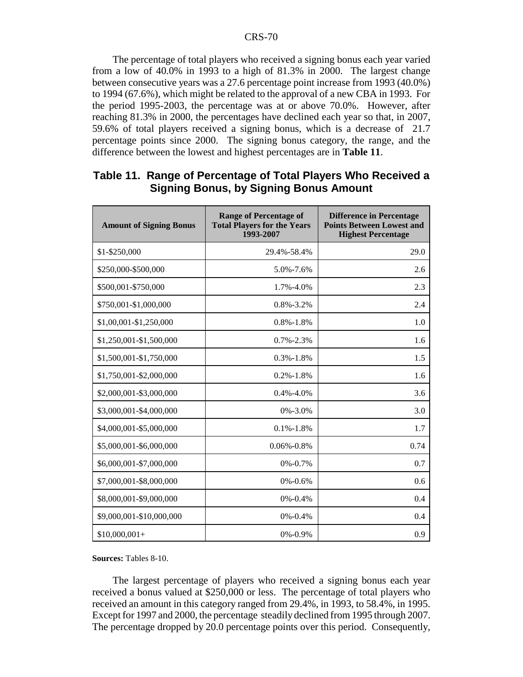The percentage of total players who received a signing bonus each year varied from a low of 40.0% in 1993 to a high of 81.3% in 2000. The largest change between consecutive years was a 27.6 percentage point increase from 1993 (40.0%) to 1994 (67.6%), which might be related to the approval of a new CBA in 1993. For the period 1995-2003, the percentage was at or above 70.0%. However, after reaching 81.3% in 2000, the percentages have declined each year so that, in 2007, 59.6% of total players received a signing bonus, which is a decrease of 21.7 percentage points since 2000. The signing bonus category, the range, and the difference between the lowest and highest percentages are in **Table 11**.

## **Table 11. Range of Percentage of Total Players Who Received a Signing Bonus, by Signing Bonus Amount**

| <b>Amount of Signing Bonus</b> | <b>Range of Percentage of</b><br><b>Total Players for the Years</b><br>1993-2007 | <b>Difference in Percentage</b><br><b>Points Between Lowest and</b><br><b>Highest Percentage</b> |
|--------------------------------|----------------------------------------------------------------------------------|--------------------------------------------------------------------------------------------------|
| \$1-\$250,000                  | 29.4%-58.4%                                                                      | 29.0                                                                                             |
| \$250,000-\$500,000            | 5.0%-7.6%                                                                        | 2.6                                                                                              |
| \$500,001-\$750,000            | $1.7\% - 4.0\%$                                                                  | 2.3                                                                                              |
| \$750,001-\$1,000,000          | $0.8\% - 3.2\%$                                                                  | 2.4                                                                                              |
| \$1,00,001-\$1,250,000         | $0.8\% - 1.8\%$                                                                  | 1.0                                                                                              |
| \$1,250,001-\$1,500,000        | $0.7\% - 2.3\%$                                                                  | 1.6                                                                                              |
| \$1,500,001-\$1,750,000        | $0.3\% - 1.8\%$                                                                  | 1.5                                                                                              |
| \$1,750,001-\$2,000,000        | $0.2\% - 1.8\%$                                                                  | 1.6                                                                                              |
| \$2,000,001-\$3,000,000        | $0.4\% - 4.0\%$                                                                  | 3.6                                                                                              |
| \$3,000,001-\$4,000,000        | 0%-3.0%                                                                          | 3.0                                                                                              |
| \$4,000,001-\$5,000,000        | $0.1\% - 1.8\%$                                                                  | 1.7                                                                                              |
| \$5,000,001-\$6,000,000        | $0.06\% - 0.8\%$                                                                 | 0.74                                                                                             |
| \$6,000,001-\$7,000,000        | 0%-0.7%                                                                          | 0.7                                                                                              |
| \$7,000,001-\$8,000,000        | 0%-0.6%                                                                          | 0.6                                                                                              |
| \$8,000,001-\$9,000,000        | 0%-0.4%                                                                          | 0.4                                                                                              |
| \$9,000,001-\$10,000,000       | $0\% - 0.4\%$                                                                    | 0.4                                                                                              |
| $$10,000,001+$                 | 0%-0.9%                                                                          | 0.9                                                                                              |

**Sources:** Tables 8-10.

The largest percentage of players who received a signing bonus each year received a bonus valued at \$250,000 or less. The percentage of total players who received an amount in this category ranged from 29.4%, in 1993, to 58.4%, in 1995. Except for 1997 and 2000, the percentage steadily declined from 1995 through 2007. The percentage dropped by 20.0 percentage points over this period. Consequently,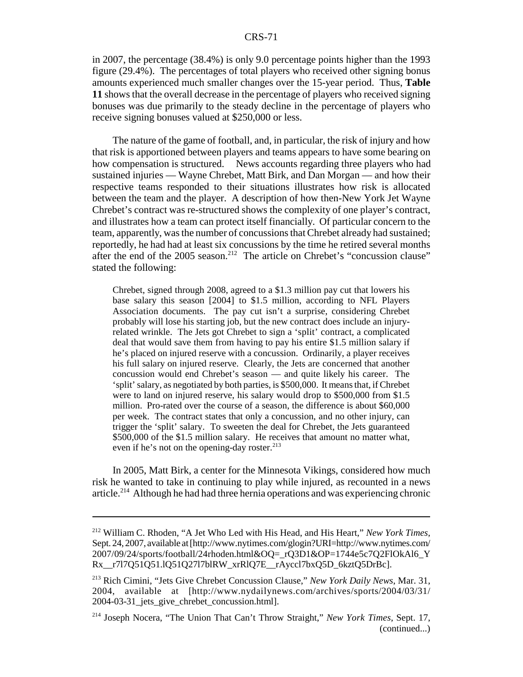in 2007, the percentage (38.4%) is only 9.0 percentage points higher than the 1993 figure (29.4%). The percentages of total players who received other signing bonus amounts experienced much smaller changes over the 15-year period. Thus, **Table 11** shows that the overall decrease in the percentage of players who received signing bonuses was due primarily to the steady decline in the percentage of players who receive signing bonuses valued at \$250,000 or less.

The nature of the game of football, and, in particular, the risk of injury and how that risk is apportioned between players and teams appears to have some bearing on how compensation is structured. News accounts regarding three players who had sustained injuries — Wayne Chrebet, Matt Birk, and Dan Morgan — and how their respective teams responded to their situations illustrates how risk is allocated between the team and the player. A description of how then-New York Jet Wayne Chrebet's contract was re-structured shows the complexity of one player's contract, and illustrates how a team can protect itself financially. Of particular concern to the team, apparently, was the number of concussions that Chrebet already had sustained; reportedly, he had had at least six concussions by the time he retired several months after the end of the 2005 season.<sup>212</sup> The article on Chrebet's "concussion clause" stated the following:

Chrebet, signed through 2008, agreed to a \$1.3 million pay cut that lowers his base salary this season [2004] to \$1.5 million, according to NFL Players Association documents. The pay cut isn't a surprise, considering Chrebet probably will lose his starting job, but the new contract does include an injuryrelated wrinkle. The Jets got Chrebet to sign a 'split' contract, a complicated deal that would save them from having to pay his entire \$1.5 million salary if he's placed on injured reserve with a concussion. Ordinarily, a player receives his full salary on injured reserve. Clearly, the Jets are concerned that another concussion would end Chrebet's season — and quite likely his career. The 'split' salary, as negotiated by both parties, is \$500,000. It means that, if Chrebet were to land on injured reserve, his salary would drop to \$500,000 from \$1.5 million. Pro-rated over the course of a season, the difference is about \$60,000 per week. The contract states that only a concussion, and no other injury, can trigger the 'split' salary. To sweeten the deal for Chrebet, the Jets guaranteed \$500,000 of the \$1.5 million salary. He receives that amount no matter what, even if he's not on the opening-day roster. $^{213}$ 

In 2005, Matt Birk, a center for the Minnesota Vikings, considered how much risk he wanted to take in continuing to play while injured, as recounted in a news article.<sup>214</sup> Although he had had three hernia operations and was experiencing chronic

<sup>212</sup> William C. Rhoden, "A Jet Who Led with His Head, and His Heart," *New York Times*, Sept. 24, 2007, available at [http://www.nytimes.com/glogin?URI=http://www.nytimes.com/ 2007/09/24/sports/football/24rhoden.html&OQ=\_rQ3D1&OP=1744e5c7Q2FlOkAl6\_Y Rx\_\_r7l7Q51Q51.lQ51Q27l7blRW\_xrRlQ7E\_\_rAyccl7bxQ5D\_6kztQ5DrBc].

<sup>213</sup> Rich Cimini, "Jets Give Chrebet Concussion Clause," *New York Daily News*, Mar. 31, 2004, available at [http://www.nydailynews.com/archives/sports/2004/03/31/ 2004-03-31\_jets\_give\_chrebet\_concussion.html].

<sup>214</sup> Joseph Nocera, "The Union That Can't Throw Straight," *New York Times*, Sept. 17, (continued...)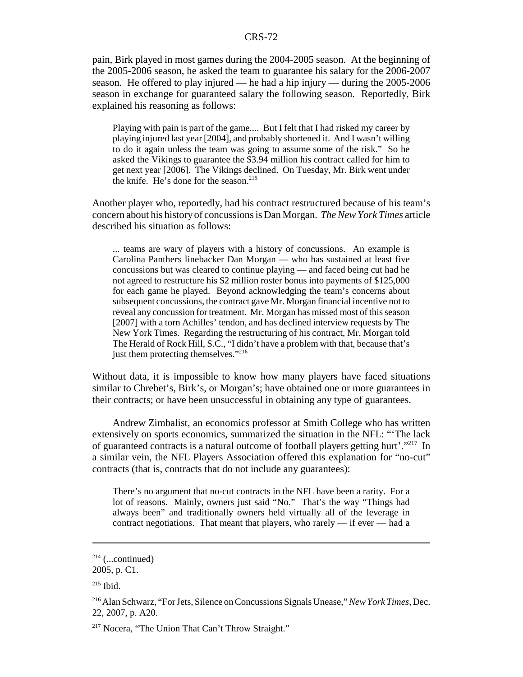pain, Birk played in most games during the 2004-2005 season. At the beginning of the 2005-2006 season, he asked the team to guarantee his salary for the 2006-2007 season. He offered to play injured — he had a hip injury — during the 2005-2006 season in exchange for guaranteed salary the following season. Reportedly, Birk explained his reasoning as follows:

Playing with pain is part of the game.... But I felt that I had risked my career by playing injured last year [2004], and probably shortened it. And I wasn't willing to do it again unless the team was going to assume some of the risk." So he asked the Vikings to guarantee the \$3.94 million his contract called for him to get next year [2006]. The Vikings declined. On Tuesday, Mr. Birk went under the knife. He's done for the season.<sup>215</sup>

Another player who, reportedly, had his contract restructured because of his team's concern about his history of concussions is Dan Morgan. *The New York Times* article described his situation as follows:

... teams are wary of players with a history of concussions. An example is Carolina Panthers linebacker Dan Morgan — who has sustained at least five concussions but was cleared to continue playing — and faced being cut had he not agreed to restructure his \$2 million roster bonus into payments of \$125,000 for each game he played. Beyond acknowledging the team's concerns about subsequent concussions, the contract gave Mr. Morgan financial incentive not to reveal any concussion for treatment. Mr. Morgan has missed most of this season [2007] with a torn Achilles' tendon, and has declined interview requests by The New York Times. Regarding the restructuring of his contract, Mr. Morgan told The Herald of Rock Hill, S.C., "I didn't have a problem with that, because that's just them protecting themselves."<sup>216</sup>

Without data, it is impossible to know how many players have faced situations similar to Chrebet's, Birk's, or Morgan's; have obtained one or more guarantees in their contracts; or have been unsuccessful in obtaining any type of guarantees.

Andrew Zimbalist, an economics professor at Smith College who has written extensively on sports economics, summarized the situation in the NFL: "'The lack of guaranteed contracts is a natural outcome of football players getting hurt'."217 In a similar vein, the NFL Players Association offered this explanation for "no-cut" contracts (that is, contracts that do not include any guarantees):

There's no argument that no-cut contracts in the NFL have been a rarity. For a lot of reasons. Mainly, owners just said "No." That's the way "Things had always been" and traditionally owners held virtually all of the leverage in contract negotiations. That meant that players, who rarely — if ever — had a

 $214$  (...continued)

<sup>2005,</sup> p. C1.

 $215$  Ibid.

<sup>216</sup> Alan Schwarz, "For Jets, Silence on Concussions Signals Unease," *New York Times*, Dec. 22, 2007, p. A20.

<sup>&</sup>lt;sup>217</sup> Nocera, "The Union That Can't Throw Straight."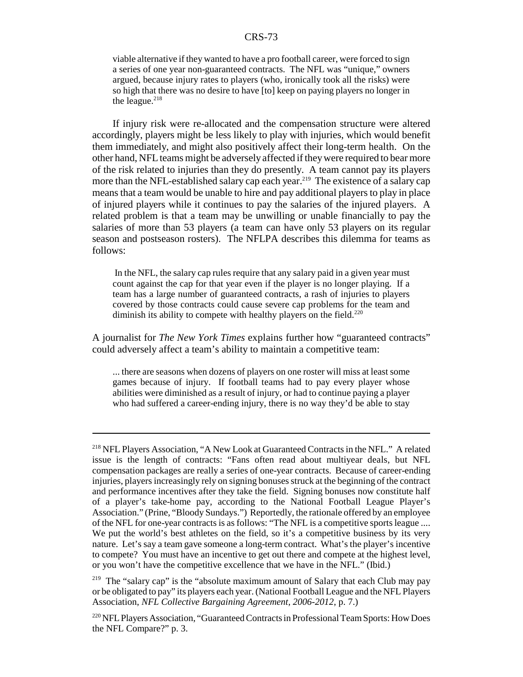viable alternative if they wanted to have a pro football career, were forced to sign a series of one year non-guaranteed contracts. The NFL was "unique," owners argued, because injury rates to players (who, ironically took all the risks) were so high that there was no desire to have [to] keep on paying players no longer in the league. $218$ 

If injury risk were re-allocated and the compensation structure were altered accordingly, players might be less likely to play with injuries, which would benefit them immediately, and might also positively affect their long-term health. On the other hand, NFL teams might be adversely affected if they were required to bear more of the risk related to injuries than they do presently. A team cannot pay its players more than the NFL-established salary cap each year.<sup>219</sup> The existence of a salary cap means that a team would be unable to hire and pay additional players to play in place of injured players while it continues to pay the salaries of the injured players. A related problem is that a team may be unwilling or unable financially to pay the salaries of more than 53 players (a team can have only 53 players on its regular season and postseason rosters). The NFLPA describes this dilemma for teams as follows:

 In the NFL, the salary cap rules require that any salary paid in a given year must count against the cap for that year even if the player is no longer playing. If a team has a large number of guaranteed contracts, a rash of injuries to players covered by those contracts could cause severe cap problems for the team and diminish its ability to compete with healthy players on the field.<sup>220</sup>

A journalist for *The New York Times* explains further how "guaranteed contracts" could adversely affect a team's ability to maintain a competitive team:

... there are seasons when dozens of players on one roster will miss at least some games because of injury. If football teams had to pay every player whose abilities were diminished as a result of injury, or had to continue paying a player who had suffered a career-ending injury, there is no way they'd be able to stay

<sup>&</sup>lt;sup>218</sup> NFL Players Association, "A New Look at Guaranteed Contracts in the NFL." A related issue is the length of contracts: "Fans often read about multiyear deals, but NFL compensation packages are really a series of one-year contracts. Because of career-ending injuries, players increasingly rely on signing bonuses struck at the beginning of the contract and performance incentives after they take the field. Signing bonuses now constitute half of a player's take-home pay, according to the National Football League Player's Association." (Prine, "Bloody Sundays.") Reportedly, the rationale offered by an employee of the NFL for one-year contracts is as follows: "The NFL is a competitive sports league .... We put the world's best athletes on the field, so it's a competitive business by its very nature. Let's say a team gave someone a long-term contract. What's the player's incentive to compete? You must have an incentive to get out there and compete at the highest level, or you won't have the competitive excellence that we have in the NFL." (Ibid.)

<sup>&</sup>lt;sup>219</sup> The "salary cap" is the "absolute maximum amount of Salary that each Club may pay or be obligated to pay" its players each year. (National Football League and the NFL Players Association, *NFL Collective Bargaining Agreement, 2006-2012*, p. 7.)

<sup>&</sup>lt;sup>220</sup> NFL Players Association, "Guaranteed Contracts in Professional Team Sports: How Does the NFL Compare?" p. 3.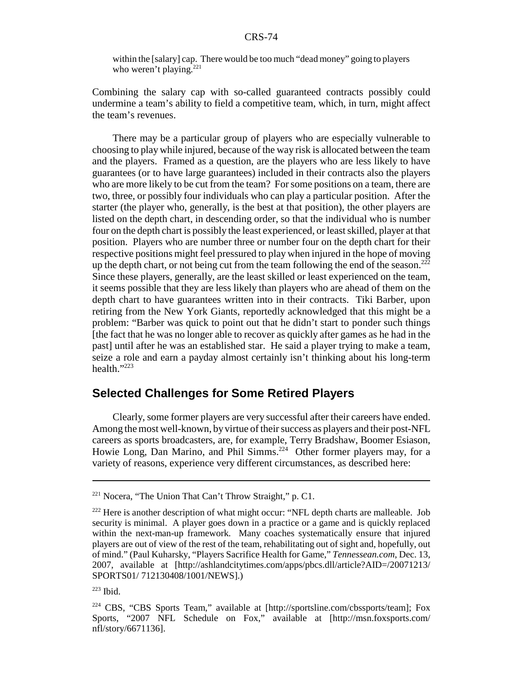within the [salary] cap. There would be too much "dead money" going to players who weren't playing. $221$ 

Combining the salary cap with so-called guaranteed contracts possibly could undermine a team's ability to field a competitive team, which, in turn, might affect the team's revenues.

There may be a particular group of players who are especially vulnerable to choosing to play while injured, because of the way risk is allocated between the team and the players. Framed as a question, are the players who are less likely to have guarantees (or to have large guarantees) included in their contracts also the players who are more likely to be cut from the team? For some positions on a team, there are two, three, or possibly four individuals who can play a particular position. After the starter (the player who, generally, is the best at that position), the other players are listed on the depth chart, in descending order, so that the individual who is number four on the depth chart is possibly the least experienced, or least skilled, player at that position. Players who are number three or number four on the depth chart for their respective positions might feel pressured to play when injured in the hope of moving up the depth chart, or not being cut from the team following the end of the season.<sup>222</sup> Since these players, generally, are the least skilled or least experienced on the team, it seems possible that they are less likely than players who are ahead of them on the depth chart to have guarantees written into in their contracts. Tiki Barber, upon retiring from the New York Giants, reportedly acknowledged that this might be a problem: "Barber was quick to point out that he didn't start to ponder such things [the fact that he was no longer able to recover as quickly after games as he had in the past] until after he was an established star. He said a player trying to make a team, seize a role and earn a payday almost certainly isn't thinking about his long-term health."223

## **Selected Challenges for Some Retired Players**

Clearly, some former players are very successful after their careers have ended. Among the most well-known, by virtue of their success as players and their post-NFL careers as sports broadcasters, are, for example, Terry Bradshaw, Boomer Esiason, Howie Long, Dan Marino, and Phil Simms.<sup>224</sup> Other former players may, for a variety of reasons, experience very different circumstances, as described here:

<sup>&</sup>lt;sup>221</sup> Nocera, "The Union That Can't Throw Straight," p. C1.

<sup>&</sup>lt;sup>222</sup> Here is another description of what might occur: "NFL depth charts are malleable. Job security is minimal. A player goes down in a practice or a game and is quickly replaced within the next-man-up framework. Many coaches systematically ensure that injured players are out of view of the rest of the team, rehabilitating out of sight and, hopefully, out of mind." (Paul Kuharsky, "Players Sacrifice Health for Game," *Tennessean.com*, Dec. 13, 2007, available at [http://ashlandcitytimes.com/apps/pbcs.dll/article?AID=/20071213/ SPORTS01/ 712130408/1001/NEWS].)

<sup>223</sup> Ibid.

<sup>224</sup> CBS, "CBS Sports Team," available at [http://sportsline.com/cbssports/team]; Fox Sports, "2007 NFL Schedule on Fox," available at [http://msn.foxsports.com/ nfl/story/6671136].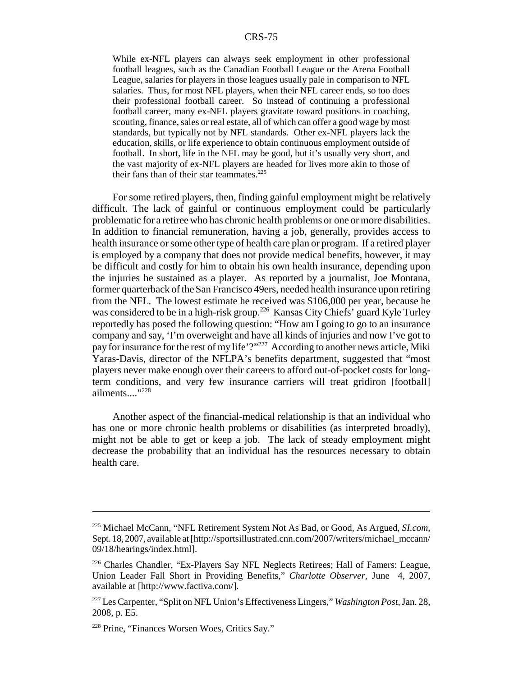While ex-NFL players can always seek employment in other professional football leagues, such as the Canadian Football League or the Arena Football League, salaries for players in those leagues usually pale in comparison to NFL salaries. Thus, for most NFL players, when their NFL career ends, so too does their professional football career. So instead of continuing a professional football career, many ex-NFL players gravitate toward positions in coaching, scouting, finance, sales or real estate, all of which can offer a good wage by most standards, but typically not by NFL standards. Other ex-NFL players lack the education, skills, or life experience to obtain continuous employment outside of football. In short, life in the NFL may be good, but it's usually very short, and the vast majority of ex-NFL players are headed for lives more akin to those of their fans than of their star teammates. $225$ 

For some retired players, then, finding gainful employment might be relatively difficult. The lack of gainful or continuous employment could be particularly problematic for a retiree who has chronic health problems or one or more disabilities. In addition to financial remuneration, having a job, generally, provides access to health insurance or some other type of health care plan or program. If a retired player is employed by a company that does not provide medical benefits, however, it may be difficult and costly for him to obtain his own health insurance, depending upon the injuries he sustained as a player. As reported by a journalist, Joe Montana, former quarterback of the San Francisco 49ers, needed health insurance upon retiring from the NFL. The lowest estimate he received was \$106,000 per year, because he was considered to be in a high-risk group.<sup>226</sup> Kansas City Chiefs' guard Kyle Turley reportedly has posed the following question: "How am I going to go to an insurance company and say, 'I'm overweight and have all kinds of injuries and now I've got to pay for insurance for the rest of my life'?"<sup>227</sup> According to another news article, Miki Yaras-Davis, director of the NFLPA's benefits department, suggested that "most players never make enough over their careers to afford out-of-pocket costs for longterm conditions, and very few insurance carriers will treat gridiron [football] ailments...."<sup>228</sup>

Another aspect of the financial-medical relationship is that an individual who has one or more chronic health problems or disabilities (as interpreted broadly), might not be able to get or keep a job. The lack of steady employment might decrease the probability that an individual has the resources necessary to obtain health care.

<sup>225</sup> Michael McCann, "NFL Retirement System Not As Bad, or Good, As Argued, *SI.com*, Sept. 18, 2007, available at [http://sportsillustrated.cnn.com/2007/writers/michael\_mccann/ 09/18/hearings/index.html].

<sup>226</sup> Charles Chandler, "Ex-Players Say NFL Neglects Retirees; Hall of Famers: League, Union Leader Fall Short in Providing Benefits," *Charlotte Observer*, June 4, 2007, available at [http://www.factiva.com/].

<sup>227</sup> Les Carpenter, "Split on NFL Union's Effectiveness Lingers," *Washington Post*, Jan. 28, 2008, p. E5.

<sup>228</sup> Prine, "Finances Worsen Woes, Critics Say."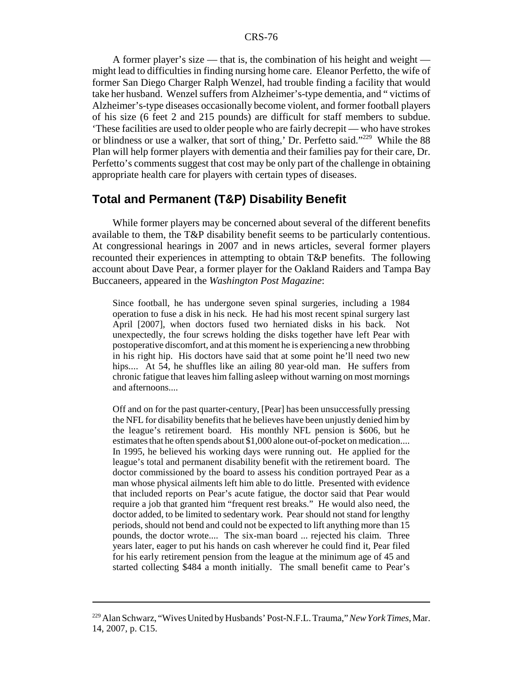A former player's size — that is, the combination of his height and weight might lead to difficulties in finding nursing home care. Eleanor Perfetto, the wife of former San Diego Charger Ralph Wenzel, had trouble finding a facility that would take her husband. Wenzel suffers from Alzheimer's-type dementia, and " victims of Alzheimer's-type diseases occasionally become violent, and former football players of his size (6 feet 2 and 215 pounds) are difficult for staff members to subdue. 'These facilities are used to older people who are fairly decrepit — who have strokes or blindness or use a walker, that sort of thing,' Dr. Perfetto said."<sup>229</sup> While the 88 Plan will help former players with dementia and their families pay for their care, Dr. Perfetto's comments suggest that cost may be only part of the challenge in obtaining appropriate health care for players with certain types of diseases.

## **Total and Permanent (T&P) Disability Benefit**

While former players may be concerned about several of the different benefits available to them, the T&P disability benefit seems to be particularly contentious. At congressional hearings in 2007 and in news articles, several former players recounted their experiences in attempting to obtain T&P benefits. The following account about Dave Pear, a former player for the Oakland Raiders and Tampa Bay Buccaneers, appeared in the *Washington Post Magazine*:

Since football, he has undergone seven spinal surgeries, including a 1984 operation to fuse a disk in his neck. He had his most recent spinal surgery last April [2007], when doctors fused two herniated disks in his back. Not unexpectedly, the four screws holding the disks together have left Pear with postoperative discomfort, and at this moment he is experiencing a new throbbing in his right hip. His doctors have said that at some point he'll need two new hips.... At 54, he shuffles like an ailing 80 year-old man. He suffers from chronic fatigue that leaves him falling asleep without warning on most mornings and afternoons....

Off and on for the past quarter-century, [Pear] has been unsuccessfully pressing the NFL for disability benefits that he believes have been unjustly denied him by the league's retirement board. His monthly NFL pension is \$606, but he estimates that he often spends about \$1,000 alone out-of-pocket on medication.... In 1995, he believed his working days were running out. He applied for the league's total and permanent disability benefit with the retirement board. The doctor commissioned by the board to assess his condition portrayed Pear as a man whose physical ailments left him able to do little. Presented with evidence that included reports on Pear's acute fatigue, the doctor said that Pear would require a job that granted him "frequent rest breaks." He would also need, the doctor added, to be limited to sedentary work. Pear should not stand for lengthy periods, should not bend and could not be expected to lift anything more than 15 pounds, the doctor wrote.... The six-man board ... rejected his claim. Three years later, eager to put his hands on cash wherever he could find it, Pear filed for his early retirement pension from the league at the minimum age of 45 and started collecting \$484 a month initially. The small benefit came to Pear's

<sup>229</sup> Alan Schwarz, "Wives United by Husbands' Post-N.F.L. Trauma," *New York Times*, Mar. 14, 2007, p. C15.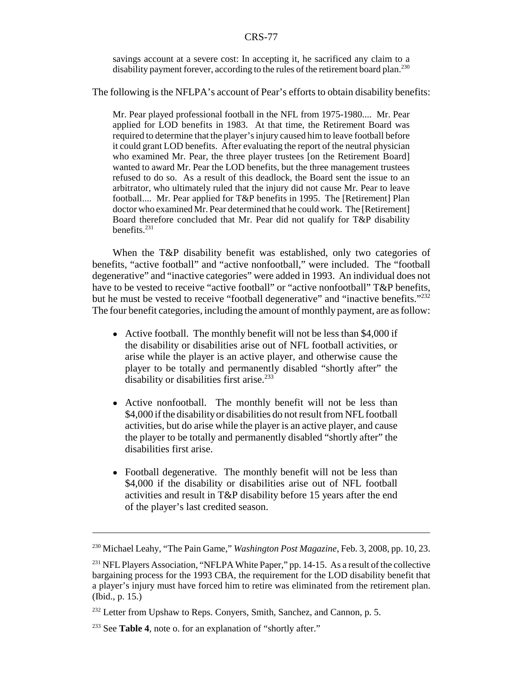savings account at a severe cost: In accepting it, he sacrificed any claim to a disability payment forever, according to the rules of the retirement board plan.<sup>230</sup>

The following is the NFLPA's account of Pear's efforts to obtain disability benefits:

Mr. Pear played professional football in the NFL from 1975-1980.... Mr. Pear applied for LOD benefits in 1983. At that time, the Retirement Board was required to determine that the player's injury caused him to leave football before it could grant LOD benefits. After evaluating the report of the neutral physician who examined Mr. Pear, the three player trustees [on the Retirement Board] wanted to award Mr. Pear the LOD benefits, but the three management trustees refused to do so. As a result of this deadlock, the Board sent the issue to an arbitrator, who ultimately ruled that the injury did not cause Mr. Pear to leave football.... Mr. Pear applied for T&P benefits in 1995. The [Retirement] Plan doctor who examined Mr. Pear determined that he could work. The [Retirement] Board therefore concluded that Mr. Pear did not qualify for T&P disability benefits.231

When the T&P disability benefit was established, only two categories of benefits, "active football" and "active nonfootball," were included. The "football degenerative" and "inactive categories" were added in 1993. An individual does not have to be vested to receive "active football" or "active nonfootball" T&P benefits, but he must be vested to receive "football degenerative" and "inactive benefits."<sup>232</sup> The four benefit categories, including the amount of monthly payment, are as follow:

- Active football. The monthly benefit will not be less than \$4,000 if the disability or disabilities arise out of NFL football activities, or arise while the player is an active player, and otherwise cause the player to be totally and permanently disabled "shortly after" the disability or disabilities first arise.<sup>233</sup>
- Active nonfootball. The monthly benefit will not be less than \$4,000 if the disability or disabilities do not result from NFL football activities, but do arise while the player is an active player, and cause the player to be totally and permanently disabled "shortly after" the disabilities first arise.
- Football degenerative. The monthly benefit will not be less than \$4,000 if the disability or disabilities arise out of NFL football activities and result in T&P disability before 15 years after the end of the player's last credited season.

<sup>230</sup> Michael Leahy, "The Pain Game," *Washington Post Magazine*, Feb. 3, 2008, pp. 10, 23.

 $^{231}$  NFL Players Association, "NFLPA White Paper," pp. 14-15. As a result of the collective bargaining process for the 1993 CBA, the requirement for the LOD disability benefit that a player's injury must have forced him to retire was eliminated from the retirement plan. (Ibid., p. 15.)

<sup>&</sup>lt;sup>232</sup> Letter from Upshaw to Reps. Conyers, Smith, Sanchez, and Cannon, p. 5.

<sup>233</sup> See **Table 4**, note o. for an explanation of "shortly after."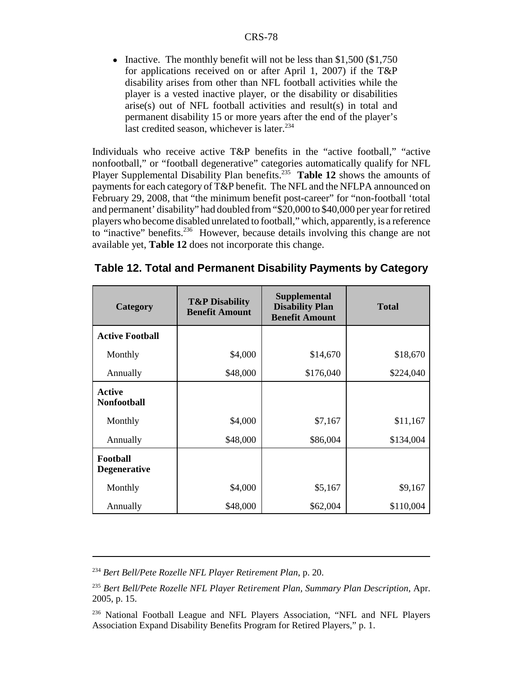• Inactive. The monthly benefit will not be less than  $$1,500$  ( $$1,750$ ) for applications received on or after April 1, 2007) if the T&P disability arises from other than NFL football activities while the player is a vested inactive player, or the disability or disabilities arise(s) out of NFL football activities and result(s) in total and permanent disability 15 or more years after the end of the player's last credited season, whichever is later. $234$ 

Individuals who receive active T&P benefits in the "active football," "active nonfootball," or "football degenerative" categories automatically qualify for NFL Player Supplemental Disability Plan benefits.<sup>235</sup> **Table 12** shows the amounts of payments for each category of T&P benefit. The NFL and the NFLPA announced on February 29, 2008, that "the minimum benefit post-career" for "non-football 'total and permanent' disability" had doubled from "\$20,000 to \$40,000 per year for retired players who become disabled unrelated to football," which, apparently, is a reference to "inactive" benefits.236 However, because details involving this change are not available yet, **Table 12** does not incorporate this change.

| Category                            | <b>T&amp;P Disability</b><br><b>Benefit Amount</b> | <b>Supplemental</b><br><b>Disability Plan</b><br><b>Benefit Amount</b> | <b>Total</b> |
|-------------------------------------|----------------------------------------------------|------------------------------------------------------------------------|--------------|
| <b>Active Football</b>              |                                                    |                                                                        |              |
| Monthly                             | \$4,000                                            | \$14,670                                                               | \$18,670     |
| Annually                            | \$48,000                                           | \$176,040                                                              | \$224,040    |
| <b>Active</b><br><b>Nonfootball</b> |                                                    |                                                                        |              |
| Monthly                             | \$4,000                                            | \$7,167                                                                | \$11,167     |
| Annually                            | \$48,000                                           | \$86,004                                                               | \$134,004    |
| Football<br><b>Degenerative</b>     |                                                    |                                                                        |              |
| Monthly                             | \$4,000                                            | \$5,167                                                                | \$9,167      |
| Annually                            | \$48,000                                           | \$62,004                                                               | \$110,004    |

| Table 12. Total and Permanent Disability Payments by Category |  |
|---------------------------------------------------------------|--|
|---------------------------------------------------------------|--|

<sup>234</sup> *Bert Bell/Pete Rozelle NFL Player Retirement Plan*, p. 20.

<sup>235</sup> *Bert Bell/Pete Rozelle NFL Player Retirement Plan, Summary Plan Description*, Apr. 2005, p. 15.

<sup>236</sup> National Football League and NFL Players Association, "NFL and NFL Players Association Expand Disability Benefits Program for Retired Players," p. 1.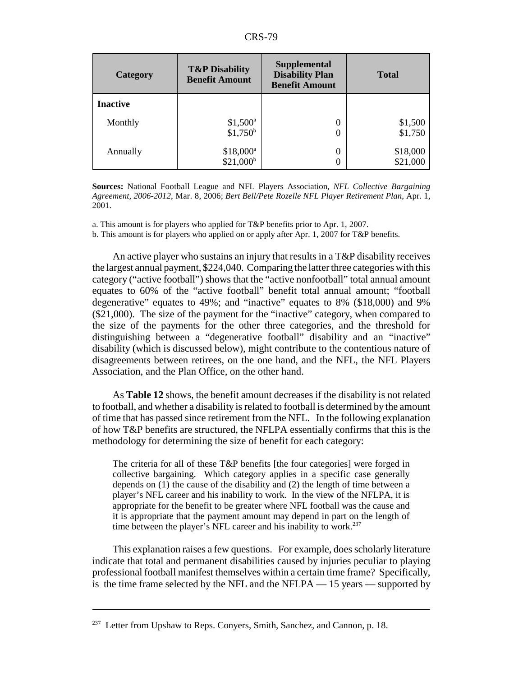| n<br>ı<br>v.<br>τ.<br>17<br>v. |
|--------------------------------|
|--------------------------------|

| Category        | <b>T&amp;P Disability</b><br><b>Benefit Amount</b> | <b>Supplemental</b><br><b>Disability Plan</b><br><b>Benefit Amount</b> | <b>Total</b> |
|-----------------|----------------------------------------------------|------------------------------------------------------------------------|--------------|
| <b>Inactive</b> |                                                    |                                                                        |              |
| Monthly         | $$1,500^{\circ}$                                   | 0                                                                      | \$1,500      |
|                 | $$1,750^b$                                         | 0                                                                      | \$1,750      |
| Annually        | $$18,000^a$                                        | $\theta$                                                               | \$18,000     |
|                 | $$21,000$ <sup>b</sup>                             | 0                                                                      | \$21,000     |

**Sources:** National Football League and NFL Players Association, *NFL Collective Bargaining Agreement, 2006-2012*, Mar. 8, 2006; *Bert Bell/Pete Rozelle NFL Player Retirement Plan*, Apr. 1, 2001.

a. This amount is for players who applied for T&P benefits prior to Apr. 1, 2007.

b. This amount is for players who applied on or apply after Apr. 1, 2007 for T&P benefits.

An active player who sustains an injury that results in a T&P disability receives the largest annual payment, \$224,040. Comparing the latter three categories with this category ("active football") shows that the "active nonfootball" total annual amount equates to 60% of the "active football" benefit total annual amount; "football degenerative" equates to 49%; and "inactive" equates to 8% (\$18,000) and 9% (\$21,000). The size of the payment for the "inactive" category, when compared to the size of the payments for the other three categories, and the threshold for distinguishing between a "degenerative football" disability and an "inactive" disability (which is discussed below), might contribute to the contentious nature of disagreements between retirees, on the one hand, and the NFL, the NFL Players Association, and the Plan Office, on the other hand.

As **Table 12** shows, the benefit amount decreases if the disability is not related to football, and whether a disability is related to football is determined by the amount of time that has passed since retirement from the NFL. In the following explanation of how T&P benefits are structured, the NFLPA essentially confirms that this is the methodology for determining the size of benefit for each category:

The criteria for all of these T&P benefits [the four categories] were forged in collective bargaining. Which category applies in a specific case generally depends on (1) the cause of the disability and (2) the length of time between a player's NFL career and his inability to work. In the view of the NFLPA, it is appropriate for the benefit to be greater where NFL football was the cause and it is appropriate that the payment amount may depend in part on the length of time between the player's NFL career and his inability to work.<sup>237</sup>

This explanation raises a few questions. For example, does scholarly literature indicate that total and permanent disabilities caused by injuries peculiar to playing professional football manifest themselves within a certain time frame? Specifically, is the time frame selected by the NFL and the NFLPA — 15 years — supported by

<sup>&</sup>lt;sup>237</sup> Letter from Upshaw to Reps. Conyers, Smith, Sanchez, and Cannon, p. 18.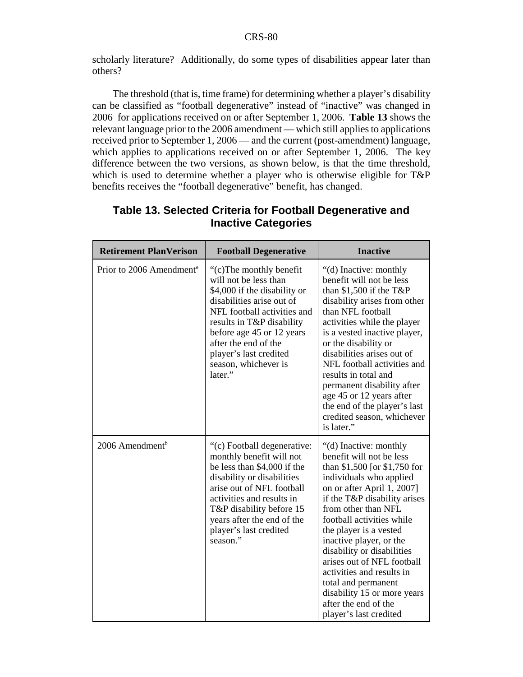scholarly literature? Additionally, do some types of disabilities appear later than others?

The threshold (that is, time frame) for determining whether a player's disability can be classified as "football degenerative" instead of "inactive" was changed in 2006 for applications received on or after September 1, 2006. **Table 13** shows the relevant language prior to the 2006 amendment — which still applies to applications received prior to September 1, 2006 — and the current (post-amendment) language, which applies to applications received on or after September 1, 2006. The key difference between the two versions, as shown below, is that the time threshold, which is used to determine whether a player who is otherwise eligible for T&P benefits receives the "football degenerative" benefit, has changed.

| <b>Retirement PlanVerison</b>        | <b>Football Degenerative</b>                                                                                                                                                                                                                                                                | <b>Inactive</b>                                                                                                                                                                                                                                                                                                                                                                                                                                                                       |
|--------------------------------------|---------------------------------------------------------------------------------------------------------------------------------------------------------------------------------------------------------------------------------------------------------------------------------------------|---------------------------------------------------------------------------------------------------------------------------------------------------------------------------------------------------------------------------------------------------------------------------------------------------------------------------------------------------------------------------------------------------------------------------------------------------------------------------------------|
| Prior to 2006 Amendment <sup>a</sup> | "(c)The monthly benefit<br>will not be less than<br>\$4,000 if the disability or<br>disabilities arise out of<br>NFL football activities and<br>results in T&P disability<br>before age 45 or 12 years<br>after the end of the<br>player's last credited<br>season, whichever is<br>later." | "(d) Inactive: monthly<br>benefit will not be less<br>than $$1,500$ if the T&P<br>disability arises from other<br>than NFL football<br>activities while the player<br>is a vested inactive player,<br>or the disability or<br>disabilities arises out of<br>NFL football activities and<br>results in total and<br>permanent disability after<br>age 45 or 12 years after<br>the end of the player's last<br>credited season, whichever<br>is later."                                 |
| $2006$ Amendment <sup>b</sup>        | "(c) Football degenerative:<br>monthly benefit will not<br>be less than \$4,000 if the<br>disability or disabilities<br>arise out of NFL football<br>activities and results in<br>T&P disability before 15<br>years after the end of the<br>player's last credited<br>season."              | "(d) Inactive: monthly<br>benefit will not be less<br>than \$1,500 [or \$1,750 for<br>individuals who applied<br>on or after April 1, 2007]<br>if the T&P disability arises<br>from other than NFL<br>football activities while<br>the player is a vested<br>inactive player, or the<br>disability or disabilities<br>arises out of NFL football<br>activities and results in<br>total and permanent<br>disability 15 or more years<br>after the end of the<br>player's last credited |

# **Table 13. Selected Criteria for Football Degenerative and Inactive Categories**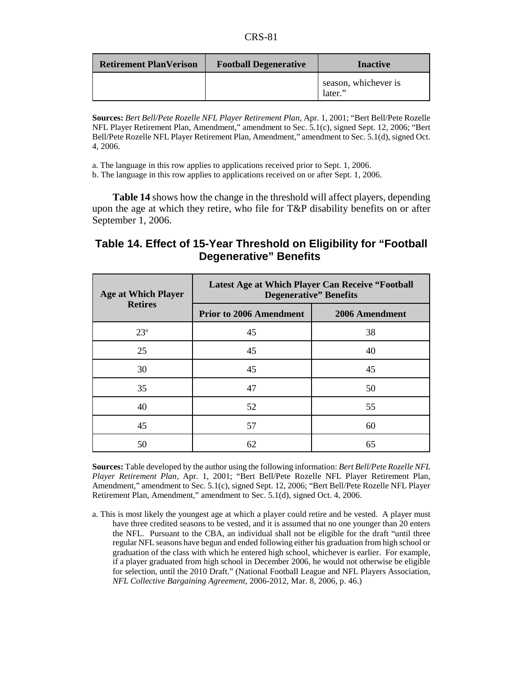| <b>Retirement PlanVerison</b> | <b>Football Degenerative</b> | <b>Inactive</b>                 |
|-------------------------------|------------------------------|---------------------------------|
|                               |                              | season, whichever is<br>later." |

**Sources:** *Bert Bell/Pete Rozelle NFL Player Retirement Plan*, Apr. 1, 2001; "Bert Bell/Pete Rozelle NFL Player Retirement Plan, Amendment," amendment to Sec. 5.1(c), signed Sept. 12, 2006; "Bert Bell/Pete Rozelle NFL Player Retirement Plan, Amendment," amendment to Sec. 5.1(d), signed Oct. 4, 2006.

a. The language in this row applies to applications received prior to Sept. 1, 2006.

b. The language in this row applies to applications received on or after Sept. 1, 2006.

**Table 14** shows how the change in the threshold will affect players, depending upon the age at which they retire, who file for  $T\&P$  disability benefits on or after September 1, 2006.

## **Table 14. Effect of 15-Year Threshold on Eligibility for "Football Degenerative" Benefits**

| <b>Age at Which Player</b> | Latest Age at Which Player Can Receive "Football<br><b>Degenerative</b> " Benefits |                |  |
|----------------------------|------------------------------------------------------------------------------------|----------------|--|
| <b>Retires</b>             | <b>Prior to 2006 Amendment</b>                                                     | 2006 Amendment |  |
| $23^{\rm a}$               | 45                                                                                 | 38             |  |
| 25                         | 45                                                                                 | 40             |  |
| 30                         | 45                                                                                 | 45             |  |
| 35                         | 47                                                                                 | 50             |  |
| 40                         | 52                                                                                 | 55             |  |
| 45                         | 57                                                                                 | 60             |  |
| 50                         | 62                                                                                 | 65             |  |

**Sources:** Table developed by the author using the following information: *Bert Bell/Pete Rozelle NFL Player Retirement Plan*, Apr. 1, 2001; "Bert Bell/Pete Rozelle NFL Player Retirement Plan, Amendment," amendment to Sec. 5.1(c), signed Sept. 12, 2006; "Bert Bell/Pete Rozelle NFL Player Retirement Plan, Amendment," amendment to Sec. 5.1(d), signed Oct. 4, 2006.

a. This is most likely the youngest age at which a player could retire and be vested. A player must have three credited seasons to be vested, and it is assumed that no one younger than 20 enters the NFL. Pursuant to the CBA, an individual shall not be eligible for the draft "until three regular NFL seasons have begun and ended following either his graduation from high school or graduation of the class with which he entered high school, whichever is earlier. For example, if a player graduated from high school in December 2006, he would not otherwise be eligible for selection, until the 2010 Draft." (National Football League and NFL Players Association, *NFL Collective Bargaining Agreement*, 2006-2012, Mar. 8, 2006, p. 46.)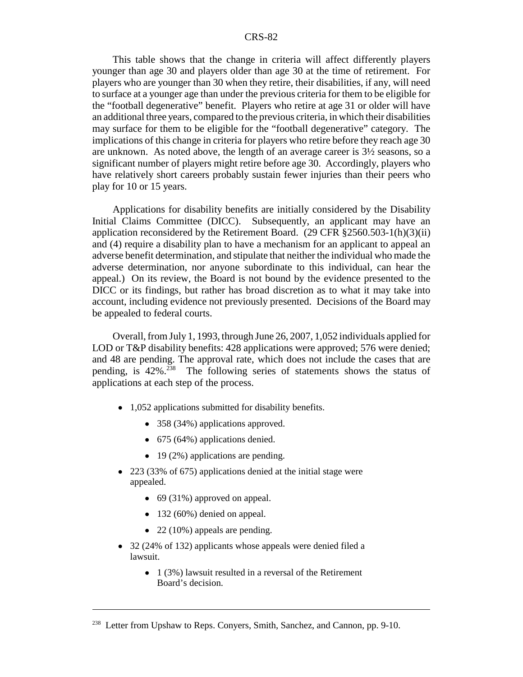This table shows that the change in criteria will affect differently players younger than age 30 and players older than age 30 at the time of retirement. For players who are younger than 30 when they retire, their disabilities, if any, will need to surface at a younger age than under the previous criteria for them to be eligible for the "football degenerative" benefit. Players who retire at age 31 or older will have an additional three years, compared to the previous criteria, in which their disabilities may surface for them to be eligible for the "football degenerative" category. The implications of this change in criteria for players who retire before they reach age 30 are unknown. As noted above, the length of an average career is 3½ seasons, so a significant number of players might retire before age 30. Accordingly, players who have relatively short careers probably sustain fewer injuries than their peers who play for 10 or 15 years.

Applications for disability benefits are initially considered by the Disability Initial Claims Committee (DICC). Subsequently, an applicant may have an application reconsidered by the Retirement Board. (29 CFR  $\S 2560.503-1(h)(3)(ii)$ ) and (4) require a disability plan to have a mechanism for an applicant to appeal an adverse benefit determination, and stipulate that neither the individual who made the adverse determination, nor anyone subordinate to this individual, can hear the appeal.) On its review, the Board is not bound by the evidence presented to the DICC or its findings, but rather has broad discretion as to what it may take into account, including evidence not previously presented. Decisions of the Board may be appealed to federal courts.

Overall, from July 1, 1993, through June 26, 2007, 1,052 individuals applied for LOD or T&P disability benefits: 428 applications were approved; 576 were denied; and 48 are pending. The approval rate, which does not include the cases that are pending, is  $42\%$ <sup>238</sup> The following series of statements shows the status of applications at each step of the process.

- 1,052 applications submitted for disability benefits.
	- 358 (34%) applications approved.
	- $\bullet$  675 (64%) applications denied.
	- $\bullet$  19 (2%) applications are pending.
- 223 (33% of 675) applications denied at the initial stage were appealed.
	- $\bullet$  69 (31%) approved on appeal.
	- $\bullet$  132 (60%) denied on appeal.
	- $\bullet$  22 (10%) appeals are pending.
- 32 (24% of 132) applicants whose appeals were denied filed a lawsuit.
	- $\bullet$  1 (3%) lawsuit resulted in a reversal of the Retirement Board's decision.

<sup>&</sup>lt;sup>238</sup> Letter from Upshaw to Reps. Conyers, Smith, Sanchez, and Cannon, pp. 9-10.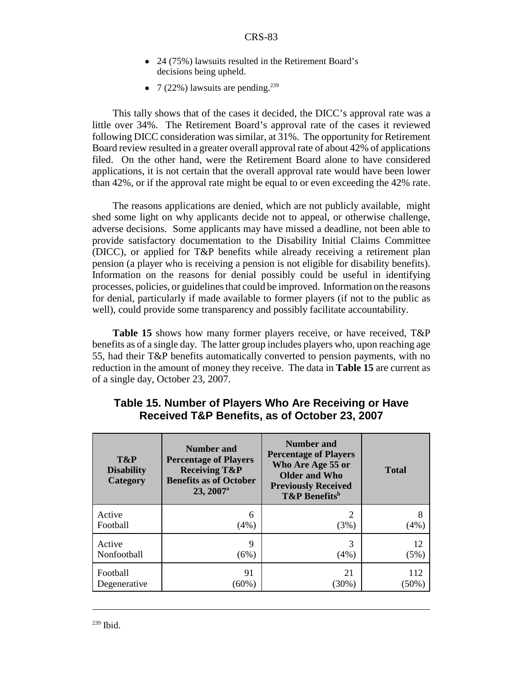- 24 (75%) lawsuits resulted in the Retirement Board's decisions being upheld.
- 7 (22%) lawsuits are pending.<sup>239</sup>

This tally shows that of the cases it decided, the DICC's approval rate was a little over 34%. The Retirement Board's approval rate of the cases it reviewed following DICC consideration was similar, at 31%. The opportunity for Retirement Board review resulted in a greater overall approval rate of about 42% of applications filed. On the other hand, were the Retirement Board alone to have considered applications, it is not certain that the overall approval rate would have been lower than 42%, or if the approval rate might be equal to or even exceeding the 42% rate.

The reasons applications are denied, which are not publicly available, might shed some light on why applicants decide not to appeal, or otherwise challenge, adverse decisions. Some applicants may have missed a deadline, not been able to provide satisfactory documentation to the Disability Initial Claims Committee (DICC), or applied for T&P benefits while already receiving a retirement plan pension (a player who is receiving a pension is not eligible for disability benefits). Information on the reasons for denial possibly could be useful in identifying processes, policies, or guidelines that could be improved. Information on the reasons for denial, particularly if made available to former players (if not to the public as well), could provide some transparency and possibly facilitate accountability.

**Table 15** shows how many former players receive, or have received, T&P benefits as of a single day. The latter group includes players who, upon reaching age 55, had their T&P benefits automatically converted to pension payments, with no reduction in the amount of money they receive. The data in **Table 15** are current as of a single day, October 23, 2007.

| T&P<br><b>Disability</b><br>Category | Number and<br><b>Percentage of Players</b><br><b>Receiving T&amp;P</b><br><b>Benefits as of October</b><br>23, 2007 <sup>a</sup> | Number and<br><b>Percentage of Players</b><br>Who Are Age 55 or<br><b>Older and Who</b><br><b>Previously Received</b><br><b>T&amp;P</b> Benefits <sup>b</sup> | <b>Total</b> |
|--------------------------------------|----------------------------------------------------------------------------------------------------------------------------------|---------------------------------------------------------------------------------------------------------------------------------------------------------------|--------------|
| Active                               | 6                                                                                                                                | (3%)                                                                                                                                                          | 8            |
| Football                             | (4%)                                                                                                                             |                                                                                                                                                               | (4% )        |
| Active                               | 9                                                                                                                                | 3                                                                                                                                                             | 12           |
| Nonfootball                          | (6%)                                                                                                                             | (4%)                                                                                                                                                          | (5%)         |
| Football                             | 91                                                                                                                               | 21                                                                                                                                                            | 112          |
| Degenerative                         | (60%)                                                                                                                            | (30%)                                                                                                                                                         | (50%`        |

## **Table 15. Number of Players Who Are Receiving or Have Received T&P Benefits, as of October 23, 2007**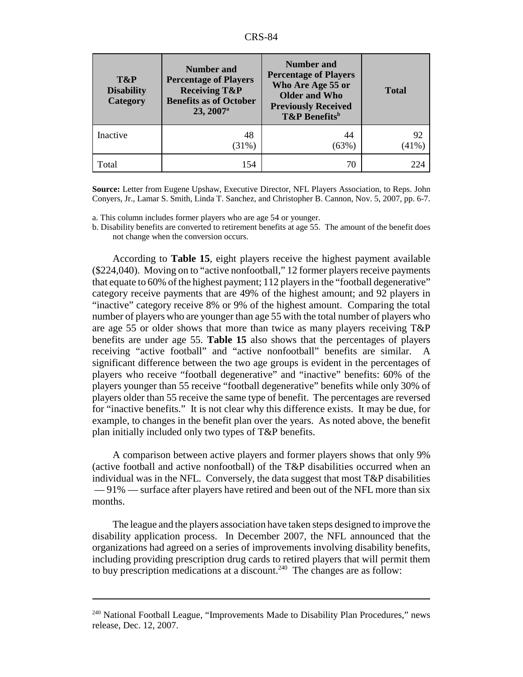| T&P<br><b>Disability</b><br>Category | Number and<br><b>Percentage of Players</b><br><b>Receiving T&amp;P</b><br><b>Benefits as of October</b><br>23, 2007 <sup>a</sup> | Number and<br><b>Percentage of Players</b><br>Who Are Age 55 or<br><b>Older and Who</b><br><b>Previously Received</b><br><b>T&amp;P</b> Benefits <sup>b</sup> | <b>Total</b> |
|--------------------------------------|----------------------------------------------------------------------------------------------------------------------------------|---------------------------------------------------------------------------------------------------------------------------------------------------------------|--------------|
| Inactive                             | 48<br>(31%)                                                                                                                      | 44<br>(63%)                                                                                                                                                   | 92<br>(41%)  |
| Total                                | 154                                                                                                                              | 70                                                                                                                                                            | 224          |

**Source:** Letter from Eugene Upshaw, Executive Director, NFL Players Association, to Reps. John Conyers, Jr., Lamar S. Smith, Linda T. Sanchez, and Christopher B. Cannon, Nov. 5, 2007, pp. 6-7.

a. This column includes former players who are age 54 or younger.

b. Disability benefits are converted to retirement benefits at age 55. The amount of the benefit does not change when the conversion occurs.

According to **Table 15**, eight players receive the highest payment available (\$224,040). Moving on to "active nonfootball," 12 former players receive payments that equate to 60% of the highest payment; 112 players in the "football degenerative" category receive payments that are 49% of the highest amount; and 92 players in "inactive" category receive 8% or 9% of the highest amount. Comparing the total number of players who are younger than age 55 with the total number of players who are age 55 or older shows that more than twice as many players receiving T&P benefits are under age 55. **Table 15** also shows that the percentages of players receiving "active football" and "active nonfootball" benefits are similar. A significant difference between the two age groups is evident in the percentages of players who receive "football degenerative" and "inactive" benefits: 60% of the players younger than 55 receive "football degenerative" benefits while only 30% of players older than 55 receive the same type of benefit. The percentages are reversed for "inactive benefits." It is not clear why this difference exists. It may be due, for example, to changes in the benefit plan over the years. As noted above, the benefit plan initially included only two types of T&P benefits.

A comparison between active players and former players shows that only 9% (active football and active nonfootball) of the T&P disabilities occurred when an individual was in the NFL. Conversely, the data suggest that most T&P disabilities  $-91\%$  — surface after players have retired and been out of the NFL more than six months.

The league and the players association have taken steps designed to improve the disability application process. In December 2007, the NFL announced that the organizations had agreed on a series of improvements involving disability benefits, including providing prescription drug cards to retired players that will permit them to buy prescription medications at a discount.<sup>240</sup> The changes are as follow:

<sup>&</sup>lt;sup>240</sup> National Football League, "Improvements Made to Disability Plan Procedures," news release, Dec. 12, 2007.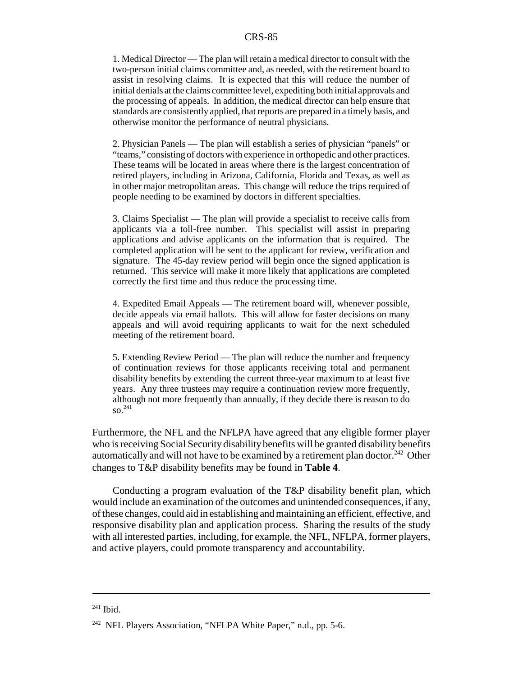1. Medical Director — The plan will retain a medical director to consult with the two-person initial claims committee and, as needed, with the retirement board to assist in resolving claims. It is expected that this will reduce the number of initial denials at the claims committee level, expediting both initial approvals and the processing of appeals. In addition, the medical director can help ensure that standards are consistently applied, that reports are prepared in a timely basis, and otherwise monitor the performance of neutral physicians.

2. Physician Panels — The plan will establish a series of physician "panels" or "teams," consisting of doctors with experience in orthopedic and other practices. These teams will be located in areas where there is the largest concentration of retired players, including in Arizona, California, Florida and Texas, as well as in other major metropolitan areas. This change will reduce the trips required of people needing to be examined by doctors in different specialties.

3. Claims Specialist — The plan will provide a specialist to receive calls from applicants via a toll-free number. This specialist will assist in preparing applications and advise applicants on the information that is required. The completed application will be sent to the applicant for review, verification and signature. The 45-day review period will begin once the signed application is returned. This service will make it more likely that applications are completed correctly the first time and thus reduce the processing time.

4. Expedited Email Appeals — The retirement board will, whenever possible, decide appeals via email ballots. This will allow for faster decisions on many appeals and will avoid requiring applicants to wait for the next scheduled meeting of the retirement board.

5. Extending Review Period — The plan will reduce the number and frequency of continuation reviews for those applicants receiving total and permanent disability benefits by extending the current three-year maximum to at least five years. Any three trustees may require a continuation review more frequently, although not more frequently than annually, if they decide there is reason to do so.241

Furthermore, the NFL and the NFLPA have agreed that any eligible former player who is receiving Social Security disability benefits will be granted disability benefits automatically and will not have to be examined by a retirement plan doctor.<sup>242</sup> Other changes to T&P disability benefits may be found in **Table 4**.

Conducting a program evaluation of the T&P disability benefit plan, which would include an examination of the outcomes and unintended consequences, if any, of these changes, could aid in establishing and maintaining an efficient, effective, and responsive disability plan and application process. Sharing the results of the study with all interested parties, including, for example, the NFL, NFLPA, former players, and active players, could promote transparency and accountability.

<sup>241</sup> Ibid.

<sup>&</sup>lt;sup>242</sup> NFL Players Association, "NFLPA White Paper," n.d., pp. 5-6.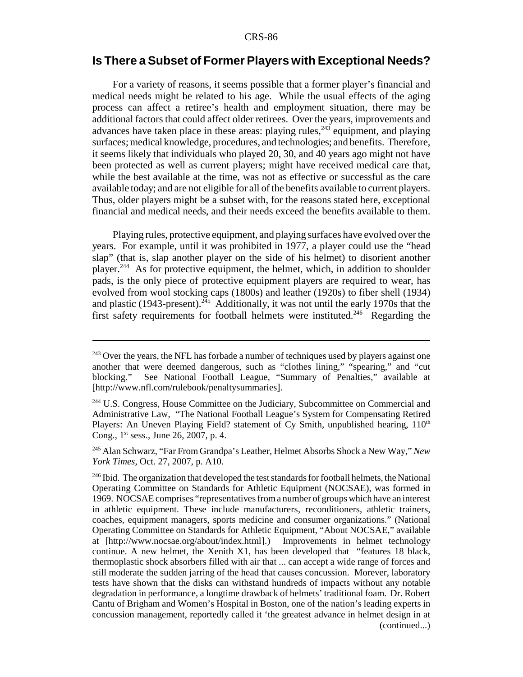## **Is There a Subset of Former Players with Exceptional Needs?**

For a variety of reasons, it seems possible that a former player's financial and medical needs might be related to his age. While the usual effects of the aging process can affect a retiree's health and employment situation, there may be additional factors that could affect older retirees. Over the years, improvements and advances have taken place in these areas: playing rules,  $243$  equipment, and playing surfaces; medical knowledge, procedures, and technologies; and benefits. Therefore, it seems likely that individuals who played 20, 30, and 40 years ago might not have been protected as well as current players; might have received medical care that, while the best available at the time, was not as effective or successful as the care available today; and are not eligible for all of the benefits available to current players. Thus, older players might be a subset with, for the reasons stated here, exceptional financial and medical needs, and their needs exceed the benefits available to them.

Playing rules, protective equipment, and playing surfaces have evolved over the years. For example, until it was prohibited in 1977, a player could use the "head slap" (that is, slap another player on the side of his helmet) to disorient another player.244 As for protective equipment, the helmet, which, in addition to shoulder pads, is the only piece of protective equipment players are required to wear, has evolved from wool stocking caps (1800s) and leather (1920s) to fiber shell (1934) and plastic (1943-present).<sup> $245$ </sup> Additionally, it was not until the early 1970s that the first safety requirements for football helmets were instituted.<sup>246</sup> Regarding the

245 Alan Schwarz, "Far From Grandpa's Leather, Helmet Absorbs Shock a New Way," *New York Times*, Oct. 27, 2007, p. A10.

<sup>&</sup>lt;sup>243</sup> Over the years, the NFL has forbade a number of techniques used by players against one another that were deemed dangerous, such as "clothes lining," "spearing," and "cut blocking." See National Football League, "Summary of Penalties," available at [http://www.nfl.com/rulebook/penaltysummaries].

<sup>&</sup>lt;sup>244</sup> U.S. Congress, House Committee on the Judiciary, Subcommittee on Commercial and Administrative Law, "The National Football League's System for Compensating Retired Players: An Uneven Playing Field? statement of Cy Smith, unpublished hearing, 110<sup>th</sup> Cong., 1st sess., June 26, 2007, p. 4.

 $246$  Ibid. The organization that developed the test standards for football helmets, the National Operating Committee on Standards for Athletic Equipment (NOCSAE), was formed in 1969. NOCSAE comprises "representatives from a number of groups which have an interest in athletic equipment. These include manufacturers, reconditioners, athletic trainers, coaches, equipment managers, sports medicine and consumer organizations." (National Operating Committee on Standards for Athletic Equipment, "About NOCSAE," available at [http://www.nocsae.org/about/index.html].) Improvements in helmet technology continue. A new helmet, the Xenith X1, has been developed that "features 18 black, thermoplastic shock absorbers filled with air that ... can accept a wide range of forces and still moderate the sudden jarring of the head that causes concussion. Morever, laboratory tests have shown that the disks can withstand hundreds of impacts without any notable degradation in performance, a longtime drawback of helmets' traditional foam. Dr. Robert Cantu of Brigham and Women's Hospital in Boston, one of the nation's leading experts in concussion management, reportedly called it 'the greatest advance in helmet design in at (continued...)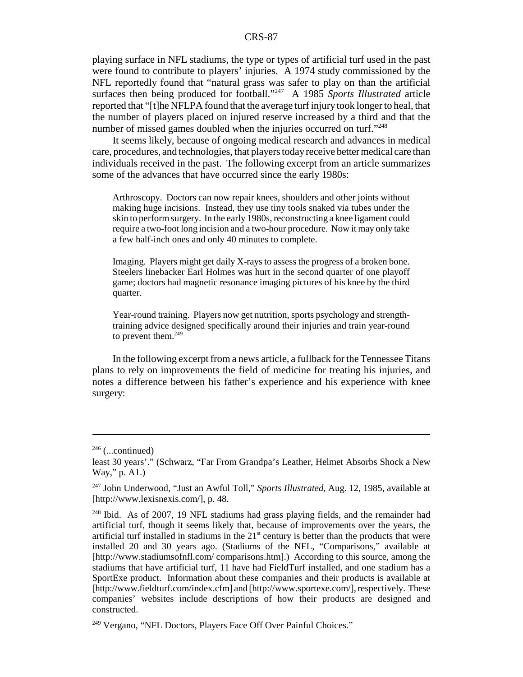playing surface in NFL stadiums, the type or types of artificial turf used in the past were found to contribute to players' injuries. A 1974 study commissioned by the NFL reportedly found that "natural grass was safer to play on than the artificial surfaces then being produced for football."247 A 1985 *Sports Illustrated* article reported that "[t]he NFLPA found that the average turf injury took longer to heal, that the number of players placed on injured reserve increased by a third and that the number of missed games doubled when the injuries occurred on turf."<sup>248</sup>

It seems likely, because of ongoing medical research and advances in medical care, procedures, and technologies, that players today receive better medical care than individuals received in the past. The following excerpt from an article summarizes some of the advances that have occurred since the early 1980s:

Arthroscopy. Doctors can now repair knees, shoulders and other joints without making huge incisions. Instead, they use tiny tools snaked via tubes under the skin to perform surgery. In the early 1980s, reconstructing a knee ligament could require a two-foot long incision and a two-hour procedure. Now it may only take a few half-inch ones and only 40 minutes to complete.

Imaging. Players might get daily X-rays to assess the progress of a broken bone. Steelers linebacker Earl Holmes was hurt in the second quarter of one playoff game; doctors had magnetic resonance imaging pictures of his knee by the third quarter.

Year-round training. Players now get nutrition, sports psychology and strengthtraining advice designed specifically around their injuries and train year-round to prevent them.<sup>249</sup>

In the following excerpt from a news article, a fullback for the Tennessee Titans plans to rely on improvements the field of medicine for treating his injuries, and notes a difference between his father's experience and his experience with knee surgery:

 $246$  (...continued)

least 30 years'." (Schwarz, "Far From Grandpa's Leather, Helmet Absorbs Shock a New Way," p. A1.)

<sup>247</sup> John Underwood, "Just an Awful Toll," *Sports Illustrated*, Aug. 12, 1985, available at [http://www.lexisnexis.com/], p. 48.

<sup>&</sup>lt;sup>248</sup> Ibid. As of 2007, 19 NFL stadiums had grass playing fields, and the remainder had artificial turf, though it seems likely that, because of improvements over the years, the artificial turf installed in stadiums in the  $21<sup>st</sup>$  century is better than the products that were installed 20 and 30 years ago. (Stadiums of the NFL, "Comparisons," available at [http://www.stadiumsofnfl.com/ comparisons.htm].) According to this source, among the stadiums that have artificial turf, 11 have had FieldTurf installed, and one stadium has a SportExe product. Information about these companies and their products is available at [http://www.fieldturf.com/index.cfm] and [http://www.sportexe.com/], respectively. These companies' websites include descriptions of how their products are designed and constructed.

<sup>249</sup> Vergano, "NFL Doctors, Players Face Off Over Painful Choices."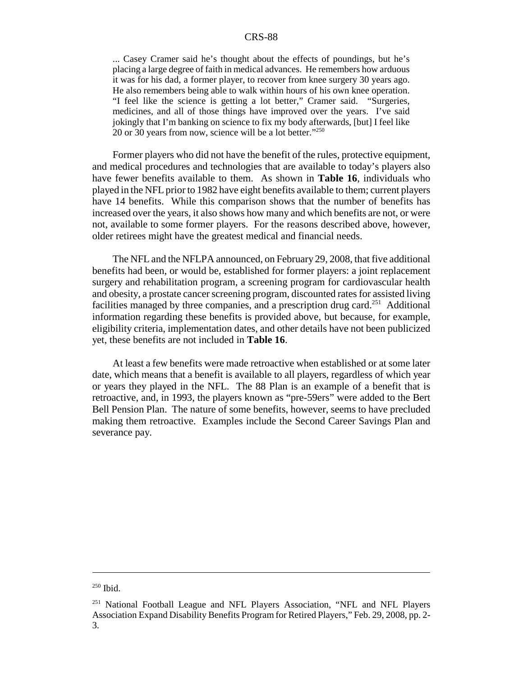... Casey Cramer said he's thought about the effects of poundings, but he's placing a large degree of faith in medical advances. He remembers how arduous it was for his dad, a former player, to recover from knee surgery 30 years ago. He also remembers being able to walk within hours of his own knee operation. "I feel like the science is getting a lot better," Cramer said. "Surgeries, medicines, and all of those things have improved over the years. I've said jokingly that I'm banking on science to fix my body afterwards, [but] I feel like 20 or 30 years from now, science will be a lot better."250

Former players who did not have the benefit of the rules, protective equipment, and medical procedures and technologies that are available to today's players also have fewer benefits available to them. As shown in **Table 16**, individuals who played in the NFL prior to 1982 have eight benefits available to them; current players have 14 benefits. While this comparison shows that the number of benefits has increased over the years, it also shows how many and which benefits are not, or were not, available to some former players. For the reasons described above, however, older retirees might have the greatest medical and financial needs.

The NFL and the NFLPA announced, on February 29, 2008, that five additional benefits had been, or would be, established for former players: a joint replacement surgery and rehabilitation program, a screening program for cardiovascular health and obesity, a prostate cancer screening program, discounted rates for assisted living facilities managed by three companies, and a prescription drug card.<sup>251</sup> Additional information regarding these benefits is provided above, but because, for example, eligibility criteria, implementation dates, and other details have not been publicized yet, these benefits are not included in **Table 16**.

At least a few benefits were made retroactive when established or at some later date, which means that a benefit is available to all players, regardless of which year or years they played in the NFL. The 88 Plan is an example of a benefit that is retroactive, and, in 1993, the players known as "pre-59ers" were added to the Bert Bell Pension Plan. The nature of some benefits, however, seems to have precluded making them retroactive. Examples include the Second Career Savings Plan and severance pay.

<sup>250</sup> Ibid.

<sup>251</sup> National Football League and NFL Players Association, "NFL and NFL Players Association Expand Disability Benefits Program for Retired Players," Feb. 29, 2008, pp. 2- 3.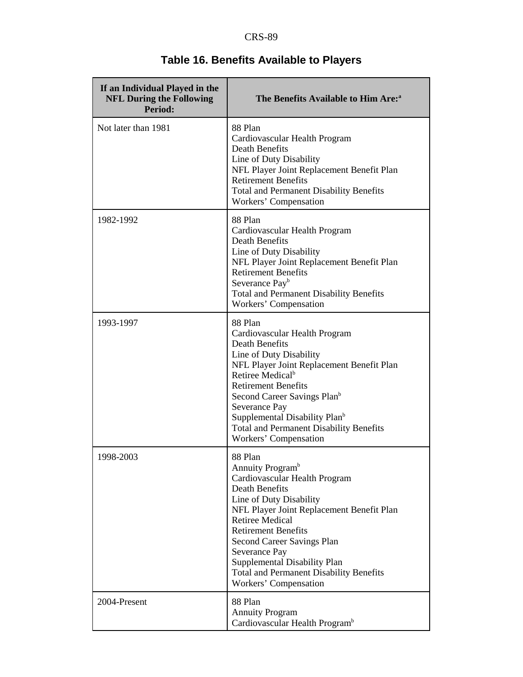| If an Individual Played in the<br><b>NFL During the Following</b><br>Period: | The Benefits Available to Him Are: <sup>a</sup>                                                                                                                                                                                                                                                                                                                                      |
|------------------------------------------------------------------------------|--------------------------------------------------------------------------------------------------------------------------------------------------------------------------------------------------------------------------------------------------------------------------------------------------------------------------------------------------------------------------------------|
| Not later than 1981                                                          | 88 Plan<br>Cardiovascular Health Program<br>Death Benefits<br>Line of Duty Disability<br>NFL Player Joint Replacement Benefit Plan<br><b>Retirement Benefits</b><br><b>Total and Permanent Disability Benefits</b><br>Workers' Compensation                                                                                                                                          |
| 1982-1992                                                                    | 88 Plan<br>Cardiovascular Health Program<br>Death Benefits<br>Line of Duty Disability<br>NFL Player Joint Replacement Benefit Plan<br><b>Retirement Benefits</b><br>Severance Pay <sup>b</sup><br><b>Total and Permanent Disability Benefits</b><br><b>Workers' Compensation</b>                                                                                                     |
| 1993-1997                                                                    | 88 Plan<br>Cardiovascular Health Program<br>Death Benefits<br>Line of Duty Disability<br>NFL Player Joint Replacement Benefit Plan<br>Retiree Medical <sup>b</sup><br><b>Retirement Benefits</b><br>Second Career Savings Plan <sup>b</sup><br>Severance Pay<br>Supplemental Disability Plan <sup>b</sup><br><b>Total and Permanent Disability Benefits</b><br>Workers' Compensation |
| 1998-2003                                                                    | 88 Plan<br>Annuity Program <sup>b</sup><br>Cardiovascular Health Program<br><b>Death Benefits</b><br>Line of Duty Disability<br>NFL Player Joint Replacement Benefit Plan<br><b>Retiree Medical</b><br><b>Retirement Benefits</b><br>Second Career Savings Plan<br>Severance Pay<br>Supplemental Disability Plan<br>Total and Permanent Disability Benefits<br>Workers' Compensation |
| 2004-Present                                                                 | 88 Plan<br><b>Annuity Program</b><br>Cardiovascular Health Program <sup>b</sup>                                                                                                                                                                                                                                                                                                      |

# **Table 16. Benefits Available to Players**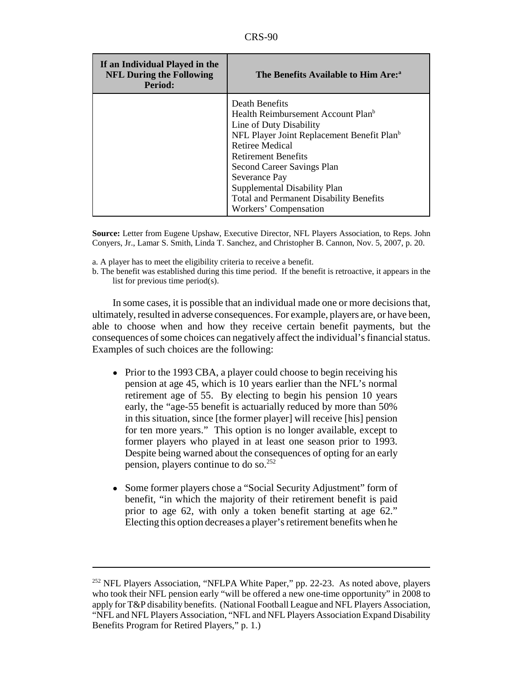| CRS-90 |
|--------|
|--------|

| If an Individual Played in the<br><b>NFL During the Following</b><br><b>Period:</b> | The Benefits Available to Him Are: <sup>a</sup>                                                                                                                                                                                                                                              |
|-------------------------------------------------------------------------------------|----------------------------------------------------------------------------------------------------------------------------------------------------------------------------------------------------------------------------------------------------------------------------------------------|
|                                                                                     | Death Benefits<br>Health Reimbursement Account Plan <sup>b</sup><br>Line of Duty Disability<br>NFL Player Joint Replacement Benefit Plan <sup>b</sup><br><b>Retiree Medical</b><br><b>Retirement Benefits</b><br>Second Career Savings Plan<br>Severance Pay<br>Supplemental Disability Plan |
|                                                                                     | <b>Total and Permanent Disability Benefits</b><br>Workers' Compensation                                                                                                                                                                                                                      |

**Source:** Letter from Eugene Upshaw, Executive Director, NFL Players Association, to Reps. John Conyers, Jr., Lamar S. Smith, Linda T. Sanchez, and Christopher B. Cannon, Nov. 5, 2007, p. 20.

a. A player has to meet the eligibility criteria to receive a benefit.

b. The benefit was established during this time period. If the benefit is retroactive, it appears in the list for previous time period(s).

In some cases, it is possible that an individual made one or more decisions that, ultimately, resulted in adverse consequences. For example, players are, or have been, able to choose when and how they receive certain benefit payments, but the consequences of some choices can negatively affect the individual's financial status. Examples of such choices are the following:

- Prior to the 1993 CBA, a player could choose to begin receiving his pension at age 45, which is 10 years earlier than the NFL's normal retirement age of 55. By electing to begin his pension 10 years early, the "age-55 benefit is actuarially reduced by more than 50% in this situation, since [the former player] will receive [his] pension for ten more years." This option is no longer available, except to former players who played in at least one season prior to 1993. Despite being warned about the consequences of opting for an early pension, players continue to do so. $252$
- ! Some former players chose a "Social Security Adjustment" form of benefit, "in which the majority of their retirement benefit is paid prior to age 62, with only a token benefit starting at age 62." Electing this option decreases a player's retirement benefits when he

 $252$  NFL Players Association, "NFLPA White Paper," pp. 22-23. As noted above, players who took their NFL pension early "will be offered a new one-time opportunity" in 2008 to apply for T&P disability benefits. (National Football League and NFL Players Association, "NFL and NFL Players Association, "NFL and NFL Players Association Expand Disability Benefits Program for Retired Players," p. 1.)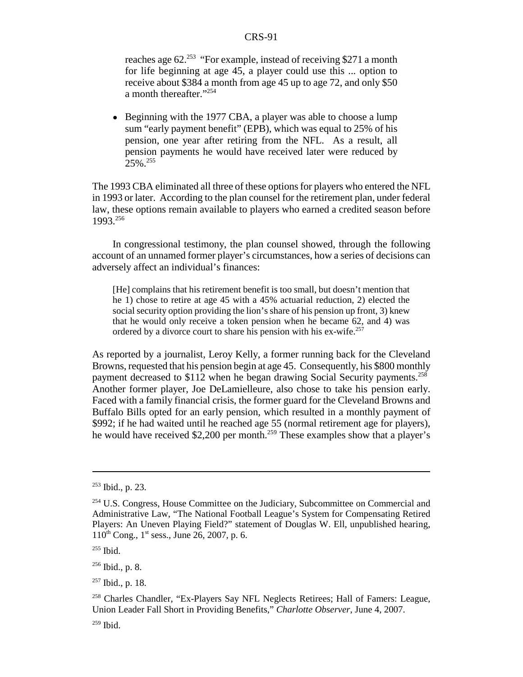reaches age 62.<sup>253</sup> "For example, instead of receiving \$271 a month for life beginning at age 45, a player could use this ... option to receive about \$384 a month from age 45 up to age 72, and only \$50 a month thereafter."254

• Beginning with the 1977 CBA, a player was able to choose a lump sum "early payment benefit" (EPB), which was equal to 25% of his pension, one year after retiring from the NFL. As a result, all pension payments he would have received later were reduced by  $25\%$ <sup>255</sup>

The 1993 CBA eliminated all three of these options for players who entered the NFL in 1993 or later. According to the plan counsel for the retirement plan, under federal law, these options remain available to players who earned a credited season before 1993.256

In congressional testimony, the plan counsel showed, through the following account of an unnamed former player's circumstances, how a series of decisions can adversely affect an individual's finances:

[He] complains that his retirement benefit is too small, but doesn't mention that he 1) chose to retire at age 45 with a 45% actuarial reduction, 2) elected the social security option providing the lion's share of his pension up front, 3) knew that he would only receive a token pension when he became 62, and 4) was ordered by a divorce court to share his pension with his ex-wife.<sup>257</sup>

As reported by a journalist, Leroy Kelly, a former running back for the Cleveland Browns, requested that his pension begin at age 45. Consequently, his \$800 monthly payment decreased to \$112 when he began drawing Social Security payments.<sup>258</sup> Another former player, Joe DeLamielleure, also chose to take his pension early. Faced with a family financial crisis, the former guard for the Cleveland Browns and Buffalo Bills opted for an early pension, which resulted in a monthly payment of \$992; if he had waited until he reached age 55 (normal retirement age for players), he would have received \$2,200 per month.259 These examples show that a player's

<sup>253</sup> Ibid., p. 23.

<sup>254</sup> U.S. Congress, House Committee on the Judiciary, Subcommittee on Commercial and Administrative Law, "The National Football League's System for Compensating Retired Players: An Uneven Playing Field?" statement of Douglas W. Ell, unpublished hearing,  $110^{th}$  Cong., 1<sup>st</sup> sess., June 26, 2007, p. 6.

<sup>&</sup>lt;sup>255</sup> Ibid.

<sup>256</sup> Ibid., p. 8.

 $257$  Ibid., p. 18.

<sup>258</sup> Charles Chandler, "Ex-Players Say NFL Neglects Retirees; Hall of Famers: League, Union Leader Fall Short in Providing Benefits," *Charlotte Observer*, June 4, 2007.

<sup>259</sup> Ibid.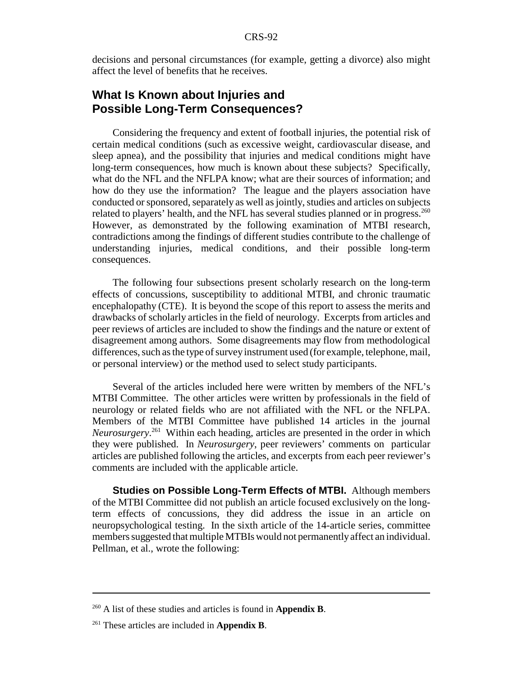decisions and personal circumstances (for example, getting a divorce) also might affect the level of benefits that he receives.

## **What Is Known about Injuries and Possible Long-Term Consequences?**

Considering the frequency and extent of football injuries, the potential risk of certain medical conditions (such as excessive weight, cardiovascular disease, and sleep apnea), and the possibility that injuries and medical conditions might have long-term consequences, how much is known about these subjects? Specifically, what do the NFL and the NFLPA know; what are their sources of information; and how do they use the information? The league and the players association have conducted or sponsored, separately as well as jointly, studies and articles on subjects related to players' health, and the NFL has several studies planned or in progress.<sup>260</sup> However, as demonstrated by the following examination of MTBI research, contradictions among the findings of different studies contribute to the challenge of understanding injuries, medical conditions, and their possible long-term consequences.

The following four subsections present scholarly research on the long-term effects of concussions, susceptibility to additional MTBI, and chronic traumatic encephalopathy (CTE). It is beyond the scope of this report to assess the merits and drawbacks of scholarly articles in the field of neurology. Excerpts from articles and peer reviews of articles are included to show the findings and the nature or extent of disagreement among authors. Some disagreements may flow from methodological differences, such as the type of survey instrument used (for example, telephone, mail, or personal interview) or the method used to select study participants.

Several of the articles included here were written by members of the NFL's MTBI Committee. The other articles were written by professionals in the field of neurology or related fields who are not affiliated with the NFL or the NFLPA. Members of the MTBI Committee have published 14 articles in the journal *Neurosurgery*. 261 Within each heading, articles are presented in the order in which they were published. In *Neurosurgery*, peer reviewers' comments on particular articles are published following the articles, and excerpts from each peer reviewer's comments are included with the applicable article.

**Studies on Possible Long-Term Effects of MTBI.** Although members of the MTBI Committee did not publish an article focused exclusively on the longterm effects of concussions, they did address the issue in an article on neuropsychological testing. In the sixth article of the 14-article series, committee members suggested that multiple MTBIs would not permanently affect an individual. Pellman, et al., wrote the following:

<sup>260</sup> A list of these studies and articles is found in **Appendix B**.

<sup>261</sup> These articles are included in **Appendix B**.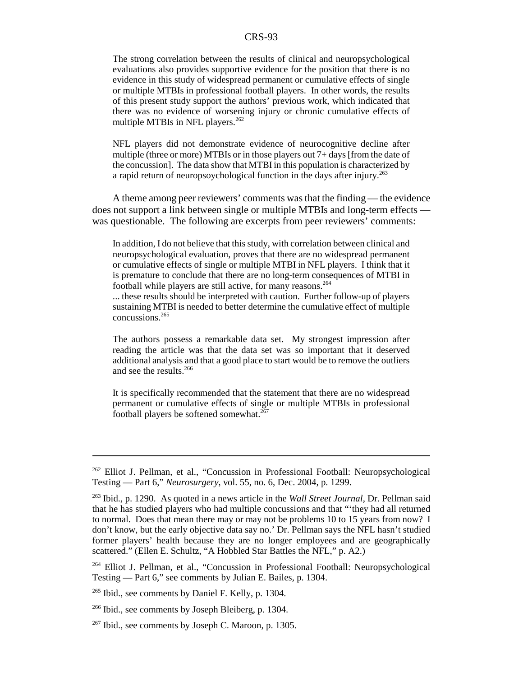The strong correlation between the results of clinical and neuropsychological evaluations also provides supportive evidence for the position that there is no evidence in this study of widespread permanent or cumulative effects of single or multiple MTBIs in professional football players. In other words, the results of this present study support the authors' previous work, which indicated that there was no evidence of worsening injury or chronic cumulative effects of multiple MTBIs in NFL players.<sup>262</sup>

NFL players did not demonstrate evidence of neurocognitive decline after multiple (three or more) MTBIs or in those players out 7+ days [from the date of the concussion]. The data show that MTBI in this population is characterized by a rapid return of neuropsoychological function in the days after injury.<sup>263</sup>

A theme among peer reviewers' comments was that the finding — the evidence does not support a link between single or multiple MTBIs and long-term effects was questionable. The following are excerpts from peer reviewers' comments:

In addition, I do not believe that this study, with correlation between clinical and neuropsychological evaluation, proves that there are no widespread permanent or cumulative effects of single or multiple MTBI in NFL players. I think that it is premature to conclude that there are no long-term consequences of MTBI in football while players are still active, for many reasons.<sup>264</sup>

... these results should be interpreted with caution. Further follow-up of players sustaining MTBI is needed to better determine the cumulative effect of multiple concussions.265

The authors possess a remarkable data set. My strongest impression after reading the article was that the data set was so important that it deserved additional analysis and that a good place to start would be to remove the outliers and see the results.<sup>266</sup>

It is specifically recommended that the statement that there are no widespread permanent or cumulative effects of single or multiple MTBIs in professional football players be softened somewhat.<sup>267</sup>

<sup>262</sup> Elliot J. Pellman, et al., "Concussion in Professional Football: Neuropsychological Testing — Part 6," *Neurosurgery*, vol. 55, no. 6, Dec. 2004, p. 1299.

<sup>263</sup> Ibid., p. 1290. As quoted in a news article in the *Wall Street Journal*, Dr. Pellman said that he has studied players who had multiple concussions and that "'they had all returned to normal. Does that mean there may or may not be problems 10 to 15 years from now? I don't know, but the early objective data say no.' Dr. Pellman says the NFL hasn't studied former players' health because they are no longer employees and are geographically scattered." (Ellen E. Schultz, "A Hobbled Star Battles the NFL," p. A2.)

<sup>264</sup> Elliot J. Pellman, et al., "Concussion in Professional Football: Neuropsychological Testing — Part 6," see comments by Julian E. Bailes, p. 1304.

<sup>265</sup> Ibid., see comments by Daniel F. Kelly, p. 1304.

<sup>266</sup> Ibid., see comments by Joseph Bleiberg, p. 1304.

<sup>267</sup> Ibid., see comments by Joseph C. Maroon, p. 1305.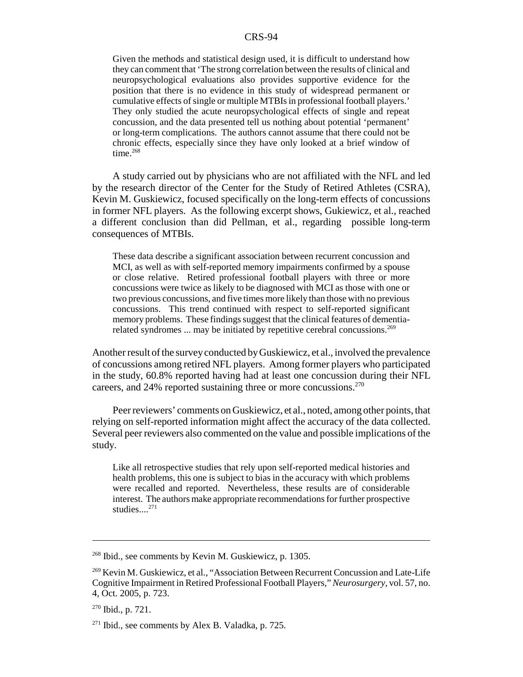Given the methods and statistical design used, it is difficult to understand how they can comment that 'The strong correlation between the results of clinical and neuropsychological evaluations also provides supportive evidence for the position that there is no evidence in this study of widespread permanent or cumulative effects of single or multiple MTBIs in professional football players.' They only studied the acute neuropsychological effects of single and repeat concussion, and the data presented tell us nothing about potential 'permanent' or long-term complications. The authors cannot assume that there could not be chronic effects, especially since they have only looked at a brief window of time.<sup>268</sup>

A study carried out by physicians who are not affiliated with the NFL and led by the research director of the Center for the Study of Retired Athletes (CSRA), Kevin M. Guskiewicz, focused specifically on the long-term effects of concussions in former NFL players. As the following excerpt shows, Gukiewicz, et al., reached a different conclusion than did Pellman, et al., regarding possible long-term consequences of MTBIs.

These data describe a significant association between recurrent concussion and MCI, as well as with self-reported memory impairments confirmed by a spouse or close relative. Retired professional football players with three or more concussions were twice as likely to be diagnosed with MCI as those with one or two previous concussions, and five times more likely than those with no previous concussions. This trend continued with respect to self-reported significant memory problems. These findings suggest that the clinical features of dementiarelated syndromes ... may be initiated by repetitive cerebral concussions.<sup>269</sup>

Another result of the survey conducted by Guskiewicz, et al., involved the prevalence of concussions among retired NFL players. Among former players who participated in the study, 60.8% reported having had at least one concussion during their NFL careers, and 24% reported sustaining three or more concussions.270

Peer reviewers' comments on Guskiewicz, et al., noted, among other points, that relying on self-reported information might affect the accuracy of the data collected. Several peer reviewers also commented on the value and possible implications of the study.

Like all retrospective studies that rely upon self-reported medical histories and health problems, this one is subject to bias in the accuracy with which problems were recalled and reported. Nevertheless, these results are of considerable interest. The authors make appropriate recommendations for further prospective studies... $^{271}$ 

<sup>268</sup> Ibid., see comments by Kevin M. Guskiewicz, p. 1305.

<sup>&</sup>lt;sup>269</sup> Kevin M. Guskiewicz, et al., "Association Between Recurrent Concussion and Late-Life Cognitive Impairment in Retired Professional Football Players," *Neurosurgery*, vol. 57, no. 4, Oct. 2005, p. 723.

<sup>270</sup> Ibid., p. 721.

 $271$  Ibid., see comments by Alex B. Valadka, p. 725.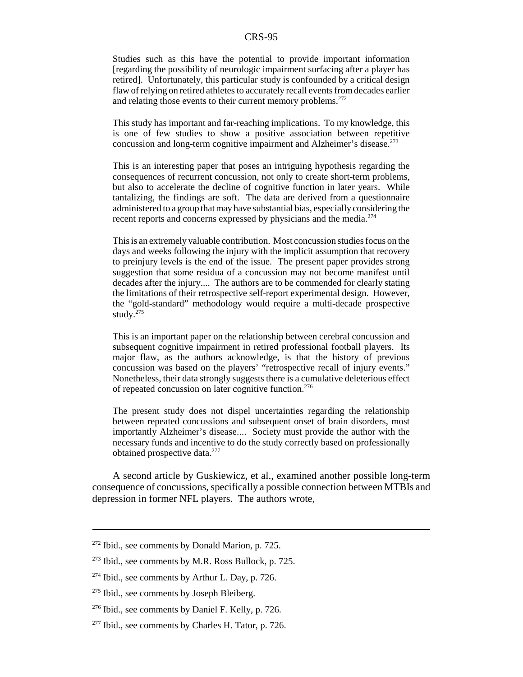Studies such as this have the potential to provide important information [regarding the possibility of neurologic impairment surfacing after a player has retired]. Unfortunately, this particular study is confounded by a critical design flaw of relying on retired athletes to accurately recall events from decades earlier and relating those events to their current memory problems.<sup>272</sup>

This study has important and far-reaching implications. To my knowledge, this is one of few studies to show a positive association between repetitive concussion and long-term cognitive impairment and Alzheimer's disease.<sup>273</sup>

This is an interesting paper that poses an intriguing hypothesis regarding the consequences of recurrent concussion, not only to create short-term problems, but also to accelerate the decline of cognitive function in later years. While tantalizing, the findings are soft. The data are derived from a questionnaire administered to a group that may have substantial bias, especially considering the recent reports and concerns expressed by physicians and the media.<sup>274</sup>

This is an extremely valuable contribution. Most concussion studies focus on the days and weeks following the injury with the implicit assumption that recovery to preinjury levels is the end of the issue. The present paper provides strong suggestion that some residua of a concussion may not become manifest until decades after the injury.... The authors are to be commended for clearly stating the limitations of their retrospective self-report experimental design. However, the "gold-standard" methodology would require a multi-decade prospective study.275

This is an important paper on the relationship between cerebral concussion and subsequent cognitive impairment in retired professional football players. Its major flaw, as the authors acknowledge, is that the history of previous concussion was based on the players' "retrospective recall of injury events." Nonetheless, their data strongly suggests there is a cumulative deleterious effect of repeated concussion on later cognitive function.<sup>276</sup>

The present study does not dispel uncertainties regarding the relationship between repeated concussions and subsequent onset of brain disorders, most importantly Alzheimer's disease.... Society must provide the author with the necessary funds and incentive to do the study correctly based on professionally obtained prospective data.<sup>277</sup>

A second article by Guskiewicz, et al., examined another possible long-term consequence of concussions, specifically a possible connection between MTBIs and depression in former NFL players. The authors wrote,

<sup>272</sup> Ibid., see comments by Donald Marion, p. 725.

<sup>273</sup> Ibid., see comments by M.R. Ross Bullock, p. 725.

 $274$  Ibid., see comments by Arthur L. Day, p. 726.

<sup>&</sup>lt;sup>275</sup> Ibid., see comments by Joseph Bleiberg.

<sup>276</sup> Ibid., see comments by Daniel F. Kelly, p. 726.

<sup>277</sup> Ibid., see comments by Charles H. Tator, p. 726.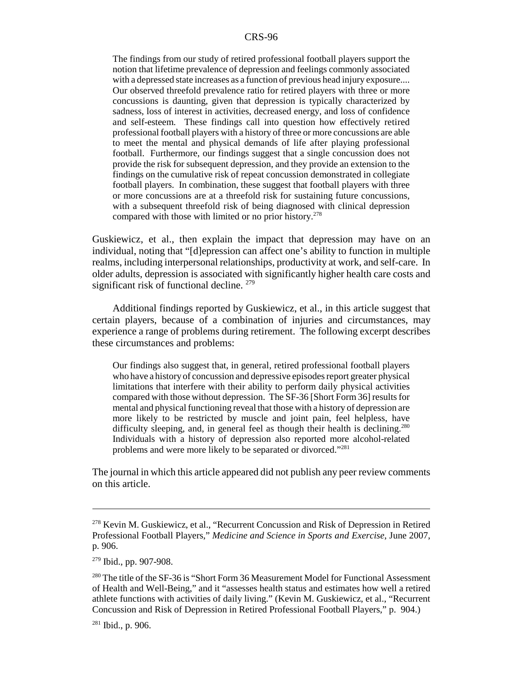The findings from our study of retired professional football players support the notion that lifetime prevalence of depression and feelings commonly associated with a depressed state increases as a function of previous head injury exposure.... Our observed threefold prevalence ratio for retired players with three or more concussions is daunting, given that depression is typically characterized by sadness, loss of interest in activities, decreased energy, and loss of confidence and self-esteem. These findings call into question how effectively retired professional football players with a history of three or more concussions are able to meet the mental and physical demands of life after playing professional football. Furthermore, our findings suggest that a single concussion does not provide the risk for subsequent depression, and they provide an extension to the findings on the cumulative risk of repeat concussion demonstrated in collegiate football players. In combination, these suggest that football players with three or more concussions are at a threefold risk for sustaining future concussions, with a subsequent threefold risk of being diagnosed with clinical depression compared with those with limited or no prior history.278

Guskiewicz, et al., then explain the impact that depression may have on an individual, noting that "[d]epression can affect one's ability to function in multiple realms, including interpersonal relationships, productivity at work, and self-care. In older adults, depression is associated with significantly higher health care costs and significant risk of functional decline.  $279$ 

Additional findings reported by Guskiewicz, et al., in this article suggest that certain players, because of a combination of injuries and circumstances, may experience a range of problems during retirement. The following excerpt describes these circumstances and problems:

Our findings also suggest that, in general, retired professional football players who have a history of concussion and depressive episodes report greater physical limitations that interfere with their ability to perform daily physical activities compared with those without depression. The SF-36 [Short Form 36] results for mental and physical functioning reveal that those with a history of depression are more likely to be restricted by muscle and joint pain, feel helpless, have difficulty sleeping, and, in general feel as though their health is declining.<sup>280</sup> Individuals with a history of depression also reported more alcohol-related problems and were more likely to be separated or divorced."281

The journal in which this article appeared did not publish any peer review comments on this article.

<sup>278</sup> Kevin M. Guskiewicz, et al., "Recurrent Concussion and Risk of Depression in Retired Professional Football Players," *Medicine and Science in Sports and Exercise*, June 2007, p. 906.

<sup>279</sup> Ibid., pp. 907-908.

<sup>&</sup>lt;sup>280</sup> The title of the SF-36 is "Short Form 36 Measurement Model for Functional Assessment of Health and Well-Being," and it "assesses health status and estimates how well a retired athlete functions with activities of daily living." (Kevin M. Guskiewicz, et al., "Recurrent Concussion and Risk of Depression in Retired Professional Football Players," p. 904.)

<sup>281</sup> Ibid., p. 906.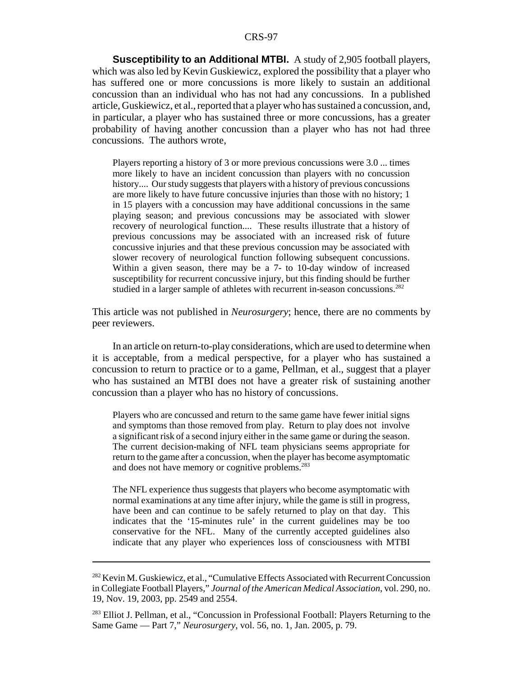**Susceptibility to an Additional MTBI.** A study of 2,905 football players, which was also led by Kevin Guskiewicz, explored the possibility that a player who has suffered one or more concussions is more likely to sustain an additional concussion than an individual who has not had any concussions. In a published article, Guskiewicz, et al., reported that a player who has sustained a concussion, and, in particular, a player who has sustained three or more concussions, has a greater probability of having another concussion than a player who has not had three concussions. The authors wrote,

Players reporting a history of 3 or more previous concussions were 3.0 ... times more likely to have an incident concussion than players with no concussion history.... Our study suggests that players with a history of previous concussions are more likely to have future concussive injuries than those with no history; 1 in 15 players with a concussion may have additional concussions in the same playing season; and previous concussions may be associated with slower recovery of neurological function.... These results illustrate that a history of previous concussions may be associated with an increased risk of future concussive injuries and that these previous concussion may be associated with slower recovery of neurological function following subsequent concussions. Within a given season, there may be a 7- to 10-day window of increased susceptibility for recurrent concussive injury, but this finding should be further studied in a larger sample of athletes with recurrent in-season concussions.<sup>282</sup>

This article was not published in *Neurosurgery*; hence, there are no comments by peer reviewers.

In an article on return-to-play considerations, which are used to determine when it is acceptable, from a medical perspective, for a player who has sustained a concussion to return to practice or to a game, Pellman, et al., suggest that a player who has sustained an MTBI does not have a greater risk of sustaining another concussion than a player who has no history of concussions.

Players who are concussed and return to the same game have fewer initial signs and symptoms than those removed from play. Return to play does not involve a significant risk of a second injury either in the same game or during the season. The current decision-making of NFL team physicians seems appropriate for return to the game after a concussion, when the player has become asymptomatic and does not have memory or cognitive problems.<sup>283</sup>

The NFL experience thus suggests that players who become asymptomatic with normal examinations at any time after injury, while the game is still in progress, have been and can continue to be safely returned to play on that day. This indicates that the '15-minutes rule' in the current guidelines may be too conservative for the NFL. Many of the currently accepted guidelines also indicate that any player who experiences loss of consciousness with MTBI

<sup>&</sup>lt;sup>282</sup> Kevin M. Guskiewicz, et al., "Cumulative Effects Associated with Recurrent Concussion in Collegiate Football Players," *Journal of the American Medical Association*, vol. 290, no. 19, Nov. 19, 2003, pp. 2549 and 2554.

<sup>&</sup>lt;sup>283</sup> Elliot J. Pellman, et al., "Concussion in Professional Football: Players Returning to the Same Game — Part 7," *Neurosurgery*, vol. 56, no. 1, Jan. 2005, p. 79.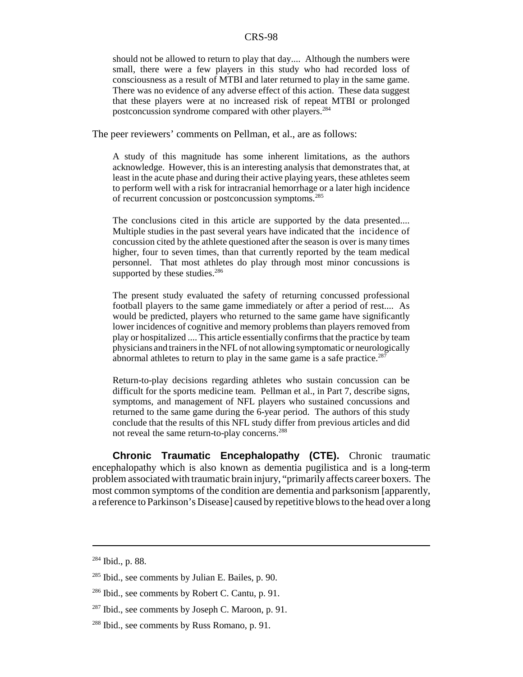should not be allowed to return to play that day.... Although the numbers were small, there were a few players in this study who had recorded loss of consciousness as a result of MTBI and later returned to play in the same game. There was no evidence of any adverse effect of this action. These data suggest that these players were at no increased risk of repeat MTBI or prolonged postconcussion syndrome compared with other players.284

The peer reviewers' comments on Pellman, et al., are as follows:

A study of this magnitude has some inherent limitations, as the authors acknowledge. However, this is an interesting analysis that demonstrates that, at least in the acute phase and during their active playing years, these athletes seem to perform well with a risk for intracranial hemorrhage or a later high incidence of recurrent concussion or postconcussion symptoms.285

The conclusions cited in this article are supported by the data presented.... Multiple studies in the past several years have indicated that the incidence of concussion cited by the athlete questioned after the season is over is many times higher, four to seven times, than that currently reported by the team medical personnel. That most athletes do play through most minor concussions is supported by these studies.<sup>286</sup>

The present study evaluated the safety of returning concussed professional football players to the same game immediately or after a period of rest.... As would be predicted, players who returned to the same game have significantly lower incidences of cognitive and memory problems than players removed from play or hospitalized .... This article essentially confirms that the practice by team physicians and trainers in the NFL of not allowing symptomatic or neurologically abnormal athletes to return to play in the same game is a safe practice.<sup>287</sup>

Return-to-play decisions regarding athletes who sustain concussion can be difficult for the sports medicine team. Pellman et al., in Part 7, describe signs, symptoms, and management of NFL players who sustained concussions and returned to the same game during the 6-year period. The authors of this study conclude that the results of this NFL study differ from previous articles and did not reveal the same return-to-play concerns.288

**Chronic Traumatic Encephalopathy (CTE).** Chronic traumatic encephalopathy which is also known as dementia pugilistica and is a long-term problem associated with traumatic brain injury, "primarily affects career boxers. The most common symptoms of the condition are dementia and parksonism [apparently, a reference to Parkinson's Disease] caused by repetitive blows to the head over a long

<sup>284</sup> Ibid., p. 88.

<sup>285</sup> Ibid., see comments by Julian E. Bailes, p. 90.

<sup>286</sup> Ibid., see comments by Robert C. Cantu, p. 91.

<sup>287</sup> Ibid., see comments by Joseph C. Maroon, p. 91.

<sup>288</sup> Ibid., see comments by Russ Romano, p. 91.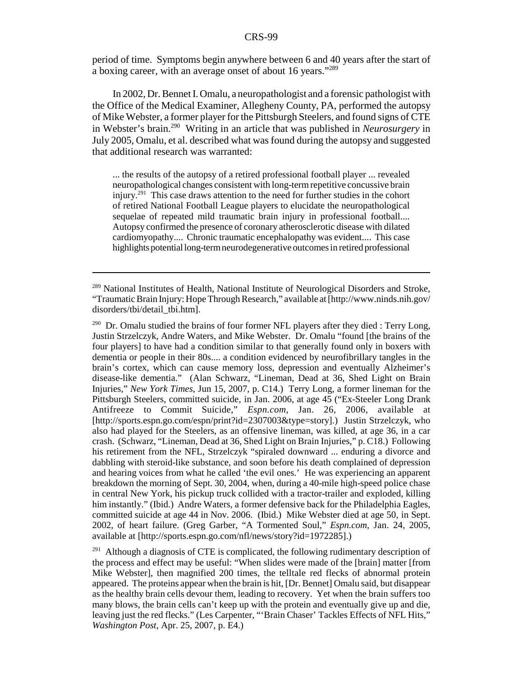period of time. Symptoms begin anywhere between 6 and 40 years after the start of a boxing career, with an average onset of about 16 years."289

In 2002, Dr. Bennet I. Omalu, a neuropathologist and a forensic pathologist with the Office of the Medical Examiner, Allegheny County, PA, performed the autopsy of Mike Webster, a former player for the Pittsburgh Steelers, and found signs of CTE in Webster's brain.290 Writing in an article that was published in *Neurosurgery* in July 2005, Omalu, et al. described what was found during the autopsy and suggested that additional research was warranted:

... the results of the autopsy of a retired professional football player ... revealed neuropathological changes consistent with long-term repetitive concussive brain injury.291 This case draws attention to the need for further studies in the cohort of retired National Football League players to elucidate the neuropathological sequelae of repeated mild traumatic brain injury in professional football.... Autopsy confirmed the presence of coronary atherosclerotic disease with dilated cardiomyopathy.... Chronic traumatic encephalopathy was evident.... This case highlights potential long-term neurodegenerative outcomes in retired professional

<sup>&</sup>lt;sup>289</sup> National Institutes of Health, National Institute of Neurological Disorders and Stroke, "Traumatic Brain Injury: Hope Through Research," available at [http://www.ninds.nih.gov/ disorders/tbi/detail\_tbi.htm].

<sup>&</sup>lt;sup>290</sup> Dr. Omalu studied the brains of four former NFL players after they died : Terry Long, Justin Strzelczyk, Andre Waters, and Mike Webster. Dr. Omalu "found [the brains of the four players] to have had a condition similar to that generally found only in boxers with dementia or people in their 80s.... a condition evidenced by neurofibrillary tangles in the brain's cortex, which can cause memory loss, depression and eventually Alzheimer's disease-like dementia." (Alan Schwarz, "Lineman, Dead at 36, Shed Light on Brain Injuries," *New York Times*, Jun 15, 2007, p. C14.) Terry Long, a former lineman for the Pittsburgh Steelers, committed suicide, in Jan. 2006, at age 45 ("Ex-Steeler Long Drank Antifreeze to Commit Suicide," *Espn.com*, Jan. 26, 2006, available at [http://sports.espn.go.com/espn/print?id=2307003&type=story].) Justin Strzelczyk, who also had played for the Steelers, as an offensive lineman, was killed, at age 36, in a car crash. (Schwarz, "Lineman, Dead at 36, Shed Light on Brain Injuries," p. C18.) Following his retirement from the NFL, Strzelczyk "spiraled downward ... enduring a divorce and dabbling with steroid-like substance, and soon before his death complained of depression and hearing voices from what he called 'the evil ones.' He was experiencing an apparent breakdown the morning of Sept. 30, 2004, when, during a 40-mile high-speed police chase in central New York, his pickup truck collided with a tractor-trailer and exploded, killing him instantly." (Ibid.) Andre Waters, a former defensive back for the Philadelphia Eagles, committed suicide at age 44 in Nov. 2006. (Ibid.) Mike Webster died at age 50, in Sept. 2002, of heart failure. (Greg Garber, "A Tormented Soul," *Espn.com*, Jan. 24, 2005, available at [http://sports.espn.go.com/nfl/news/story?id=1972285].)

Although a diagnosis of CTE is complicated, the following rudimentary description of the process and effect may be useful: "When slides were made of the [brain] matter [from Mike Webster], then magnified 200 times, the telltale red flecks of abnormal protein appeared. The proteins appear when the brain is hit, [Dr. Bennet] Omalu said, but disappear as the healthy brain cells devour them, leading to recovery. Yet when the brain suffers too many blows, the brain cells can't keep up with the protein and eventually give up and die, leaving just the red flecks." (Les Carpenter, "'Brain Chaser' Tackles Effects of NFL Hits," *Washington Post*, Apr. 25, 2007, p. E4.)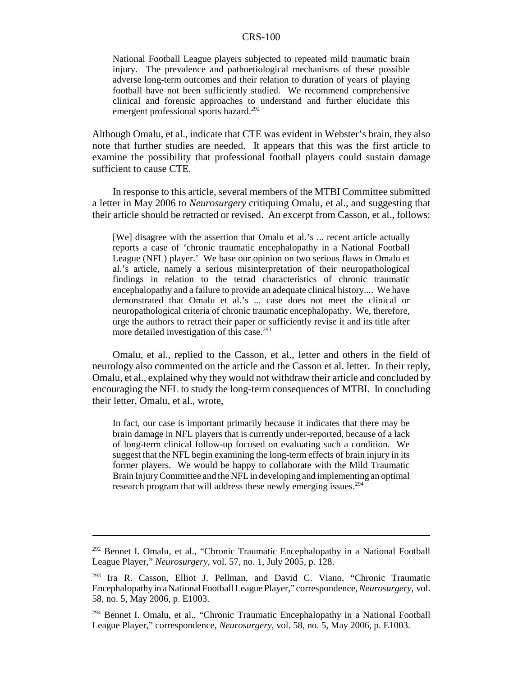National Football League players subjected to repeated mild traumatic brain injury. The prevalence and pathoetiological mechanisms of these possible adverse long-term outcomes and their relation to duration of years of playing football have not been sufficiently studied. We recommend comprehensive clinical and forensic approaches to understand and further elucidate this emergent professional sports hazard.<sup>292</sup>

Although Omalu, et al., indicate that CTE was evident in Webster's brain, they also note that further studies are needed. It appears that this was the first article to examine the possibility that professional football players could sustain damage sufficient to cause CTE.

In response to this article, several members of the MTBI Committee submitted a letter in May 2006 to *Neurosurgery* critiquing Omalu, et al., and suggesting that their article should be retracted or revised. An excerpt from Casson, et al., follows:

[We] disagree with the assertion that Omalu et al.'s ... recent article actually reports a case of 'chronic traumatic encephalopathy in a National Football League (NFL) player.' We base our opinion on two serious flaws in Omalu et al.'s article, namely a serious misinterpretation of their neuropathological findings in relation to the tetrad characteristics of chronic traumatic encephalopathy and a failure to provide an adequate clinical history.... We have demonstrated that Omalu et al.'s ... case does not meet the clinical or neuropathological criteria of chronic traumatic encephalopathy. We, therefore, urge the authors to retract their paper or sufficiently revise it and its title after more detailed investigation of this case. $293$ 

Omalu, et al., replied to the Casson, et al., letter and others in the field of neurology also commented on the article and the Casson et al. letter. In their reply, Omalu, et al., explained why they would not withdraw their article and concluded by encouraging the NFL to study the long-term consequences of MTBI. In concluding their letter, Omalu, et al., wrote,

In fact, our case is important primarily because it indicates that there may be brain damage in NFL players that is currently under-reported, because of a lack of long-term clinical follow-up focused on evaluating such a condition. We suggest that the NFL begin examining the long-term effects of brain injury in its former players. We would be happy to collaborate with the Mild Traumatic Brain Injury Committee and the NFL in developing and implementing an optimal research program that will address these newly emerging issues.<sup>294</sup>

<sup>&</sup>lt;sup>292</sup> Bennet I. Omalu, et al., "Chronic Traumatic Encephalopathy in a National Football League Player," *Neurosurgery*, vol. 57, no. 1, July 2005, p. 128.

<sup>&</sup>lt;sup>293</sup> Ira R. Casson, Elliot J. Pellman, and David C. Viano, "Chronic Traumatic Encephalopathy in a National Football League Player," correspondence, *Neurosurgery*, vol. 58, no. 5, May 2006, p. E1003.

<sup>&</sup>lt;sup>294</sup> Bennet I. Omalu, et al., "Chronic Traumatic Encephalopathy in a National Football League Player," correspondence, *Neurosurgery*, vol. 58, no. 5, May 2006, p. E1003.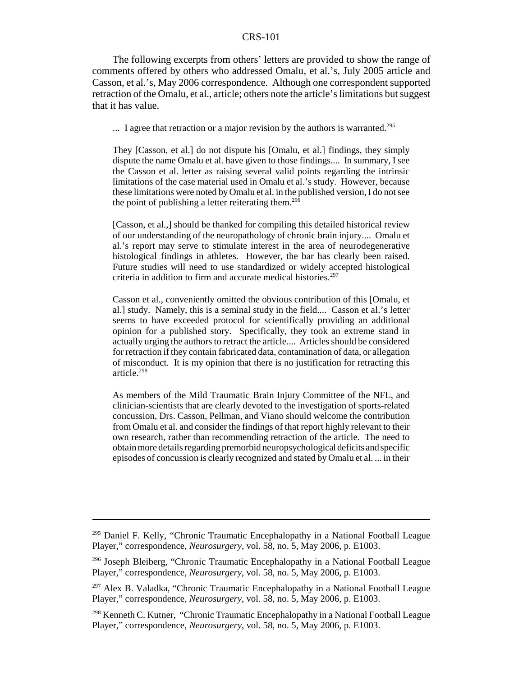The following excerpts from others' letters are provided to show the range of comments offered by others who addressed Omalu, et al.'s, July 2005 article and Casson, et al.'s, May 2006 correspondence. Although one correspondent supported retraction of the Omalu, et al., article; others note the article's limitations but suggest that it has value.

 $\ldots$  I agree that retraction or a major revision by the authors is warranted.<sup>295</sup>

They [Casson, et al.] do not dispute his [Omalu, et al.] findings, they simply dispute the name Omalu et al. have given to those findings.... In summary, I see the Casson et al. letter as raising several valid points regarding the intrinsic limitations of the case material used in Omalu et al.'s study. However, because these limitations were noted by Omalu et al. in the published version, I do not see the point of publishing a letter reiterating them.<sup>296</sup>

[Casson, et al.,] should be thanked for compiling this detailed historical review of our understanding of the neuropathology of chronic brain injury.... Omalu et al.'s report may serve to stimulate interest in the area of neurodegenerative histological findings in athletes. However, the bar has clearly been raised. Future studies will need to use standardized or widely accepted histological criteria in addition to firm and accurate medical histories.<sup>297</sup>

Casson et al., conveniently omitted the obvious contribution of this [Omalu, et al.] study. Namely, this is a seminal study in the field.... Casson et al.'s letter seems to have exceeded protocol for scientifically providing an additional opinion for a published story. Specifically, they took an extreme stand in actually urging the authors to retract the article.... Articles should be considered for retraction if they contain fabricated data, contamination of data, or allegation of misconduct. It is my opinion that there is no justification for retracting this article.298

As members of the Mild Traumatic Brain Injury Committee of the NFL, and clinician-scientists that are clearly devoted to the investigation of sports-related concussion, Drs. Casson, Pellman, and Viano should welcome the contribution from Omalu et al. and consider the findings of that report highly relevant to their own research, rather than recommending retraction of the article. The need to obtain more details regarding premorbid neuropsychological deficits and specific episodes of concussion is clearly recognized and stated by Omalu et al. ... in their

<sup>&</sup>lt;sup>295</sup> Daniel F. Kelly, "Chronic Traumatic Encephalopathy in a National Football League Player," correspondence, *Neurosurgery*, vol. 58, no. 5, May 2006, p. E1003.

<sup>296</sup> Joseph Bleiberg, "Chronic Traumatic Encephalopathy in a National Football League Player," correspondence, *Neurosurgery*, vol. 58, no. 5, May 2006, p. E1003.

 $297$  Alex B. Valadka, "Chronic Traumatic Encephalopathy in a National Football League Player," correspondence, *Neurosurgery*, vol. 58, no. 5, May 2006, p. E1003.

<sup>&</sup>lt;sup>298</sup> Kenneth C. Kutner, "Chronic Traumatic Encephalopathy in a National Football League Player," correspondence, *Neurosurgery*, vol. 58, no. 5, May 2006, p. E1003.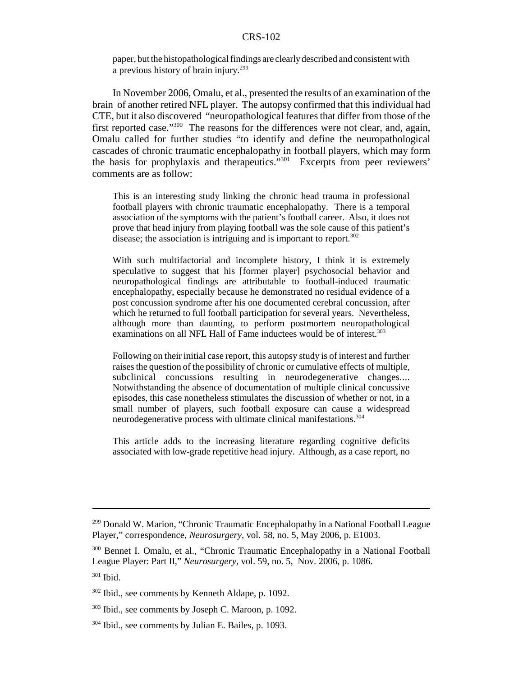paper, but the histopathological findings are clearly described and consistent with a previous history of brain injury.<sup>299</sup>

In November 2006, Omalu, et al., presented the results of an examination of the brain of another retired NFL player. The autopsy confirmed that this individual had CTE, but it also discovered "neuropathological features that differ from those of the first reported case."300 The reasons for the differences were not clear, and, again, Omalu called for further studies "to identify and define the neuropathological cascades of chronic traumatic encephalopathy in football players, which may form the basis for prophylaxis and therapeutics."301 Excerpts from peer reviewers' comments are as follow:

This is an interesting study linking the chronic head trauma in professional football players with chronic traumatic encephalopathy. There is a temporal association of the symptoms with the patient's football career. Also, it does not prove that head injury from playing football was the sole cause of this patient's disease; the association is intriguing and is important to report.<sup>302</sup>

With such multifactorial and incomplete history, I think it is extremely speculative to suggest that his [former player] psychosocial behavior and neuropathological findings are attributable to football-induced traumatic encephalopathy, especially because he demonstrated no residual evidence of a post concussion syndrome after his one documented cerebral concussion, after which he returned to full football participation for several years. Nevertheless, although more than daunting, to perform postmortem neuropathological examinations on all NFL Hall of Fame inductees would be of interest.<sup>303</sup>

Following on their initial case report, this autopsy study is of interest and further raises the question of the possibility of chronic or cumulative effects of multiple, subclinical concussions resulting in neurodegenerative changes.... Notwithstanding the absence of documentation of multiple clinical concussive episodes, this case nonetheless stimulates the discussion of whether or not, in a small number of players, such football exposure can cause a widespread neurodegenerative process with ultimate clinical manifestations.304

This article adds to the increasing literature regarding cognitive deficits associated with low-grade repetitive head injury. Although, as a case report, no

<sup>&</sup>lt;sup>299</sup> Donald W. Marion, "Chronic Traumatic Encephalopathy in a National Football League Player," correspondence, *Neurosurgery*, vol. 58, no. 5, May 2006, p. E1003.

<sup>300</sup> Bennet I. Omalu, et al., "Chronic Traumatic Encephalopathy in a National Football League Player: Part II," *Neurosurgery*, vol. 59, no. 5, Nov. 2006, p. 1086.

<sup>301</sup> Ibid.

<sup>302</sup> Ibid., see comments by Kenneth Aldape, p. 1092.

<sup>303</sup> Ibid., see comments by Joseph C. Maroon, p. 1092.

<sup>304</sup> Ibid., see comments by Julian E. Bailes, p. 1093.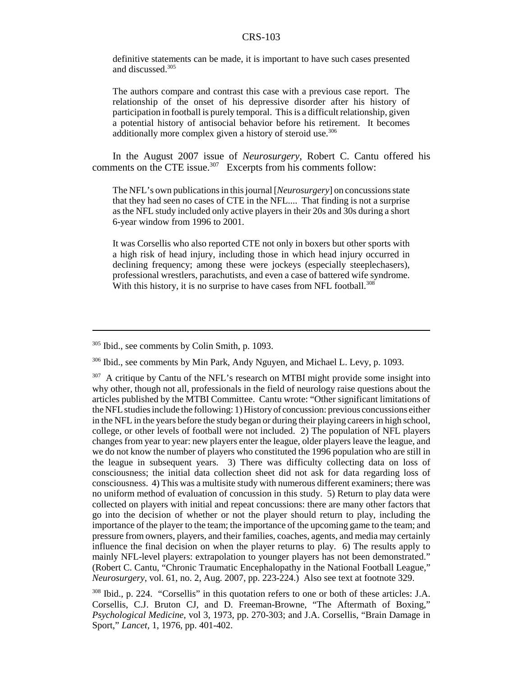definitive statements can be made, it is important to have such cases presented and discussed.305

The authors compare and contrast this case with a previous case report. The relationship of the onset of his depressive disorder after his history of participation in football is purely temporal. This is a difficult relationship, given a potential history of antisocial behavior before his retirement. It becomes additionally more complex given a history of steroid use.<sup>306</sup>

In the August 2007 issue of *Neurosurgery*, Robert C. Cantu offered his comments on the CTE issue.<sup>307</sup> Excerpts from his comments follow:

The NFL's own publications in this journal [*Neurosurgery*] on concussions state that they had seen no cases of CTE in the NFL.... That finding is not a surprise as the NFL study included only active players in their 20s and 30s during a short 6-year window from 1996 to 2001.

It was Corsellis who also reported CTE not only in boxers but other sports with a high risk of head injury, including those in which head injury occurred in declining frequency; among these were jockeys (especially steeplechasers), professional wrestlers, parachutists, and even a case of battered wife syndrome. With this history, it is no surprise to have cases from NFL football.<sup>308</sup>

<sup>305</sup> Ibid., see comments by Colin Smith, p. 1093.

<sup>306</sup> Ibid., see comments by Min Park, Andy Nguyen, and Michael L. Levy, p. 1093.

<sup>&</sup>lt;sup>307</sup> A critique by Cantu of the NFL's research on MTBI might provide some insight into why other, though not all, professionals in the field of neurology raise questions about the articles published by the MTBI Committee. Cantu wrote: "Other significant limitations of the NFL studies include the following: 1) History of concussion: previous concussions either in the NFL in the years before the study began or during their playing careers in high school, college, or other levels of football were not included. 2) The population of NFL players changes from year to year: new players enter the league, older players leave the league, and we do not know the number of players who constituted the 1996 population who are still in the league in subsequent years. 3) There was difficulty collecting data on loss of consciousness; the initial data collection sheet did not ask for data regarding loss of consciousness. 4) This was a multisite study with numerous different examiners; there was no uniform method of evaluation of concussion in this study. 5) Return to play data were collected on players with initial and repeat concussions: there are many other factors that go into the decision of whether or not the player should return to play, including the importance of the player to the team; the importance of the upcoming game to the team; and pressure from owners, players, and their families, coaches, agents, and media may certainly influence the final decision on when the player returns to play. 6) The results apply to mainly NFL-level players: extrapolation to younger players has not been demonstrated." (Robert C. Cantu, "Chronic Traumatic Encephalopathy in the National Football League," *Neurosurgery*, vol. 61, no. 2, Aug. 2007, pp. 223-224.) Also see text at footnote 329.

<sup>308</sup> Ibid., p. 224. "Corsellis" in this quotation refers to one or both of these articles: J.A. Corsellis, C.J. Bruton CJ, and D. Freeman-Browne, "The Aftermath of Boxing," *Psychological Medicine*, vol 3, 1973, pp. 270-303; and J.A. Corsellis, "Brain Damage in Sport," *Lancet,* 1, 1976, pp. 401-402.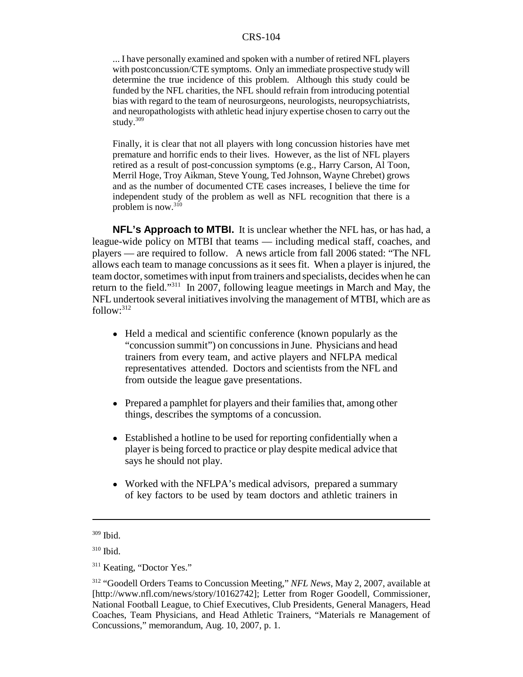... I have personally examined and spoken with a number of retired NFL players with postconcussion/CTE symptoms. Only an immediate prospective study will determine the true incidence of this problem. Although this study could be funded by the NFL charities, the NFL should refrain from introducing potential bias with regard to the team of neurosurgeons, neurologists, neuropsychiatrists, and neuropathologists with athletic head injury expertise chosen to carry out the study.<sup>309</sup>

Finally, it is clear that not all players with long concussion histories have met premature and horrific ends to their lives. However, as the list of NFL players retired as a result of post-concussion symptoms (e.g., Harry Carson, Al Toon, Merril Hoge, Troy Aikman, Steve Young, Ted Johnson, Wayne Chrebet) grows and as the number of documented CTE cases increases, I believe the time for independent study of the problem as well as NFL recognition that there is a problem is now.<sup>310</sup>

**NFL's Approach to MTBI.** It is unclear whether the NFL has, or has had, a league-wide policy on MTBI that teams — including medical staff, coaches, and players — are required to follow. A news article from fall 2006 stated: "The NFL allows each team to manage concussions as it sees fit. When a player is injured, the team doctor, sometimes with input from trainers and specialists, decides when he can return to the field."<sup>311</sup> In 2007, following league meetings in March and May, the NFL undertook several initiatives involving the management of MTBI, which are as  $follow: <sup>312</sup>$ 

- ! Held a medical and scientific conference (known popularly as the "concussion summit") on concussions in June. Physicians and head trainers from every team, and active players and NFLPA medical representatives attended. Doctors and scientists from the NFL and from outside the league gave presentations.
- Prepared a pamphlet for players and their families that, among other things, describes the symptoms of a concussion.
- Established a hotline to be used for reporting confidentially when a player is being forced to practice or play despite medical advice that says he should not play.
- Worked with the NFLPA's medical advisors, prepared a summary of key factors to be used by team doctors and athletic trainers in

<sup>309</sup> Ibid.

<sup>310</sup> Ibid.

<sup>&</sup>lt;sup>311</sup> Keating, "Doctor Yes."

<sup>312 &</sup>quot;Goodell Orders Teams to Concussion Meeting," *NFL News*, May 2, 2007, available at [http://www.nfl.com/news/story/10162742]; Letter from Roger Goodell, Commissioner, National Football League, to Chief Executives, Club Presidents, General Managers, Head Coaches, Team Physicians, and Head Athletic Trainers, "Materials re Management of Concussions," memorandum, Aug. 10, 2007, p. 1.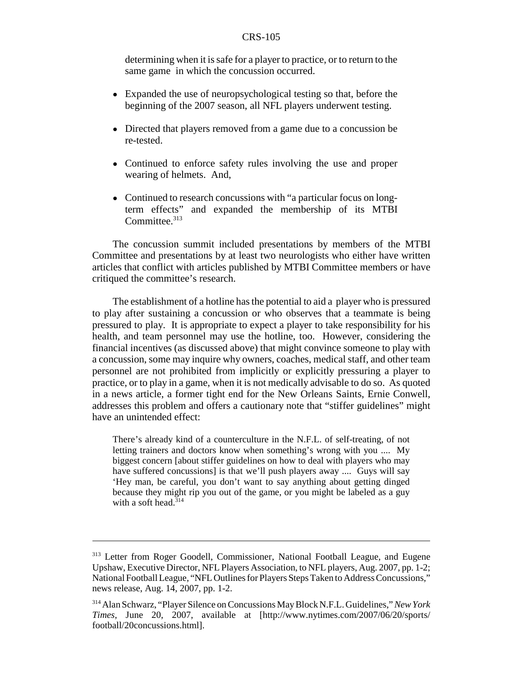determining when it is safe for a player to practice, or to return to the same game in which the concussion occurred.

- Expanded the use of neuropsychological testing so that, before the beginning of the 2007 season, all NFL players underwent testing.
- Directed that players removed from a game due to a concussion be re-tested.
- Continued to enforce safety rules involving the use and proper wearing of helmets. And,
- Continued to research concussions with "a particular focus on longterm effects" and expanded the membership of its MTBI Committee. $313$

The concussion summit included presentations by members of the MTBI Committee and presentations by at least two neurologists who either have written articles that conflict with articles published by MTBI Committee members or have critiqued the committee's research.

The establishment of a hotline has the potential to aid a player who is pressured to play after sustaining a concussion or who observes that a teammate is being pressured to play. It is appropriate to expect a player to take responsibility for his health, and team personnel may use the hotline, too. However, considering the financial incentives (as discussed above) that might convince someone to play with a concussion, some may inquire why owners, coaches, medical staff, and other team personnel are not prohibited from implicitly or explicitly pressuring a player to practice, or to play in a game, when it is not medically advisable to do so. As quoted in a news article, a former tight end for the New Orleans Saints, Ernie Conwell, addresses this problem and offers a cautionary note that "stiffer guidelines" might have an unintended effect:

There's already kind of a counterculture in the N.F.L. of self-treating, of not letting trainers and doctors know when something's wrong with you .... My biggest concern [about stiffer guidelines on how to deal with players who may have suffered concussions] is that we'll push players away .... Guys will say 'Hey man, be careful, you don't want to say anything about getting dinged because they might rip you out of the game, or you might be labeled as a guy with a soft head.<sup>314</sup>

<sup>&</sup>lt;sup>313</sup> Letter from Roger Goodell, Commissioner, National Football League, and Eugene Upshaw, Executive Director, NFL Players Association, to NFL players, Aug. 2007, pp. 1-2; National Football League, "NFL Outlines for Players Steps Taken to Address Concussions," news release, Aug. 14, 2007, pp. 1-2.

<sup>314</sup> Alan Schwarz, "Player Silence on Concussions May Block N.F.L. Guidelines," *New York Times*, June 20, 2007, available at [http://www.nytimes.com/2007/06/20/sports/ football/20concussions.html].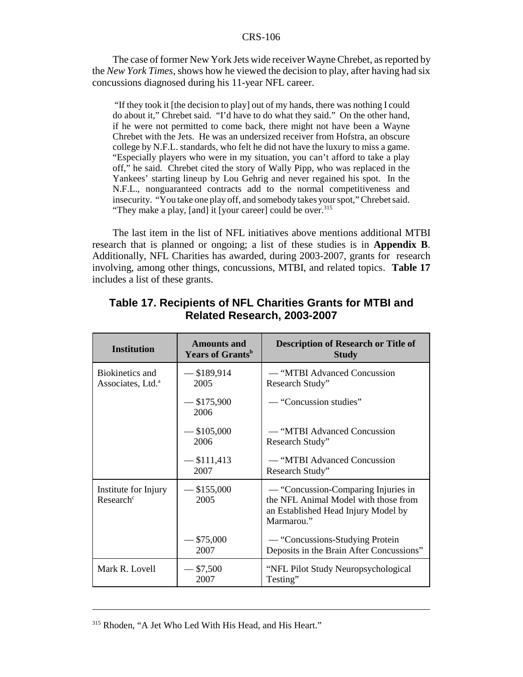The case of former New York Jets wide receiver Wayne Chrebet, as reported by the *New York Times*, shows how he viewed the decision to play, after having had six concussions diagnosed during his 11-year NFL career.

 "If they took it [the decision to play] out of my hands, there was nothing I could do about it," Chrebet said. "I'd have to do what they said." On the other hand, if he were not permitted to come back, there might not have been a Wayne Chrebet with the Jets. He was an undersized receiver from Hofstra, an obscure college by N.F.L. standards, who felt he did not have the luxury to miss a game. "Especially players who were in my situation, you can't afford to take a play off," he said. Chrebet cited the story of Wally Pipp, who was replaced in the Yankees' starting lineup by Lou Gehrig and never regained his spot. In the N.F.L., nonguaranteed contracts add to the normal competitiveness and insecurity. "You take one play off, and somebody takes your spot," Chrebet said. "They make a play, [and] it [your career] could be over.<sup>315</sup>

The last item in the list of NFL initiatives above mentions additional MTBI research that is planned or ongoing; a list of these studies is in **Appendix B**. Additionally, NFL Charities has awarded, during 2003-2007, grants for research involving, among other things, concussions, MTBI, and related topics. **Table 17** includes a list of these grants.

| <b>Institution</b>                               | <b>Amounts and</b><br>Years of Grants <sup>b</sup> | <b>Description of Research or Title of</b><br><b>Study</b>                                                                       |
|--------------------------------------------------|----------------------------------------------------|----------------------------------------------------------------------------------------------------------------------------------|
| Biokinetics and<br>Associates, Ltd. <sup>a</sup> | $-$ \$189,914<br>2005                              | — "MTBI Advanced Concussion"<br>Research Study"                                                                                  |
|                                                  | $-$ \$175,900<br>2006                              | — "Concussion studies"                                                                                                           |
|                                                  | $-$ \$105,000<br>2006                              | — "MTBI Advanced Concussion"<br>Research Study"                                                                                  |
|                                                  | - \$111,413<br>2007                                | - "MTBI Advanced Concussion"<br>Research Study"                                                                                  |
| Institute for Injury<br>Research <sup>c</sup>    | $-$ \$155,000<br>2005                              | — "Concussion-Comparing Injuries in<br>the NFL Animal Model with those from<br>an Established Head Injury Model by<br>Marmarou." |
|                                                  | $-$ \$75,000<br>2007                               | - "Concussions-Studying Protein"<br>Deposits in the Brain After Concussions"                                                     |
| Mark R. Lovell                                   | $-$ \$7,500<br>2007                                | "NFL Pilot Study Neuropsychological<br>Testing"                                                                                  |

### **Table 17. Recipients of NFL Charities Grants for MTBI and Related Research, 2003-2007**

<sup>315</sup> Rhoden, "A Jet Who Led With His Head, and His Heart."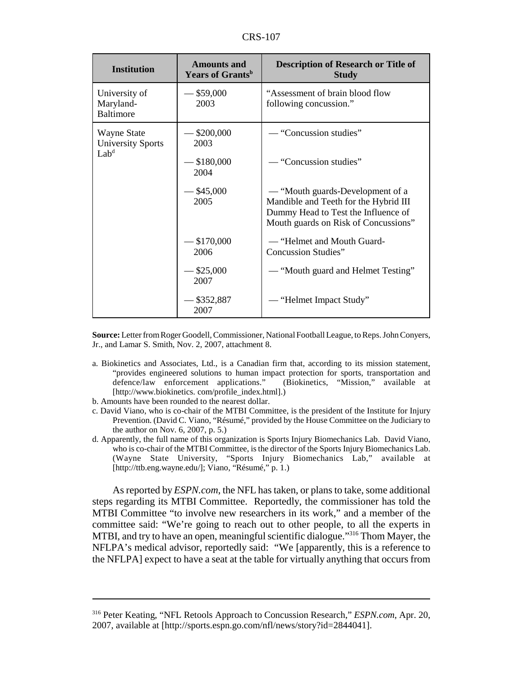| <b>Institution</b>                                                 | <b>Amounts and</b><br><b>Years of Grants</b> <sup>b</sup>    | <b>Description of Research or Title of</b><br><b>Study</b>                                                                                                         |
|--------------------------------------------------------------------|--------------------------------------------------------------|--------------------------------------------------------------------------------------------------------------------------------------------------------------------|
| University of<br>Maryland-<br><b>Baltimore</b>                     | \$59,000<br>2003                                             | "Assessment of brain blood flow<br>following concussion."                                                                                                          |
| <b>Wayne State</b><br><b>University Sports</b><br>Lab <sup>d</sup> | - \$200,000<br>2003<br>\$180,000<br>2004<br>\$45,000<br>2005 | - "Concussion studies"<br>"Concussion studies"<br>— "Mouth guards-Development of a<br>Mandible and Teeth for the Hybrid III<br>Dummy Head to Test the Influence of |
|                                                                    | \$170,000<br>2006<br>\$25,000<br>2007<br>- \$352,887<br>2007 | Mouth guards on Risk of Concussions"<br>— "Helmet and Mouth Guard-<br><b>Concussion Studies"</b><br>— "Mouth guard and Helmet Testing"<br>- "Helmet Impact Study"  |

**Source:** Letter from Roger Goodell, Commissioner, National Football League, to Reps. John Conyers, Jr., and Lamar S. Smith, Nov. 2, 2007, attachment 8.

- a. Biokinetics and Associates, Ltd., is a Canadian firm that, according to its mission statement, "provides engineered solutions to human impact protection for sports, transportation and defence/law enforcement applications." (Biokinetics, "Mission," available at defence/law enforcement applications." [http://www.biokinetics.com/profile\_index.html].)
- b. Amounts have been rounded to the nearest dollar.
- c. David Viano, who is co-chair of the MTBI Committee, is the president of the Institute for Injury Prevention. (David C. Viano, "Résumé," provided by the House Committee on the Judiciary to the author on Nov. 6, 2007, p. 5.)
- d. Apparently, the full name of this organization is Sports Injury Biomechanics Lab. David Viano, who is co-chair of the MTBI Committee, is the director of the Sports Injury Biomechanics Lab. (Wayne State University, "Sports Injury Biomechanics Lab," available at [http://ttb.eng.wayne.edu/]; Viano, "Résumé," p. 1.)

As reported by *ESPN.com*, the NFL has taken, or plans to take, some additional steps regarding its MTBI Committee. Reportedly, the commissioner has told the MTBI Committee "to involve new researchers in its work," and a member of the committee said: "We're going to reach out to other people, to all the experts in MTBI, and try to have an open, meaningful scientific dialogue."316 Thom Mayer, the NFLPA's medical advisor, reportedly said: "We [apparently, this is a reference to the NFLPA] expect to have a seat at the table for virtually anything that occurs from

<sup>316</sup> Peter Keating, "NFL Retools Approach to Concussion Research," *ESPN.com*, Apr. 20, 2007, available at [http://sports.espn.go.com/nfl/news/story?id=2844041].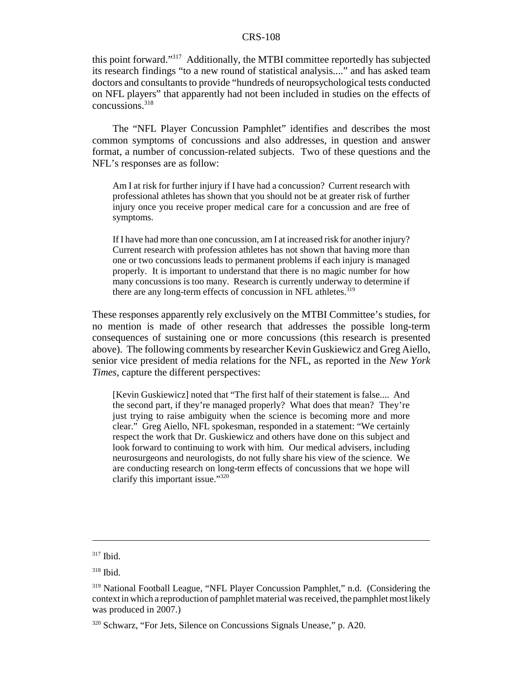this point forward."317 Additionally, the MTBI committee reportedly has subjected its research findings "to a new round of statistical analysis...." and has asked team doctors and consultants to provide "hundreds of neuropsychological tests conducted on NFL players" that apparently had not been included in studies on the effects of concussions.318

The "NFL Player Concussion Pamphlet" identifies and describes the most common symptoms of concussions and also addresses, in question and answer format, a number of concussion-related subjects. Two of these questions and the NFL's responses are as follow:

Am I at risk for further injury if I have had a concussion? Current research with professional athletes has shown that you should not be at greater risk of further injury once you receive proper medical care for a concussion and are free of symptoms.

If I have had more than one concussion, am I at increased risk for another injury? Current research with profession athletes has not shown that having more than one or two concussions leads to permanent problems if each injury is managed properly. It is important to understand that there is no magic number for how many concussions is too many. Research is currently underway to determine if there are any long-term effects of concussion in NFL athletes.<sup>319</sup>

These responses apparently rely exclusively on the MTBI Committee's studies, for no mention is made of other research that addresses the possible long-term consequences of sustaining one or more concussions (this research is presented above). The following comments by researcher Kevin Guskiewicz and Greg Aiello, senior vice president of media relations for the NFL, as reported in the *New York Times*, capture the different perspectives:

[Kevin Guskiewicz] noted that "The first half of their statement is false.... And the second part, if they're managed properly? What does that mean? They're just trying to raise ambiguity when the science is becoming more and more clear." Greg Aiello, NFL spokesman, responded in a statement: "We certainly respect the work that Dr. Guskiewicz and others have done on this subject and look forward to continuing to work with him. Our medical advisers, including neurosurgeons and neurologists, do not fully share his view of the science. We are conducting research on long-term effects of concussions that we hope will clarify this important issue."320

<sup>317</sup> Ibid.

<sup>318</sup> Ibid.

<sup>319</sup> National Football League, "NFL Player Concussion Pamphlet," n.d. (Considering the context in which a reproduction of pamphlet material was received, the pamphlet most likely was produced in 2007.)

<sup>320</sup> Schwarz, "For Jets, Silence on Concussions Signals Unease," p. A20.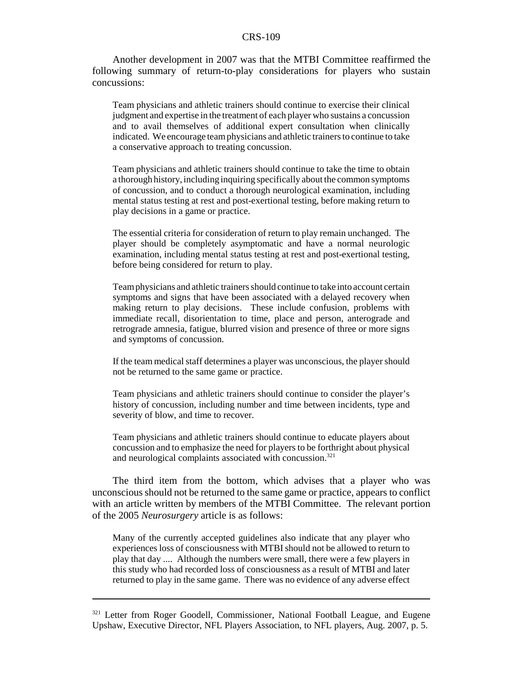Another development in 2007 was that the MTBI Committee reaffirmed the following summary of return-to-play considerations for players who sustain concussions:

Team physicians and athletic trainers should continue to exercise their clinical judgment and expertise in the treatment of each player who sustains a concussion and to avail themselves of additional expert consultation when clinically indicated. We encourage team physicians and athletic trainers to continue to take a conservative approach to treating concussion.

Team physicians and athletic trainers should continue to take the time to obtain a thorough history, including inquiring specifically about the common symptoms of concussion, and to conduct a thorough neurological examination, including mental status testing at rest and post-exertional testing, before making return to play decisions in a game or practice.

The essential criteria for consideration of return to play remain unchanged. The player should be completely asymptomatic and have a normal neurologic examination, including mental status testing at rest and post-exertional testing, before being considered for return to play.

Team physicians and athletic trainers should continue to take into account certain symptoms and signs that have been associated with a delayed recovery when making return to play decisions. These include confusion, problems with immediate recall, disorientation to time, place and person, anterograde and retrograde amnesia, fatigue, blurred vision and presence of three or more signs and symptoms of concussion.

If the team medical staff determines a player was unconscious, the player should not be returned to the same game or practice.

Team physicians and athletic trainers should continue to consider the player's history of concussion, including number and time between incidents, type and severity of blow, and time to recover.

Team physicians and athletic trainers should continue to educate players about concussion and to emphasize the need for players to be forthright about physical and neurological complaints associated with concussion.<sup>321</sup>

The third item from the bottom, which advises that a player who was unconscious should not be returned to the same game or practice, appears to conflict with an article written by members of the MTBI Committee. The relevant portion of the 2005 *Neurosurgery* article is as follows:

Many of the currently accepted guidelines also indicate that any player who experiences loss of consciousness with MTBI should not be allowed to return to play that day .... Although the numbers were small, there were a few players in this study who had recorded loss of consciousness as a result of MTBI and later returned to play in the same game. There was no evidence of any adverse effect

<sup>&</sup>lt;sup>321</sup> Letter from Roger Goodell, Commissioner, National Football League, and Eugene Upshaw, Executive Director, NFL Players Association, to NFL players, Aug. 2007, p. 5.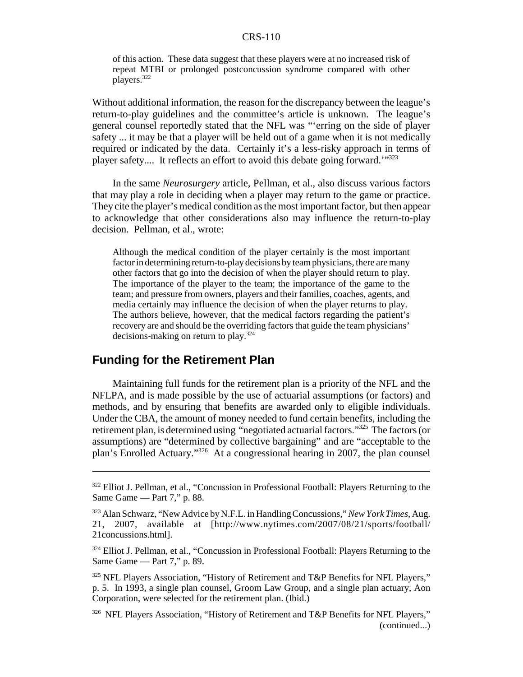of this action. These data suggest that these players were at no increased risk of repeat MTBI or prolonged postconcussion syndrome compared with other players.322

Without additional information, the reason for the discrepancy between the league's return-to-play guidelines and the committee's article is unknown. The league's general counsel reportedly stated that the NFL was "'erring on the side of player safety ... it may be that a player will be held out of a game when it is not medically required or indicated by the data. Certainly it's a less-risky approach in terms of player safety.... It reflects an effort to avoid this debate going forward.'"323

In the same *Neurosurgery* article, Pellman, et al., also discuss various factors that may play a role in deciding when a player may return to the game or practice. They cite the player's medical condition as the most important factor, but then appear to acknowledge that other considerations also may influence the return-to-play decision. Pellman, et al., wrote:

Although the medical condition of the player certainly is the most important factor in determining return-to-play decisions by team physicians, there are many other factors that go into the decision of when the player should return to play. The importance of the player to the team; the importance of the game to the team; and pressure from owners, players and their families, coaches, agents, and media certainly may influence the decision of when the player returns to play. The authors believe, however, that the medical factors regarding the patient's recovery are and should be the overriding factors that guide the team physicians' decisions-making on return to play.324

### **Funding for the Retirement Plan**

Maintaining full funds for the retirement plan is a priority of the NFL and the NFLPA, and is made possible by the use of actuarial assumptions (or factors) and methods, and by ensuring that benefits are awarded only to eligible individuals. Under the CBA, the amount of money needed to fund certain benefits, including the retirement plan, is determined using "negotiated actuarial factors."325 The factors (or assumptions) are "determined by collective bargaining" and are "acceptable to the plan's Enrolled Actuary."326 At a congressional hearing in 2007, the plan counsel

<sup>&</sup>lt;sup>322</sup> Elliot J. Pellman, et al., "Concussion in Professional Football: Players Returning to the Same Game — Part 7," p. 88.

<sup>323</sup> Alan Schwarz, "New Advice by N.F.L. in Handling Concussions," *New York Times*, Aug. 21, 2007, available at [http://www.nytimes.com/2007/08/21/sports/football/ 21concussions.html].

<sup>&</sup>lt;sup>324</sup> Elliot J. Pellman, et al., "Concussion in Professional Football: Players Returning to the Same Game — Part 7," p. 89.

<sup>&</sup>lt;sup>325</sup> NFL Players Association, "History of Retirement and T&P Benefits for NFL Players," p. 5. In 1993, a single plan counsel, Groom Law Group, and a single plan actuary, Aon Corporation, were selected for the retirement plan. (Ibid.)

<sup>&</sup>lt;sup>326</sup> NFL Players Association, "History of Retirement and T&P Benefits for NFL Players," (continued...)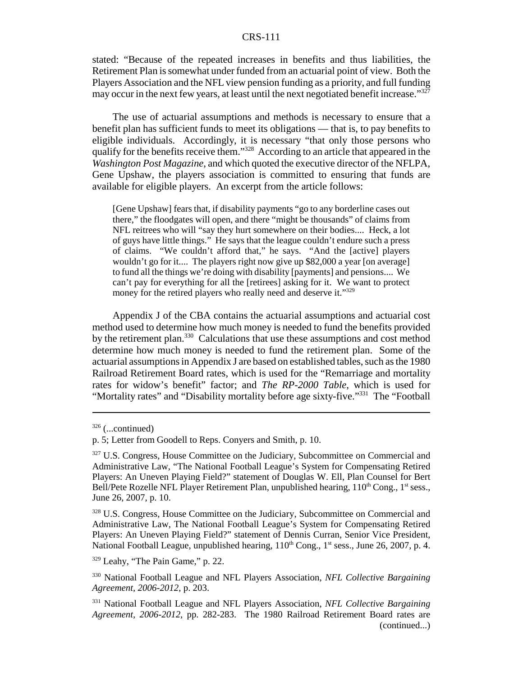stated: "Because of the repeated increases in benefits and thus liabilities, the Retirement Plan is somewhat under funded from an actuarial point of view. Both the Players Association and the NFL view pension funding as a priority, and full funding may occur in the next few years, at least until the next negotiated benefit increase."<sup>327</sup>

The use of actuarial assumptions and methods is necessary to ensure that a benefit plan has sufficient funds to meet its obligations — that is, to pay benefits to eligible individuals. Accordingly, it is necessary "that only those persons who qualify for the benefits receive them."328 According to an article that appeared in the *Washington Post Magazine*, and which quoted the executive director of the NFLPA, Gene Upshaw, the players association is committed to ensuring that funds are available for eligible players. An excerpt from the article follows:

[Gene Upshaw] fears that, if disability payments "go to any borderline cases out there," the floodgates will open, and there "might be thousands" of claims from NFL reitrees who will "say they hurt somewhere on their bodies.... Heck, a lot of guys have little things." He says that the league couldn't endure such a press of claims. "We couldn't afford that," he says. "And the [active] players wouldn't go for it.... The players right now give up \$82,000 a year [on average] to fund all the things we're doing with disability [payments] and pensions.... We can't pay for everything for all the [retirees] asking for it. We want to protect money for the retired players who really need and deserve it."329

Appendix J of the CBA contains the actuarial assumptions and actuarial cost method used to determine how much money is needed to fund the benefits provided by the retirement plan.330 Calculations that use these assumptions and cost method determine how much money is needed to fund the retirement plan. Some of the actuarial assumptions in Appendix J are based on established tables, such as the 1980 Railroad Retirement Board rates, which is used for the "Remarriage and mortality rates for widow's benefit" factor; and *The RP-2000 Table*, which is used for "Mortality rates" and "Disability mortality before age sixty-five."331 The "Football

 $326$  (...continued)

p. 5; Letter from Goodell to Reps. Conyers and Smith, p. 10.

<sup>&</sup>lt;sup>327</sup> U.S. Congress, House Committee on the Judiciary, Subcommittee on Commercial and Administrative Law, "The National Football League's System for Compensating Retired Players: An Uneven Playing Field?" statement of Douglas W. Ell, Plan Counsel for Bert Bell/Pete Rozelle NFL Player Retirement Plan, unpublished hearing, 110<sup>th</sup> Cong., 1<sup>st</sup> sess., June 26, 2007, p. 10.

<sup>&</sup>lt;sup>328</sup> U.S. Congress, House Committee on the Judiciary, Subcommittee on Commercial and Administrative Law, The National Football League's System for Compensating Retired Players: An Uneven Playing Field?" statement of Dennis Curran, Senior Vice President, National Football League, unpublished hearing,  $110^{th}$  Cong.,  $1^{st}$  sess., June 26, 2007, p. 4.

<sup>329</sup> Leahy, "The Pain Game," p. 22.

<sup>330</sup> National Football League and NFL Players Association, *NFL Collective Bargaining Agreement, 2006-2012*, p. 203.

<sup>331</sup> National Football League and NFL Players Association, *NFL Collective Bargaining Agreement, 2006-2012*, pp. 282-283. The 1980 Railroad Retirement Board rates are (continued...)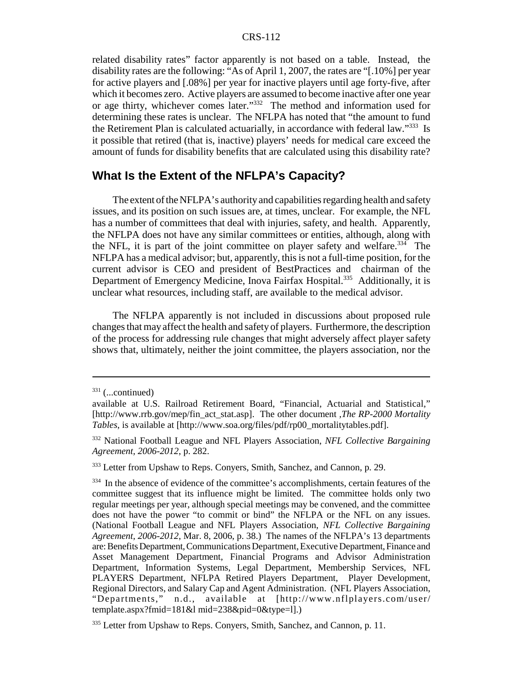related disability rates" factor apparently is not based on a table. Instead, the disability rates are the following: "As of April 1, 2007, the rates are "[.10%] per year for active players and [.08%] per year for inactive players until age forty-five, after which it becomes zero. Active players are assumed to become inactive after one year or age thirty, whichever comes later."332 The method and information used for determining these rates is unclear. The NFLPA has noted that "the amount to fund the Retirement Plan is calculated actuarially, in accordance with federal law."<sup>333</sup> Is it possible that retired (that is, inactive) players' needs for medical care exceed the amount of funds for disability benefits that are calculated using this disability rate?

### **What Is the Extent of the NFLPA's Capacity?**

The extent of the NFLPA's authority and capabilities regarding health and safety issues, and its position on such issues are, at times, unclear. For example, the NFL has a number of committees that deal with injuries, safety, and health. Apparently, the NFLPA does not have any similar committees or entities, although, along with the NFL, it is part of the joint committee on player safety and welfare.<sup>334</sup> The NFLPA has a medical advisor; but, apparently, this is not a full-time position, for the current advisor is CEO and president of BestPractices and chairman of the Department of Emergency Medicine, Inova Fairfax Hospital.<sup>335</sup> Additionally, it is unclear what resources, including staff, are available to the medical advisor.

The NFLPA apparently is not included in discussions about proposed rule changes that may affect the health and safety of players. Furthermore, the description of the process for addressing rule changes that might adversely affect player safety shows that, ultimately, neither the joint committee, the players association, nor the

 $331$  (...continued)

available at U.S. Railroad Retirement Board, "Financial, Actuarial and Statistical," [http://www.rrb.gov/mep/fin\_act\_stat.asp]. The other document *,The RP-2000 Mortality Tables*, is available at [http://www.soa.org/files/pdf/rp00\_mortalitytables.pdf].

<sup>332</sup> National Football League and NFL Players Association, *NFL Collective Bargaining Agreement, 2006-2012*, p. 282.

<sup>&</sup>lt;sup>333</sup> Letter from Upshaw to Reps. Convers, Smith, Sanchez, and Cannon, p. 29.

<sup>&</sup>lt;sup>334</sup> In the absence of evidence of the committee's accomplishments, certain features of the committee suggest that its influence might be limited. The committee holds only two regular meetings per year, although special meetings may be convened, and the committee does not have the power "to commit or bind" the NFLPA or the NFL on any issues. (National Football League and NFL Players Association, *NFL Collective Bargaining Agreement, 2006-2012*, Mar. 8, 2006, p. 38.) The names of the NFLPA's 13 departments are: Benefits Department, Communications Department, Executive Department, Finance and Asset Management Department, Financial Programs and Advisor Administration Department, Information Systems, Legal Department, Membership Services, NFL PLAYERS Department, NFLPA Retired Players Department, Player Development, Regional Directors, and Salary Cap and Agent Administration. (NFL Players Association, "Departments," n.d., available at [http://www.nflplayers.com/user/ template.aspx?fmid=181&l mid=238&pid=0&type=l].)

<sup>&</sup>lt;sup>335</sup> Letter from Upshaw to Reps. Conyers, Smith, Sanchez, and Cannon, p. 11.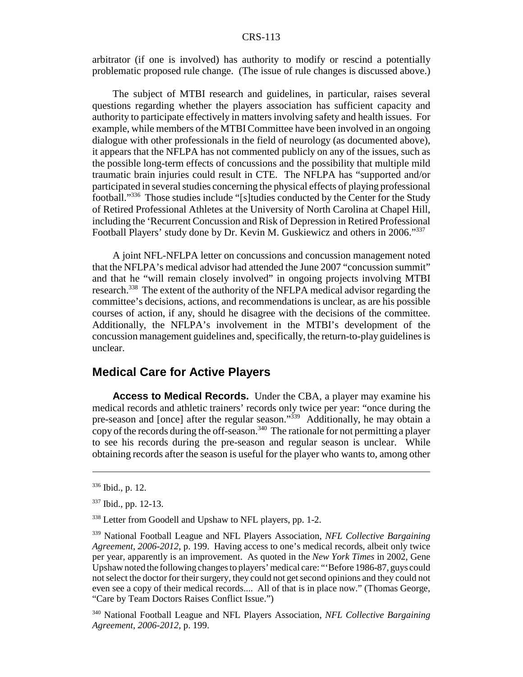arbitrator (if one is involved) has authority to modify or rescind a potentially problematic proposed rule change. (The issue of rule changes is discussed above.)

The subject of MTBI research and guidelines, in particular, raises several questions regarding whether the players association has sufficient capacity and authority to participate effectively in matters involving safety and health issues. For example, while members of the MTBI Committee have been involved in an ongoing dialogue with other professionals in the field of neurology (as documented above), it appears that the NFLPA has not commented publicly on any of the issues, such as the possible long-term effects of concussions and the possibility that multiple mild traumatic brain injuries could result in CTE. The NFLPA has "supported and/or participated in several studies concerning the physical effects of playing professional football."336 Those studies include "[s]tudies conducted by the Center for the Study of Retired Professional Athletes at the University of North Carolina at Chapel Hill, including the 'Recurrent Concussion and Risk of Depression in Retired Professional Football Players' study done by Dr. Kevin M. Guskiewicz and others in 2006."337

A joint NFL-NFLPA letter on concussions and concussion management noted that the NFLPA's medical advisor had attended the June 2007 "concussion summit" and that he "will remain closely involved" in ongoing projects involving MTBI research.338 The extent of the authority of the NFLPA medical advisor regarding the committee's decisions, actions, and recommendations is unclear, as are his possible courses of action, if any, should he disagree with the decisions of the committee. Additionally, the NFLPA's involvement in the MTBI's development of the concussion management guidelines and, specifically, the return-to-play guidelines is unclear.

### **Medical Care for Active Players**

**Access to Medical Records.** Under the CBA, a player may examine his medical records and athletic trainers' records only twice per year: "once during the pre-season and [once] after the regular season."<sup>339</sup> Additionally, he may obtain a copy of the records during the off-season.<sup>340</sup> The rationale for not permitting a player to see his records during the pre-season and regular season is unclear. While obtaining records after the season is useful for the player who wants to, among other

<sup>336</sup> Ibid., p. 12.

<sup>337</sup> Ibid., pp. 12-13.

<sup>338</sup> Letter from Goodell and Upshaw to NFL players, pp. 1-2.

<sup>339</sup> National Football League and NFL Players Association, *NFL Collective Bargaining Agreement, 2006-2012*, p. 199. Having access to one's medical records, albeit only twice per year, apparently is an improvement. As quoted in the *New York Times* in 2002, Gene Upshaw noted the following changes to players' medical care: "'Before 1986-87, guys could not select the doctor for their surgery, they could not get second opinions and they could not even see a copy of their medical records.... All of that is in place now." (Thomas George, "Care by Team Doctors Raises Conflict Issue.")

<sup>340</sup> National Football League and NFL Players Association, *NFL Collective Bargaining Agreement, 2006-2012*, p. 199.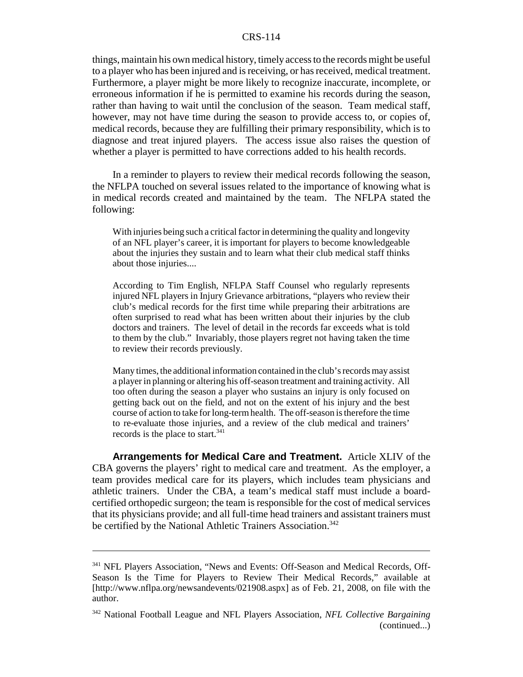things, maintain his own medical history, timely access to the records might be useful to a player who has been injured and is receiving, or has received, medical treatment. Furthermore, a player might be more likely to recognize inaccurate, incomplete, or erroneous information if he is permitted to examine his records during the season, rather than having to wait until the conclusion of the season. Team medical staff, however, may not have time during the season to provide access to, or copies of, medical records, because they are fulfilling their primary responsibility, which is to diagnose and treat injured players. The access issue also raises the question of whether a player is permitted to have corrections added to his health records.

In a reminder to players to review their medical records following the season, the NFLPA touched on several issues related to the importance of knowing what is in medical records created and maintained by the team. The NFLPA stated the following:

With injuries being such a critical factor in determining the quality and longevity of an NFL player's career, it is important for players to become knowledgeable about the injuries they sustain and to learn what their club medical staff thinks about those injuries....

According to Tim English, NFLPA Staff Counsel who regularly represents injured NFL players in Injury Grievance arbitrations, "players who review their club's medical records for the first time while preparing their arbitrations are often surprised to read what has been written about their injuries by the club doctors and trainers. The level of detail in the records far exceeds what is told to them by the club." Invariably, those players regret not having taken the time to review their records previously.

Many times, the additional information contained in the club's records may assist a player in planning or altering his off-season treatment and training activity. All too often during the season a player who sustains an injury is only focused on getting back out on the field, and not on the extent of his injury and the best course of action to take for long-term health. The off-season is therefore the time to re-evaluate those injuries, and a review of the club medical and trainers' records is the place to start.<sup>341</sup>

**Arrangements for Medical Care and Treatment.** Article XLIV of the CBA governs the players' right to medical care and treatment. As the employer, a team provides medical care for its players, which includes team physicians and athletic trainers. Under the CBA, a team's medical staff must include a boardcertified orthopedic surgeon; the team is responsible for the cost of medical services that its physicians provide; and all full-time head trainers and assistant trainers must be certified by the National Athletic Trainers Association.<sup>342</sup>

<sup>341</sup> NFL Players Association, "News and Events: Off-Season and Medical Records, Off-Season Is the Time for Players to Review Their Medical Records," available at [http://www.nflpa.org/newsandevents/021908.aspx] as of Feb. 21, 2008, on file with the author.

<sup>342</sup> National Football League and NFL Players Association, *NFL Collective Bargaining* (continued...)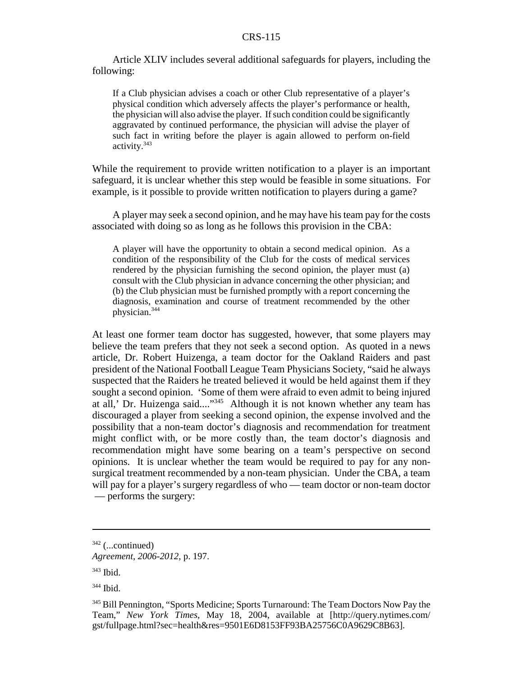Article XLIV includes several additional safeguards for players, including the following:

If a Club physician advises a coach or other Club representative of a player's physical condition which adversely affects the player's performance or health, the physician will also advise the player. If such condition could be significantly aggravated by continued performance, the physician will advise the player of such fact in writing before the player is again allowed to perform on-field activity.343

While the requirement to provide written notification to a player is an important safeguard, it is unclear whether this step would be feasible in some situations. For example, is it possible to provide written notification to players during a game?

A player may seek a second opinion, and he may have his team pay for the costs associated with doing so as long as he follows this provision in the CBA:

A player will have the opportunity to obtain a second medical opinion. As a condition of the responsibility of the Club for the costs of medical services rendered by the physician furnishing the second opinion, the player must (a) consult with the Club physician in advance concerning the other physician; and (b) the Club physician must be furnished promptly with a report concerning the diagnosis, examination and course of treatment recommended by the other physician.344

At least one former team doctor has suggested, however, that some players may believe the team prefers that they not seek a second option. As quoted in a news article, Dr. Robert Huizenga, a team doctor for the Oakland Raiders and past president of the National Football League Team Physicians Society, "said he always suspected that the Raiders he treated believed it would be held against them if they sought a second opinion. 'Some of them were afraid to even admit to being injured at all,' Dr. Huizenga said...."345 Although it is not known whether any team has discouraged a player from seeking a second opinion, the expense involved and the possibility that a non-team doctor's diagnosis and recommendation for treatment might conflict with, or be more costly than, the team doctor's diagnosis and recommendation might have some bearing on a team's perspective on second opinions. It is unclear whether the team would be required to pay for any nonsurgical treatment recommended by a non-team physician. Under the CBA, a team will pay for a player's surgery regardless of who — team doctor or non-team doctor — performs the surgery:

 $342$  (...continued)

*Agreement, 2006-2012*, p. 197.

<sup>343</sup> Ibid.

<sup>344</sup> Ibid.

<sup>&</sup>lt;sup>345</sup> Bill Pennington, "Sports Medicine; Sports Turnaround: The Team Doctors Now Pay the Team," *New York Times*, May 18, 2004, available at [http://query.nytimes.com/ gst/fullpage.html?sec=health&res=9501E6D8153FF93BA25756C0A9629C8B63].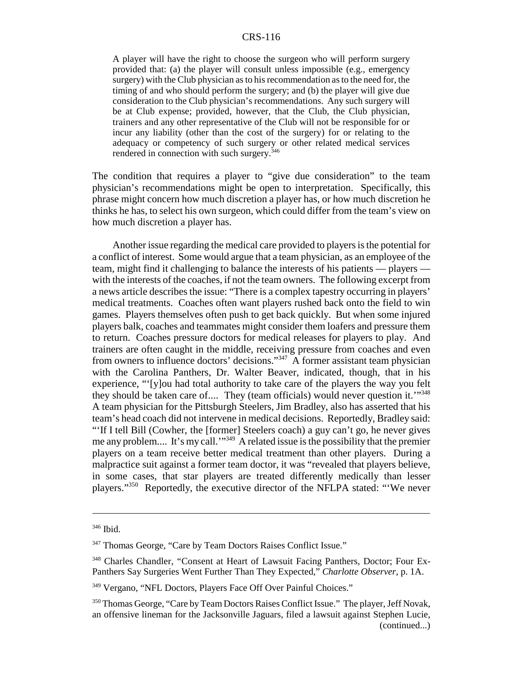A player will have the right to choose the surgeon who will perform surgery provided that: (a) the player will consult unless impossible (e.g., emergency surgery) with the Club physician as to his recommendation as to the need for, the timing of and who should perform the surgery; and (b) the player will give due consideration to the Club physician's recommendations. Any such surgery will be at Club expense; provided, however, that the Club, the Club physician, trainers and any other representative of the Club will not be responsible for or incur any liability (other than the cost of the surgery) for or relating to the adequacy or competency of such surgery or other related medical services rendered in connection with such surgery.<sup>346</sup>

The condition that requires a player to "give due consideration" to the team physician's recommendations might be open to interpretation. Specifically, this phrase might concern how much discretion a player has, or how much discretion he thinks he has, to select his own surgeon, which could differ from the team's view on how much discretion a player has.

Another issue regarding the medical care provided to players is the potential for a conflict of interest. Some would argue that a team physician, as an employee of the team, might find it challenging to balance the interests of his patients — players with the interests of the coaches, if not the team owners. The following excerpt from a news article describes the issue: "There is a complex tapestry occurring in players' medical treatments. Coaches often want players rushed back onto the field to win games. Players themselves often push to get back quickly. But when some injured players balk, coaches and teammates might consider them loafers and pressure them to return. Coaches pressure doctors for medical releases for players to play. And trainers are often caught in the middle, receiving pressure from coaches and even from owners to influence doctors' decisions."347 A former assistant team physician with the Carolina Panthers, Dr. Walter Beaver, indicated, though, that in his experience, "'[y]ou had total authority to take care of the players the way you felt they should be taken care of.... They (team officials) would never question it."<sup>348</sup> A team physician for the Pittsburgh Steelers, Jim Bradley, also has asserted that his team's head coach did not intervene in medical decisions. Reportedly, Bradley said: "'If I tell Bill (Cowher, the [former] Steelers coach) a guy can't go, he never gives me any problem.... It's my call."<sup>349</sup> A related issue is the possibility that the premier players on a team receive better medical treatment than other players. During a malpractice suit against a former team doctor, it was "revealed that players believe, in some cases, that star players are treated differently medically than lesser players."350 Reportedly, the executive director of the NFLPA stated: "'We never

<sup>346</sup> Ibid.

<sup>347</sup> Thomas George, "Care by Team Doctors Raises Conflict Issue."

<sup>348</sup> Charles Chandler, "Consent at Heart of Lawsuit Facing Panthers, Doctor; Four Ex-Panthers Say Surgeries Went Further Than They Expected," *Charlotte Observer*, p. 1A.

<sup>349</sup> Vergano, "NFL Doctors, Players Face Off Over Painful Choices."

<sup>350</sup> Thomas George, "Care by Team Doctors Raises Conflict Issue." The player, Jeff Novak, an offensive lineman for the Jacksonville Jaguars, filed a lawsuit against Stephen Lucie, (continued...)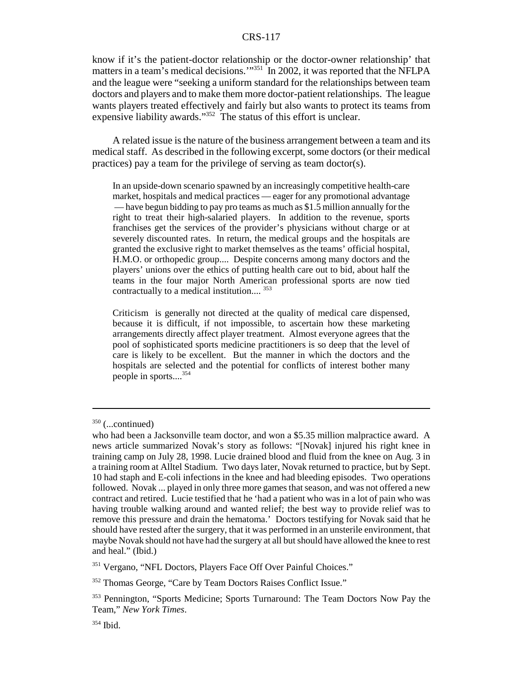know if it's the patient-doctor relationship or the doctor-owner relationship' that matters in a team's medical decisions.'"<sup>351</sup> In 2002, it was reported that the NFLPA and the league were "seeking a uniform standard for the relationships between team doctors and players and to make them more doctor-patient relationships. The league wants players treated effectively and fairly but also wants to protect its teams from expensive liability awards."<sup>352</sup> The status of this effort is unclear.

A related issue is the nature of the business arrangement between a team and its medical staff. As described in the following excerpt, some doctors (or their medical practices) pay a team for the privilege of serving as team doctor(s).

In an upside-down scenario spawned by an increasingly competitive health-care market, hospitals and medical practices — eager for any promotional advantage — have begun bidding to pay pro teams as much as \$1.5 million annually for the right to treat their high-salaried players. In addition to the revenue, sports franchises get the services of the provider's physicians without charge or at severely discounted rates. In return, the medical groups and the hospitals are granted the exclusive right to market themselves as the teams' official hospital, H.M.O. or orthopedic group.... Despite concerns among many doctors and the players' unions over the ethics of putting health care out to bid, about half the teams in the four major North American professional sports are now tied contractually to a medical institution.... 353

Criticism is generally not directed at the quality of medical care dispensed, because it is difficult, if not impossible, to ascertain how these marketing arrangements directly affect player treatment. Almost everyone agrees that the pool of sophisticated sports medicine practitioners is so deep that the level of care is likely to be excellent. But the manner in which the doctors and the hospitals are selected and the potential for conflicts of interest bother many people in sports....354

<sup>350 (...</sup>continued)

who had been a Jacksonville team doctor, and won a \$5.35 million malpractice award. A news article summarized Novak's story as follows: "[Novak] injured his right knee in training camp on July 28, 1998. Lucie drained blood and fluid from the knee on Aug. 3 in a training room at Alltel Stadium. Two days later, Novak returned to practice, but by Sept. 10 had staph and E-coli infections in the knee and had bleeding episodes. Two operations followed. Novak ... played in only three more games that season, and was not offered a new contract and retired. Lucie testified that he 'had a patient who was in a lot of pain who was having trouble walking around and wanted relief; the best way to provide relief was to remove this pressure and drain the hematoma.' Doctors testifying for Novak said that he should have rested after the surgery, that it was performed in an unsterile environment, that maybe Novak should not have had the surgery at all but should have allowed the knee to rest and heal." (Ibid.)

<sup>351</sup> Vergano, "NFL Doctors, Players Face Off Over Painful Choices."

<sup>352</sup> Thomas George, "Care by Team Doctors Raises Conflict Issue."

<sup>353</sup> Pennington, "Sports Medicine; Sports Turnaround: The Team Doctors Now Pay the Team," *New York Times*.

<sup>354</sup> Ibid.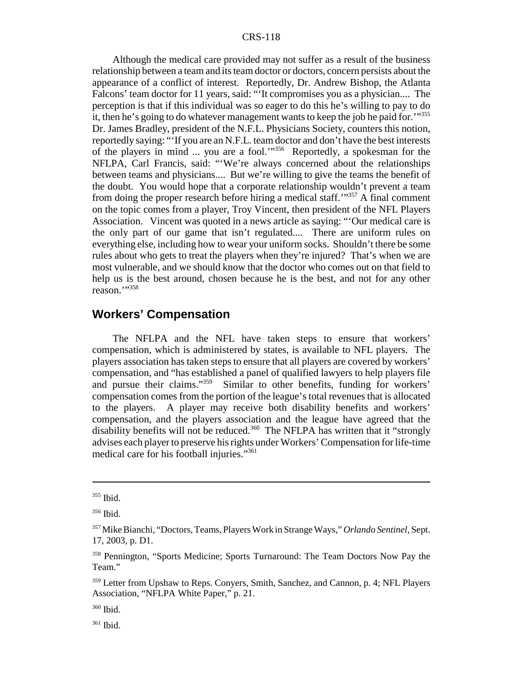Although the medical care provided may not suffer as a result of the business relationship between a team and its team doctor or doctors, concern persists about the appearance of a conflict of interest. Reportedly, Dr. Andrew Bishop, the Atlanta Falcons' team doctor for 11 years, said: "'It compromises you as a physician.... The perception is that if this individual was so eager to do this he's willing to pay to do it, then he's going to do whatever management wants to keep the job he paid for.'"355 Dr. James Bradley, president of the N.F.L. Physicians Society, counters this notion, reportedly saying: "'If you are an N.F.L. team doctor and don't have the best interests of the players in mind ... you are a fool.'"356 Reportedly, a spokesman for the NFLPA, Carl Francis, said: "'We're always concerned about the relationships between teams and physicians.... But we're willing to give the teams the benefit of the doubt. You would hope that a corporate relationship wouldn't prevent a team from doing the proper research before hiring a medical staff.'"357 A final comment on the topic comes from a player, Troy Vincent, then president of the NFL Players Association. Vincent was quoted in a news article as saying: "'Our medical care is the only part of our game that isn't regulated.... There are uniform rules on everything else, including how to wear your uniform socks. Shouldn't there be some rules about who gets to treat the players when they're injured? That's when we are most vulnerable, and we should know that the doctor who comes out on that field to help us is the best around, chosen because he is the best, and not for any other reason."358

## **Workers' Compensation**

The NFLPA and the NFL have taken steps to ensure that workers' compensation, which is administered by states, is available to NFL players. The players association has taken steps to ensure that all players are covered by workers' compensation, and "has established a panel of qualified lawyers to help players file and pursue their claims."359 Similar to other benefits, funding for workers' compensation comes from the portion of the league's total revenues that is allocated to the players. A player may receive both disability benefits and workers' compensation, and the players association and the league have agreed that the disability benefits will not be reduced.<sup>360</sup> The NFLPA has written that it "strongly advises each player to preserve his rights under Workers' Compensation for life-time medical care for his football injuries."361

<sup>355</sup> Ibid.

<sup>356</sup> Ibid.

<sup>357</sup> Mike Bianchi, "Doctors, Teams, Players Work in Strange Ways," *Orlando Sentinel*, Sept. 17, 2003, p. D1.

<sup>&</sup>lt;sup>358</sup> Pennington, "Sports Medicine; Sports Turnaround: The Team Doctors Now Pay the Team."

<sup>359</sup> Letter from Upshaw to Reps. Conyers, Smith, Sanchez, and Cannon, p. 4; NFL Players Association, "NFLPA White Paper," p. 21.

<sup>360</sup> Ibid.

<sup>361</sup> Ibid.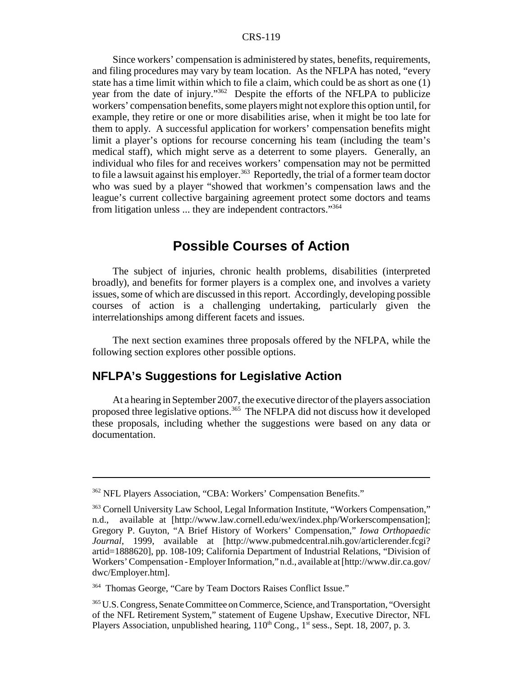Since workers' compensation is administered by states, benefits, requirements, and filing procedures may vary by team location. As the NFLPA has noted, "every state has a time limit within which to file a claim, which could be as short as one (1) year from the date of injury."362 Despite the efforts of the NFLPA to publicize workers' compensation benefits, some players might not explore this option until, for example, they retire or one or more disabilities arise, when it might be too late for them to apply. A successful application for workers' compensation benefits might limit a player's options for recourse concerning his team (including the team's medical staff), which might serve as a deterrent to some players. Generally, an individual who files for and receives workers' compensation may not be permitted to file a lawsuit against his employer.<sup>363</sup> Reportedly, the trial of a former team doctor who was sued by a player "showed that workmen's compensation laws and the league's current collective bargaining agreement protect some doctors and teams from litigation unless ... they are independent contractors."364

## **Possible Courses of Action**

The subject of injuries, chronic health problems, disabilities (interpreted broadly), and benefits for former players is a complex one, and involves a variety issues, some of which are discussed in this report. Accordingly, developing possible courses of action is a challenging undertaking, particularly given the interrelationships among different facets and issues.

The next section examines three proposals offered by the NFLPA, while the following section explores other possible options.

## **NFLPA's Suggestions for Legislative Action**

At a hearing in September 2007, the executive director of the players association proposed three legislative options.<sup>365</sup> The NFLPA did not discuss how it developed these proposals, including whether the suggestions were based on any data or documentation.

<sup>362</sup> NFL Players Association, "CBA: Workers' Compensation Benefits."

<sup>363</sup> Cornell University Law School, Legal Information Institute, "Workers Compensation," n.d., available at [http://www.law.cornell.edu/wex/index.php/Workerscompensation]; Gregory P. Guyton, "A Brief History of Workers' Compensation," *Iowa Orthopaedic Journal*, 1999, available at [http://www.pubmedcentral.nih.gov/articlerender.fcgi? artid=1888620], pp. 108-109; California Department of Industrial Relations, "Division of Workers' Compensation - Employer Information," n.d., available at [http://www.dir.ca.gov/ dwc/Employer.htm].

<sup>364</sup> Thomas George, "Care by Team Doctors Raises Conflict Issue."

<sup>365</sup> U.S. Congress, Senate Committee on Commerce, Science, and Transportation, "Oversight of the NFL Retirement System," statement of Eugene Upshaw, Executive Director, NFL Players Association, unpublished hearing,  $110^{th}$  Cong.,  $1^{st}$  sess., Sept. 18, 2007, p. 3.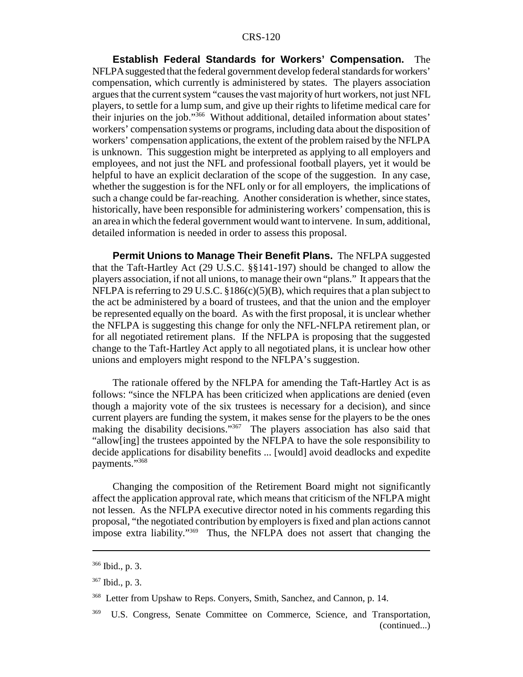**Establish Federal Standards for Workers' Compensation.** The NFLPA suggested that the federal government develop federal standards for workers' compensation, which currently is administered by states. The players association argues that the current system "causes the vast majority of hurt workers, not just NFL players, to settle for a lump sum, and give up their rights to lifetime medical care for their injuries on the job."366 Without additional, detailed information about states' workers' compensation systems or programs, including data about the disposition of workers' compensation applications, the extent of the problem raised by the NFLPA is unknown. This suggestion might be interpreted as applying to all employers and employees, and not just the NFL and professional football players, yet it would be helpful to have an explicit declaration of the scope of the suggestion. In any case, whether the suggestion is for the NFL only or for all employers, the implications of such a change could be far-reaching. Another consideration is whether, since states, historically, have been responsible for administering workers' compensation, this is an area in which the federal government would want to intervene. In sum, additional, detailed information is needed in order to assess this proposal.

**Permit Unions to Manage Their Benefit Plans.** The NFLPA suggested that the Taft-Hartley Act (29 U.S.C. §§141-197) should be changed to allow the players association, if not all unions, to manage their own "plans." It appears that the NFLPA is referring to 29 U.S.C. §186(c)(5)(B), which requires that a plan subject to the act be administered by a board of trustees, and that the union and the employer be represented equally on the board. As with the first proposal, it is unclear whether the NFLPA is suggesting this change for only the NFL-NFLPA retirement plan, or for all negotiated retirement plans. If the NFLPA is proposing that the suggested change to the Taft-Hartley Act apply to all negotiated plans, it is unclear how other unions and employers might respond to the NFLPA's suggestion.

The rationale offered by the NFLPA for amending the Taft-Hartley Act is as follows: "since the NFLPA has been criticized when applications are denied (even though a majority vote of the six trustees is necessary for a decision), and since current players are funding the system, it makes sense for the players to be the ones making the disability decisions."<sup>367</sup> The players association has also said that "allow[ing] the trustees appointed by the NFLPA to have the sole responsibility to decide applications for disability benefits ... [would] avoid deadlocks and expedite payments."368

Changing the composition of the Retirement Board might not significantly affect the application approval rate, which means that criticism of the NFLPA might not lessen. As the NFLPA executive director noted in his comments regarding this proposal, "the negotiated contribution by employers is fixed and plan actions cannot impose extra liability."369 Thus, the NFLPA does not assert that changing the

<sup>366</sup> Ibid., p. 3.

<sup>367</sup> Ibid., p. 3.

<sup>&</sup>lt;sup>368</sup> Letter from Upshaw to Reps. Convers, Smith, Sanchez, and Cannon, p. 14.

<sup>369</sup> U.S. Congress, Senate Committee on Commerce, Science, and Transportation, (continued...)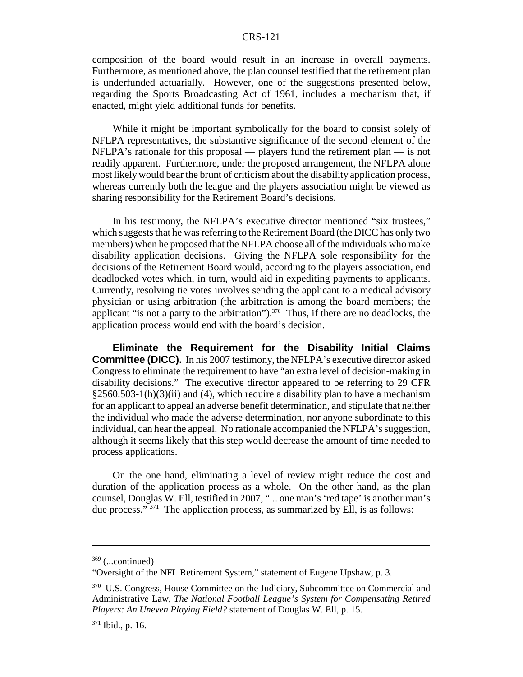composition of the board would result in an increase in overall payments. Furthermore, as mentioned above, the plan counsel testified that the retirement plan is underfunded actuarially. However, one of the suggestions presented below, regarding the Sports Broadcasting Act of 1961, includes a mechanism that, if enacted, might yield additional funds for benefits.

While it might be important symbolically for the board to consist solely of NFLPA representatives, the substantive significance of the second element of the NFLPA's rationale for this proposal — players fund the retirement plan — is not readily apparent. Furthermore, under the proposed arrangement, the NFLPA alone most likely would bear the brunt of criticism about the disability application process, whereas currently both the league and the players association might be viewed as sharing responsibility for the Retirement Board's decisions.

In his testimony, the NFLPA's executive director mentioned "six trustees," which suggests that he was referring to the Retirement Board (the DICC has only two members) when he proposed that the NFLPA choose all of the individuals who make disability application decisions. Giving the NFLPA sole responsibility for the decisions of the Retirement Board would, according to the players association, end deadlocked votes which, in turn, would aid in expediting payments to applicants. Currently, resolving tie votes involves sending the applicant to a medical advisory physician or using arbitration (the arbitration is among the board members; the applicant "is not a party to the arbitration"). $370$  Thus, if there are no deadlocks, the application process would end with the board's decision.

**Eliminate the Requirement for the Disability Initial Claims Committee (DICC).** In his 2007 testimony, the NFLPA's executive director asked Congress to eliminate the requirement to have "an extra level of decision-making in disability decisions." The executive director appeared to be referring to 29 CFR  $\S 2560.503-1(h)(3)(ii)$  and (4), which require a disability plan to have a mechanism for an applicant to appeal an adverse benefit determination, and stipulate that neither the individual who made the adverse determination, nor anyone subordinate to this individual, can hear the appeal. No rationale accompanied the NFLPA's suggestion, although it seems likely that this step would decrease the amount of time needed to process applications.

On the one hand, eliminating a level of review might reduce the cost and duration of the application process as a whole. On the other hand, as the plan counsel, Douglas W. Ell, testified in 2007, "... one man's 'red tape' is another man's due process." 371 The application process, as summarized by Ell, is as follows:

 $369$  (...continued)

<sup>&</sup>quot;Oversight of the NFL Retirement System," statement of Eugene Upshaw, p. 3.

<sup>&</sup>lt;sup>370</sup> U.S. Congress, House Committee on the Judiciary, Subcommittee on Commercial and Administrative Law, *The National Football League's System for Compensating Retired Players: An Uneven Playing Field?* statement of Douglas W. Ell, p. 15.

<sup>371</sup> Ibid., p. 16.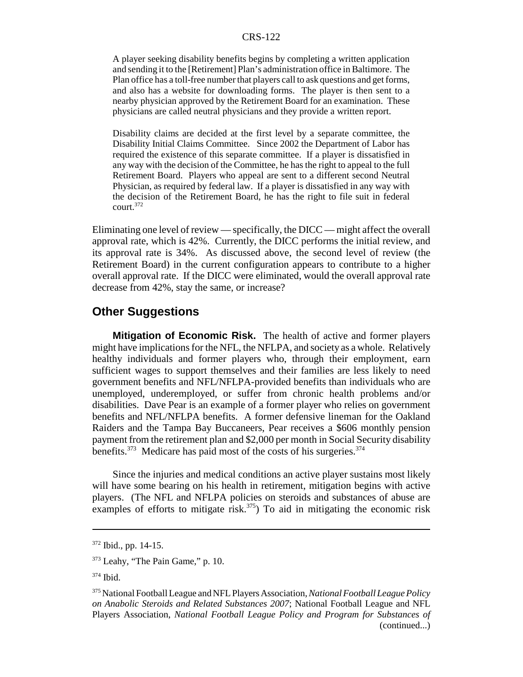A player seeking disability benefits begins by completing a written application and sending it to the [Retirement] Plan's administration office in Baltimore. The Plan office has a toll-free number that players call to ask questions and get forms, and also has a website for downloading forms. The player is then sent to a nearby physician approved by the Retirement Board for an examination. These physicians are called neutral physicians and they provide a written report.

Disability claims are decided at the first level by a separate committee, the Disability Initial Claims Committee. Since 2002 the Department of Labor has required the existence of this separate committee. If a player is dissatisfied in any way with the decision of the Committee, he has the right to appeal to the full Retirement Board. Players who appeal are sent to a different second Neutral Physician, as required by federal law. If a player is dissatisfied in any way with the decision of the Retirement Board, he has the right to file suit in federal court.372

Eliminating one level of review — specifically, the DICC — might affect the overall approval rate, which is 42%. Currently, the DICC performs the initial review, and its approval rate is 34%. As discussed above, the second level of review (the Retirement Board) in the current configuration appears to contribute to a higher overall approval rate. If the DICC were eliminated, would the overall approval rate decrease from 42%, stay the same, or increase?

### **Other Suggestions**

**Mitigation of Economic Risk.** The health of active and former players might have implications for the NFL, the NFLPA, and society as a whole. Relatively healthy individuals and former players who, through their employment, earn sufficient wages to support themselves and their families are less likely to need government benefits and NFL/NFLPA-provided benefits than individuals who are unemployed, underemployed, or suffer from chronic health problems and/or disabilities. Dave Pear is an example of a former player who relies on government benefits and NFL/NFLPA benefits. A former defensive lineman for the Oakland Raiders and the Tampa Bay Buccaneers, Pear receives a \$606 monthly pension payment from the retirement plan and \$2,000 per month in Social Security disability benefits.<sup>373</sup> Medicare has paid most of the costs of his surgeries.<sup>374</sup>

Since the injuries and medical conditions an active player sustains most likely will have some bearing on his health in retirement, mitigation begins with active players. (The NFL and NFLPA policies on steroids and substances of abuse are examples of efforts to mitigate risk.<sup>375</sup>) To aid in mitigating the economic risk

<sup>372</sup> Ibid., pp. 14-15.

<sup>373</sup> Leahy, "The Pain Game," p. 10.

 $374$  Ibid.

<sup>375</sup> National Football League and NFL Players Association, *National Football League Policy on Anabolic Steroids and Related Substances 2007*; National Football League and NFL Players Association, *National Football League Policy and Program for Substances of* (continued...)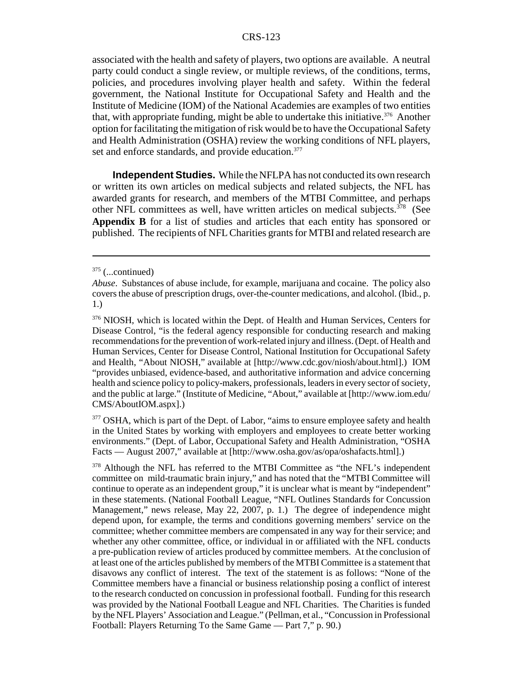associated with the health and safety of players, two options are available. A neutral party could conduct a single review, or multiple reviews, of the conditions, terms, policies, and procedures involving player health and safety. Within the federal government, the National Institute for Occupational Safety and Health and the Institute of Medicine (IOM) of the National Academies are examples of two entities that, with appropriate funding, might be able to undertake this initiative.<sup>376</sup> Another option for facilitating the mitigation of risk would be to have the Occupational Safety and Health Administration (OSHA) review the working conditions of NFL players, set and enforce standards, and provide education.<sup>377</sup>

**Independent Studies.** While the NFLPA has not conducted its own research or written its own articles on medical subjects and related subjects, the NFL has awarded grants for research, and members of the MTBI Committee, and perhaps other NFL committees as well, have written articles on medical subjects. $378$  (See **Appendix B** for a list of studies and articles that each entity has sponsored or published. The recipients of NFL Charities grants for MTBI and related research are

<sup>377</sup> OSHA, which is part of the Dept. of Labor, "aims to ensure employee safety and health in the United States by working with employers and employees to create better working environments." (Dept. of Labor, Occupational Safety and Health Administration, "OSHA Facts — August 2007," available at [http://www.osha.gov/as/opa/oshafacts.html].)

<sup>378</sup> Although the NFL has referred to the MTBI Committee as "the NFL's independent committee on mild-traumatic brain injury," and has noted that the "MTBI Committee will continue to operate as an independent group," it is unclear what is meant by "independent" in these statements. (National Football League, "NFL Outlines Standards for Concussion Management," news release, May 22, 2007, p. 1.) The degree of independence might depend upon, for example, the terms and conditions governing members' service on the committee; whether committee members are compensated in any way for their service; and whether any other committee, office, or individual in or affiliated with the NFL conducts a pre-publication review of articles produced by committee members. At the conclusion of at least one of the articles published by members of the MTBI Committee is a statement that disavows any conflict of interest. The text of the statement is as follows: "None of the Committee members have a financial or business relationship posing a conflict of interest to the research conducted on concussion in professional football. Funding for this research was provided by the National Football League and NFL Charities. The Charities is funded by the NFL Players' Association and League." (Pellman, et al., "Concussion in Professional Football: Players Returning To the Same Game — Part 7," p. 90.)

 $375$  (...continued)

*Abuse*. Substances of abuse include, for example, marijuana and cocaine. The policy also covers the abuse of prescription drugs, over-the-counter medications, and alcohol. (Ibid., p. 1.)

<sup>376</sup> NIOSH, which is located within the Dept. of Health and Human Services, Centers for Disease Control, "is the federal agency responsible for conducting research and making recommendations for the prevention of work-related injury and illness. (Dept. of Health and Human Services, Center for Disease Control, National Institution for Occupational Safety and Health, "About NIOSH," available at [http://www.cdc.gov/niosh/about.html].) IOM "provides unbiased, evidence-based, and authoritative information and advice concerning health and science policy to policy-makers, professionals, leaders in every sector of society, and the public at large." (Institute of Medicine, "About," available at [http://www.iom.edu/ CMS/AboutIOM.aspx].)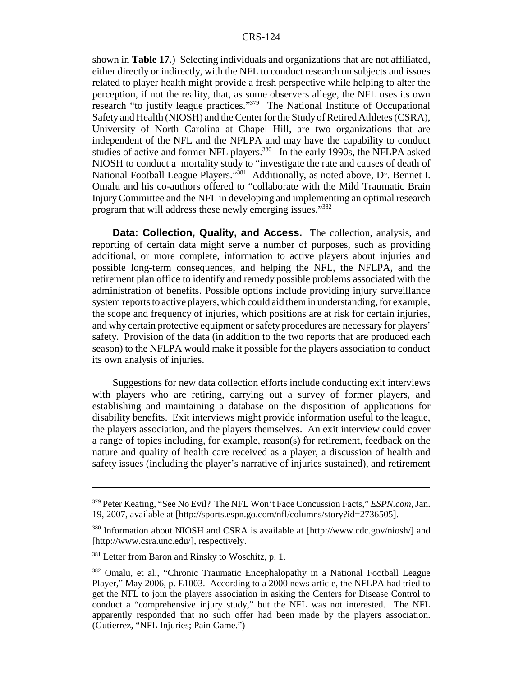shown in **Table 17**.) Selecting individuals and organizations that are not affiliated, either directly or indirectly, with the NFL to conduct research on subjects and issues related to player health might provide a fresh perspective while helping to alter the perception, if not the reality, that, as some observers allege, the NFL uses its own research "to justify league practices."379 The National Institute of Occupational Safety and Health (NIOSH) and the Center for the Study of Retired Athletes (CSRA), University of North Carolina at Chapel Hill, are two organizations that are independent of the NFL and the NFLPA and may have the capability to conduct studies of active and former NFL players.<sup>380</sup> In the early 1990s, the NFLPA asked NIOSH to conduct a mortality study to "investigate the rate and causes of death of National Football League Players."381 Additionally, as noted above, Dr. Bennet I. Omalu and his co-authors offered to "collaborate with the Mild Traumatic Brain Injury Committee and the NFL in developing and implementing an optimal research program that will address these newly emerging issues."382

**Data: Collection, Quality, and Access.** The collection, analysis, and reporting of certain data might serve a number of purposes, such as providing additional, or more complete, information to active players about injuries and possible long-term consequences, and helping the NFL, the NFLPA, and the retirement plan office to identify and remedy possible problems associated with the administration of benefits. Possible options include providing injury surveillance system reports to active players, which could aid them in understanding, for example, the scope and frequency of injuries, which positions are at risk for certain injuries, and why certain protective equipment or safety procedures are necessary for players' safety. Provision of the data (in addition to the two reports that are produced each season) to the NFLPA would make it possible for the players association to conduct its own analysis of injuries.

Suggestions for new data collection efforts include conducting exit interviews with players who are retiring, carrying out a survey of former players, and establishing and maintaining a database on the disposition of applications for disability benefits. Exit interviews might provide information useful to the league, the players association, and the players themselves. An exit interview could cover a range of topics including, for example, reason(s) for retirement, feedback on the nature and quality of health care received as a player, a discussion of health and safety issues (including the player's narrative of injuries sustained), and retirement

<sup>379</sup> Peter Keating, "See No Evil? The NFL Won't Face Concussion Facts," *ESPN.com*, Jan. 19, 2007, available at [http://sports.espn.go.com/nfl/columns/story?id=2736505].

<sup>380</sup> Information about NIOSH and CSRA is available at [http://www.cdc.gov/niosh/] and [http://www.csra.unc.edu/], respectively.

<sup>&</sup>lt;sup>381</sup> Letter from Baron and Rinsky to Woschitz, p. 1.

<sup>382</sup> Omalu, et al., "Chronic Traumatic Encephalopathy in a National Football League Player," May 2006, p. E1003. According to a 2000 news article, the NFLPA had tried to get the NFL to join the players association in asking the Centers for Disease Control to conduct a "comprehensive injury study," but the NFL was not interested. The NFL apparently responded that no such offer had been made by the players association. (Gutierrez, "NFL Injuries; Pain Game.")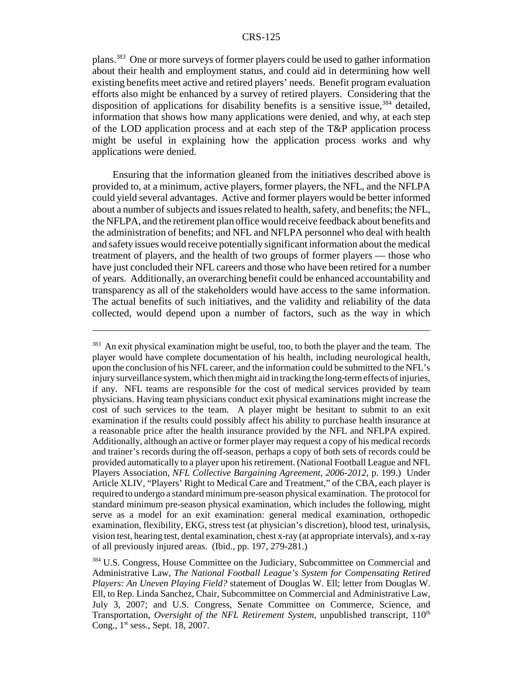plans.383 One or more surveys of former players could be used to gather information about their health and employment status, and could aid in determining how well existing benefits meet active and retired players' needs. Benefit program evaluation efforts also might be enhanced by a survey of retired players. Considering that the disposition of applications for disability benefits is a sensitive issue,  $384$  detailed, information that shows how many applications were denied, and why, at each step of the LOD application process and at each step of the T&P application process might be useful in explaining how the application process works and why applications were denied.

Ensuring that the information gleaned from the initiatives described above is provided to, at a minimum, active players, former players, the NFL, and the NFLPA could yield several advantages. Active and former players would be better informed about a number of subjects and issues related to health, safety, and benefits; the NFL, the NFLPA, and the retirement plan office would receive feedback about benefits and the administration of benefits; and NFL and NFLPA personnel who deal with health and safety issues would receive potentially significant information about the medical treatment of players, and the health of two groups of former players — those who have just concluded their NFL careers and those who have been retired for a number of years. Additionally, an overarching benefit could be enhanced accountability and transparency as all of the stakeholders would have access to the same information. The actual benefits of such initiatives, and the validity and reliability of the data collected, would depend upon a number of factors, such as the way in which

<sup>&</sup>lt;sup>383</sup> An exit physical examination might be useful, too, to both the player and the team. The player would have complete documentation of his health, including neurological health, upon the conclusion of his NFL career, and the information could be submitted to the NFL's injury surveillance system, which then might aid in tracking the long-term effects of injuries, if any. NFL teams are responsible for the cost of medical services provided by team physicians. Having team physicians conduct exit physical examinations might increase the cost of such services to the team. A player might be hesitant to submit to an exit examination if the results could possibly affect his ability to purchase health insurance at a reasonable price after the health insurance provided by the NFL and NFLPA expired. Additionally, although an active or former player may request a copy of his medical records and trainer's records during the off-season, perhaps a copy of both sets of records could be provided automatically to a player upon his retirement. (National Football League and NFL Players Association, *NFL Collective Bargaining Agreement, 2006-2012*, p. 199.) Under Article XLIV, "Players' Right to Medical Care and Treatment," of the CBA, each player is required to undergo a standard minimum pre-season physical examination. The protocol for standard minimum pre-season physical examination, which includes the following, might serve as a model for an exit examination: general medical examination, orthopedic examination, flexibility, EKG, stress test (at physician's discretion), blood test, urinalysis, vision test, hearing test, dental examination, chest x-ray (at appropriate intervals), and x-ray of all previously injured areas. (Ibid., pp. 197, 279-281.)

<sup>384</sup> U.S. Congress, House Committee on the Judiciary, Subcommittee on Commercial and Administrative Law, *The National Football League's System for Compensating Retired Players: An Uneven Playing Field?* statement of Douglas W. Ell; letter from Douglas W. Ell, to Rep. Linda Sanchez, Chair, Subcommittee on Commercial and Administrative Law, July 3, 2007; and U.S. Congress, Senate Committee on Commerce, Science, and Transportation, *Oversight of the NFL Retirement System*, unpublished transcript, 110<sup>th</sup> Cong., 1<sup>st</sup> sess., Sept. 18, 2007.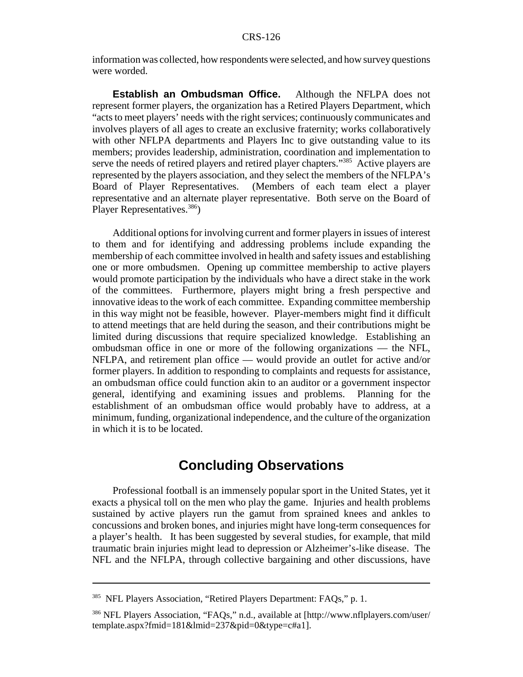information was collected, how respondents were selected, and how survey questions were worded.

**Establish an Ombudsman Office.** Although the NFLPA does not represent former players, the organization has a Retired Players Department, which "acts to meet players' needs with the right services; continuously communicates and involves players of all ages to create an exclusive fraternity; works collaboratively with other NFLPA departments and Players Inc to give outstanding value to its members; provides leadership, administration, coordination and implementation to serve the needs of retired players and retired player chapters."<sup>385</sup> Active players are represented by the players association, and they select the members of the NFLPA's Board of Player Representatives. (Members of each team elect a player representative and an alternate player representative. Both serve on the Board of Player Representatives.<sup>386</sup>)

Additional options for involving current and former players in issues of interest to them and for identifying and addressing problems include expanding the membership of each committee involved in health and safety issues and establishing one or more ombudsmen. Opening up committee membership to active players would promote participation by the individuals who have a direct stake in the work of the committees. Furthermore, players might bring a fresh perspective and innovative ideas to the work of each committee. Expanding committee membership in this way might not be feasible, however. Player-members might find it difficult to attend meetings that are held during the season, and their contributions might be limited during discussions that require specialized knowledge. Establishing an ombudsman office in one or more of the following organizations — the NFL, NFLPA, and retirement plan office — would provide an outlet for active and/or former players. In addition to responding to complaints and requests for assistance, an ombudsman office could function akin to an auditor or a government inspector general, identifying and examining issues and problems. Planning for the establishment of an ombudsman office would probably have to address, at a minimum, funding, organizational independence, and the culture of the organization in which it is to be located.

## **Concluding Observations**

Professional football is an immensely popular sport in the United States, yet it exacts a physical toll on the men who play the game. Injuries and health problems sustained by active players run the gamut from sprained knees and ankles to concussions and broken bones, and injuries might have long-term consequences for a player's health. It has been suggested by several studies, for example, that mild traumatic brain injuries might lead to depression or Alzheimer's-like disease. The NFL and the NFLPA, through collective bargaining and other discussions, have

<sup>&</sup>lt;sup>385</sup> NFL Players Association, "Retired Players Department: FAQs," p. 1.

<sup>386</sup> NFL Players Association, "FAQs," n.d., available at [http://www.nflplayers.com/user/ template.aspx?fmid=181&lmid=237&pid=0&type=c#a1].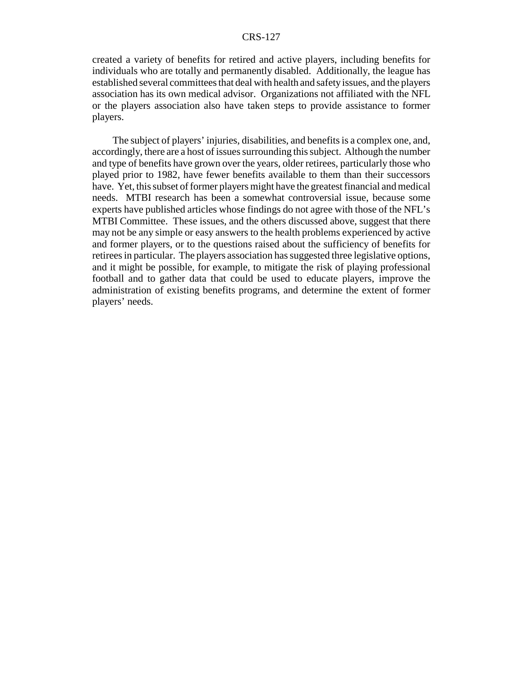created a variety of benefits for retired and active players, including benefits for individuals who are totally and permanently disabled. Additionally, the league has established several committees that deal with health and safety issues, and the players association has its own medical advisor. Organizations not affiliated with the NFL or the players association also have taken steps to provide assistance to former players.

The subject of players' injuries, disabilities, and benefits is a complex one, and, accordingly, there are a host of issues surrounding this subject. Although the number and type of benefits have grown over the years, older retirees, particularly those who played prior to 1982, have fewer benefits available to them than their successors have. Yet, this subset of former players might have the greatest financial and medical needs. MTBI research has been a somewhat controversial issue, because some experts have published articles whose findings do not agree with those of the NFL's MTBI Committee. These issues, and the others discussed above, suggest that there may not be any simple or easy answers to the health problems experienced by active and former players, or to the questions raised about the sufficiency of benefits for retirees in particular. The players association has suggested three legislative options, and it might be possible, for example, to mitigate the risk of playing professional football and to gather data that could be used to educate players, improve the administration of existing benefits programs, and determine the extent of former players' needs.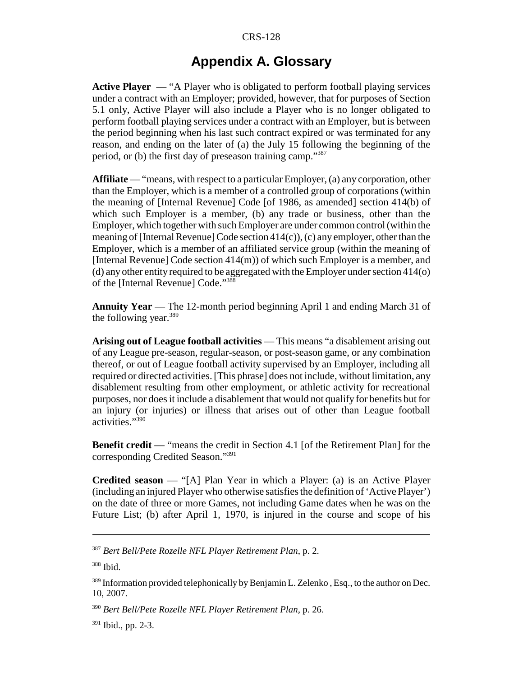## **Appendix A. Glossary**

**Active Player** — "A Player who is obligated to perform football playing services under a contract with an Employer; provided, however, that for purposes of Section 5.1 only, Active Player will also include a Player who is no longer obligated to perform football playing services under a contract with an Employer, but is between the period beginning when his last such contract expired or was terminated for any reason, and ending on the later of (a) the July 15 following the beginning of the period, or (b) the first day of preseason training camp."387

**Affiliate** — "means, with respect to a particular Employer, (a) any corporation, other than the Employer, which is a member of a controlled group of corporations (within the meaning of [Internal Revenue] Code [of 1986, as amended] section 414(b) of which such Employer is a member, (b) any trade or business, other than the Employer, which together with such Employer are under common control (within the meaning of [Internal Revenue] Code section  $414(c)$ , (c) any employer, other than the Employer, which is a member of an affiliated service group (within the meaning of [Internal Revenue] Code section 414(m)) of which such Employer is a member, and (d) any other entity required to be aggregated with the Employer under section 414(o) of the [Internal Revenue] Code."388

**Annuity Year** — The 12-month period beginning April 1 and ending March 31 of the following year.389

**Arising out of League football activities** — This means "a disablement arising out of any League pre-season, regular-season, or post-season game, or any combination thereof, or out of League football activity supervised by an Employer, including all required or directed activities. [This phrase] does not include, without limitation, any disablement resulting from other employment, or athletic activity for recreational purposes, nor does it include a disablement that would not qualify for benefits but for an injury (or injuries) or illness that arises out of other than League football activities."390

**Benefit credit** — "means the credit in Section 4.1 [of the Retirement Plan] for the corresponding Credited Season."391

**Credited season** — "[A] Plan Year in which a Player: (a) is an Active Player (including an injured Player who otherwise satisfies the definition of 'Active Player') on the date of three or more Games, not including Game dates when he was on the Future List; (b) after April 1, 1970, is injured in the course and scope of his

<sup>387</sup> *Bert Bell/Pete Rozelle NFL Player Retirement Plan*, p. 2.

<sup>388</sup> Ibid.

<sup>&</sup>lt;sup>389</sup> Information provided telephonically by Benjamin L. Zelenko, Esq., to the author on Dec. 10, 2007.

<sup>390</sup> *Bert Bell/Pete Rozelle NFL Player Retirement Plan*, p. 26.

<sup>391</sup> Ibid., pp. 2-3.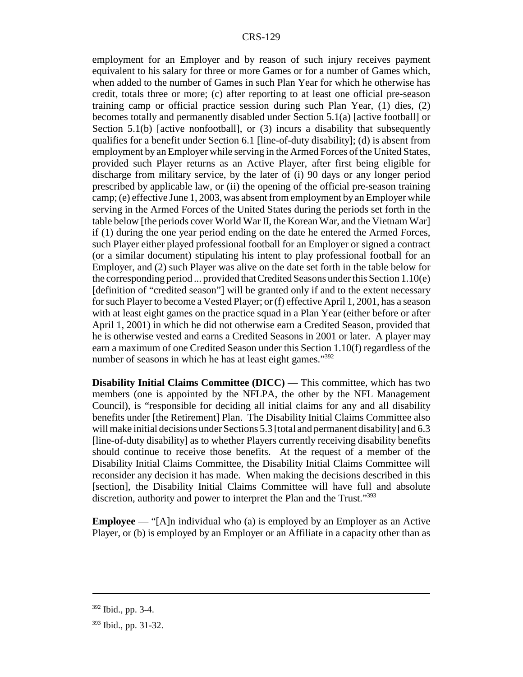employment for an Employer and by reason of such injury receives payment equivalent to his salary for three or more Games or for a number of Games which, when added to the number of Games in such Plan Year for which he otherwise has credit, totals three or more; (c) after reporting to at least one official pre-season training camp or official practice session during such Plan Year, (1) dies, (2) becomes totally and permanently disabled under Section 5.1(a) [active football] or Section 5.1(b) [active nonfootball], or  $(3)$  incurs a disability that subsequently qualifies for a benefit under Section 6.1 [line-of-duty disability]; (d) is absent from employment by an Employer while serving in the Armed Forces of the United States, provided such Player returns as an Active Player, after first being eligible for discharge from military service, by the later of (i) 90 days or any longer period prescribed by applicable law, or (ii) the opening of the official pre-season training camp; (e) effective June 1, 2003, was absent from employment by an Employer while serving in the Armed Forces of the United States during the periods set forth in the table below [the periods cover World War II, the Korean War, and the Vietnam War] if (1) during the one year period ending on the date he entered the Armed Forces, such Player either played professional football for an Employer or signed a contract (or a similar document) stipulating his intent to play professional football for an Employer, and (2) such Player was alive on the date set forth in the table below for the corresponding period ... provided that Credited Seasons under this Section 1.10(e) [definition of "credited season"] will be granted only if and to the extent necessary for such Player to become a Vested Player; or (f) effective April 1, 2001, has a season with at least eight games on the practice squad in a Plan Year (either before or after April 1, 2001) in which he did not otherwise earn a Credited Season, provided that he is otherwise vested and earns a Credited Seasons in 2001 or later. A player may earn a maximum of one Credited Season under this Section 1.10(f) regardless of the number of seasons in which he has at least eight games."<sup>392</sup>

**Disability Initial Claims Committee (DICC)** — This committee, which has two members (one is appointed by the NFLPA, the other by the NFL Management Council), is "responsible for deciding all initial claims for any and all disability benefits under [the Retirement] Plan. The Disability Initial Claims Committee also will make initial decisions under Sections 5.3 [total and permanent disability] and 6.3 [line-of-duty disability] as to whether Players currently receiving disability benefits should continue to receive those benefits. At the request of a member of the Disability Initial Claims Committee, the Disability Initial Claims Committee will reconsider any decision it has made. When making the decisions described in this [section], the Disability Initial Claims Committee will have full and absolute discretion, authority and power to interpret the Plan and the Trust."<sup>393</sup>

**Employee** — "[A]n individual who (a) is employed by an Employer as an Active Player, or (b) is employed by an Employer or an Affiliate in a capacity other than as

<sup>392</sup> Ibid., pp. 3-4.

<sup>393</sup> Ibid., pp. 31-32.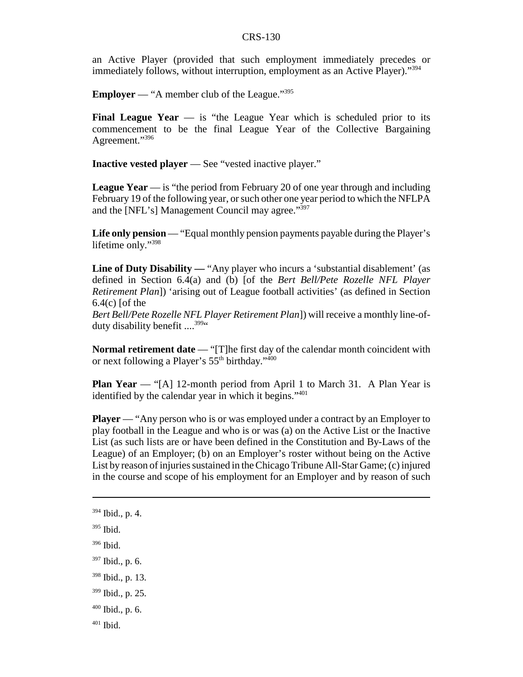an Active Player (provided that such employment immediately precedes or immediately follows, without interruption, employment as an Active Player)."<sup>394</sup>

**Employer** — "A member club of the League."<sup>395</sup>

**Final League Year** — is "the League Year which is scheduled prior to its commencement to be the final League Year of the Collective Bargaining Agreement."<sup>396</sup>

**Inactive vested player** — See "vested inactive player."

**League Year** — is "the period from February 20 of one year through and including February 19 of the following year, or such other one year period to which the NFLPA and the [NFL's] Management Council may agree."397

Life only pension — "Equal monthly pension payments payable during the Player's lifetime only."398

**Line of Duty Disability — "Any player who incurs a 'substantial disablement' (as** defined in Section 6.4(a) and (b) [of the *Bert Bell/Pete Rozelle NFL Player Retirement Plan*]) 'arising out of League football activities' (as defined in Section  $6.4(c)$  [of the

*Bert Bell/Pete Rozelle NFL Player Retirement Plan*]) will receive a monthly line-ofduty disability benefit ....<sup>399"</sup>

**Normal retirement date** — "[T]he first day of the calendar month coincident with or next following a Player's 55<sup>th</sup> birthday."<sup>400</sup>

**Plan Year** — "[A] 12-month period from April 1 to March 31. A Plan Year is identified by the calendar year in which it begins."<sup>401</sup>

**Player** — "Any person who is or was employed under a contract by an Employer to play football in the League and who is or was (a) on the Active List or the Inactive List (as such lists are or have been defined in the Constitution and By-Laws of the League) of an Employer; (b) on an Employer's roster without being on the Active List by reason of injuries sustained in the Chicago Tribune All-Star Game; (c) injured in the course and scope of his employment for an Employer and by reason of such

- 395 Ibid.
- 396 Ibid.
- 397 Ibid., p. 6.
- 398 Ibid., p. 13.
- 399 Ibid., p. 25.
- $400$  Ibid., p. 6.
- $401$  Ibid.

<sup>394</sup> Ibid., p. 4.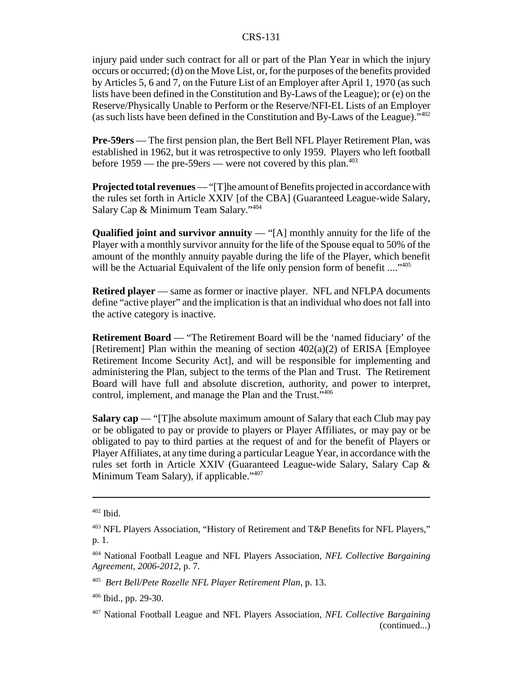injury paid under such contract for all or part of the Plan Year in which the injury occurs or occurred; (d) on the Move List, or, for the purposes of the benefits provided by Articles 5, 6 and 7, on the Future List of an Employer after April 1, 1970 (as such lists have been defined in the Constitution and By-Laws of the League); or (e) on the Reserve/Physically Unable to Perform or the Reserve/NFI-EL Lists of an Employer (as such lists have been defined in the Constitution and By-Laws of the League)."402

**Pre-59ers** — The first pension plan, the Bert Bell NFL Player Retirement Plan, was established in 1962, but it was retrospective to only 1959. Players who left football before 1959 — the pre-59ers — were not covered by this plan.<sup>403</sup>

**Projected total revenues** — "[T]he amount of Benefits projected in accordance with the rules set forth in Article XXIV [of the CBA] (Guaranteed League-wide Salary, Salary Cap & Minimum Team Salary."404

**Qualified joint and survivor annuity** — "[A] monthly annuity for the life of the Player with a monthly survivor annuity for the life of the Spouse equal to 50% of the amount of the monthly annuity payable during the life of the Player, which benefit will be the Actuarial Equivalent of the life only pension form of benefit ...."<sup>405</sup>

**Retired player** — same as former or inactive player. NFL and NFLPA documents define "active player" and the implication is that an individual who does not fall into the active category is inactive.

**Retirement Board** — "The Retirement Board will be the 'named fiduciary' of the [Retirement] Plan within the meaning of section  $402(a)(2)$  of ERISA [Employee] Retirement Income Security Act], and will be responsible for implementing and administering the Plan, subject to the terms of the Plan and Trust. The Retirement Board will have full and absolute discretion, authority, and power to interpret, control, implement, and manage the Plan and the Trust."406

**Salary cap** — "[T]he absolute maximum amount of Salary that each Club may pay or be obligated to pay or provide to players or Player Affiliates, or may pay or be obligated to pay to third parties at the request of and for the benefit of Players or Player Affiliates, at any time during a particular League Year, in accordance with the rules set forth in Article XXIV (Guaranteed League-wide Salary, Salary Cap & Minimum Team Salary), if applicable."<sup>407</sup>

<sup>402</sup> Ibid.

<sup>403</sup> NFL Players Association, "History of Retirement and T&P Benefits for NFL Players," p. 1.

<sup>404</sup> National Football League and NFL Players Association, *NFL Collective Bargaining Agreement, 2006-2012*, p. 7.

<sup>405</sup> *Bert Bell/Pete Rozelle NFL Player Retirement Plan*, p. 13.

 $406$  Ibid., pp. 29-30.

<sup>407</sup> National Football League and NFL Players Association, *NFL Collective Bargaining* (continued...)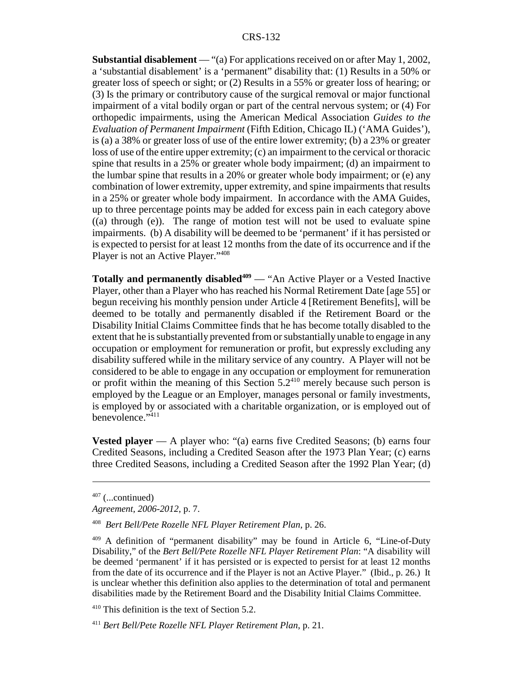**Substantial disablement** — "(a) For applications received on or after May 1, 2002, a 'substantial disablement' is a 'permanent" disability that: (1) Results in a 50% or greater loss of speech or sight; or (2) Results in a 55% or greater loss of hearing; or (3) Is the primary or contributory cause of the surgical removal or major functional impairment of a vital bodily organ or part of the central nervous system; or (4) For orthopedic impairments, using the American Medical Association *Guides to the Evaluation of Permanent Impairment* (Fifth Edition, Chicago IL) ('AMA Guides'), is (a) a 38% or greater loss of use of the entire lower extremity; (b) a 23% or greater loss of use of the entire upper extremity; (c) an impairment to the cervical or thoracic spine that results in a 25% or greater whole body impairment; (d) an impairment to the lumbar spine that results in a 20% or greater whole body impairment; or (e) any combination of lower extremity, upper extremity, and spine impairments that results in a 25% or greater whole body impairment. In accordance with the AMA Guides, up to three percentage points may be added for excess pain in each category above ((a) through (e)). The range of motion test will not be used to evaluate spine impairments. (b) A disability will be deemed to be 'permanent' if it has persisted or is expected to persist for at least 12 months from the date of its occurrence and if the Player is not an Active Player."408

Totally and permanently disabled<sup>409</sup> — "An Active Player or a Vested Inactive Player, other than a Player who has reached his Normal Retirement Date [age 55] or begun receiving his monthly pension under Article 4 [Retirement Benefits], will be deemed to be totally and permanently disabled if the Retirement Board or the Disability Initial Claims Committee finds that he has become totally disabled to the extent that he is substantially prevented from or substantially unable to engage in any occupation or employment for remuneration or profit, but expressly excluding any disability suffered while in the military service of any country. A Player will not be considered to be able to engage in any occupation or employment for remuneration or profit within the meaning of this Section  $5.2^{410}$  merely because such person is employed by the League or an Employer, manages personal or family investments, is employed by or associated with a charitable organization, or is employed out of benevolence."<sup>411</sup>

**Vested player** — A player who: "(a) earns five Credited Seasons; (b) earns four Credited Seasons, including a Credited Season after the 1973 Plan Year; (c) earns three Credited Seasons, including a Credited Season after the 1992 Plan Year; (d)

 $407$  (...continued)

*Agreement, 2006-2012*, p. 7.

<sup>408</sup> *Bert Bell/Pete Rozelle NFL Player Retirement Plan*, p. 26.

<sup>409</sup> A definition of "permanent disability" may be found in Article 6, "Line-of-Duty Disability," of the *Bert Bell/Pete Rozelle NFL Player Retirement Plan*: "A disability will be deemed 'permanent' if it has persisted or is expected to persist for at least 12 months from the date of its occurrence and if the Player is not an Active Player." (Ibid., p. 26.) It is unclear whether this definition also applies to the determination of total and permanent disabilities made by the Retirement Board and the Disability Initial Claims Committee.

<sup>410</sup> This definition is the text of Section 5.2.

<sup>411</sup> *Bert Bell/Pete Rozelle NFL Player Retirement Plan*, p. 21.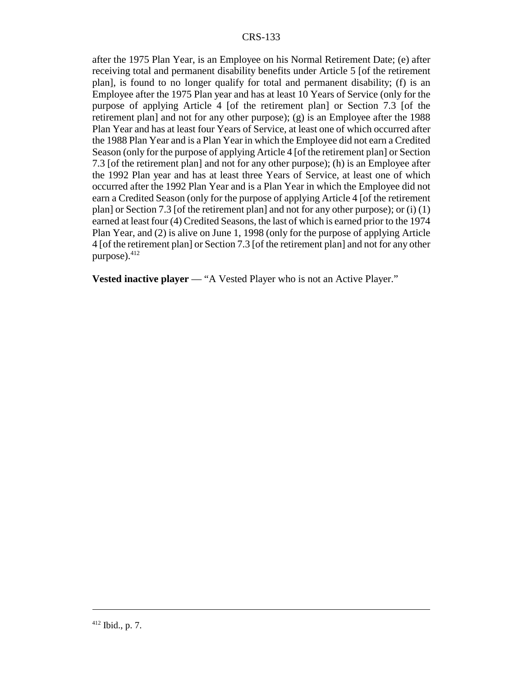after the 1975 Plan Year, is an Employee on his Normal Retirement Date; (e) after receiving total and permanent disability benefits under Article 5 [of the retirement plan], is found to no longer qualify for total and permanent disability; (f) is an Employee after the 1975 Plan year and has at least 10 Years of Service (only for the purpose of applying Article 4 [of the retirement plan] or Section 7.3 [of the retirement plan] and not for any other purpose); (g) is an Employee after the 1988 Plan Year and has at least four Years of Service, at least one of which occurred after the 1988 Plan Year and is a Plan Year in which the Employee did not earn a Credited Season (only for the purpose of applying Article 4 [of the retirement plan] or Section 7.3 [of the retirement plan] and not for any other purpose); (h) is an Employee after the 1992 Plan year and has at least three Years of Service, at least one of which occurred after the 1992 Plan Year and is a Plan Year in which the Employee did not earn a Credited Season (only for the purpose of applying Article 4 [of the retirement plan] or Section 7.3 [of the retirement plan] and not for any other purpose); or (i) (1) earned at least four (4) Credited Seasons, the last of which is earned prior to the 1974 Plan Year, and (2) is alive on June 1, 1998 (only for the purpose of applying Article 4 [of the retirement plan] or Section 7.3 [of the retirement plan] and not for any other purpose). $412$ 

**Vested inactive player** — "A Vested Player who is not an Active Player."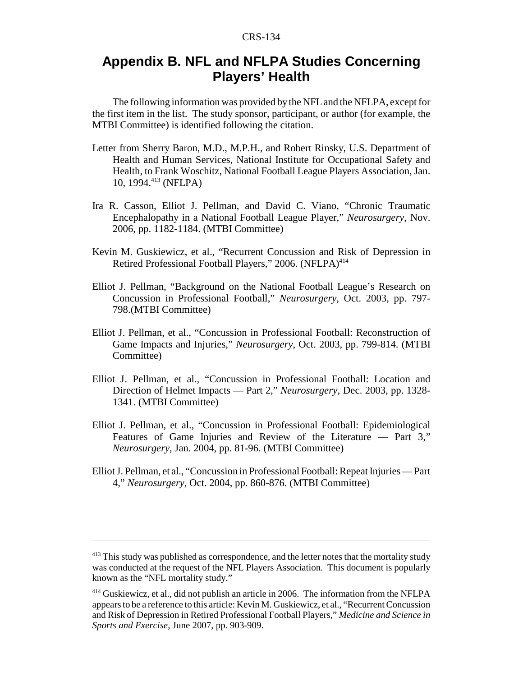## **Appendix B. NFL and NFLPA Studies Concerning Players' Health**

The following information was provided by the NFL and the NFLPA, except for the first item in the list. The study sponsor, participant, or author (for example, the MTBI Committee) is identified following the citation.

- Letter from Sherry Baron, M.D., M.P.H., and Robert Rinsky, U.S. Department of Health and Human Services, National Institute for Occupational Safety and Health, to Frank Woschitz, National Football League Players Association, Jan. 10, 1994.413 (NFLPA)
- Ira R. Casson, Elliot J. Pellman, and David C. Viano, "Chronic Traumatic Encephalopathy in a National Football League Player," *Neurosurgery*, Nov. 2006, pp. 1182-1184. (MTBI Committee)
- Kevin M. Guskiewicz, et al., "Recurrent Concussion and Risk of Depression in Retired Professional Football Players," 2006. (NFLPA)<sup>414</sup>
- Elliot J. Pellman, "Background on the National Football League's Research on Concussion in Professional Football," *Neurosurgery*, Oct. 2003, pp. 797- 798.(MTBI Committee)
- Elliot J. Pellman, et al., "Concussion in Professional Football: Reconstruction of Game Impacts and Injuries," *Neurosurgery*, Oct. 2003, pp. 799-814. (MTBI Committee)
- Elliot J. Pellman, et al., "Concussion in Professional Football: Location and Direction of Helmet Impacts — Part 2," *Neurosurgery*, Dec. 2003, pp. 1328- 1341. (MTBI Committee)
- Elliot J. Pellman, et al., "Concussion in Professional Football: Epidemiological Features of Game Injuries and Review of the Literature — Part 3," *Neurosurgery*, Jan. 2004, pp. 81-96. (MTBI Committee)
- Elliot J. Pellman, et al., "Concussion in Professional Football: Repeat Injuries Part 4," *Neurosurgery*, Oct. 2004, pp. 860-876. (MTBI Committee)

 $413$  This study was published as correspondence, and the letter notes that the mortality study was conducted at the request of the NFL Players Association. This document is popularly known as the "NFL mortality study."

<sup>414</sup> Guskiewicz, et al., did not publish an article in 2006. The information from the NFLPA appears to be a reference to this article: Kevin M. Guskiewicz, et al., "Recurrent Concussion and Risk of Depression in Retired Professional Football Players," *Medicine and Science in Sports and Exercise*, June 2007, pp. 903-909.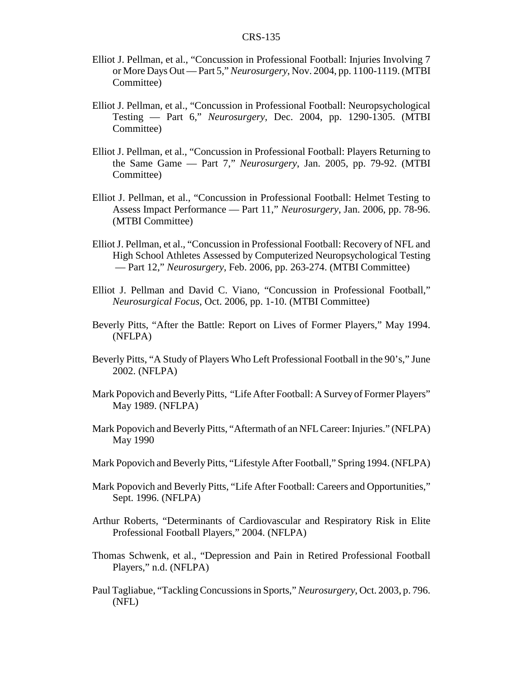- Elliot J. Pellman, et al., "Concussion in Professional Football: Injuries Involving 7 or More Days Out — Part 5," *Neurosurgery*, Nov. 2004, pp. 1100-1119. (MTBI Committee)
- Elliot J. Pellman, et al., "Concussion in Professional Football: Neuropsychological Testing — Part 6," *Neurosurgery*, Dec. 2004, pp. 1290-1305. (MTBI Committee)
- Elliot J. Pellman, et al., "Concussion in Professional Football: Players Returning to the Same Game — Part 7," *Neurosurgery*, Jan. 2005, pp. 79-92. (MTBI Committee)
- Elliot J. Pellman, et al., "Concussion in Professional Football: Helmet Testing to Assess Impact Performance — Part 11," *Neurosurgery*, Jan. 2006, pp. 78-96. (MTBI Committee)
- Elliot J. Pellman, et al., "Concussion in Professional Football: Recovery of NFL and High School Athletes Assessed by Computerized Neuropsychological Testing — Part 12," *Neurosurgery*, Feb. 2006, pp. 263-274. (MTBI Committee)
- Elliot J. Pellman and David C. Viano, "Concussion in Professional Football," *Neurosurgical Focus*, Oct. 2006, pp. 1-10. (MTBI Committee)
- Beverly Pitts, "After the Battle: Report on Lives of Former Players," May 1994. (NFLPA)
- Beverly Pitts, "A Study of Players Who Left Professional Football in the 90's," June 2002. (NFLPA)
- Mark Popovich and Beverly Pitts, "Life After Football: A Survey of Former Players" May 1989. (NFLPA)
- Mark Popovich and Beverly Pitts, "Aftermath of an NFL Career: Injuries." (NFLPA) May 1990
- Mark Popovich and Beverly Pitts, "Lifestyle After Football," Spring 1994. (NFLPA)
- Mark Popovich and Beverly Pitts, "Life After Football: Careers and Opportunities," Sept. 1996. (NFLPA)
- Arthur Roberts, "Determinants of Cardiovascular and Respiratory Risk in Elite Professional Football Players," 2004. (NFLPA)
- Thomas Schwenk, et al., "Depression and Pain in Retired Professional Football Players," n.d. (NFLPA)
- Paul Tagliabue, "Tackling Concussions in Sports," *Neurosurgery*, Oct. 2003, p. 796. (NFL)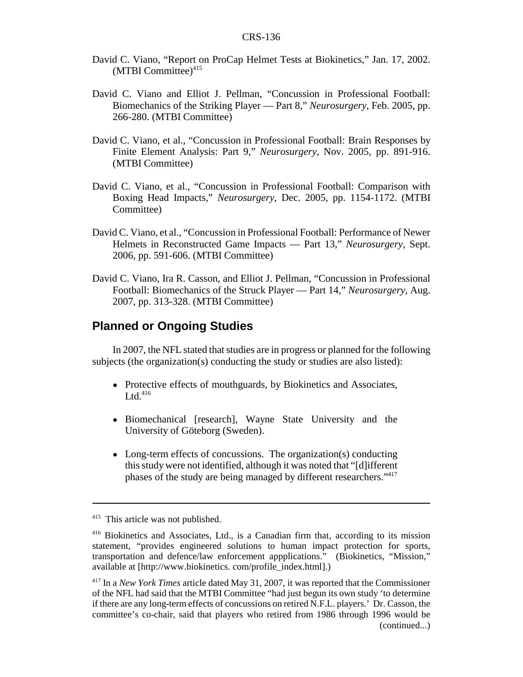- David C. Viano, "Report on ProCap Helmet Tests at Biokinetics," Jan. 17, 2002. (MTBI Committee)<sup>415</sup>
- David C. Viano and Elliot J. Pellman, "Concussion in Professional Football: Biomechanics of the Striking Player — Part 8," *Neurosurgery*, Feb. 2005, pp. 266-280. (MTBI Committee)
- David C. Viano, et al., "Concussion in Professional Football: Brain Responses by Finite Element Analysis: Part 9," *Neurosurgery*, Nov. 2005, pp. 891-916. (MTBI Committee)
- David C. Viano, et al., "Concussion in Professional Football: Comparison with Boxing Head Impacts," *Neurosurgery*, Dec. 2005, pp. 1154-1172. (MTBI Committee)
- David C. Viano, et al., "Concussion in Professional Football: Performance of Newer Helmets in Reconstructed Game Impacts — Part 13," *Neurosurgery*, Sept. 2006, pp. 591-606. (MTBI Committee)
- David C. Viano, Ira R. Casson, and Elliot J. Pellman, "Concussion in Professional Football: Biomechanics of the Struck Player — Part 14," *Neurosurgery*, Aug. 2007, pp. 313-328. (MTBI Committee)

## **Planned or Ongoing Studies**

In 2007, the NFL stated that studies are in progress or planned for the following subjects (the organization(s) conducting the study or studies are also listed):

- Protective effects of mouthguards, by Biokinetics and Associates, Ltd. $416$
- ! Biomechanical [research], Wayne State University and the University of Göteborg (Sweden).
- Long-term effects of concussions. The organization(s) conducting this study were not identified, although it was noted that "[d]ifferent phases of the study are being managed by different researchers."417

<sup>&</sup>lt;sup>415</sup> This article was not published.

<sup>416</sup> Biokinetics and Associates, Ltd., is a Canadian firm that, according to its mission statement, "provides engineered solutions to human impact protection for sports, transportation and defence/law enforcement appplications." (Biokinetics, "Mission," available at [http://www.biokinetics. com/profile\_index.html].)

<sup>417</sup> In a *New York Times* article dated May 31, 2007, it was reported that the Commissioner of the NFL had said that the MTBI Committee "had just begun its own study 'to determine if there are any long-term effects of concussions on retired N.F.L. players.' Dr. Casson, the committee's co-chair, said that players who retired from 1986 through 1996 would be (continued...)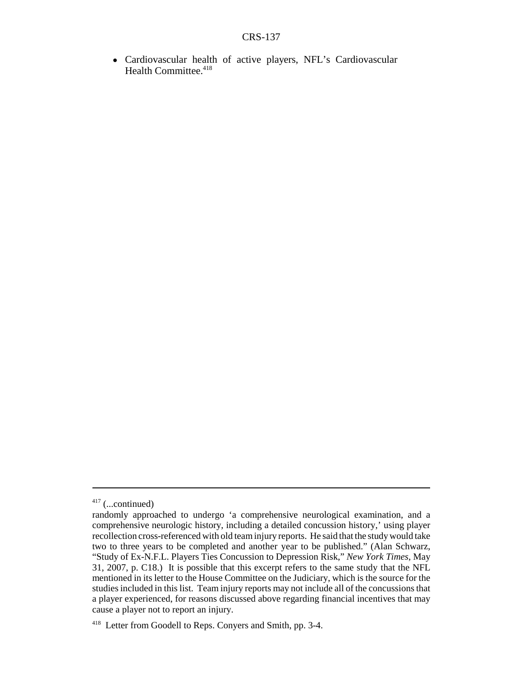! Cardiovascular health of active players, NFL's Cardiovascular Health Committee.<sup>418</sup>

 $417$  (...continued)

randomly approached to undergo 'a comprehensive neurological examination, and a comprehensive neurologic history, including a detailed concussion history,' using player recollection cross-referenced with old team injury reports. He said that the study would take two to three years to be completed and another year to be published." (Alan Schwarz, "Study of Ex-N.F.L. Players Ties Concussion to Depression Risk," *New York Times*, May 31, 2007, p. C18.) It is possible that this excerpt refers to the same study that the NFL mentioned in its letter to the House Committee on the Judiciary, which is the source for the studies included in this list. Team injury reports may not include all of the concussions that a player experienced, for reasons discussed above regarding financial incentives that may cause a player not to report an injury.

<sup>418</sup> Letter from Goodell to Reps. Conyers and Smith, pp. 3-4.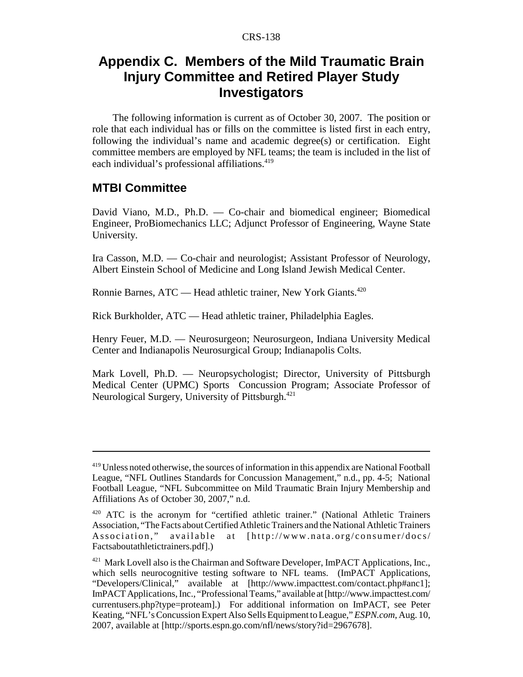# **Appendix C. Members of the Mild Traumatic Brain Injury Committee and Retired Player Study Investigators**

The following information is current as of October 30, 2007. The position or role that each individual has or fills on the committee is listed first in each entry, following the individual's name and academic degree(s) or certification. Eight committee members are employed by NFL teams; the team is included in the list of each individual's professional affiliations.<sup>419</sup>

## **MTBI Committee**

David Viano, M.D., Ph.D. — Co-chair and biomedical engineer; Biomedical Engineer, ProBiomechanics LLC; Adjunct Professor of Engineering, Wayne State University.

Ira Casson, M.D. — Co-chair and neurologist; Assistant Professor of Neurology, Albert Einstein School of Medicine and Long Island Jewish Medical Center.

Ronnie Barnes, ATC — Head athletic trainer, New York Giants.<sup>420</sup>

Rick Burkholder, ATC — Head athletic trainer, Philadelphia Eagles.

Henry Feuer, M.D. — Neurosurgeon; Neurosurgeon, Indiana University Medical Center and Indianapolis Neurosurgical Group; Indianapolis Colts.

Mark Lovell, Ph.D. — Neuropsychologist; Director, University of Pittsburgh Medical Center (UPMC) Sports Concussion Program; Associate Professor of Neurological Surgery, University of Pittsburgh.<sup>421</sup>

 $419$  Unless noted otherwise, the sources of information in this appendix are National Football League, "NFL Outlines Standards for Concussion Management," n.d., pp. 4-5; National Football League, "NFL Subcommittee on Mild Traumatic Brain Injury Membership and Affiliations As of October 30, 2007," n.d.

<sup>&</sup>lt;sup>420</sup> ATC is the acronym for "certified athletic trainer." (National Athletic Trainers Association, "The Facts about Certified Athletic Trainers and the National Athletic Trainers Association," available at [http://www.nata.org/consumer/docs/ Factsaboutathletictrainers.pdf].)

<sup>&</sup>lt;sup>421</sup> Mark Lovell also is the Chairman and Software Developer, ImPACT Applications, Inc., which sells neurocognitive testing software to NFL teams. (ImPACT Applications, "Developers/Clinical," available at [http://www.impacttest.com/contact.php#anc1]; ImPACT Applications, Inc., "Professional Teams," available at [http://www.impacttest.com/ currentusers.php?type=proteam].) For additional information on ImPACT, see Peter Keating, "NFL's Concussion Expert Also Sells Equipment to League," *ESPN.com*, Aug. 10, 2007, available at [http://sports.espn.go.com/nfl/news/story?id=2967678].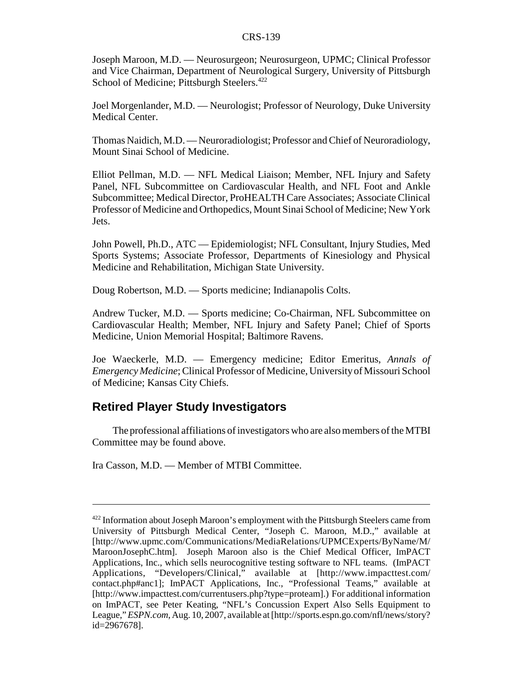Joseph Maroon, M.D. — Neurosurgeon; Neurosurgeon, UPMC; Clinical Professor and Vice Chairman, Department of Neurological Surgery, University of Pittsburgh School of Medicine; Pittsburgh Steelers.<sup>422</sup>

Joel Morgenlander, M.D. — Neurologist; Professor of Neurology, Duke University Medical Center.

Thomas Naidich, M.D. — Neuroradiologist; Professor and Chief of Neuroradiology, Mount Sinai School of Medicine.

Elliot Pellman, M.D. — NFL Medical Liaison; Member, NFL Injury and Safety Panel, NFL Subcommittee on Cardiovascular Health, and NFL Foot and Ankle Subcommittee; Medical Director, ProHEALTH Care Associates; Associate Clinical Professor of Medicine and Orthopedics, Mount Sinai School of Medicine; New York Jets.

John Powell, Ph.D., ATC — Epidemiologist; NFL Consultant, Injury Studies, Med Sports Systems; Associate Professor, Departments of Kinesiology and Physical Medicine and Rehabilitation, Michigan State University.

Doug Robertson, M.D. — Sports medicine; Indianapolis Colts.

Andrew Tucker, M.D. — Sports medicine; Co-Chairman, NFL Subcommittee on Cardiovascular Health; Member, NFL Injury and Safety Panel; Chief of Sports Medicine, Union Memorial Hospital; Baltimore Ravens.

Joe Waeckerle, M.D. — Emergency medicine; Editor Emeritus, *Annals of Emergency Medicine*; Clinical Professor of Medicine, University of Missouri School of Medicine; Kansas City Chiefs.

## **Retired Player Study Investigators**

The professional affiliations of investigators who are also members of the MTBI Committee may be found above.

Ira Casson, M.D. — Member of MTBI Committee.

 $422$  Information about Joseph Maroon's employment with the Pittsburgh Steelers came from University of Pittsburgh Medical Center, "Joseph C. Maroon, M.D.," available at [http://www.upmc.com/Communications/MediaRelations/UPMCExperts/ByName/M/ MaroonJosephC.htm]. Joseph Maroon also is the Chief Medical Officer, ImPACT Applications, Inc., which sells neurocognitive testing software to NFL teams. (ImPACT Applications, "Developers/Clinical," available at [http://www.impacttest.com/ contact.php#anc1]; ImPACT Applications, Inc., "Professional Teams," available at [http://www.impacttest.com/currentusers.php?type=proteam].) For additional information on ImPACT, see Peter Keating, "NFL's Concussion Expert Also Sells Equipment to League," *ESPN.com*, Aug. 10, 2007, available at [http://sports.espn.go.com/nfl/news/story? id=2967678].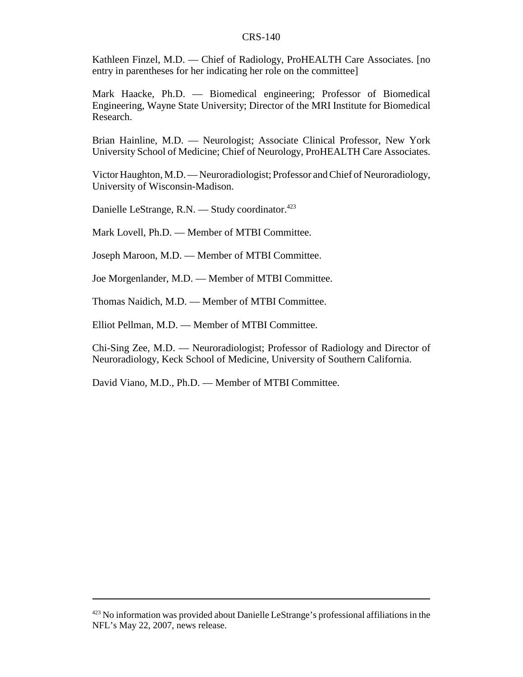Kathleen Finzel, M.D. — Chief of Radiology, ProHEALTH Care Associates. [no entry in parentheses for her indicating her role on the committee]

Mark Haacke, Ph.D. — Biomedical engineering; Professor of Biomedical Engineering, Wayne State University; Director of the MRI Institute for Biomedical Research.

Brian Hainline, M.D. — Neurologist; Associate Clinical Professor, New York University School of Medicine; Chief of Neurology, ProHEALTH Care Associates.

Victor Haughton, M.D. — Neuroradiologist; Professor and Chief of Neuroradiology, University of Wisconsin-Madison.

Danielle LeStrange, R.N. — Study coordinator. $423$ 

Mark Lovell, Ph.D. — Member of MTBI Committee.

Joseph Maroon, M.D. — Member of MTBI Committee.

Joe Morgenlander, M.D. — Member of MTBI Committee.

Thomas Naidich, M.D. — Member of MTBI Committee.

Elliot Pellman, M.D. — Member of MTBI Committee.

Chi-Sing Zee, M.D. — Neuroradiologist; Professor of Radiology and Director of Neuroradiology, Keck School of Medicine, University of Southern California.

David Viano, M.D., Ph.D. — Member of MTBI Committee.

<sup>423</sup> No information was provided about Danielle LeStrange's professional affiliations in the NFL's May 22, 2007, news release.